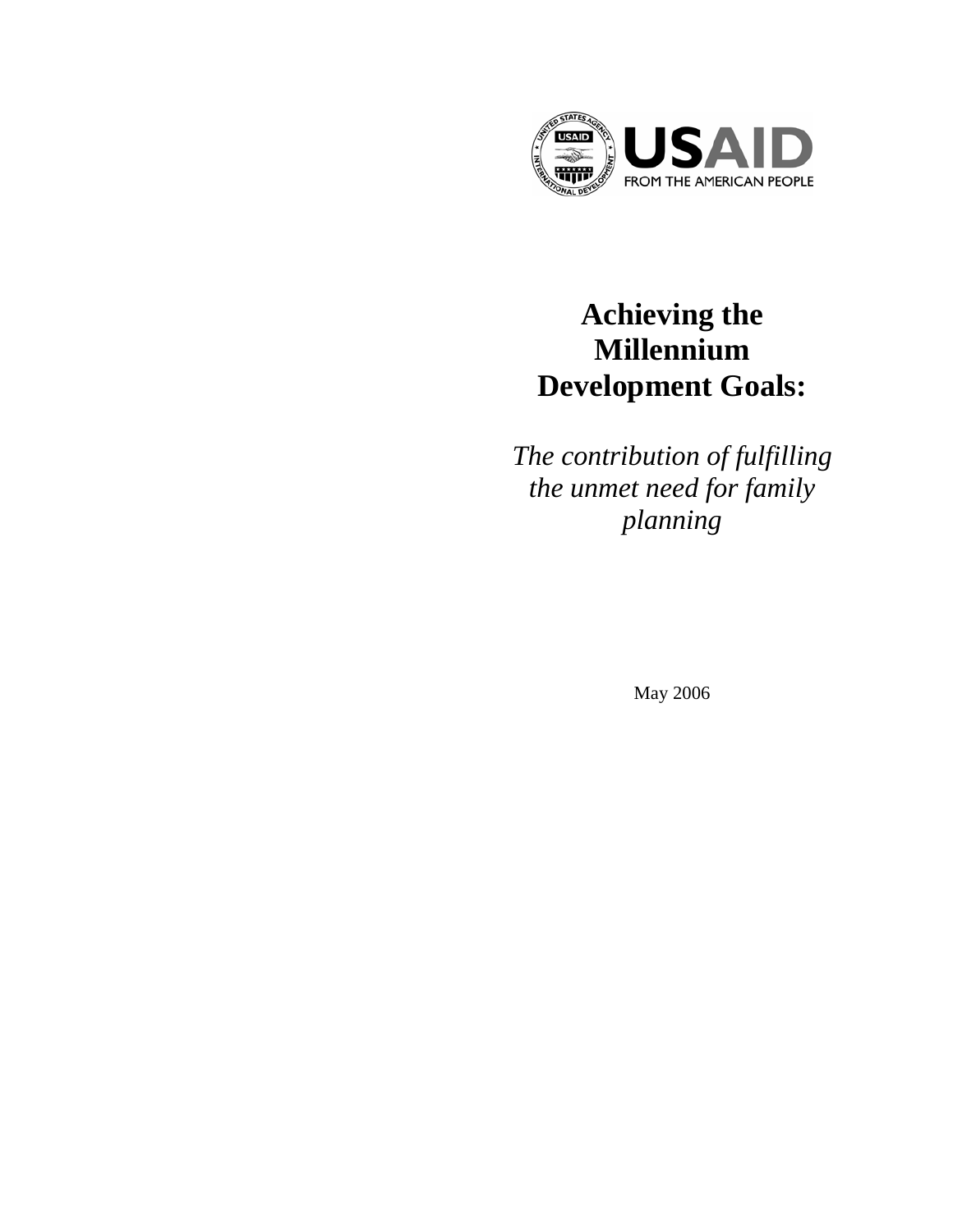

# **Achieving the Millennium Development Goals:**

*The contribution of fulfilling the unmet need for family planning* 

May 2006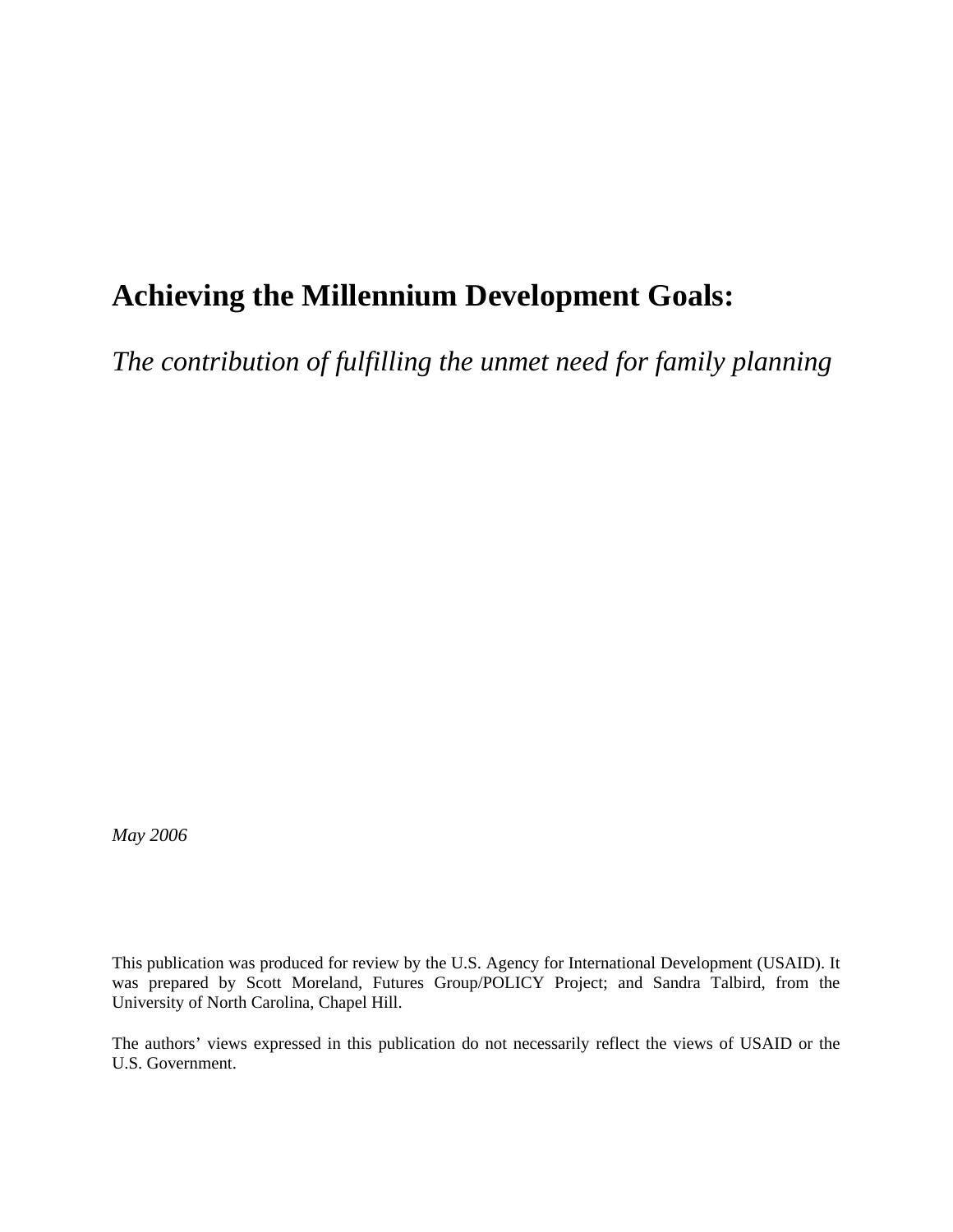# **Achieving the Millennium Development Goals:**

*The contribution of fulfilling the unmet need for family planning* 

*May 2006* 

This publication was produced for review by the U.S. Agency for International Development (USAID). It was prepared by Scott Moreland, Futures Group/POLICY Project; and Sandra Talbird, from the University of North Carolina, Chapel Hill.

The authors' views expressed in this publication do not necessarily reflect the views of USAID or the U.S. Government.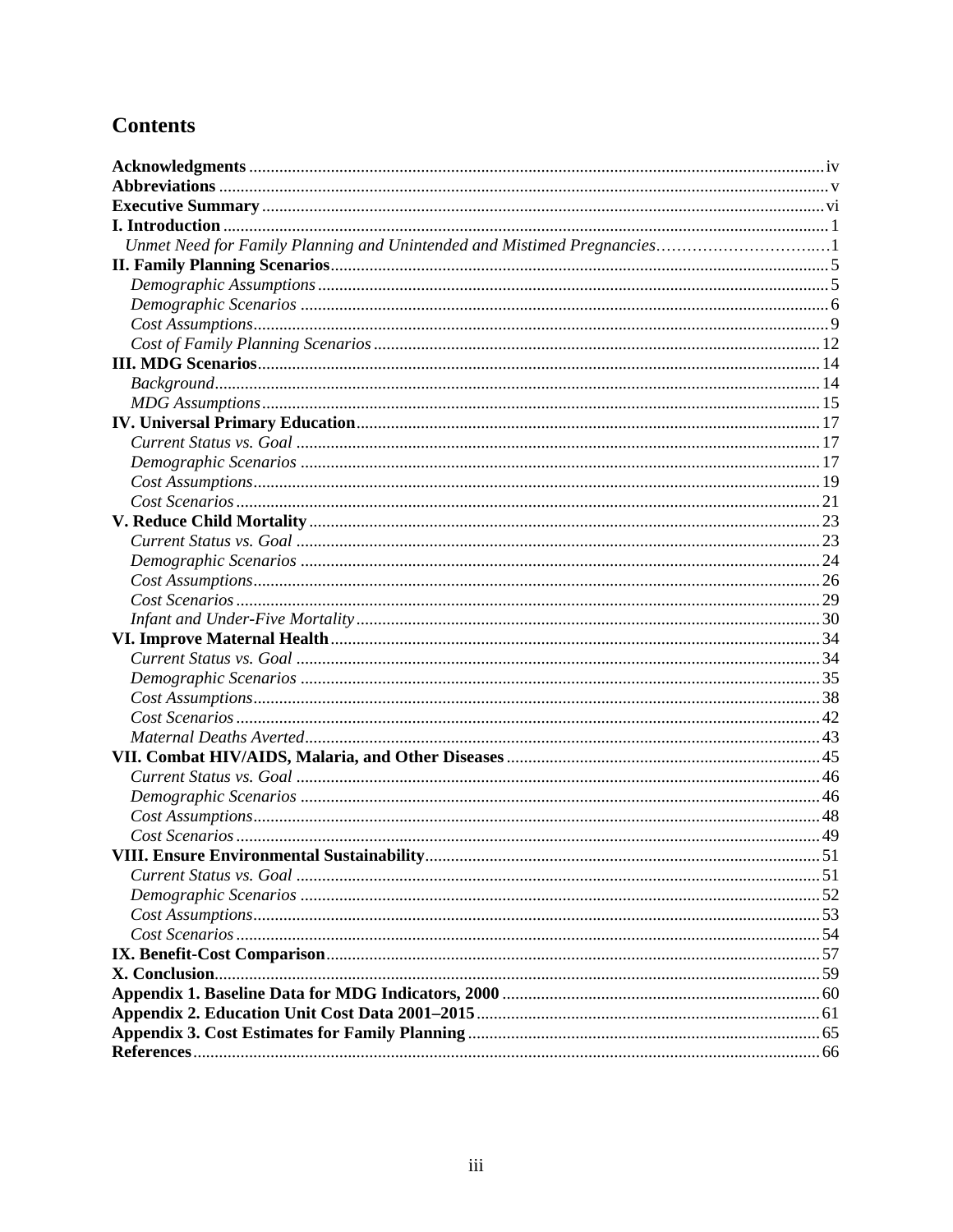## **Contents**

| Unmet Need for Family Planning and Unintended and Mistimed Pregnancies1 |  |
|-------------------------------------------------------------------------|--|
|                                                                         |  |
|                                                                         |  |
|                                                                         |  |
|                                                                         |  |
|                                                                         |  |
|                                                                         |  |
|                                                                         |  |
|                                                                         |  |
|                                                                         |  |
|                                                                         |  |
|                                                                         |  |
|                                                                         |  |
|                                                                         |  |
|                                                                         |  |
|                                                                         |  |
|                                                                         |  |
|                                                                         |  |
|                                                                         |  |
|                                                                         |  |
|                                                                         |  |
|                                                                         |  |
|                                                                         |  |
|                                                                         |  |
|                                                                         |  |
|                                                                         |  |
|                                                                         |  |
|                                                                         |  |
|                                                                         |  |
|                                                                         |  |
|                                                                         |  |
| VIII. Ensure Environmental Sustainability                               |  |
|                                                                         |  |
|                                                                         |  |
|                                                                         |  |
|                                                                         |  |
|                                                                         |  |
|                                                                         |  |
|                                                                         |  |
|                                                                         |  |
|                                                                         |  |
|                                                                         |  |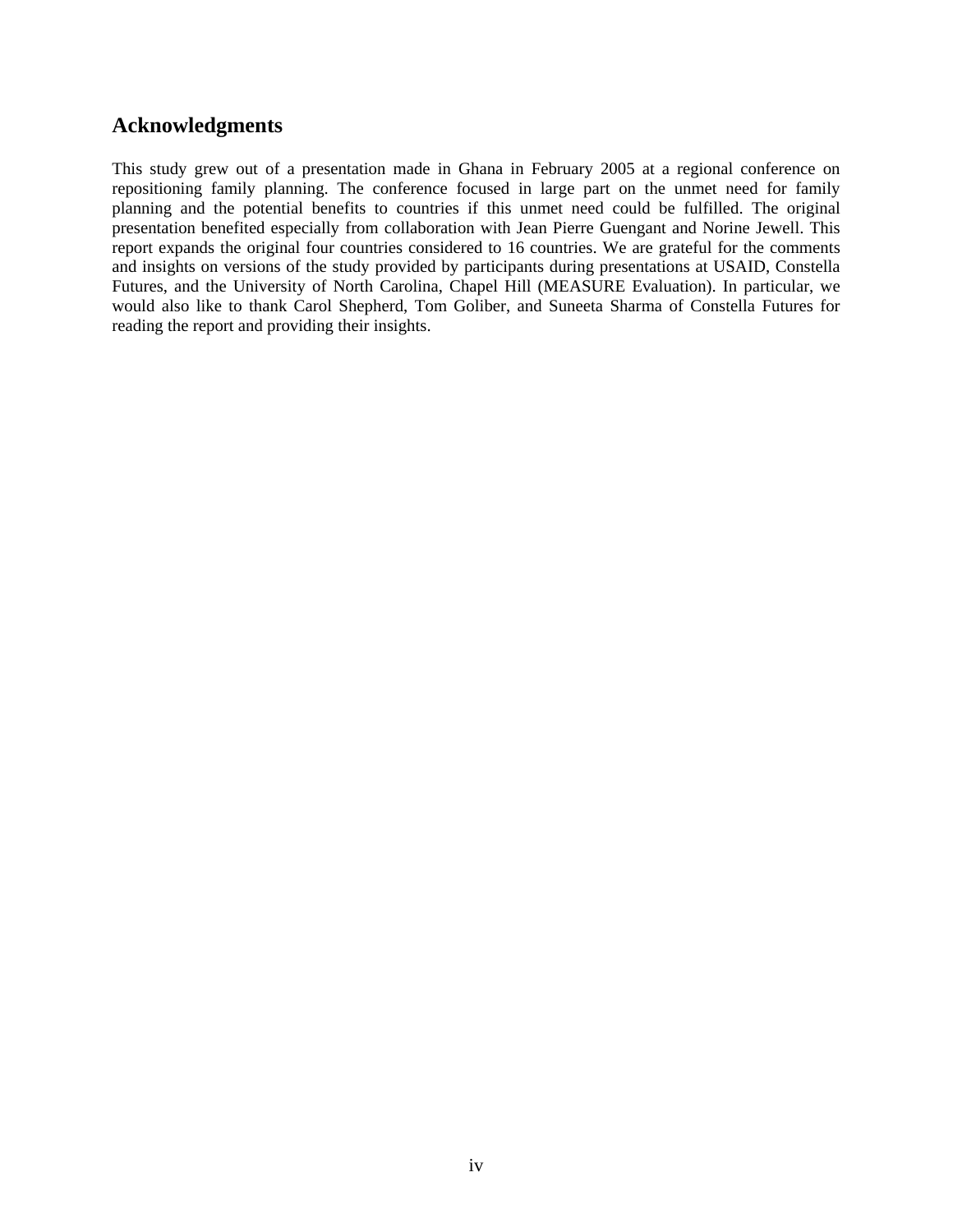## **Acknowledgments**

This study grew out of a presentation made in Ghana in February 2005 at a regional conference on repositioning family planning. The conference focused in large part on the unmet need for family planning and the potential benefits to countries if this unmet need could be fulfilled. The original presentation benefited especially from collaboration with Jean Pierre Guengant and Norine Jewell. This report expands the original four countries considered to 16 countries. We are grateful for the comments and insights on versions of the study provided by participants during presentations at USAID, Constella Futures, and the University of North Carolina, Chapel Hill (MEASURE Evaluation). In particular, we would also like to thank Carol Shepherd, Tom Goliber, and Suneeta Sharma of Constella Futures for reading the report and providing their insights.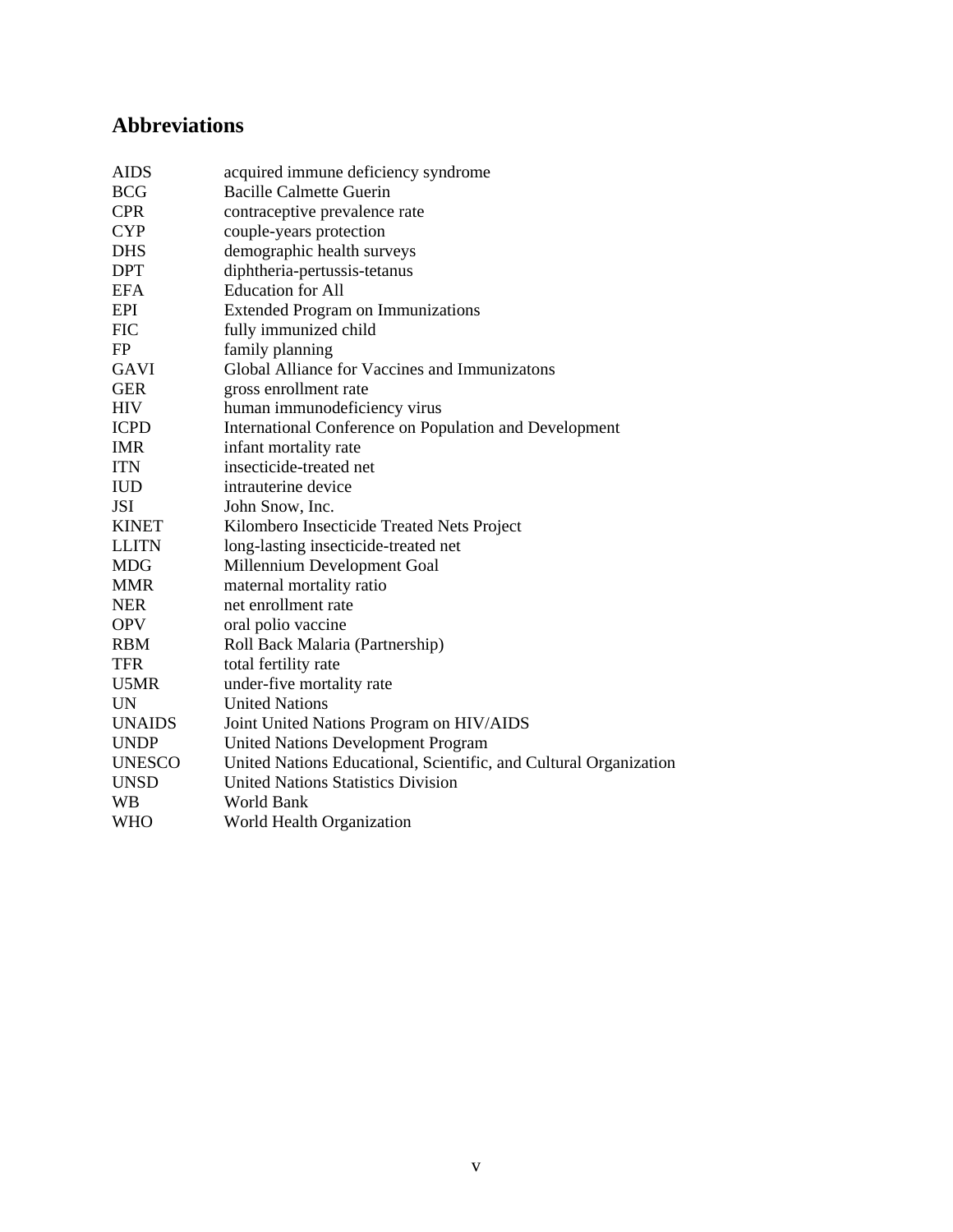## **Abbreviations**

| <b>AIDS</b>   | acquired immune deficiency syndrome                               |
|---------------|-------------------------------------------------------------------|
| <b>BCG</b>    | <b>Bacille Calmette Guerin</b>                                    |
| <b>CPR</b>    | contraceptive prevalence rate                                     |
| <b>CYP</b>    | couple-years protection                                           |
| <b>DHS</b>    | demographic health surveys                                        |
| DPT           | diphtheria-pertussis-tetanus                                      |
| <b>EFA</b>    | <b>Education</b> for All                                          |
| <b>EPI</b>    | <b>Extended Program on Immunizations</b>                          |
| <b>FIC</b>    | fully immunized child                                             |
| FP            | family planning                                                   |
| <b>GAVI</b>   | Global Alliance for Vaccines and Immunizatons                     |
| <b>GER</b>    | gross enrollment rate                                             |
| <b>HIV</b>    | human immunodeficiency virus                                      |
| <b>ICPD</b>   | International Conference on Population and Development            |
| <b>IMR</b>    | infant mortality rate                                             |
| <b>ITN</b>    | insecticide-treated net                                           |
| <b>IUD</b>    | intrauterine device                                               |
| <b>JSI</b>    | John Snow, Inc.                                                   |
| <b>KINET</b>  | Kilombero Insecticide Treated Nets Project                        |
| <b>LLITN</b>  | long-lasting insecticide-treated net                              |
| <b>MDG</b>    | Millennium Development Goal                                       |
| <b>MMR</b>    | maternal mortality ratio                                          |
| <b>NER</b>    | net enrollment rate                                               |
| <b>OPV</b>    | oral polio vaccine                                                |
| <b>RBM</b>    | Roll Back Malaria (Partnership)                                   |
| <b>TFR</b>    | total fertility rate                                              |
| U5MR          | under-five mortality rate                                         |
| UN            | <b>United Nations</b>                                             |
| <b>UNAIDS</b> | Joint United Nations Program on HIV/AIDS                          |
| <b>UNDP</b>   | <b>United Nations Development Program</b>                         |
| <b>UNESCO</b> | United Nations Educational, Scientific, and Cultural Organization |
| <b>UNSD</b>   | <b>United Nations Statistics Division</b>                         |
| WВ            | World Bank                                                        |
| WHO           | World Health Organization                                         |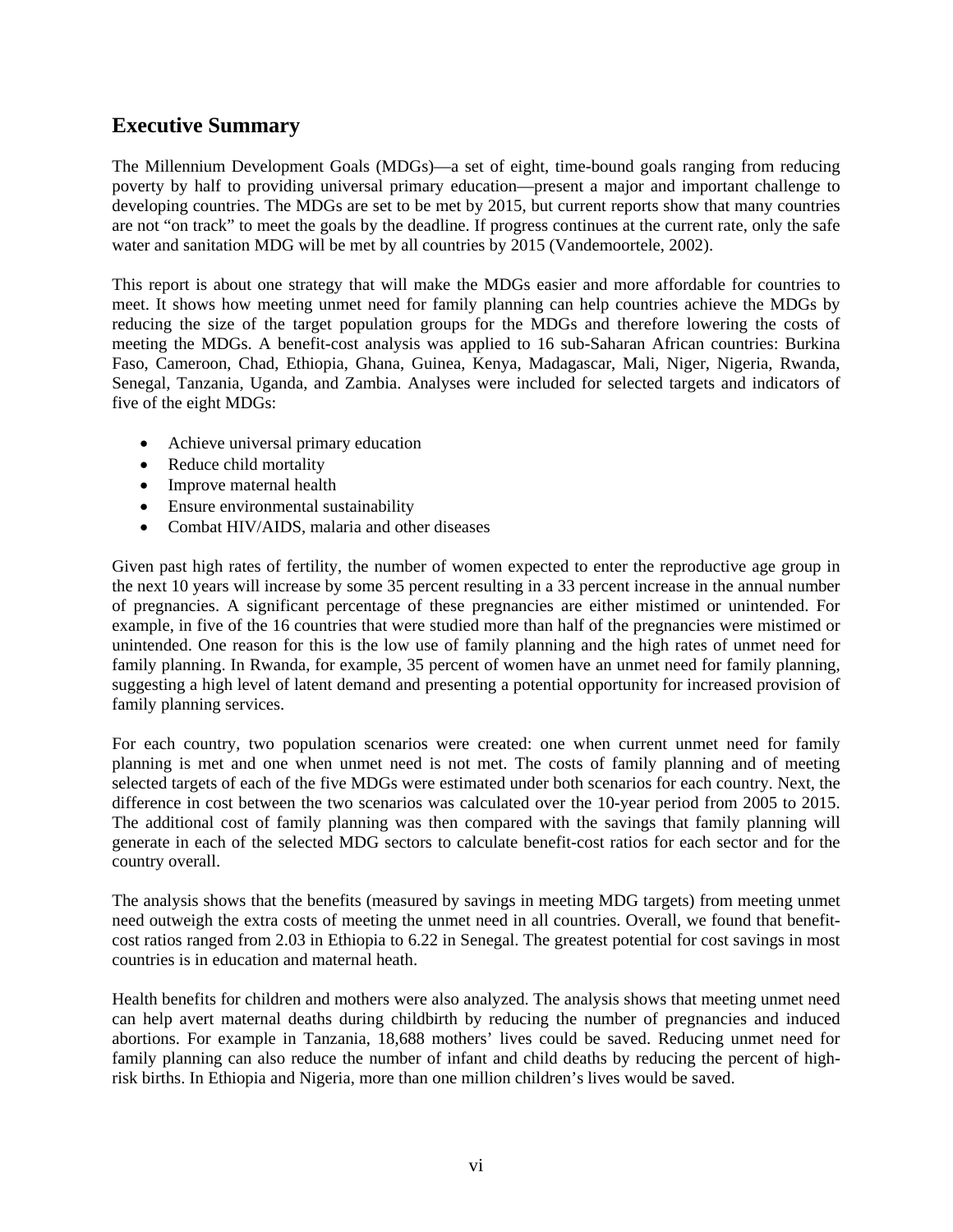## **Executive Summary**

The Millennium Development Goals (MDGs)—a set of eight, time-bound goals ranging from reducing poverty by half to providing universal primary education—present a major and important challenge to developing countries. The MDGs are set to be met by 2015, but current reports show that many countries are not "on track" to meet the goals by the deadline. If progress continues at the current rate, only the safe water and sanitation MDG will be met by all countries by 2015 (Vandemoortele, 2002).

This report is about one strategy that will make the MDGs easier and more affordable for countries to meet. It shows how meeting unmet need for family planning can help countries achieve the MDGs by reducing the size of the target population groups for the MDGs and therefore lowering the costs of meeting the MDGs. A benefit-cost analysis was applied to 16 sub-Saharan African countries: Burkina Faso, Cameroon, Chad, Ethiopia, Ghana, Guinea, Kenya, Madagascar, Mali, Niger, Nigeria, Rwanda, Senegal, Tanzania, Uganda, and Zambia. Analyses were included for selected targets and indicators of five of the eight MDGs:

- Achieve universal primary education
- Reduce child mortality
- Improve maternal health
- Ensure environmental sustainability
- Combat HIV/AIDS, malaria and other diseases

Given past high rates of fertility, the number of women expected to enter the reproductive age group in the next 10 years will increase by some 35 percent resulting in a 33 percent increase in the annual number of pregnancies. A significant percentage of these pregnancies are either mistimed or unintended. For example, in five of the 16 countries that were studied more than half of the pregnancies were mistimed or unintended. One reason for this is the low use of family planning and the high rates of unmet need for family planning. In Rwanda, for example, 35 percent of women have an unmet need for family planning, suggesting a high level of latent demand and presenting a potential opportunity for increased provision of family planning services.

For each country, two population scenarios were created: one when current unmet need for family planning is met and one when unmet need is not met. The costs of family planning and of meeting selected targets of each of the five MDGs were estimated under both scenarios for each country. Next, the difference in cost between the two scenarios was calculated over the 10-year period from 2005 to 2015. The additional cost of family planning was then compared with the savings that family planning will generate in each of the selected MDG sectors to calculate benefit-cost ratios for each sector and for the country overall.

The analysis shows that the benefits (measured by savings in meeting MDG targets) from meeting unmet need outweigh the extra costs of meeting the unmet need in all countries. Overall, we found that benefitcost ratios ranged from 2.03 in Ethiopia to 6.22 in Senegal. The greatest potential for cost savings in most countries is in education and maternal heath.

Health benefits for children and mothers were also analyzed. The analysis shows that meeting unmet need can help avert maternal deaths during childbirth by reducing the number of pregnancies and induced abortions. For example in Tanzania, 18,688 mothers' lives could be saved. Reducing unmet need for family planning can also reduce the number of infant and child deaths by reducing the percent of highrisk births. In Ethiopia and Nigeria, more than one million children's lives would be saved.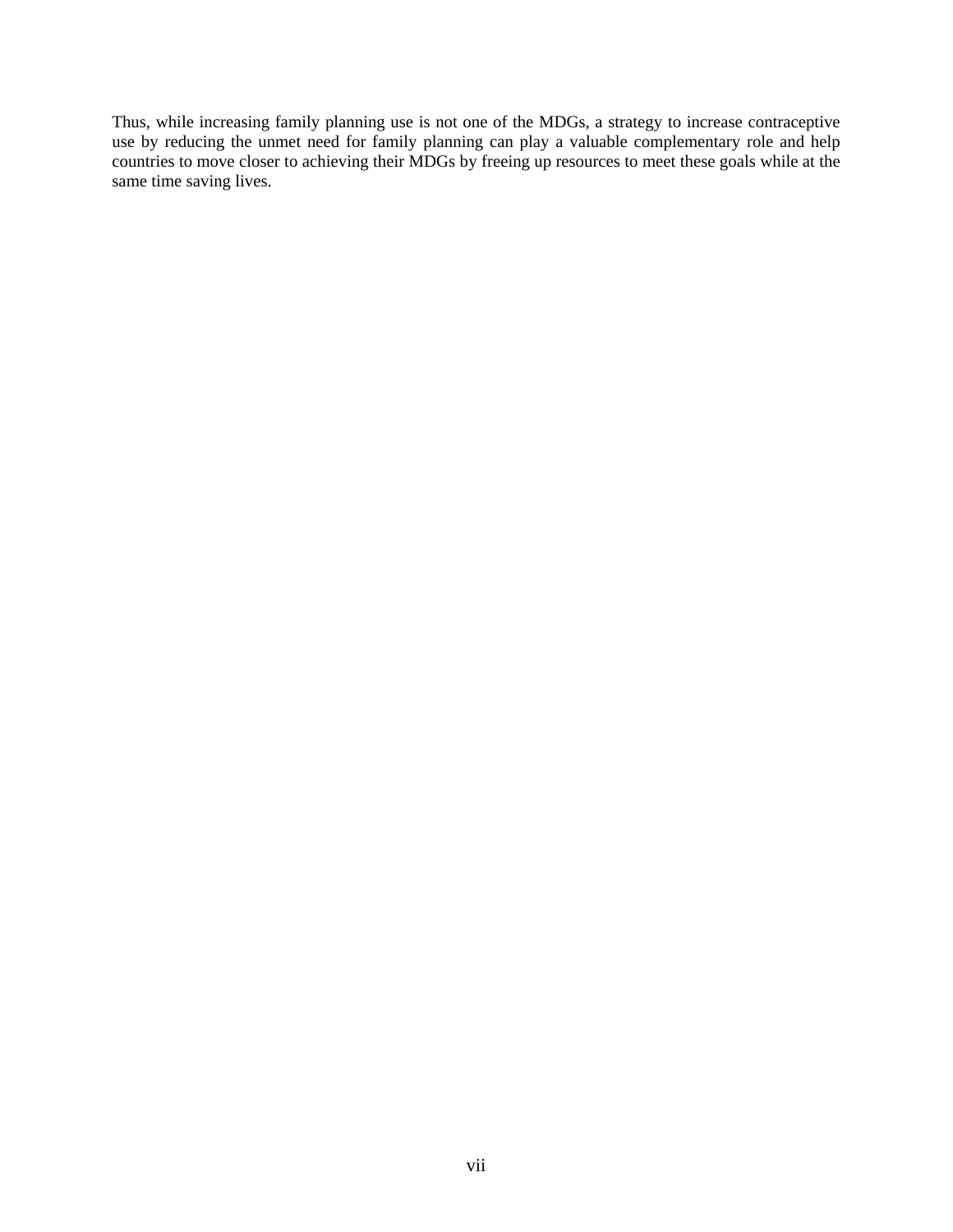Thus, while increasing family planning use is not one of the MDGs, a strategy to increase contraceptive use by reducing the unmet need for family planning can play a valuable complementary role and help countries to move closer to achieving their MDGs by freeing up resources to meet these goals while at the same time saving lives.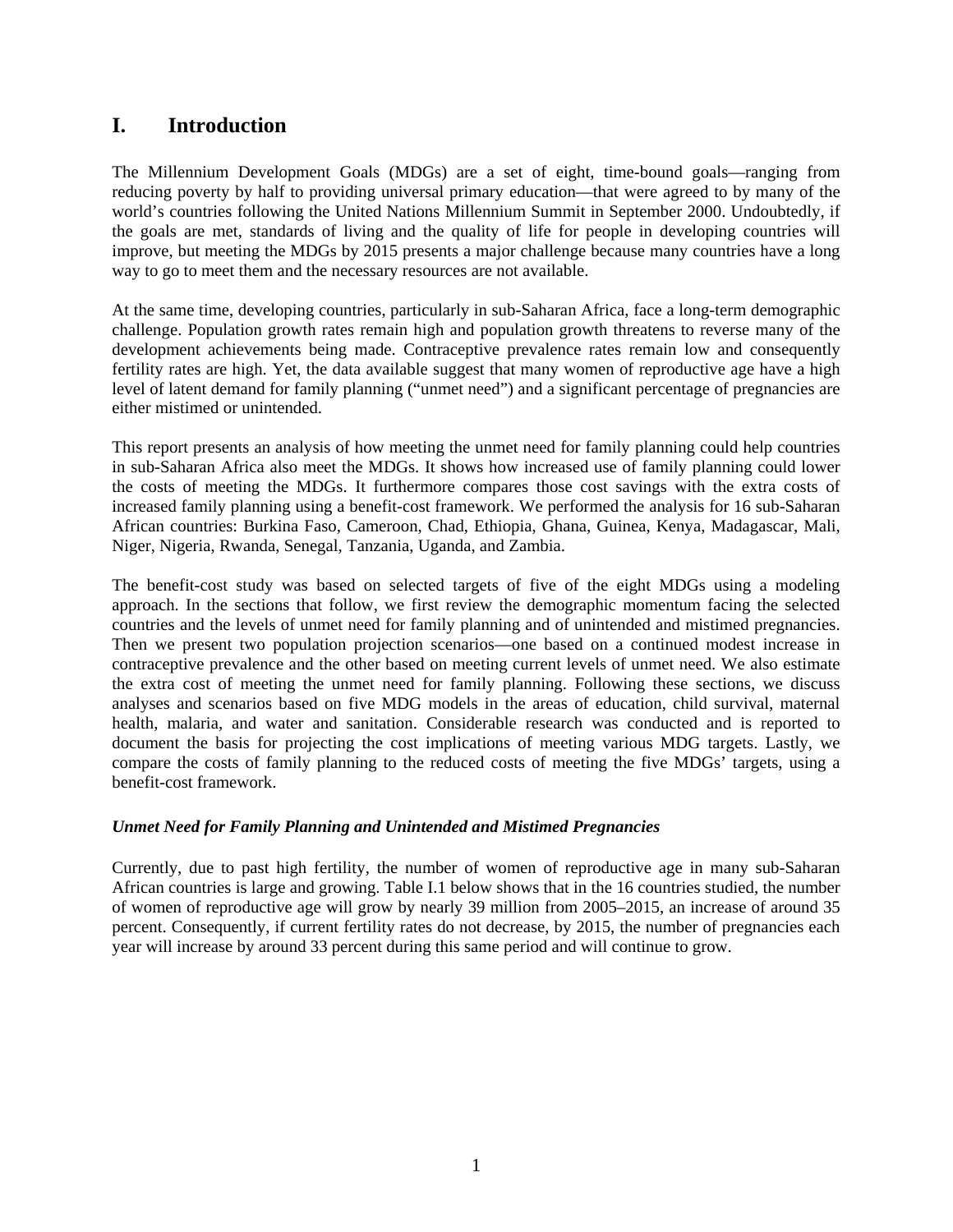## **I. Introduction**

The Millennium Development Goals (MDGs) are a set of eight, time-bound goals—ranging from reducing poverty by half to providing universal primary education—that were agreed to by many of the world's countries following the United Nations Millennium Summit in September 2000. Undoubtedly, if the goals are met, standards of living and the quality of life for people in developing countries will improve, but meeting the MDGs by 2015 presents a major challenge because many countries have a long way to go to meet them and the necessary resources are not available.

At the same time, developing countries, particularly in sub-Saharan Africa, face a long-term demographic challenge. Population growth rates remain high and population growth threatens to reverse many of the development achievements being made. Contraceptive prevalence rates remain low and consequently fertility rates are high. Yet, the data available suggest that many women of reproductive age have a high level of latent demand for family planning ("unmet need") and a significant percentage of pregnancies are either mistimed or unintended.

This report presents an analysis of how meeting the unmet need for family planning could help countries in sub-Saharan Africa also meet the MDGs. It shows how increased use of family planning could lower the costs of meeting the MDGs. It furthermore compares those cost savings with the extra costs of increased family planning using a benefit-cost framework. We performed the analysis for 16 sub-Saharan African countries: Burkina Faso, Cameroon, Chad, Ethiopia, Ghana, Guinea, Kenya, Madagascar, Mali, Niger, Nigeria, Rwanda, Senegal, Tanzania, Uganda, and Zambia.

The benefit-cost study was based on selected targets of five of the eight MDGs using a modeling approach. In the sections that follow, we first review the demographic momentum facing the selected countries and the levels of unmet need for family planning and of unintended and mistimed pregnancies. Then we present two population projection scenarios—one based on a continued modest increase in contraceptive prevalence and the other based on meeting current levels of unmet need. We also estimate the extra cost of meeting the unmet need for family planning. Following these sections, we discuss analyses and scenarios based on five MDG models in the areas of education, child survival, maternal health, malaria, and water and sanitation. Considerable research was conducted and is reported to document the basis for projecting the cost implications of meeting various MDG targets. Lastly, we compare the costs of family planning to the reduced costs of meeting the five MDGs' targets, using a benefit-cost framework.

#### *Unmet Need for Family Planning and Unintended and Mistimed Pregnancies*

Currently, due to past high fertility, the number of women of reproductive age in many sub-Saharan African countries is large and growing. Table I.1 below shows that in the 16 countries studied, the number of women of reproductive age will grow by nearly 39 million from 2005–2015, an increase of around 35 percent. Consequently, if current fertility rates do not decrease, by 2015, the number of pregnancies each year will increase by around 33 percent during this same period and will continue to grow.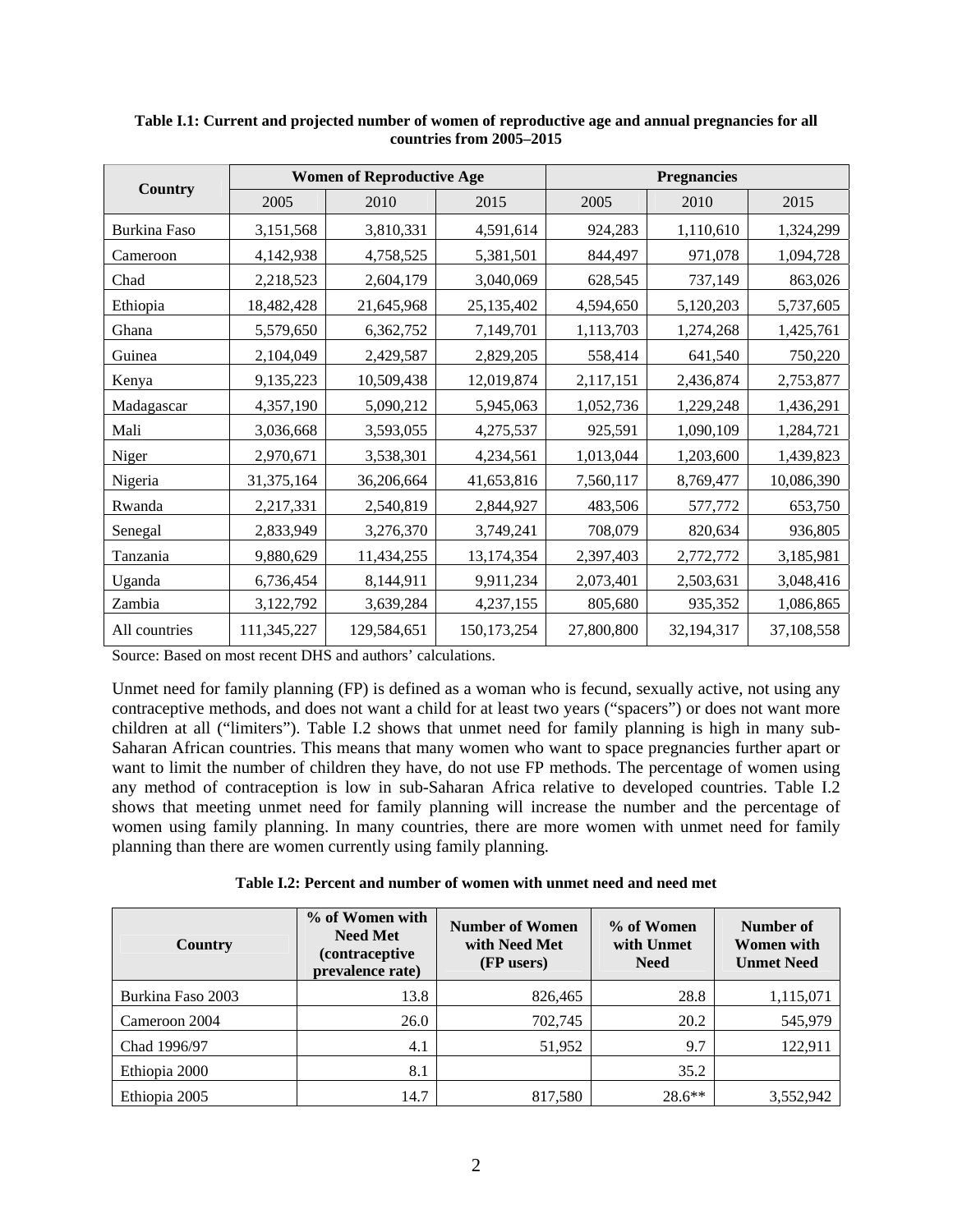|               | <b>Women of Reproductive Age</b> |             |               | <b>Pregnancies</b> |            |            |
|---------------|----------------------------------|-------------|---------------|--------------------|------------|------------|
| Country       | 2005                             | 2010        | 2015          | 2005               | 2010       | 2015       |
| Burkina Faso  | 3,151,568                        | 3,810,331   | 4,591,614     | 924,283            | 1,110,610  | 1,324,299  |
| Cameroon      | 4,142,938                        | 4,758,525   | 5,381,501     | 844,497            | 971,078    | 1,094,728  |
| Chad          | 2,218,523                        | 2,604,179   | 3,040,069     | 628,545            | 737,149    | 863,026    |
| Ethiopia      | 18,482,428                       | 21,645,968  | 25,135,402    | 4,594,650          | 5,120,203  | 5,737,605  |
| Ghana         | 5,579,650                        | 6,362,752   | 7,149,701     | 1,113,703          | 1,274,268  | 1,425,761  |
| Guinea        | 2,104,049                        | 2,429,587   | 2,829,205     | 558,414            | 641,540    | 750,220    |
| Kenya         | 9,135,223                        | 10,509,438  | 12,019,874    | 2,117,151          | 2,436,874  | 2,753,877  |
| Madagascar    | 4,357,190                        | 5,090,212   | 5,945,063     | 1,052,736          | 1,229,248  | 1,436,291  |
| Mali          | 3,036,668                        | 3,593,055   | 4,275,537     | 925,591            | 1,090,109  | 1,284,721  |
| Niger         | 2,970,671                        | 3,538,301   | 4,234,561     | 1,013,044          | 1,203,600  | 1,439,823  |
| Nigeria       | 31,375,164                       | 36,206,664  | 41,653,816    | 7,560,117          | 8,769,477  | 10,086,390 |
| Rwanda        | 2,217,331                        | 2,540,819   | 2,844,927     | 483,506            | 577,772    | 653,750    |
| Senegal       | 2,833,949                        | 3,276,370   | 3,749,241     | 708,079            | 820,634    | 936,805    |
| Tanzania      | 9,880,629                        | 11,434,255  | 13,174,354    | 2,397,403          | 2,772,772  | 3,185,981  |
| Uganda        | 6,736,454                        | 8,144,911   | 9,911,234     | 2,073,401          | 2,503,631  | 3,048,416  |
| Zambia        | 3,122,792                        | 3,639,284   | 4,237,155     | 805,680            | 935,352    | 1,086,865  |
| All countries | 111,345,227                      | 129,584,651 | 150, 173, 254 | 27,800,800         | 32,194,317 | 37,108,558 |

**Table I.1: Current and projected number of women of reproductive age and annual pregnancies for all countries from 2005–2015** 

Source: Based on most recent DHS and authors' calculations.

Unmet need for family planning (FP) is defined as a woman who is fecund, sexually active, not using any contraceptive methods, and does not want a child for at least two years ("spacers") or does not want more children at all ("limiters"). Table I.2 shows that unmet need for family planning is high in many sub-Saharan African countries. This means that many women who want to space pregnancies further apart or want to limit the number of children they have, do not use FP methods. The percentage of women using any method of contraception is low in sub-Saharan Africa relative to developed countries. Table I.2 shows that meeting unmet need for family planning will increase the number and the percentage of women using family planning. In many countries, there are more women with unmet need for family planning than there are women currently using family planning.

| Country           | % of Women with<br><b>Need Met</b><br><i>(contraceptive)</i><br>prevalence rate) | <b>Number of Women</b><br>with Need Met<br>(FP users) | % of Women<br>with Unmet<br><b>Need</b> | Number of<br>Women with<br><b>Unmet Need</b> |
|-------------------|----------------------------------------------------------------------------------|-------------------------------------------------------|-----------------------------------------|----------------------------------------------|
| Burkina Faso 2003 | 13.8                                                                             | 826,465                                               | 28.8                                    | 1,115,071                                    |
| Cameroon 2004     | 26.0                                                                             | 702,745                                               | 20.2                                    | 545,979                                      |
| Chad 1996/97      | 4.1                                                                              | 51,952                                                | 9.7                                     | 122,911                                      |
| Ethiopia 2000     | 8.1                                                                              |                                                       | 35.2                                    |                                              |
| Ethiopia 2005     | 14.7                                                                             | 817,580                                               | $28.6**$                                | 3,552,942                                    |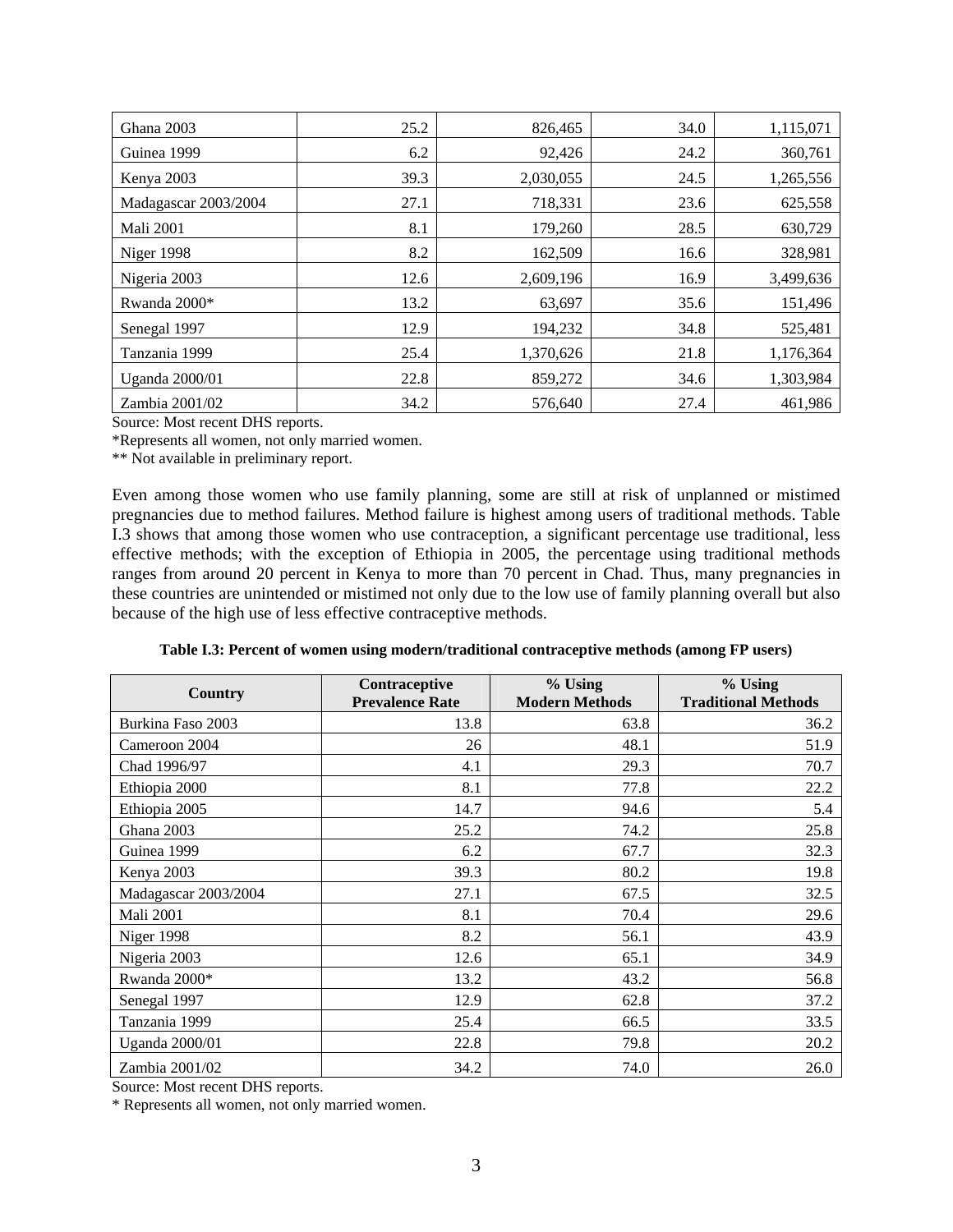| Ghana 2003           | 25.2 | 826,465   | 34.0 | 1,115,071 |
|----------------------|------|-----------|------|-----------|
| Guinea 1999          | 6.2  | 92,426    | 24.2 | 360,761   |
| Kenya 2003           | 39.3 | 2,030,055 | 24.5 | 1,265,556 |
| Madagascar 2003/2004 | 27.1 | 718,331   | 23.6 | 625,558   |
| <b>Mali 2001</b>     | 8.1  | 179,260   | 28.5 | 630,729   |
| Niger 1998           | 8.2  | 162,509   | 16.6 | 328,981   |
| Nigeria 2003         | 12.6 | 2,609,196 | 16.9 | 3,499,636 |
| Rwanda 2000*         | 13.2 | 63,697    | 35.6 | 151,496   |
| Senegal 1997         | 12.9 | 194,232   | 34.8 | 525,481   |
| Tanzania 1999        | 25.4 | 1,370,626 | 21.8 | 1,176,364 |
| Uganda 2000/01       | 22.8 | 859,272   | 34.6 | 1,303,984 |
| Zambia 2001/02       | 34.2 | 576,640   | 27.4 | 461,986   |

Source: Most recent DHS reports.

\*Represents all women, not only married women.

\*\* Not available in preliminary report.

Even among those women who use family planning, some are still at risk of unplanned or mistimed pregnancies due to method failures. Method failure is highest among users of traditional methods. Table I.3 shows that among those women who use contraception, a significant percentage use traditional, less effective methods; with the exception of Ethiopia in 2005, the percentage using traditional methods ranges from around 20 percent in Kenya to more than 70 percent in Chad. Thus, many pregnancies in these countries are unintended or mistimed not only due to the low use of family planning overall but also because of the high use of less effective contraceptive methods.

| Table I.3: Percent of women using modern/traditional contraceptive methods (among FP users) |  |  |
|---------------------------------------------------------------------------------------------|--|--|
|                                                                                             |  |  |

|                       | Contraceptive          | % Using               | $%$ Using                  |
|-----------------------|------------------------|-----------------------|----------------------------|
| <b>Country</b>        | <b>Prevalence Rate</b> | <b>Modern Methods</b> | <b>Traditional Methods</b> |
| Burkina Faso 2003     | 13.8                   | 63.8                  | 36.2                       |
| Cameroon 2004         | 26                     | 48.1                  | 51.9                       |
| Chad 1996/97          | 4.1                    | 29.3                  | 70.7                       |
| Ethiopia 2000         | 8.1                    | 77.8                  | 22.2                       |
| Ethiopia 2005         | 14.7                   | 94.6                  | 5.4                        |
| Ghana 2003            | 25.2                   | 74.2                  | 25.8                       |
| Guinea 1999           | 6.2                    | 67.7                  | 32.3                       |
| Kenya 2003            | 39.3                   | 80.2                  | 19.8                       |
| Madagascar 2003/2004  | 27.1                   | 67.5                  | 32.5                       |
| <b>Mali 2001</b>      | 8.1                    | 70.4                  | 29.6                       |
| Niger 1998            | 8.2                    | 56.1                  | 43.9                       |
| Nigeria 2003          | 12.6                   | 65.1                  | 34.9                       |
| Rwanda 2000*          | 13.2                   | 43.2                  | 56.8                       |
| Senegal 1997          | 12.9                   | 62.8                  | 37.2                       |
| Tanzania 1999         | 25.4                   | 66.5                  | 33.5                       |
| <b>Uganda</b> 2000/01 | 22.8                   | 79.8                  | 20.2                       |
| Zambia 2001/02        | 34.2                   | 74.0                  | 26.0                       |

Source: Most recent DHS reports.

\* Represents all women, not only married women.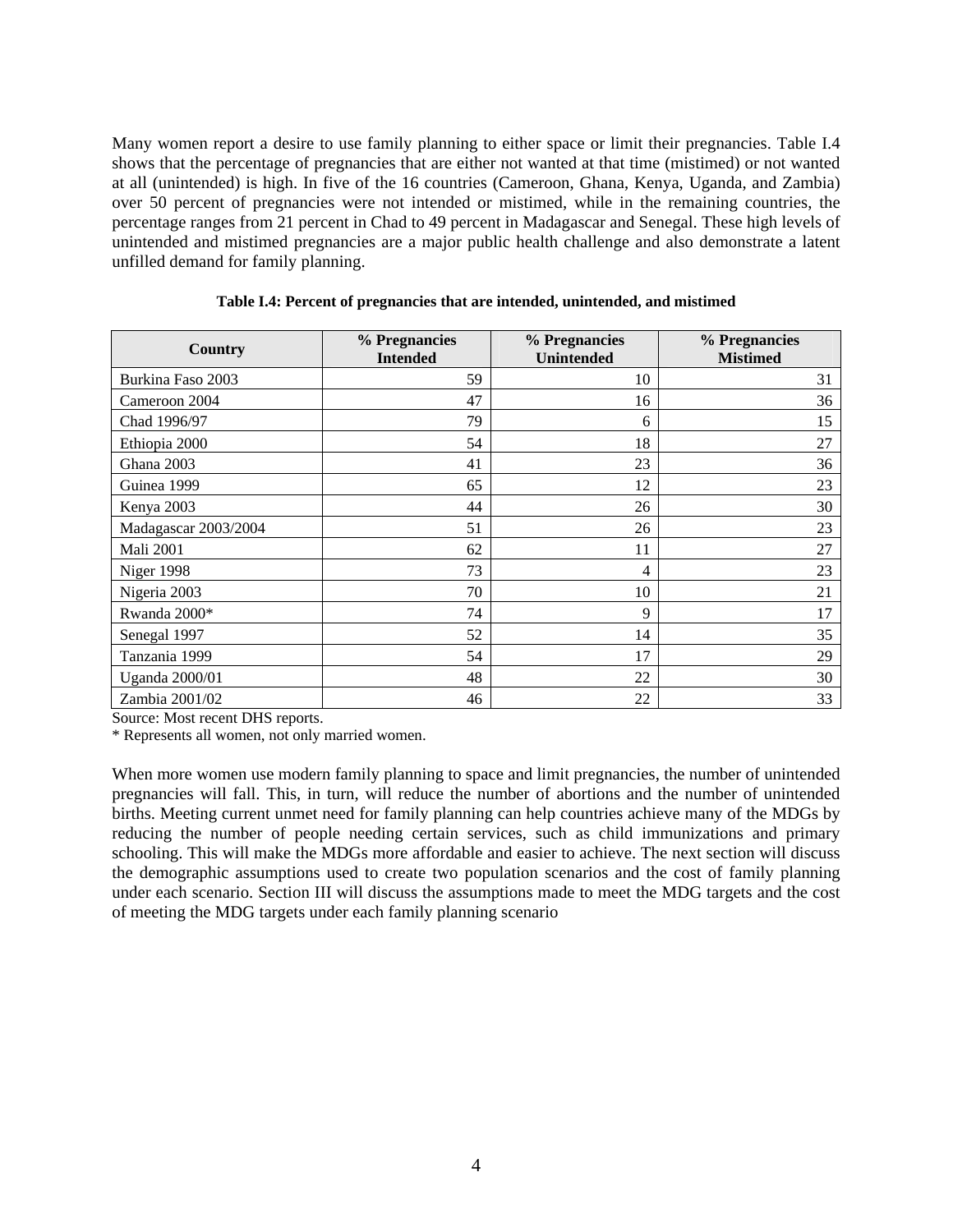Many women report a desire to use family planning to either space or limit their pregnancies. Table I.4 shows that the percentage of pregnancies that are either not wanted at that time (mistimed) or not wanted at all (unintended) is high. In five of the 16 countries (Cameroon, Ghana, Kenya, Uganda, and Zambia) over 50 percent of pregnancies were not intended or mistimed, while in the remaining countries, the percentage ranges from 21 percent in Chad to 49 percent in Madagascar and Senegal. These high levels of unintended and mistimed pregnancies are a major public health challenge and also demonstrate a latent unfilled demand for family planning.

| Country               | % Pregnancies<br><b>Intended</b> | % Pregnancies<br><b>Unintended</b> | % Pregnancies<br><b>Mistimed</b> |
|-----------------------|----------------------------------|------------------------------------|----------------------------------|
| Burkina Faso 2003     | 59                               | 10                                 | 31                               |
| Cameroon 2004         | 47                               | 16                                 | 36                               |
| Chad 1996/97          | 79                               | 6                                  | 15                               |
| Ethiopia 2000         | 54                               | 18                                 | 27                               |
| Ghana 2003            | 41                               | 23                                 | 36                               |
| Guinea 1999           | 65                               | 12                                 | 23                               |
| Kenya 2003            | 44                               | 26                                 | 30                               |
| Madagascar 2003/2004  | 51                               | 26                                 | 23                               |
| <b>Mali 2001</b>      | 62                               | 11                                 | 27                               |
| Niger 1998            | 73                               | $\overline{4}$                     | 23                               |
| Nigeria 2003          | 70                               | 10                                 | 21                               |
| Rwanda 2000*          | 74                               | 9                                  | 17                               |
| Senegal 1997          | 52                               | 14                                 | 35                               |
| Tanzania 1999         | 54                               | 17                                 | 29                               |
| <b>Uganda</b> 2000/01 | 48                               | 22                                 | 30                               |
| Zambia 2001/02        | 46                               | 22                                 | 33                               |

**Table I.4: Percent of pregnancies that are intended, unintended, and mistimed** 

Source: Most recent DHS reports.

\* Represents all women, not only married women.

When more women use modern family planning to space and limit pregnancies, the number of unintended pregnancies will fall. This, in turn, will reduce the number of abortions and the number of unintended births. Meeting current unmet need for family planning can help countries achieve many of the MDGs by reducing the number of people needing certain services, such as child immunizations and primary schooling. This will make the MDGs more affordable and easier to achieve. The next section will discuss the demographic assumptions used to create two population scenarios and the cost of family planning under each scenario. Section III will discuss the assumptions made to meet the MDG targets and the cost of meeting the MDG targets under each family planning scenario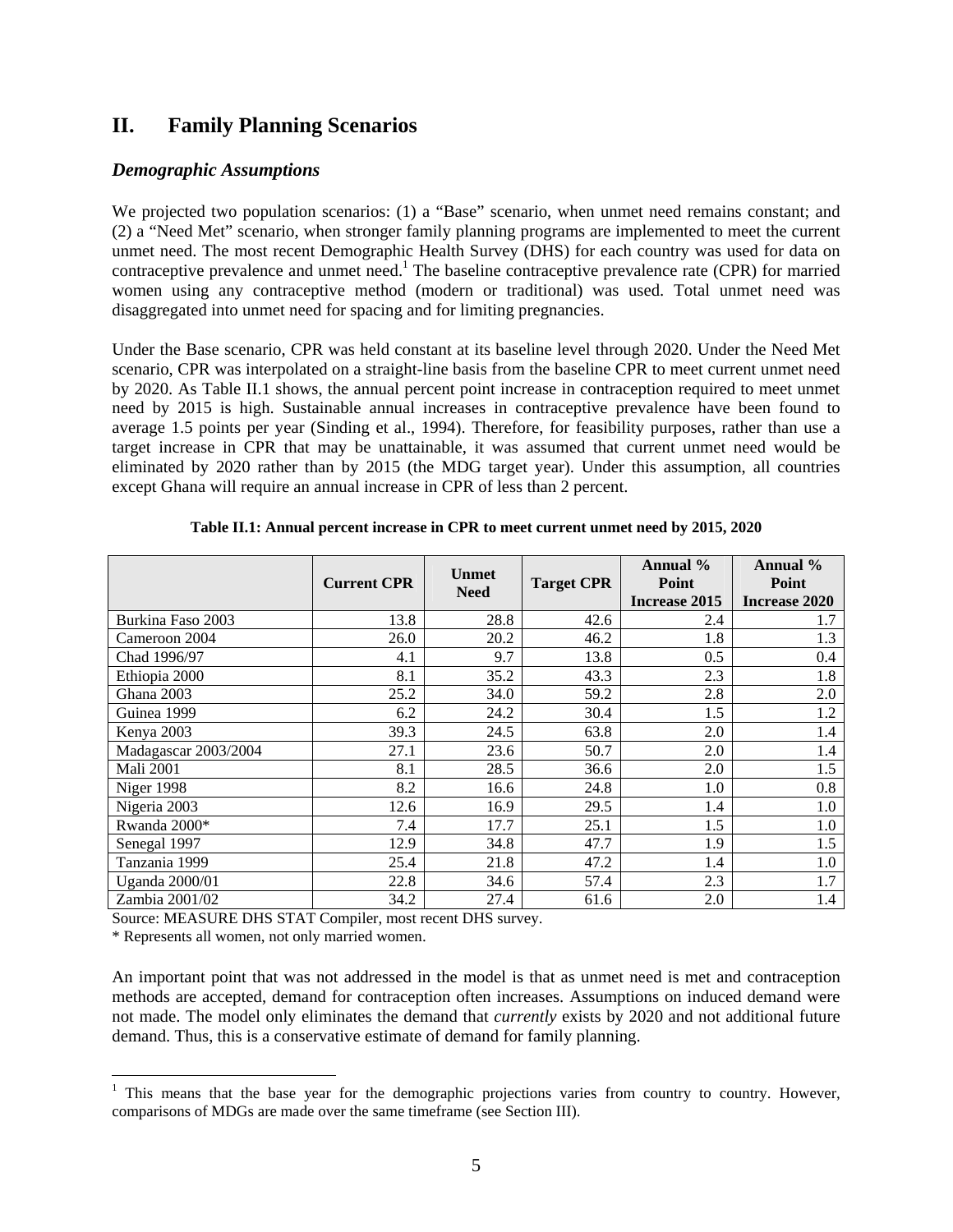## **II. Family Planning Scenarios**

#### *Demographic Assumptions*

We projected two population scenarios: (1) a "Base" scenario, when unmet need remains constant; and (2) a "Need Met" scenario, when stronger family planning programs are implemented to meet the current unmet need. The most recent Demographic Health Survey (DHS) for each country was used for data on contraceptive prevalence and unmet need.<sup>1</sup> The baseline contraceptive prevalence rate (CPR) for married women using any contraceptive method (modern or traditional) was used. Total unmet need was disaggregated into unmet need for spacing and for limiting pregnancies.

Under the Base scenario, CPR was held constant at its baseline level through 2020. Under the Need Met scenario, CPR was interpolated on a straight-line basis from the baseline CPR to meet current unmet need by 2020. As Table II.1 shows, the annual percent point increase in contraception required to meet unmet need by 2015 is high. Sustainable annual increases in contraceptive prevalence have been found to average 1.5 points per year (Sinding et al., 1994). Therefore, for feasibility purposes, rather than use a target increase in CPR that may be unattainable, it was assumed that current unmet need would be eliminated by 2020 rather than by 2015 (the MDG target year). Under this assumption, all countries except Ghana will require an annual increase in CPR of less than 2 percent.

|                       | <b>Current CPR</b> | <b>Unmet</b><br><b>Need</b> | <b>Target CPR</b> | Annual %<br>Point<br>Increase 2015 | Annual %<br>Point<br><b>Increase 2020</b> |
|-----------------------|--------------------|-----------------------------|-------------------|------------------------------------|-------------------------------------------|
| Burkina Faso 2003     | 13.8               | 28.8                        | 42.6              | 2.4                                | 1.7                                       |
| Cameroon 2004         | 26.0               | 20.2                        | 46.2              | 1.8                                | 1.3                                       |
| Chad 1996/97          | 4.1                | 9.7                         | 13.8              | 0.5                                | 0.4                                       |
| Ethiopia 2000         | 8.1                | 35.2                        | 43.3              | 2.3                                | 1.8                                       |
| Ghana 2003            | 25.2               | 34.0                        | 59.2              | 2.8                                | 2.0                                       |
| Guinea 1999           | 6.2                | 24.2                        | 30.4              | 1.5                                | 1.2                                       |
| Kenya 2003            | 39.3               | 24.5                        | 63.8              | 2.0                                | 1.4                                       |
| Madagascar 2003/2004  | 27.1               | 23.6                        | 50.7              | 2.0                                | 1.4                                       |
| <b>Mali 2001</b>      | 8.1                | 28.5                        | 36.6              | 2.0                                | 1.5                                       |
| Niger 1998            | 8.2                | 16.6                        | 24.8              | 1.0                                | 0.8                                       |
| Nigeria 2003          | 12.6               | 16.9                        | 29.5              | 1.4                                | 1.0                                       |
| Rwanda 2000*          | 7.4                | 17.7                        | 25.1              | 1.5                                | 1.0                                       |
| Senegal 1997          | 12.9               | 34.8                        | 47.7              | 1.9                                | 1.5                                       |
| Tanzania 1999         | 25.4               | 21.8                        | 47.2              | 1.4                                | 1.0                                       |
| <b>Uganda</b> 2000/01 | 22.8               | 34.6                        | 57.4              | 2.3                                | 1.7                                       |
| Zambia 2001/02        | 34.2               | 27.4                        | 61.6              | 2.0                                | 1.4                                       |

**Table II.1: Annual percent increase in CPR to meet current unmet need by 2015, 2020** 

Source: MEASURE DHS STAT Compiler, most recent DHS survey.

\* Represents all women, not only married women.

An important point that was not addressed in the model is that as unmet need is met and contraception methods are accepted, demand for contraception often increases. Assumptions on induced demand were not made. The model only eliminates the demand that *currently* exists by 2020 and not additional future demand. Thus, this is a conservative estimate of demand for family planning.

<sup>&</sup>lt;sup>1</sup> This means that the base year for the demographic projections varies from country to country. However, comparisons of MDGs are made over the same timeframe (see Section III).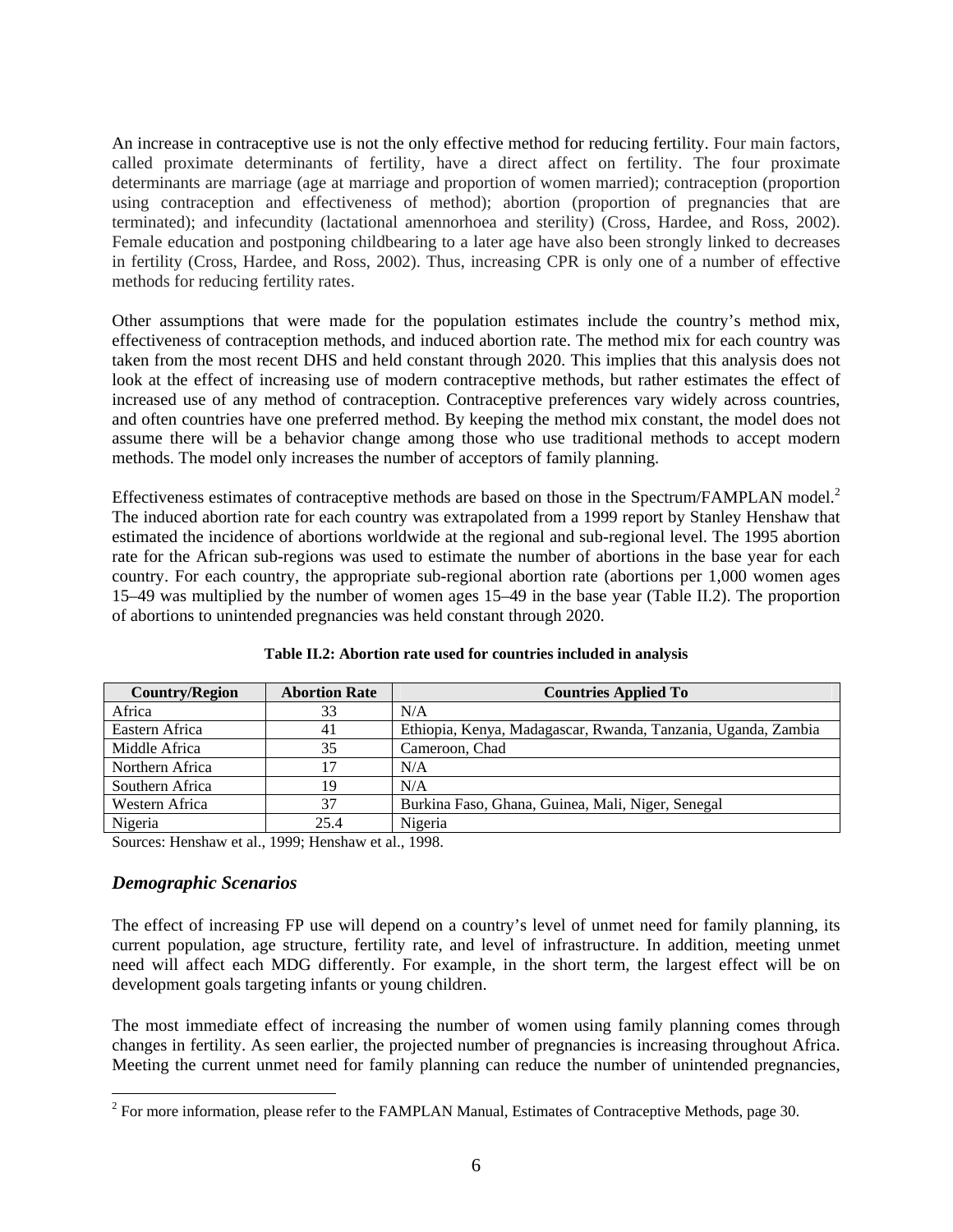An increase in contraceptive use is not the only effective method for reducing fertility. Four main factors, called proximate determinants of fertility, have a direct affect on fertility. The four proximate determinants are marriage (age at marriage and proportion of women married); contraception (proportion using contraception and effectiveness of method); abortion (proportion of pregnancies that are terminated); and infecundity (lactational amennorhoea and sterility) (Cross, Hardee, and Ross, 2002). Female education and postponing childbearing to a later age have also been strongly linked to decreases in fertility (Cross, Hardee, and Ross, 2002). Thus, increasing CPR is only one of a number of effective methods for reducing fertility rates.

Other assumptions that were made for the population estimates include the country's method mix, effectiveness of contraception methods, and induced abortion rate. The method mix for each country was taken from the most recent DHS and held constant through 2020. This implies that this analysis does not look at the effect of increasing use of modern contraceptive methods, but rather estimates the effect of increased use of any method of contraception. Contraceptive preferences vary widely across countries, and often countries have one preferred method. By keeping the method mix constant, the model does not assume there will be a behavior change among those who use traditional methods to accept modern methods. The model only increases the number of acceptors of family planning.

Effectiveness estimates of contraceptive methods are based on those in the Spectrum/FAMPLAN model.<sup>2</sup> The induced abortion rate for each country was extrapolated from a 1999 report by Stanley Henshaw that estimated the incidence of abortions worldwide at the regional and sub-regional level. The 1995 abortion rate for the African sub-regions was used to estimate the number of abortions in the base year for each country. For each country, the appropriate sub-regional abortion rate (abortions per 1,000 women ages 15–49 was multiplied by the number of women ages 15–49 in the base year (Table II.2). The proportion of abortions to unintended pregnancies was held constant through 2020.

| <b>Country/Region</b> | <b>Abortion Rate</b> | <b>Countries Applied To</b>                                   |
|-----------------------|----------------------|---------------------------------------------------------------|
| Africa                | 33                   | N/A                                                           |
| Eastern Africa        | 41                   | Ethiopia, Kenya, Madagascar, Rwanda, Tanzania, Uganda, Zambia |
| Middle Africa         | 35                   | Cameroon, Chad                                                |
| Northern Africa       |                      | N/A                                                           |
| Southern Africa       | 19                   | N/A                                                           |
| Western Africa        | 37                   | Burkina Faso, Ghana, Guinea, Mali, Niger, Senegal             |
| Nigeria               | 25.4                 | Nigeria                                                       |

**Table II.2: Abortion rate used for countries included in analysis** 

Sources: Henshaw et al., 1999; Henshaw et al., 1998.

#### *Demographic Scenarios*

The effect of increasing FP use will depend on a country's level of unmet need for family planning, its current population, age structure, fertility rate, and level of infrastructure. In addition, meeting unmet need will affect each MDG differently. For example, in the short term, the largest effect will be on development goals targeting infants or young children.

The most immediate effect of increasing the number of women using family planning comes through changes in fertility. As seen earlier, the projected number of pregnancies is increasing throughout Africa. Meeting the current unmet need for family planning can reduce the number of unintended pregnancies,

<sup>&</sup>lt;sup>2</sup> For more information, please refer to the FAMPLAN Manual, Estimates of Contraceptive Methods, page 30.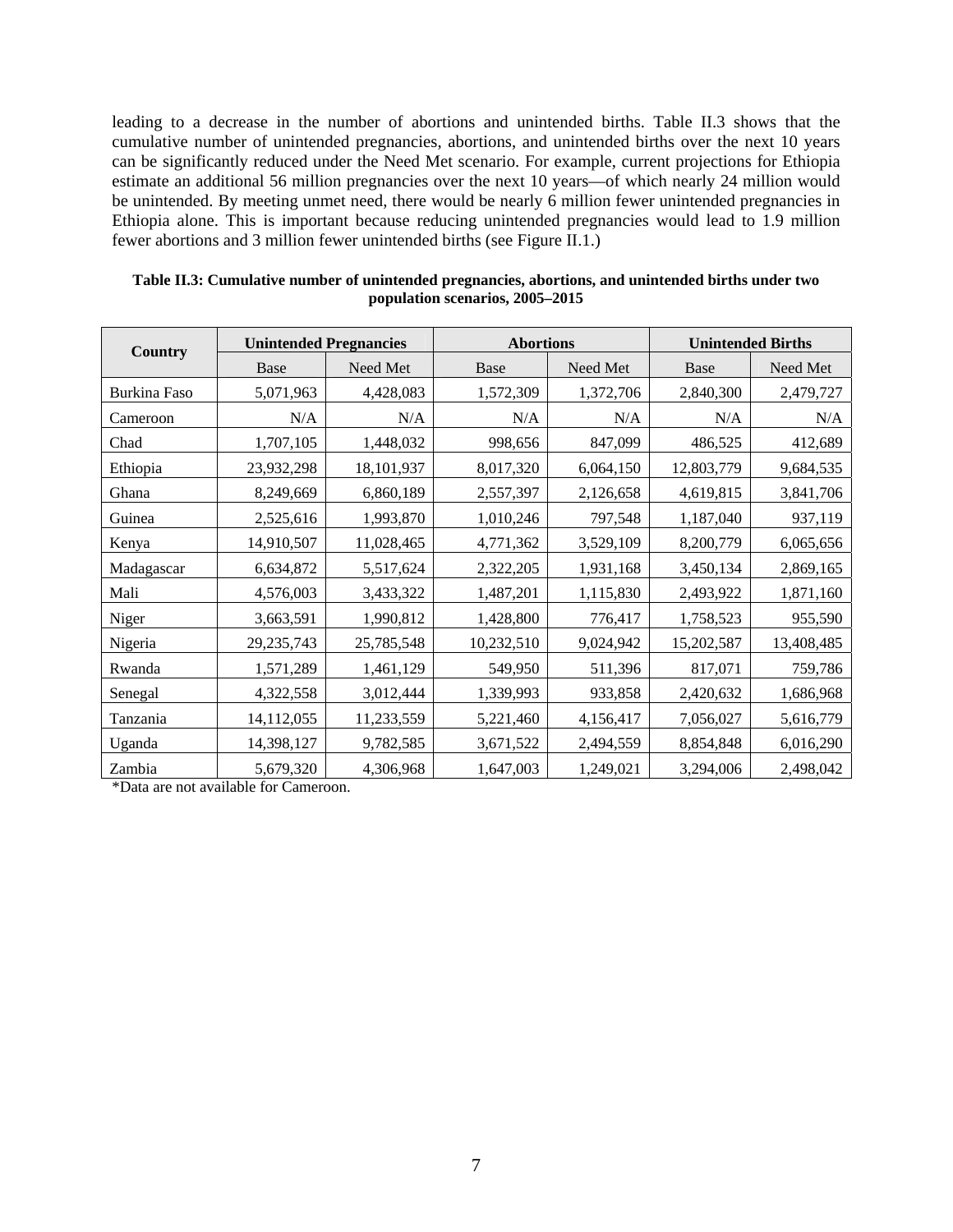leading to a decrease in the number of abortions and unintended births. Table II.3 shows that the cumulative number of unintended pregnancies, abortions, and unintended births over the next 10 years can be significantly reduced under the Need Met scenario. For example, current projections for Ethiopia estimate an additional 56 million pregnancies over the next 10 years—of which nearly 24 million would be unintended. By meeting unmet need, there would be nearly 6 million fewer unintended pregnancies in Ethiopia alone. This is important because reducing unintended pregnancies would lead to 1.9 million fewer abortions and 3 million fewer unintended births (see Figure II.1.)

| Country      | <b>Unintended Pregnancies</b> |            | <b>Abortions</b> |           | <b>Unintended Births</b> |            |
|--------------|-------------------------------|------------|------------------|-----------|--------------------------|------------|
|              | <b>Base</b>                   | Need Met   | Base             | Need Met  | Base                     | Need Met   |
| Burkina Faso | 5,071,963                     | 4,428,083  | 1,572,309        | 1,372,706 | 2,840,300                | 2,479,727  |
| Cameroon     | N/A                           | N/A        | N/A              | N/A       | N/A                      | N/A        |
| Chad         | 1,707,105                     | 1,448,032  | 998,656          | 847,099   | 486,525                  | 412,689    |
| Ethiopia     | 23,932,298                    | 18,101,937 | 8,017,320        | 6,064,150 | 12,803,779               | 9,684,535  |
| Ghana        | 8,249,669                     | 6,860,189  | 2,557,397        | 2,126,658 | 4,619,815                | 3,841,706  |
| Guinea       | 2,525,616                     | 1,993,870  | 1,010,246        | 797,548   | 1,187,040                | 937,119    |
| Kenya        | 14,910,507                    | 11,028,465 | 4,771,362        | 3,529,109 | 8,200,779                | 6,065,656  |
| Madagascar   | 6,634,872                     | 5,517,624  | 2,322,205        | 1,931,168 | 3,450,134                | 2,869,165  |
| Mali         | 4,576,003                     | 3,433,322  | 1,487,201        | 1,115,830 | 2,493,922                | 1,871,160  |
| Niger        | 3,663,591                     | 1,990,812  | 1,428,800        | 776,417   | 1,758,523                | 955,590    |
| Nigeria      | 29,235,743                    | 25,785,548 | 10,232,510       | 9,024,942 | 15,202,587               | 13,408,485 |
| Rwanda       | 1,571,289                     | 1,461,129  | 549,950          | 511,396   | 817,071                  | 759,786    |
| Senegal      | 4,322,558                     | 3,012,444  | 1,339,993        | 933,858   | 2,420,632                | 1,686,968  |
| Tanzania     | 14,112,055                    | 11,233,559 | 5,221,460        | 4,156,417 | 7,056,027                | 5,616,779  |
| Uganda       | 14,398,127                    | 9,782,585  | 3,671,522        | 2,494,559 | 8,854,848                | 6,016,290  |
| Zambia       | 5,679,320                     | 4,306,968  | 1,647,003        | 1,249,021 | 3,294,006                | 2,498,042  |

| Table II.3: Cumulative number of unintended pregnancies, abortions, and unintended births under two |
|-----------------------------------------------------------------------------------------------------|
| population scenarios, 2005–2015                                                                     |

\*Data are not available for Cameroon.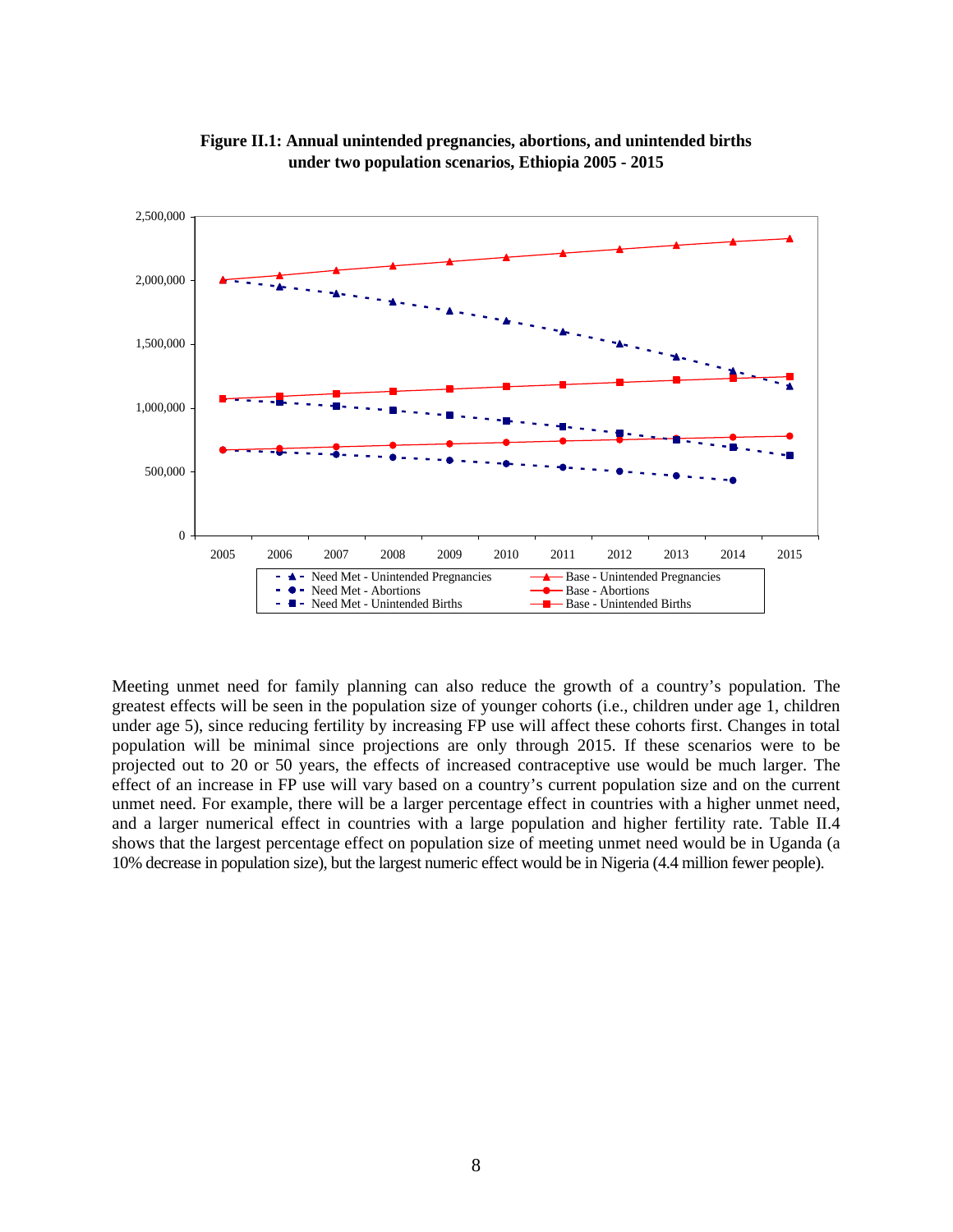

**Figure II.1: Annual unintended pregnancies, abortions, and unintended births under two population scenarios, Ethiopia 2005 - 2015**

Meeting unmet need for family planning can also reduce the growth of a country's population. The greatest effects will be seen in the population size of younger cohorts (i.e., children under age 1, children under age 5), since reducing fertility by increasing FP use will affect these cohorts first. Changes in total population will be minimal since projections are only through 2015. If these scenarios were to be projected out to 20 or 50 years, the effects of increased contraceptive use would be much larger. The effect of an increase in FP use will vary based on a country's current population size and on the current unmet need. For example, there will be a larger percentage effect in countries with a higher unmet need, and a larger numerical effect in countries with a large population and higher fertility rate. Table II.4 shows that the largest percentage effect on population size of meeting unmet need would be in Uganda (a 10% decrease in population size), but the largest numeric effect would be in Nigeria (4.4 million fewer people).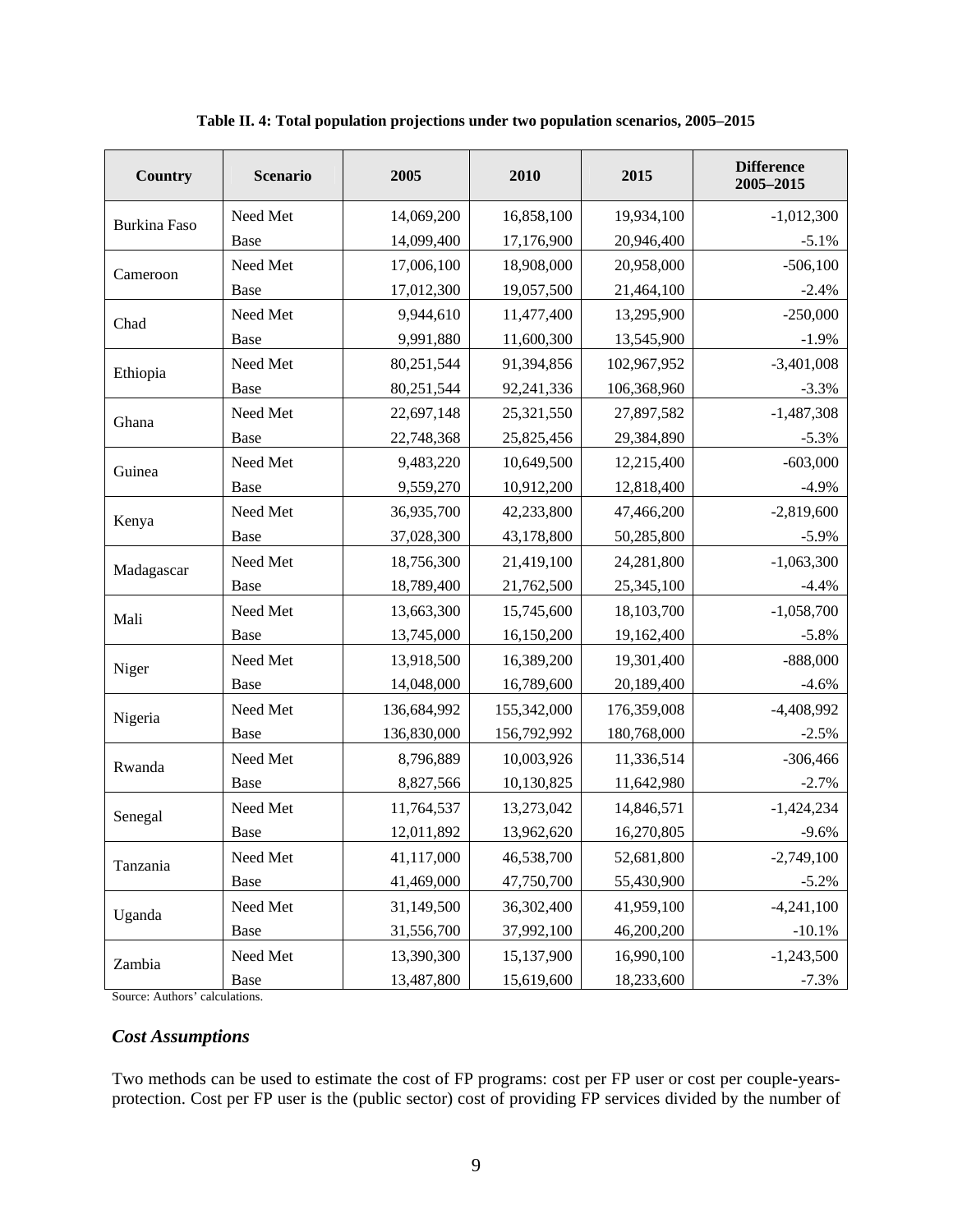| <b>Country</b>      | <b>Scenario</b> | 2005        | 2010        | 2015        | <b>Difference</b><br>2005-2015 |
|---------------------|-----------------|-------------|-------------|-------------|--------------------------------|
| <b>Burkina Faso</b> | Need Met        | 14,069,200  | 16,858,100  | 19,934,100  | $-1,012,300$                   |
|                     | <b>Base</b>     | 14,099,400  | 17,176,900  | 20,946,400  | $-5.1%$                        |
| Cameroon            | Need Met        | 17,006,100  | 18,908,000  | 20,958,000  | $-506,100$                     |
|                     | Base            | 17,012,300  | 19,057,500  | 21,464,100  | $-2.4%$                        |
| Chad                | Need Met        | 9,944,610   | 11,477,400  | 13,295,900  | $-250,000$                     |
|                     | Base            | 9,991,880   | 11,600,300  | 13,545,900  | $-1.9%$                        |
| Ethiopia            | Need Met        | 80,251,544  | 91,394,856  | 102,967,952 | $-3,401,008$                   |
|                     | Base            | 80,251,544  | 92,241,336  | 106,368,960 | $-3.3%$                        |
| Ghana               | Need Met        | 22,697,148  | 25,321,550  | 27,897,582  | $-1,487,308$                   |
|                     | Base            | 22,748,368  | 25,825,456  | 29,384,890  | $-5.3%$                        |
| Guinea              | Need Met        | 9,483,220   | 10,649,500  | 12,215,400  | $-603,000$                     |
|                     | Base            | 9,559,270   | 10,912,200  | 12,818,400  | $-4.9%$                        |
| Kenya               | Need Met        | 36,935,700  | 42,233,800  | 47,466,200  | $-2,819,600$                   |
|                     | Base            | 37,028,300  | 43,178,800  | 50,285,800  | $-5.9%$                        |
|                     | Need Met        | 18,756,300  | 21,419,100  | 24,281,800  | $-1,063,300$                   |
| Madagascar          | Base            | 18,789,400  | 21,762,500  | 25,345,100  | $-4.4%$                        |
| Mali                | Need Met        | 13,663,300  | 15,745,600  | 18,103,700  | $-1,058,700$                   |
|                     | Base            | 13,745,000  | 16,150,200  | 19,162,400  | $-5.8%$                        |
| Niger               | Need Met        | 13,918,500  | 16,389,200  | 19,301,400  | $-888,000$                     |
|                     | Base            | 14,048,000  | 16,789,600  | 20,189,400  | $-4.6%$                        |
| Nigeria             | Need Met        | 136,684,992 | 155,342,000 | 176,359,008 | $-4,408,992$                   |
|                     | Base            | 136,830,000 | 156,792,992 | 180,768,000 | $-2.5%$                        |
| Rwanda              | Need Met        | 8,796,889   | 10,003,926  | 11,336,514  | $-306,466$                     |
|                     | Base            | 8,827,566   | 10,130,825  | 11,642,980  | $-2.7%$                        |
| Senegal             | Need Met        | 11,764,537  | 13,273,042  | 14,846,571  | $-1,424,234$                   |
|                     | Base            | 12,011,892  | 13,962,620  | 16,270,805  | $-9.6%$                        |
| Tanzania            | Need Met        | 41,117,000  | 46,538,700  | 52,681,800  | $-2,749,100$                   |
|                     | Base            | 41,469,000  | 47,750,700  | 55,430,900  | $-5.2%$                        |
| Uganda              | Need Met        | 31,149,500  | 36,302,400  | 41,959,100  | $-4,241,100$                   |
|                     | Base            | 31,556,700  | 37,992,100  | 46,200,200  | $-10.1%$                       |
| Zambia              | Need Met        | 13,390,300  | 15,137,900  | 16,990,100  | $-1,243,500$                   |
|                     | Base            | 13,487,800  | 15,619,600  | 18,233,600  | $-7.3%$                        |

**Table II. 4: Total population projections under two population scenarios, 2005–2015** 

Source: Authors' calculations.

#### *Cost Assumptions*

Two methods can be used to estimate the cost of FP programs: cost per FP user or cost per couple-yearsprotection. Cost per FP user is the (public sector) cost of providing FP services divided by the number of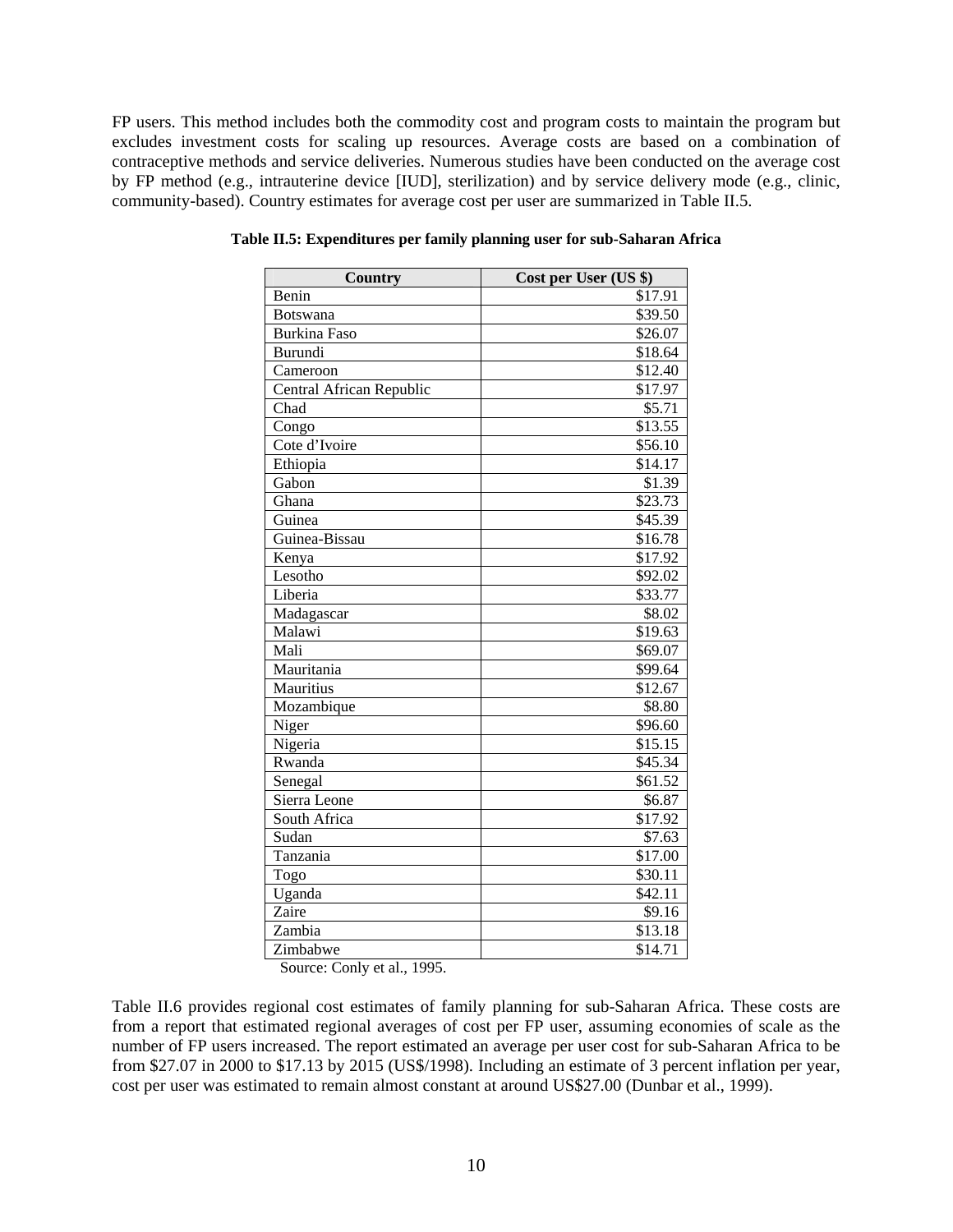FP users. This method includes both the commodity cost and program costs to maintain the program but excludes investment costs for scaling up resources. Average costs are based on a combination of contraceptive methods and service deliveries. Numerous studies have been conducted on the average cost by FP method (e.g., intrauterine device [IUD], sterilization) and by service delivery mode (e.g., clinic, community-based). Country estimates for average cost per user are summarized in Table II.5.

| <b>Country</b>           | Cost per User (US \$) |
|--------------------------|-----------------------|
| Benin                    | \$17.91               |
| <b>Botswana</b>          | \$39.50               |
| <b>Burkina Faso</b>      | \$26.07               |
| Burundi                  | \$18.64               |
| Cameroon                 | \$12.40               |
| Central African Republic | \$17.97               |
| Chad                     | \$5.71                |
| Congo                    | \$13.55               |
| Cote d'Ivoire            | \$56.10               |
| Ethiopia                 | \$14.17               |
| Gabon                    | \$1.39                |
| Ghana                    | \$23.73               |
| Guinea                   | \$45.39               |
| Guinea-Bissau            | \$16.78               |
| Kenya                    | \$17.92               |
| Lesotho                  | \$92.02               |
| Liberia                  | \$33.77               |
| Madagascar               | \$8.02                |
| Malawi                   | \$19.63               |
| Mali                     | \$69.07               |
| Mauritania               | \$99.64               |
| Mauritius                | \$12.67               |
| Mozambique               | \$8.80                |
| Niger                    | \$96.60               |
| Nigeria                  | \$15.15               |
| Rwanda                   | \$45.34               |
| Senegal                  | \$61.52               |
| Sierra Leone             | \$6.87                |
| South Africa             | \$17.92               |
| Sudan                    | \$7.63                |
| Tanzania                 | \$17.00               |
| Togo                     | \$30.11               |
| Uganda                   | \$42.11               |
| Zaire                    | \$9.16                |
| Zambia                   | \$13.18               |
| Zimbabwe                 | \$14.71               |

**Table II.5: Expenditures per family planning user for sub-Saharan Africa** 

Source: Conly et al., 1995.

Table II.6 provides regional cost estimates of family planning for sub-Saharan Africa. These costs are from a report that estimated regional averages of cost per FP user, assuming economies of scale as the number of FP users increased. The report estimated an average per user cost for sub-Saharan Africa to be from \$27.07 in 2000 to \$17.13 by 2015 (US\$/1998). Including an estimate of 3 percent inflation per year, cost per user was estimated to remain almost constant at around US\$27.00 (Dunbar et al., 1999).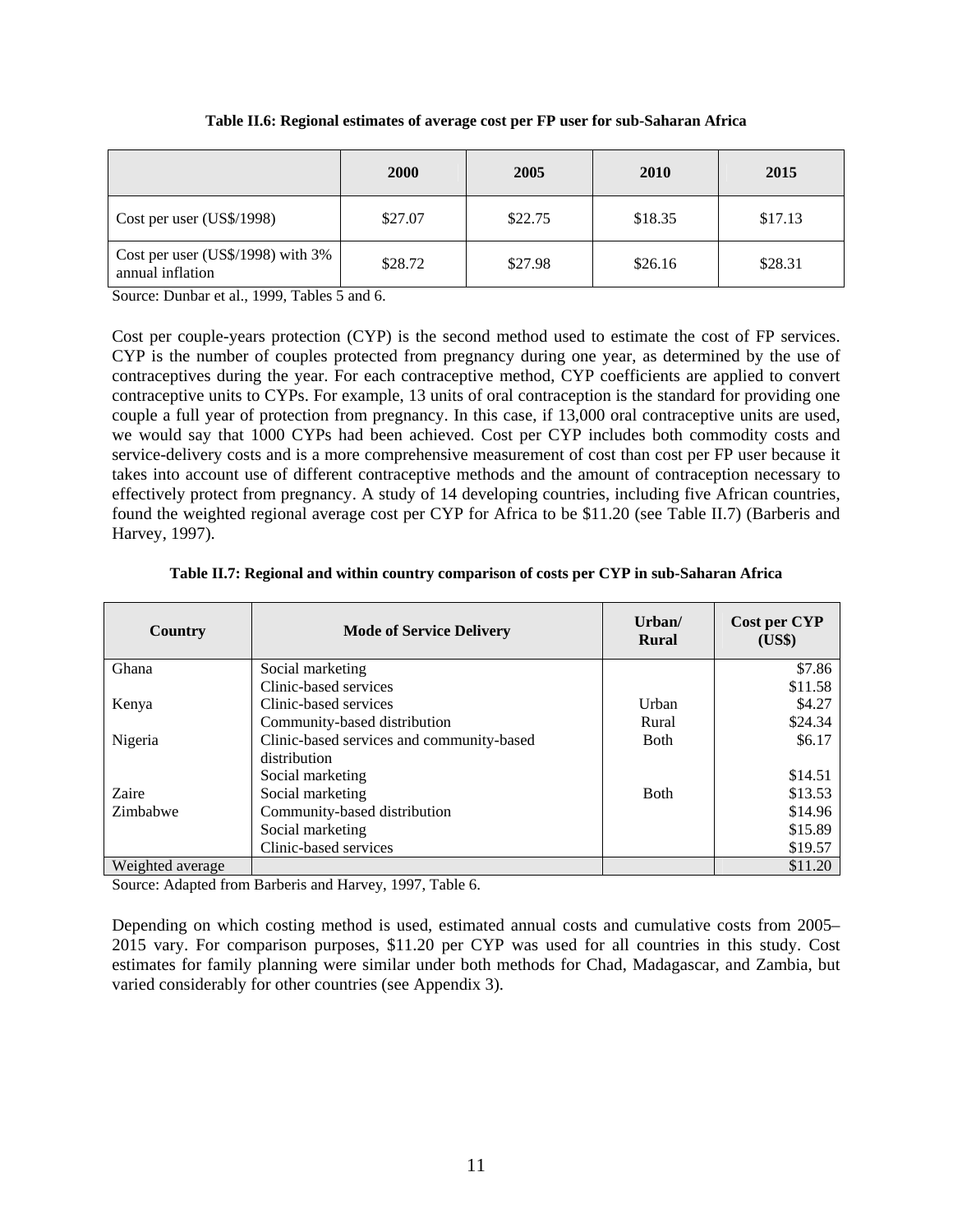|  | Table II.6: Regional estimates of average cost per FP user for sub-Saharan Africa |  |
|--|-----------------------------------------------------------------------------------|--|
|  |                                                                                   |  |

|                                                       | <b>2000</b> | 2005    | <b>2010</b> | 2015    |
|-------------------------------------------------------|-------------|---------|-------------|---------|
| Cost per user (US\$/1998)                             | \$27.07     | \$22.75 | \$18.35     | \$17.13 |
| Cost per user (US\$/1998) with 3%<br>annual inflation | \$28.72     | \$27.98 | \$26.16     | \$28.31 |

Source: Dunbar et al., 1999, Tables 5 and 6.

Cost per couple-years protection (CYP) is the second method used to estimate the cost of FP services. CYP is the number of couples protected from pregnancy during one year, as determined by the use of contraceptives during the year. For each contraceptive method, CYP coefficients are applied to convert contraceptive units to CYPs. For example, 13 units of oral contraception is the standard for providing one couple a full year of protection from pregnancy. In this case, if 13,000 oral contraceptive units are used, we would say that 1000 CYPs had been achieved. Cost per CYP includes both commodity costs and service-delivery costs and is a more comprehensive measurement of cost than cost per FP user because it takes into account use of different contraceptive methods and the amount of contraception necessary to effectively protect from pregnancy. A study of 14 developing countries, including five African countries, found the weighted regional average cost per CYP for Africa to be \$11.20 (see Table II.7) (Barberis and Harvey, 1997).

| Country          | <b>Mode of Service Delivery</b>           | $U$ rban $/$<br><b>Rural</b> | Cost per CYP<br>(US\$) |
|------------------|-------------------------------------------|------------------------------|------------------------|
| Ghana            | Social marketing                          |                              | \$7.86                 |
|                  | Clinic-based services                     |                              | \$11.58                |
| Kenya            | Clinic-based services                     | Urban                        | \$4.27                 |
|                  | Community-based distribution              | Rural                        | \$24.34                |
| Nigeria          | Clinic-based services and community-based | <b>B</b> oth                 | \$6.17                 |
|                  | distribution                              |                              |                        |
|                  | Social marketing                          |                              | \$14.51                |
| Zaire            | Social marketing                          | <b>B</b> oth                 | \$13.53                |
| Zimbabwe         | Community-based distribution              |                              | \$14.96                |
|                  | Social marketing                          |                              | \$15.89                |
|                  | Clinic-based services                     |                              | \$19.57                |
| Weighted average |                                           |                              | \$11.20                |

|  |  |  | Table II.7: Regional and within country comparison of costs per CYP in sub-Saharan Africa |  |
|--|--|--|-------------------------------------------------------------------------------------------|--|
|  |  |  |                                                                                           |  |

Source: Adapted from Barberis and Harvey, 1997, Table 6.

Depending on which costing method is used, estimated annual costs and cumulative costs from 2005– 2015 vary. For comparison purposes, \$11.20 per CYP was used for all countries in this study. Cost estimates for family planning were similar under both methods for Chad, Madagascar, and Zambia, but varied considerably for other countries (see Appendix 3).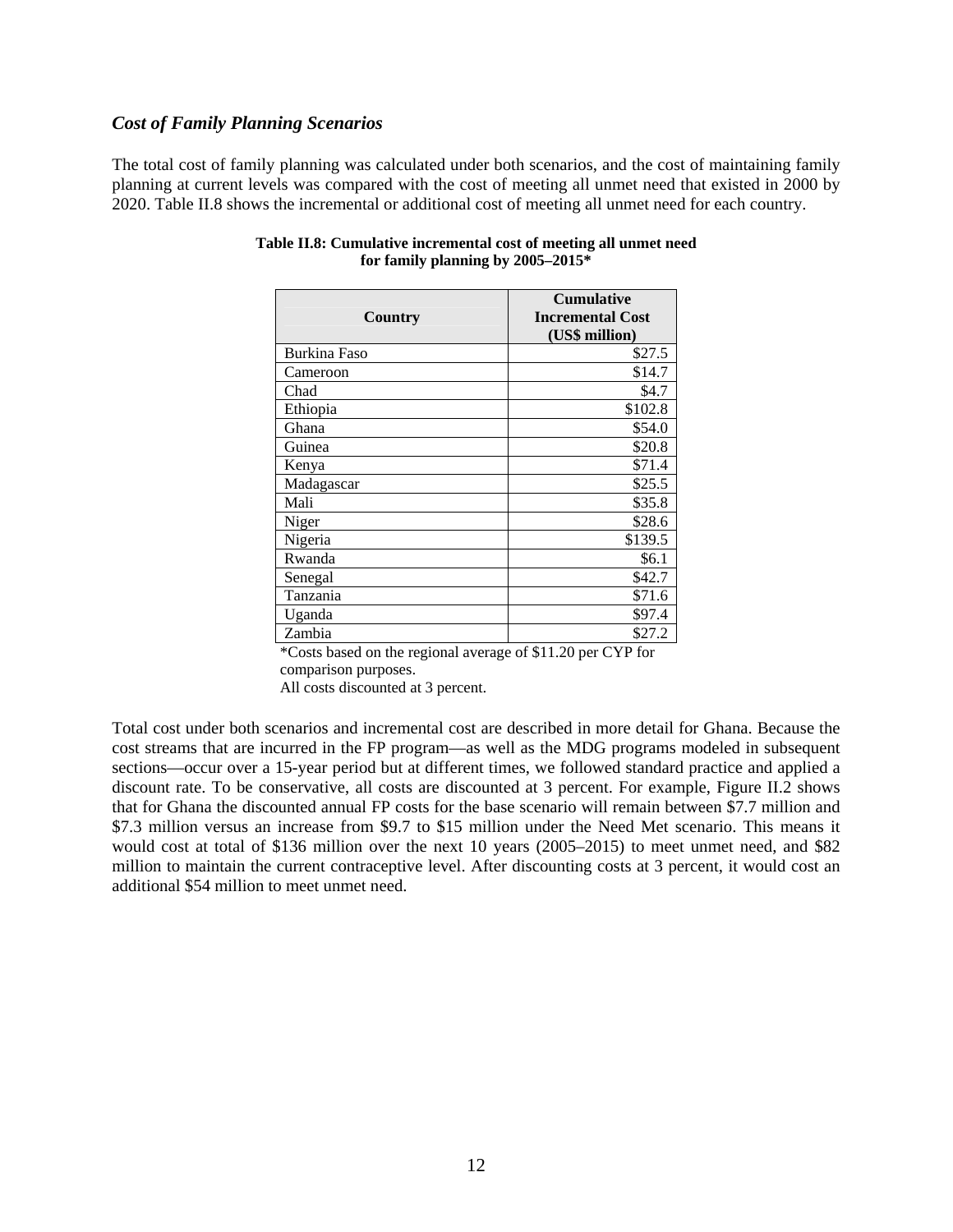#### *Cost of Family Planning Scenarios*

The total cost of family planning was calculated under both scenarios, and the cost of maintaining family planning at current levels was compared with the cost of meeting all unmet need that existed in 2000 by 2020. Table II.8 shows the incremental or additional cost of meeting all unmet need for each country.

| Country      | <b>Cumulative</b><br><b>Incremental Cost</b><br>(US\$ million) |
|--------------|----------------------------------------------------------------|
| Burkina Faso | \$27.5                                                         |
| Cameroon     | \$14.7                                                         |
| Chad         | \$4.7                                                          |
| Ethiopia     | \$102.8                                                        |
| Ghana        | \$54.0                                                         |
| Guinea       | \$20.8                                                         |
| Kenya        | \$71.4                                                         |
| Madagascar   | \$25.5                                                         |
| Mali         | \$35.8                                                         |
| Niger        | \$28.6                                                         |
| Nigeria      | \$139.5                                                        |
| Rwanda       | \$6.1                                                          |
| Senegal      | \$42.7                                                         |
| Tanzania     | \$71.6                                                         |
| Uganda       | \$97.4                                                         |
| Zambia       | \$27.2                                                         |

#### **Table II.8: Cumulative incremental cost of meeting all unmet need for family planning by 2005–2015\***

\*Costs based on the regional average of \$11.20 per CYP for comparison purposes. All costs discounted at 3 percent.

Total cost under both scenarios and incremental cost are described in more detail for Ghana. Because the cost streams that are incurred in the FP program—as well as the MDG programs modeled in subsequent sections—occur over a 15-year period but at different times, we followed standard practice and applied a discount rate. To be conservative, all costs are discounted at 3 percent. For example, Figure II.2 shows that for Ghana the discounted annual FP costs for the base scenario will remain between \$7.7 million and \$7.3 million versus an increase from \$9.7 to \$15 million under the Need Met scenario. This means it would cost at total of \$136 million over the next 10 years (2005–2015) to meet unmet need, and \$82 million to maintain the current contraceptive level. After discounting costs at 3 percent, it would cost an additional \$54 million to meet unmet need.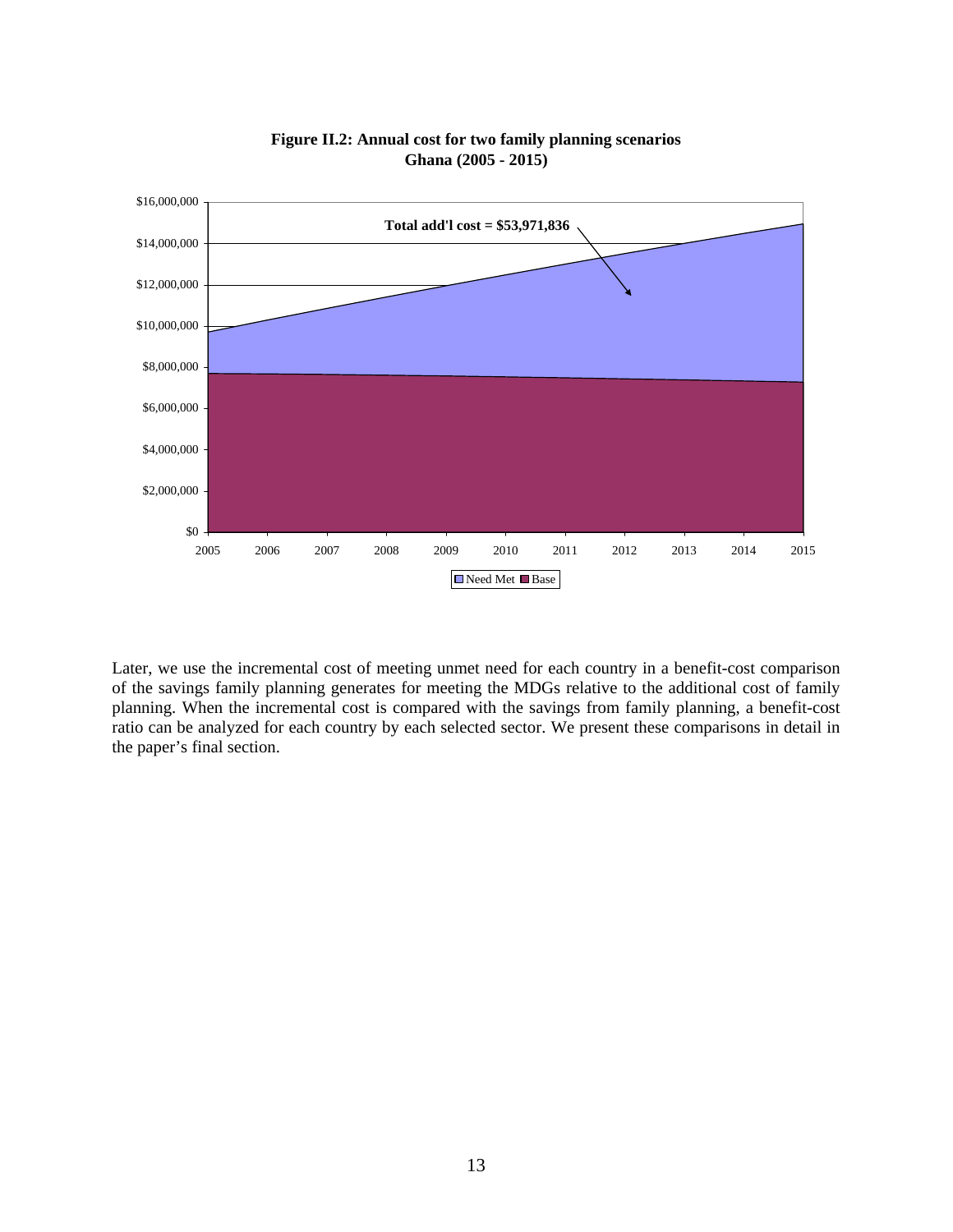

**Figure II.2: Annual cost for two family planning scenarios Ghana (2005 - 2015)**

Later, we use the incremental cost of meeting unmet need for each country in a benefit-cost comparison of the savings family planning generates for meeting the MDGs relative to the additional cost of family planning. When the incremental cost is compared with the savings from family planning, a benefit-cost ratio can be analyzed for each country by each selected sector. We present these comparisons in detail in the paper's final section.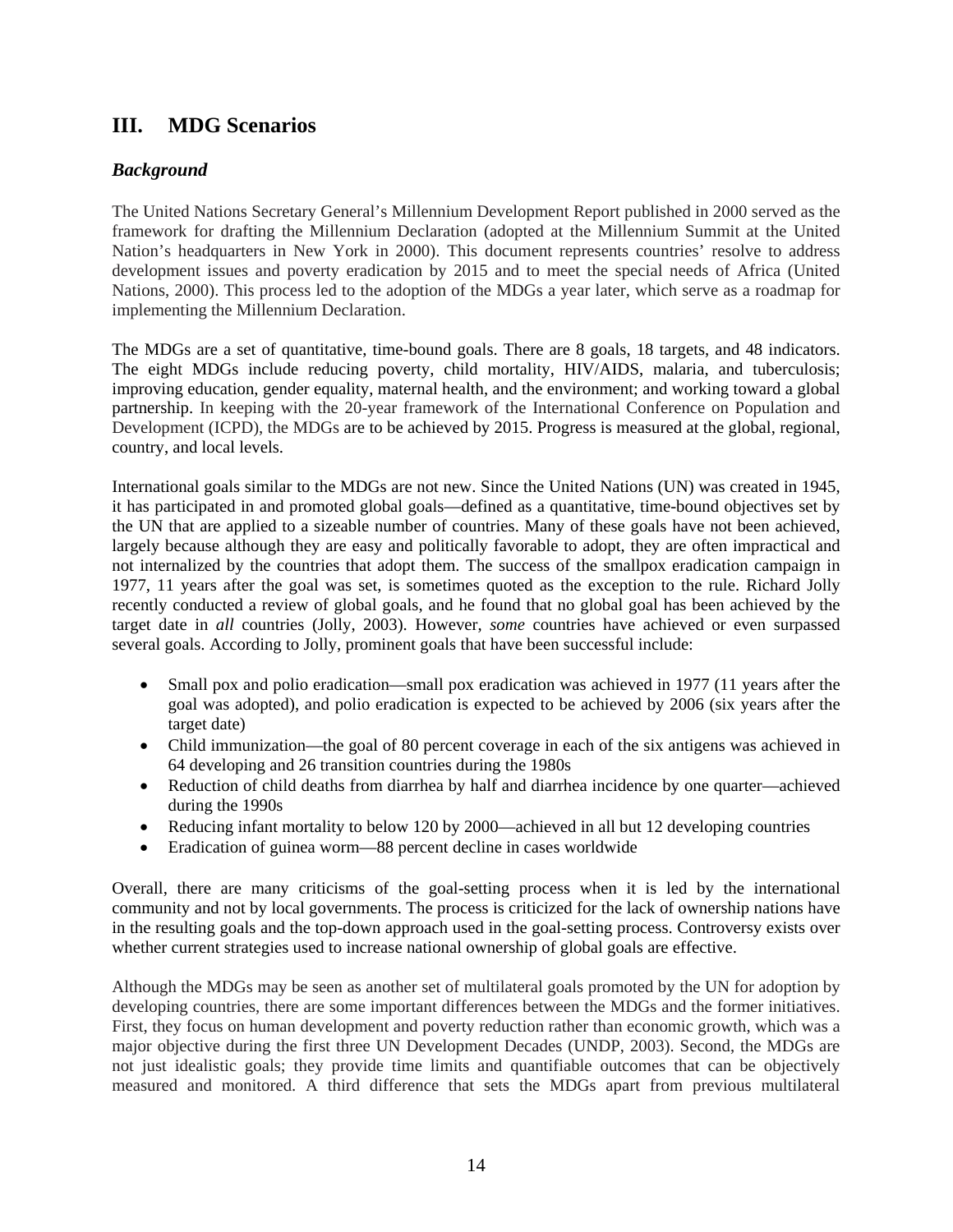## **III. MDG Scenarios**

#### *Background*

The United Nations Secretary General's Millennium Development Report published in 2000 served as the framework for drafting the Millennium Declaration (adopted at the Millennium Summit at the United Nation's headquarters in New York in 2000). This document represents countries' resolve to address development issues and poverty eradication by 2015 and to meet the special needs of Africa (United Nations, 2000). This process led to the adoption of the MDGs a year later, which serve as a roadmap for implementing the Millennium Declaration.

The MDGs are a set of quantitative, time-bound goals. There are 8 goals, 18 targets, and 48 indicators. The eight MDGs include reducing poverty, child mortality, HIV/AIDS, malaria, and tuberculosis; improving education, gender equality, maternal health, and the environment; and working toward a global partnership. In keeping with the 20-year framework of the International Conference on Population and Development (ICPD), the MDGs are to be achieved by 2015. Progress is measured at the global, regional, country, and local levels.

International goals similar to the MDGs are not new. Since the United Nations (UN) was created in 1945, it has participated in and promoted global goals—defined as a quantitative, time-bound objectives set by the UN that are applied to a sizeable number of countries. Many of these goals have not been achieved, largely because although they are easy and politically favorable to adopt, they are often impractical and not internalized by the countries that adopt them. The success of the smallpox eradication campaign in 1977, 11 years after the goal was set, is sometimes quoted as the exception to the rule. Richard Jolly recently conducted a review of global goals, and he found that no global goal has been achieved by the target date in *all* countries (Jolly, 2003). However, *some* countries have achieved or even surpassed several goals. According to Jolly, prominent goals that have been successful include:

- Small pox and polio eradication—small pox eradication was achieved in 1977 (11 years after the goal was adopted), and polio eradication is expected to be achieved by 2006 (six years after the target date)
- Child immunization—the goal of 80 percent coverage in each of the six antigens was achieved in 64 developing and 26 transition countries during the 1980s
- Reduction of child deaths from diarrhea by half and diarrhea incidence by one quarter—achieved during the 1990s
- Reducing infant mortality to below 120 by 2000—achieved in all but 12 developing countries
- Eradication of guinea worm—88 percent decline in cases worldwide

Overall, there are many criticisms of the goal-setting process when it is led by the international community and not by local governments. The process is criticized for the lack of ownership nations have in the resulting goals and the top-down approach used in the goal-setting process. Controversy exists over whether current strategies used to increase national ownership of global goals are effective.

Although the MDGs may be seen as another set of multilateral goals promoted by the UN for adoption by developing countries, there are some important differences between the MDGs and the former initiatives. First, they focus on human development and poverty reduction rather than economic growth, which was a major objective during the first three UN Development Decades (UNDP, 2003). Second, the MDGs are not just idealistic goals; they provide time limits and quantifiable outcomes that can be objectively measured and monitored. A third difference that sets the MDGs apart from previous multilateral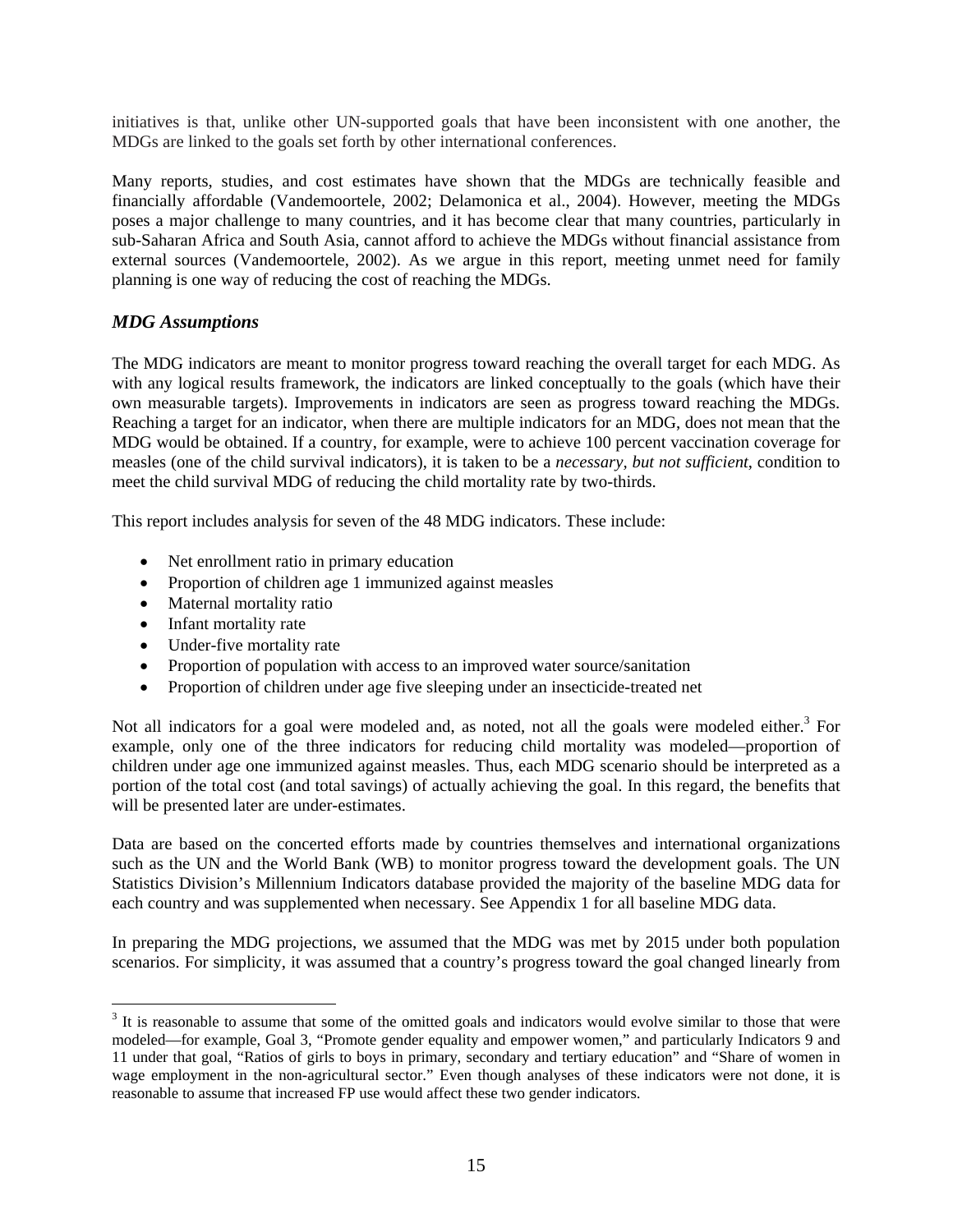initiatives is that, unlike other UN-supported goals that have been inconsistent with one another, the MDGs are linked to the goals set forth by other international conferences.

Many reports, studies, and cost estimates have shown that the MDGs are technically feasible and financially affordable (Vandemoortele, 2002; Delamonica et al., 2004). However, meeting the MDGs poses a major challenge to many countries, and it has become clear that many countries, particularly in sub-Saharan Africa and South Asia, cannot afford to achieve the MDGs without financial assistance from external sources (Vandemoortele, 2002). As we argue in this report, meeting unmet need for family planning is one way of reducing the cost of reaching the MDGs.

#### *MDG Assumptions*

The MDG indicators are meant to monitor progress toward reaching the overall target for each MDG. As with any logical results framework, the indicators are linked conceptually to the goals (which have their own measurable targets). Improvements in indicators are seen as progress toward reaching the MDGs. Reaching a target for an indicator, when there are multiple indicators for an MDG, does not mean that the MDG would be obtained. If a country, for example, were to achieve 100 percent vaccination coverage for measles (one of the child survival indicators), it is taken to be a *necessary, but not sufficient*, condition to meet the child survival MDG of reducing the child mortality rate by two-thirds.

This report includes analysis for seven of the 48 MDG indicators. These include:

- Net enrollment ratio in primary education
- Proportion of children age 1 immunized against measles
- Maternal mortality ratio
- Infant mortality rate

 $\overline{a}$ 

- Under-five mortality rate
- Proportion of population with access to an improved water source/sanitation
- Proportion of children under age five sleeping under an insecticide-treated net

Not all indicators for a goal were modeled and, as noted, not all the goals were modeled either.<sup>3</sup> For example, only one of the three indicators for reducing child mortality was modeled—proportion of children under age one immunized against measles. Thus, each MDG scenario should be interpreted as a portion of the total cost (and total savings) of actually achieving the goal. In this regard, the benefits that will be presented later are under-estimates.

Data are based on the concerted efforts made by countries themselves and international organizations such as the UN and the World Bank (WB) to monitor progress toward the development goals. The UN Statistics Division's Millennium Indicators database provided the majority of the baseline MDG data for each country and was supplemented when necessary. See Appendix 1 for all baseline MDG data.

In preparing the MDG projections, we assumed that the MDG was met by 2015 under both population scenarios. For simplicity, it was assumed that a country's progress toward the goal changed linearly from

 $3$  It is reasonable to assume that some of the omitted goals and indicators would evolve similar to those that were modeled—for example, Goal 3, "Promote gender equality and empower women," and particularly Indicators 9 and 11 under that goal, "Ratios of girls to boys in primary, secondary and tertiary education" and "Share of women in wage employment in the non-agricultural sector." Even though analyses of these indicators were not done, it is reasonable to assume that increased FP use would affect these two gender indicators.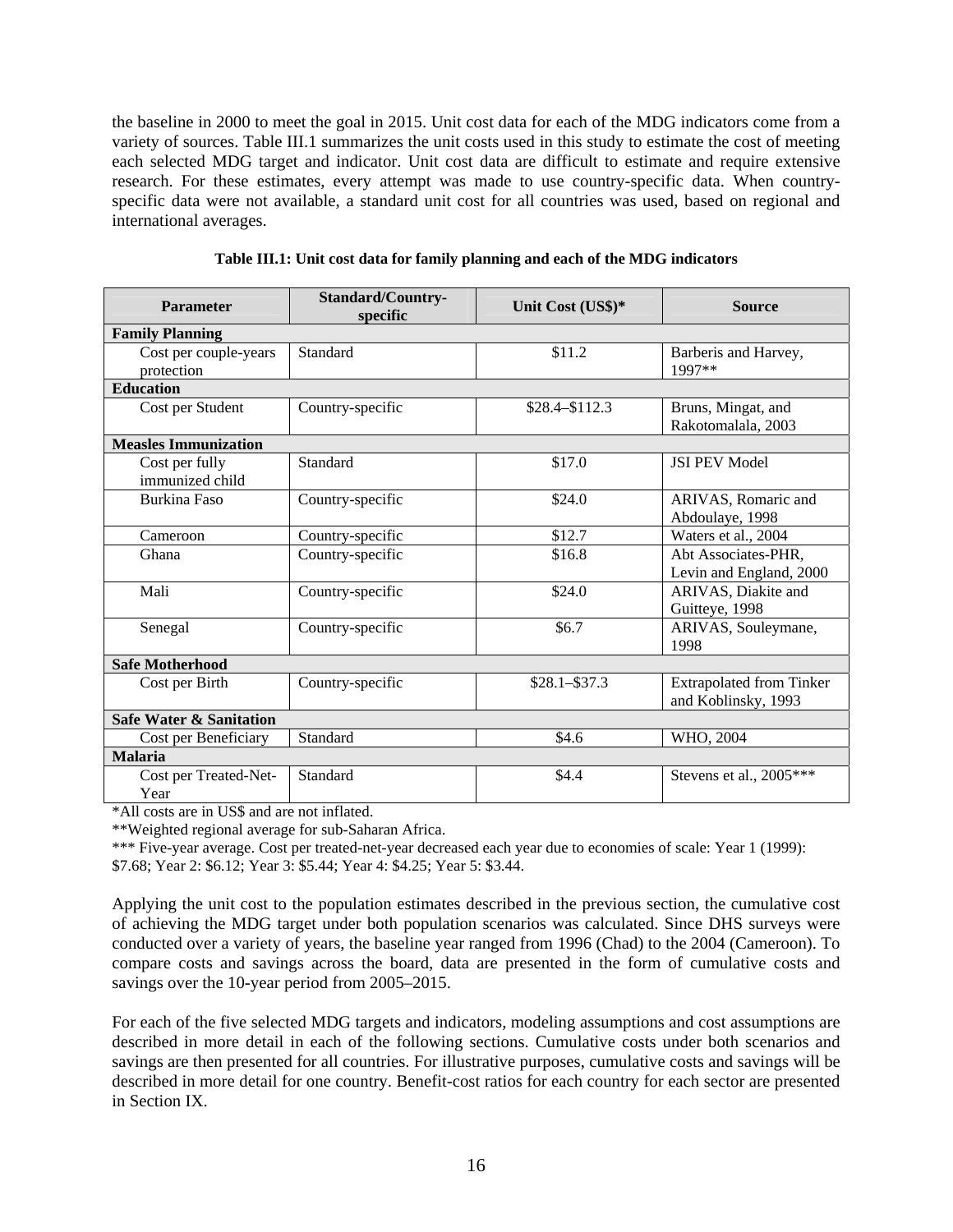the baseline in 2000 to meet the goal in 2015. Unit cost data for each of the MDG indicators come from a variety of sources. Table III.1 summarizes the unit costs used in this study to estimate the cost of meeting each selected MDG target and indicator. Unit cost data are difficult to estimate and require extensive research. For these estimates, every attempt was made to use country-specific data. When countryspecific data were not available, a standard unit cost for all countries was used, based on regional and international averages.

| Parameter                           | <b>Standard/Country-</b><br>specific | Unit Cost (US\$)* | <b>Source</b>                                          |  |  |  |  |
|-------------------------------------|--------------------------------------|-------------------|--------------------------------------------------------|--|--|--|--|
| <b>Family Planning</b>              |                                      |                   |                                                        |  |  |  |  |
| Cost per couple-years<br>protection | Standard                             | \$11.2            | Barberis and Harvey,<br>1997**                         |  |  |  |  |
| <b>Education</b>                    |                                      |                   |                                                        |  |  |  |  |
| Cost per Student                    | Country-specific                     | $$28.4 - $112.3$  | Bruns, Mingat, and<br>Rakotomalala, 2003               |  |  |  |  |
| <b>Measles Immunization</b>         |                                      |                   |                                                        |  |  |  |  |
| Cost per fully<br>immunized child   | Standard                             | \$17.0            | <b>ISI PEV Model</b>                                   |  |  |  |  |
| <b>Burkina Faso</b>                 | Country-specific                     | \$24.0            | ARIVAS, Romaric and<br>Abdoulaye, 1998                 |  |  |  |  |
| Cameroon                            | Country-specific                     | \$12.7            | Waters et al., 2004                                    |  |  |  |  |
| Ghana                               | Country-specific                     | \$16.8            | Abt Associates-PHR,<br>Levin and England, 2000         |  |  |  |  |
| Mali                                | Country-specific                     | \$24.0            | ARIVAS, Diakite and<br>Guitteye, 1998                  |  |  |  |  |
| Senegal                             | Country-specific                     | \$6.7             | ARIVAS, Souleymane,<br>1998                            |  |  |  |  |
| <b>Safe Motherhood</b>              |                                      |                   |                                                        |  |  |  |  |
| Cost per Birth                      | Country-specific                     | $$28.1 - $37.3$   | <b>Extrapolated from Tinker</b><br>and Koblinsky, 1993 |  |  |  |  |
| <b>Safe Water &amp; Sanitation</b>  |                                      |                   |                                                        |  |  |  |  |
| Cost per Beneficiary                | Standard                             | \$4.6             | WHO, 2004                                              |  |  |  |  |
| <b>Malaria</b>                      |                                      |                   |                                                        |  |  |  |  |
| Cost per Treated-Net-<br>Year       | Standard                             | \$4.4             | Stevens et al., $2005***$                              |  |  |  |  |

**Table III.1: Unit cost data for family planning and each of the MDG indicators** 

\*All costs are in US\$ and are not inflated.

\*\*Weighted regional average for sub-Saharan Africa.

\*\*\* Five-year average. Cost per treated-net-year decreased each year due to economies of scale: Year 1 (1999):

\$7.68; Year 2: \$6.12; Year 3: \$5.44; Year 4: \$4.25; Year 5: \$3.44.

Applying the unit cost to the population estimates described in the previous section, the cumulative cost of achieving the MDG target under both population scenarios was calculated. Since DHS surveys were conducted over a variety of years, the baseline year ranged from 1996 (Chad) to the 2004 (Cameroon). To compare costs and savings across the board, data are presented in the form of cumulative costs and savings over the 10-year period from 2005–2015.

For each of the five selected MDG targets and indicators, modeling assumptions and cost assumptions are described in more detail in each of the following sections. Cumulative costs under both scenarios and savings are then presented for all countries. For illustrative purposes, cumulative costs and savings will be described in more detail for one country. Benefit-cost ratios for each country for each sector are presented in Section IX.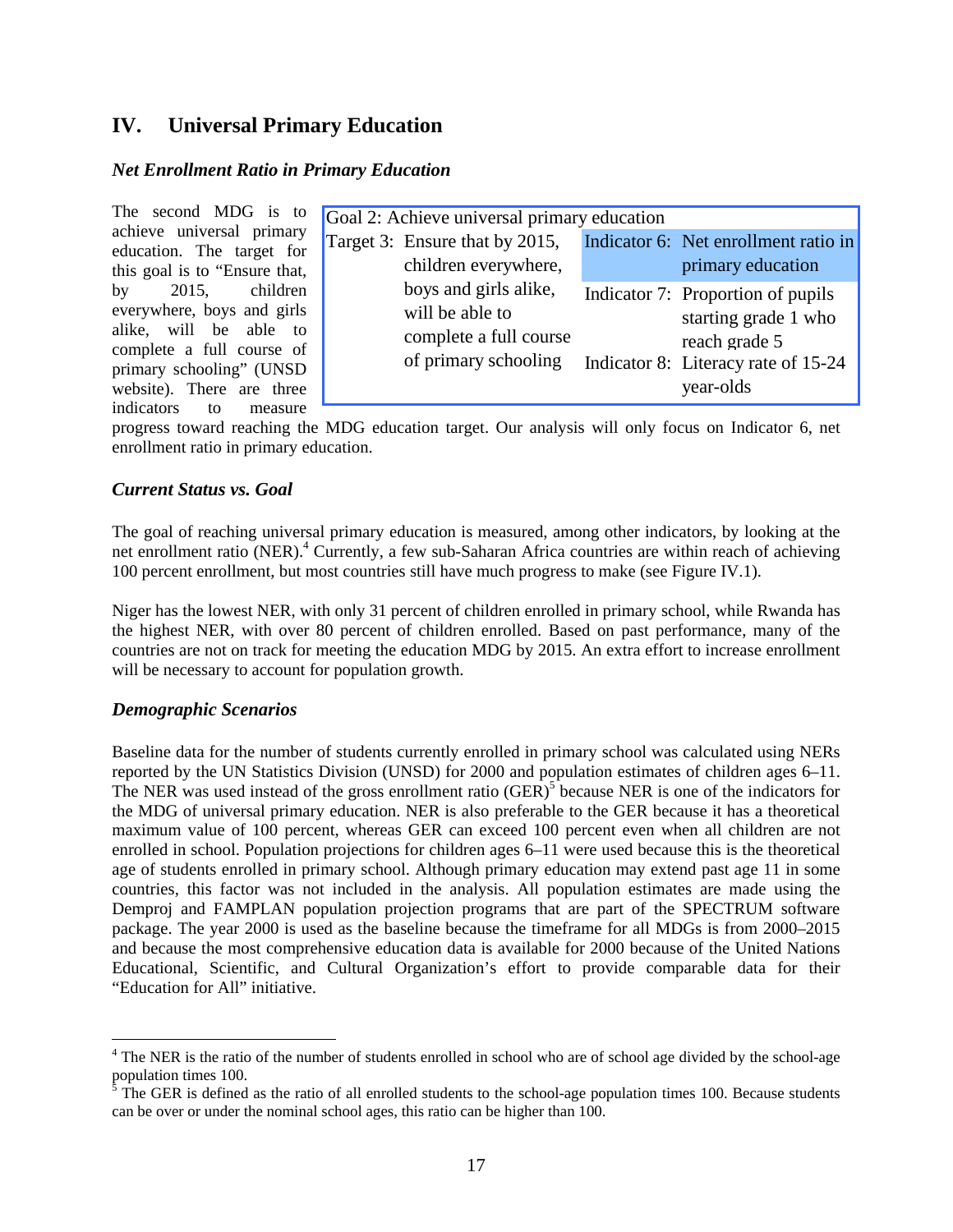## **IV. Universal Primary Education**

#### *Net Enrollment Ratio in Primary Education*

The second MDG is to achieve universal primary education. The target for this goal is to "Ensure that, by 2015, children everywhere, boys and girls alike, will be able to complete a full course of primary schooling" (UNSD website). There are three indicators to measure

|  | Goal 2: Achieve universal primary education    |  |                                                                   |  |  |  |  |
|--|------------------------------------------------|--|-------------------------------------------------------------------|--|--|--|--|
|  | Target 3: Ensure that by 2015,                 |  | Indicator 6: Net enrollment ratio in                              |  |  |  |  |
|  | children everywhere,                           |  | primary education                                                 |  |  |  |  |
|  | boys and girls alike,<br>will be able to       |  | Indicator 7: Proportion of pupils<br>starting grade 1 who         |  |  |  |  |
|  | complete a full course<br>of primary schooling |  | reach grade 5<br>Indicator 8: Literacy rate of 15-24<br>year-olds |  |  |  |  |
|  |                                                |  |                                                                   |  |  |  |  |

progress toward reaching the MDG education target. Our analysis will only focus on Indicator 6, net enrollment ratio in primary education.

#### *Current Status vs. Goal*

The goal of reaching universal primary education is measured, among other indicators, by looking at the net enrollment ratio (NER).<sup>4</sup> Currently, a few sub-Saharan Africa countries are within reach of achieving 100 percent enrollment, but most countries still have much progress to make (see Figure IV.1).

Niger has the lowest NER, with only 31 percent of children enrolled in primary school, while Rwanda has the highest NER, with over 80 percent of children enrolled. Based on past performance, many of the countries are not on track for meeting the education MDG by 2015. An extra effort to increase enrollment will be necessary to account for population growth.

#### *Demographic Scenarios*

 $\overline{a}$ 

Baseline data for the number of students currently enrolled in primary school was calculated using NERs reported by the UN Statistics Division (UNSD) for 2000 and population estimates of children ages 6–11. The NER was used instead of the gross enrollment ratio  $(GER)^5$  because NER is one of the indicators for the MDG of universal primary education. NER is also preferable to the GER because it has a theoretical maximum value of 100 percent, whereas GER can exceed 100 percent even when all children are not enrolled in school. Population projections for children ages 6–11 were used because this is the theoretical age of students enrolled in primary school. Although primary education may extend past age 11 in some countries, this factor was not included in the analysis. All population estimates are made using the Demproj and FAMPLAN population projection programs that are part of the SPECTRUM software package. The year 2000 is used as the baseline because the timeframe for all MDGs is from 2000–2015 and because the most comprehensive education data is available for 2000 because of the United Nations Educational, Scientific, and Cultural Organization's effort to provide comparable data for their "Education for All" initiative.

<sup>&</sup>lt;sup>4</sup> The NER is the ratio of the number of students enrolled in school who are of school age divided by the school-age population times 100.<br><sup>5</sup> The GER is defined as the ratio of all enrolled students to the school-age population times 100. Because students

can be over or under the nominal school ages, this ratio can be higher than 100.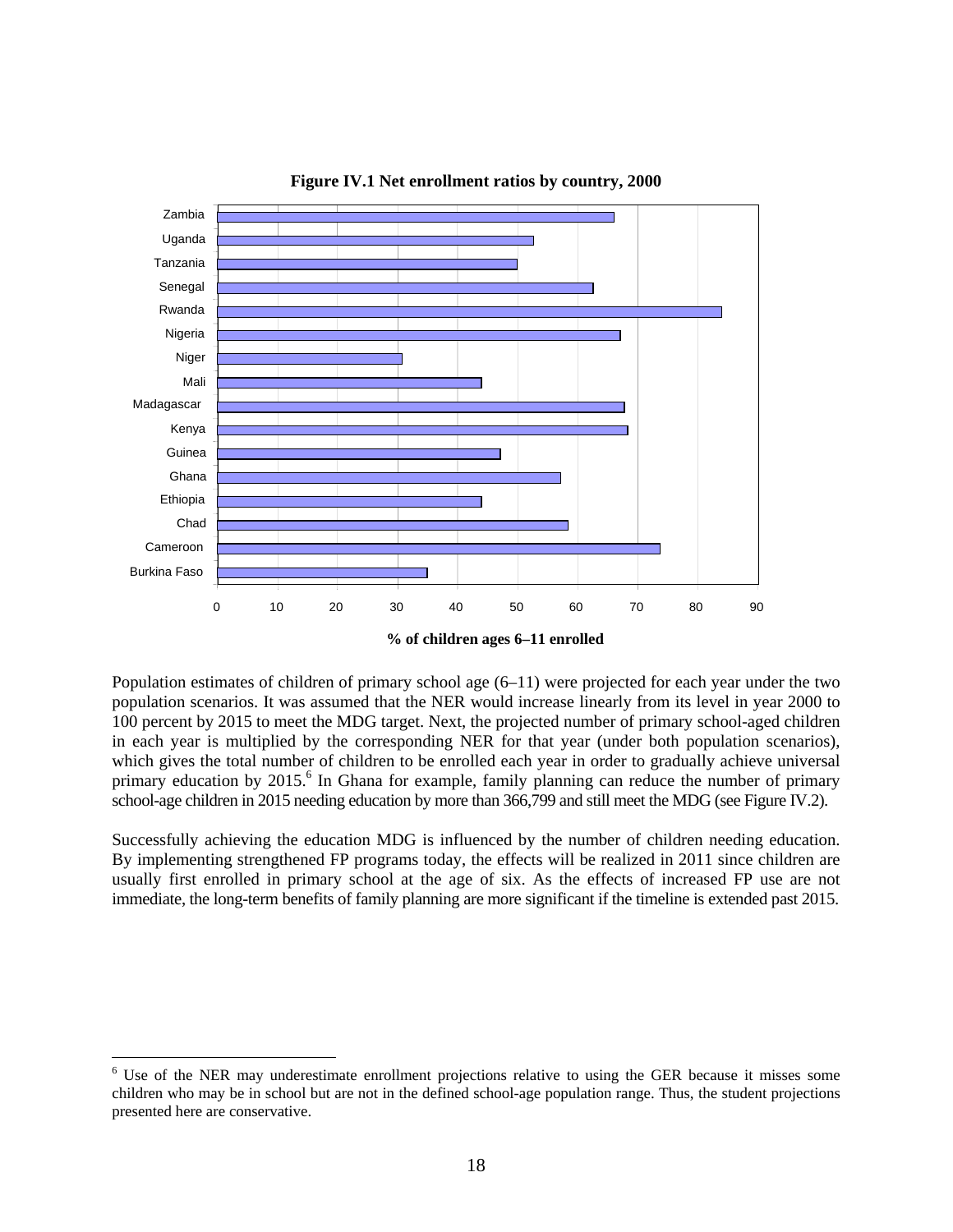

**Figure IV.1 Net enrollment ratios by country, 2000**

**% of children ages 6–11 enrolled**

Population estimates of children of primary school age (6–11) were projected for each year under the two population scenarios. It was assumed that the NER would increase linearly from its level in year 2000 to 100 percent by 2015 to meet the MDG target. Next, the projected number of primary school-aged children in each year is multiplied by the corresponding NER for that year (under both population scenarios), which gives the total number of children to be enrolled each year in order to gradually achieve universal primary education by 2015.<sup>6</sup> In Ghana for example, family planning can reduce the number of primary school-age children in 2015 needing education by more than 366,799 and still meet the MDG (see Figure IV.2).

Successfully achieving the education MDG is influenced by the number of children needing education. By implementing strengthened FP programs today, the effects will be realized in 2011 since children are usually first enrolled in primary school at the age of six. As the effects of increased FP use are not immediate, the long-term benefits of family planning are more significant if the timeline is extended past 2015.

 $\overline{a}$ 

<sup>&</sup>lt;sup>6</sup> Use of the NER may underestimate enrollment projections relative to using the GER because it misses some children who may be in school but are not in the defined school-age population range. Thus, the student projections presented here are conservative.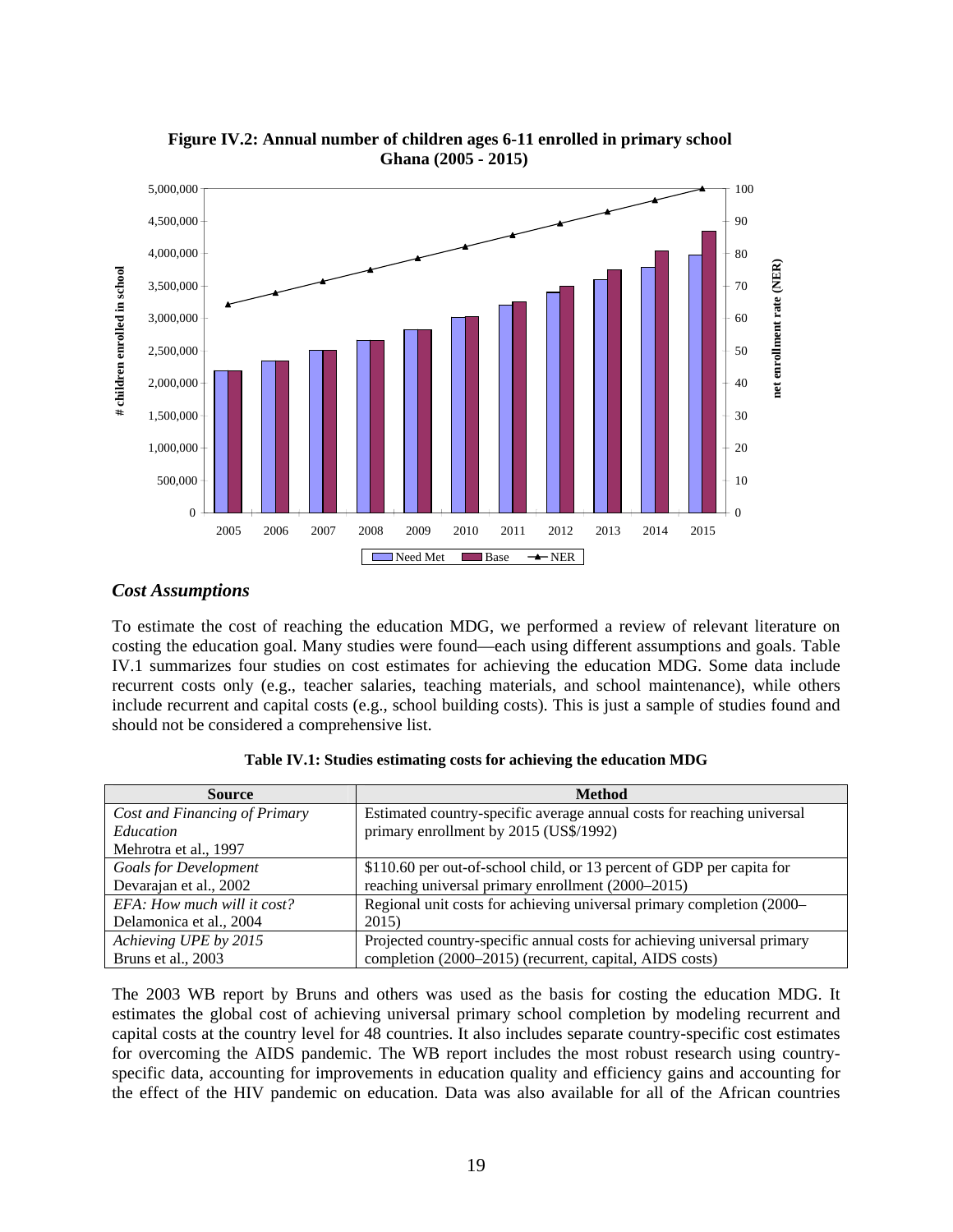

**Figure IV.2: Annual number of children ages 6-11 enrolled in primary school Ghana (2005 - 2015)**

#### *Cost Assumptions*

To estimate the cost of reaching the education MDG, we performed a review of relevant literature on costing the education goal. Many studies were found—each using different assumptions and goals. Table IV.1 summarizes four studies on cost estimates for achieving the education MDG. Some data include recurrent costs only (e.g., teacher salaries, teaching materials, and school maintenance), while others include recurrent and capital costs (e.g., school building costs). This is just a sample of studies found and should not be considered a comprehensive list.

| <b>Source</b>                 | <b>Method</b>                                                           |
|-------------------------------|-------------------------------------------------------------------------|
| Cost and Financing of Primary | Estimated country-specific average annual costs for reaching universal  |
| <i>Education</i>              | primary enrollment by 2015 (US\$/1992)                                  |
| Mehrotra et al., 1997         |                                                                         |
| <b>Goals for Development</b>  | \$110.60 per out-of-school child, or 13 percent of GDP per capita for   |
| Devarajan et al., 2002        | reaching universal primary enrollment (2000–2015)                       |
| EFA: How much will it cost?   | Regional unit costs for achieving universal primary completion (2000–   |
| Delamonica et al., 2004       | 2015)                                                                   |
| Achieving UPE by 2015         | Projected country-specific annual costs for achieving universal primary |
| Bruns et al., 2003            | completion (2000–2015) (recurrent, capital, AIDS costs)                 |

|  | Table IV.1: Studies estimating costs for achieving the education MDG |  |  |  |
|--|----------------------------------------------------------------------|--|--|--|
|  |                                                                      |  |  |  |

The 2003 WB report by Bruns and others was used as the basis for costing the education MDG. It estimates the global cost of achieving universal primary school completion by modeling recurrent and capital costs at the country level for 48 countries. It also includes separate country-specific cost estimates for overcoming the AIDS pandemic. The WB report includes the most robust research using countryspecific data, accounting for improvements in education quality and efficiency gains and accounting for the effect of the HIV pandemic on education. Data was also available for all of the African countries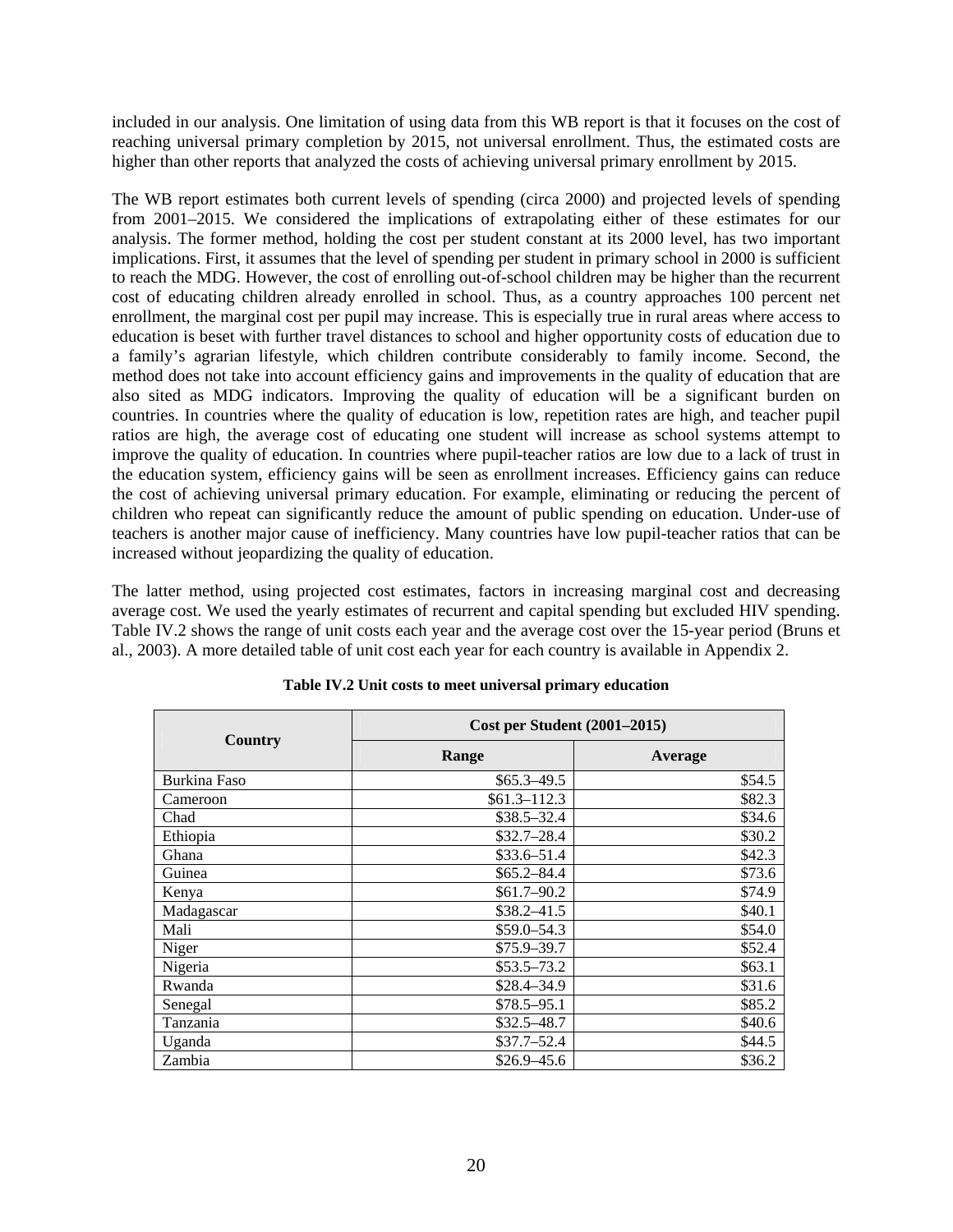included in our analysis. One limitation of using data from this WB report is that it focuses on the cost of reaching universal primary completion by 2015, not universal enrollment. Thus, the estimated costs are higher than other reports that analyzed the costs of achieving universal primary enrollment by 2015.

The WB report estimates both current levels of spending (circa 2000) and projected levels of spending from 2001–2015. We considered the implications of extrapolating either of these estimates for our analysis. The former method, holding the cost per student constant at its 2000 level, has two important implications. First, it assumes that the level of spending per student in primary school in 2000 is sufficient to reach the MDG. However, the cost of enrolling out-of-school children may be higher than the recurrent cost of educating children already enrolled in school. Thus, as a country approaches 100 percent net enrollment, the marginal cost per pupil may increase. This is especially true in rural areas where access to education is beset with further travel distances to school and higher opportunity costs of education due to a family's agrarian lifestyle, which children contribute considerably to family income. Second, the method does not take into account efficiency gains and improvements in the quality of education that are also sited as MDG indicators. Improving the quality of education will be a significant burden on countries. In countries where the quality of education is low, repetition rates are high, and teacher pupil ratios are high, the average cost of educating one student will increase as school systems attempt to improve the quality of education. In countries where pupil-teacher ratios are low due to a lack of trust in the education system, efficiency gains will be seen as enrollment increases. Efficiency gains can reduce the cost of achieving universal primary education. For example, eliminating or reducing the percent of children who repeat can significantly reduce the amount of public spending on education. Under-use of teachers is another major cause of inefficiency. Many countries have low pupil-teacher ratios that can be increased without jeopardizing the quality of education.

The latter method, using projected cost estimates, factors in increasing marginal cost and decreasing average cost. We used the yearly estimates of recurrent and capital spending but excluded HIV spending. Table IV.2 shows the range of unit costs each year and the average cost over the 15-year period (Bruns et al., 2003). A more detailed table of unit cost each year for each country is available in Appendix 2.

|              | <b>Cost per Student (2001–2015)</b> |         |  |  |
|--------------|-------------------------------------|---------|--|--|
| Country      | Range                               | Average |  |  |
| Burkina Faso | $$65.3 - 49.5$                      | \$54.5  |  |  |
| Cameroon     | $$61.3 - 112.3$                     | \$82.3  |  |  |
| Chad         | $$38.5 - 32.4$                      | \$34.6  |  |  |
| Ethiopia     | $$32.7 - 28.4$                      | \$30.2  |  |  |
| Ghana        | $$33.6 - 51.4$                      | \$42.3  |  |  |
| Guinea       | $$65.2 - 84.4$                      | \$73.6  |  |  |
| Kenya        | $$61.7 - 90.2$                      | \$74.9  |  |  |
| Madagascar   | $$38.2 - 41.5$                      | \$40.1  |  |  |
| Mali         | $$59.0 - 54.3$                      | \$54.0  |  |  |
| Niger        | $$75.9 - 39.7$                      | \$52.4  |  |  |
| Nigeria      | $$53.5 - 73.2$                      | \$63.1  |  |  |
| Rwanda       | $$28.4 - 34.9$                      | \$31.6  |  |  |
| Senegal      | $$78.5 - 95.1$                      | \$85.2  |  |  |
| Tanzania     | $$32.5 - 48.7$                      | \$40.6  |  |  |
| Uganda       | $$37.7 - 52.4$                      | \$44.5  |  |  |
| Zambia       | $$26.9 - 45.6$                      | \$36.2  |  |  |

| Table IV.2 Unit costs to meet universal primary education |  |  |  |
|-----------------------------------------------------------|--|--|--|
|-----------------------------------------------------------|--|--|--|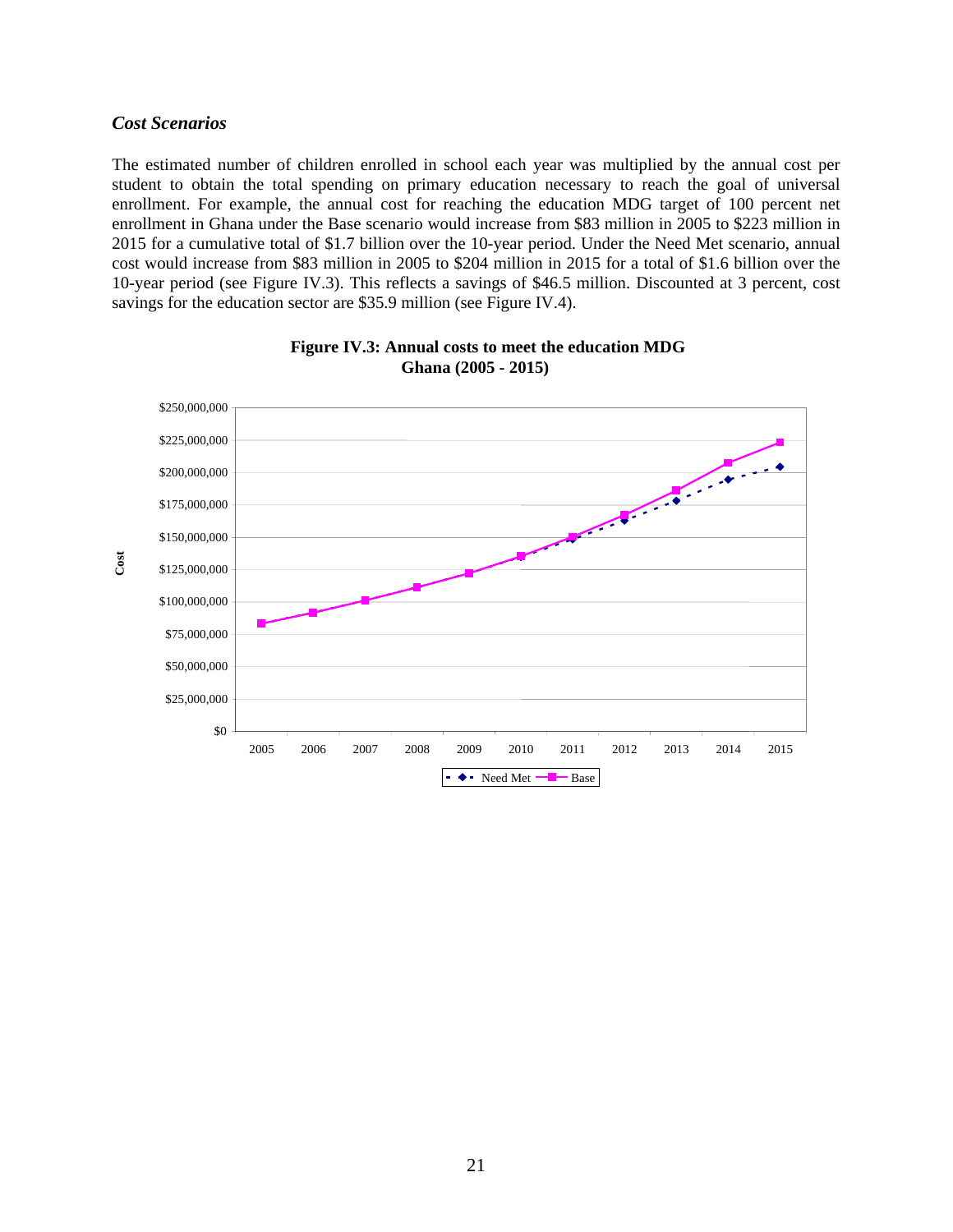#### *Cost Scenarios*

The estimated number of children enrolled in school each year was multiplied by the annual cost per student to obtain the total spending on primary education necessary to reach the goal of universal enrollment. For example, the annual cost for reaching the education MDG target of 100 percent net enrollment in Ghana under the Base scenario would increase from \$83 million in 2005 to \$223 million in 2015 for a cumulative total of \$1.7 billion over the 10-year period. Under the Need Met scenario, annual cost would increase from \$83 million in 2005 to \$204 million in 2015 for a total of \$1.6 billion over the 10-year period (see Figure IV.3). This reflects a savings of \$46.5 million. Discounted at 3 percent, cost savings for the education sector are \$35.9 million (see Figure IV.4).



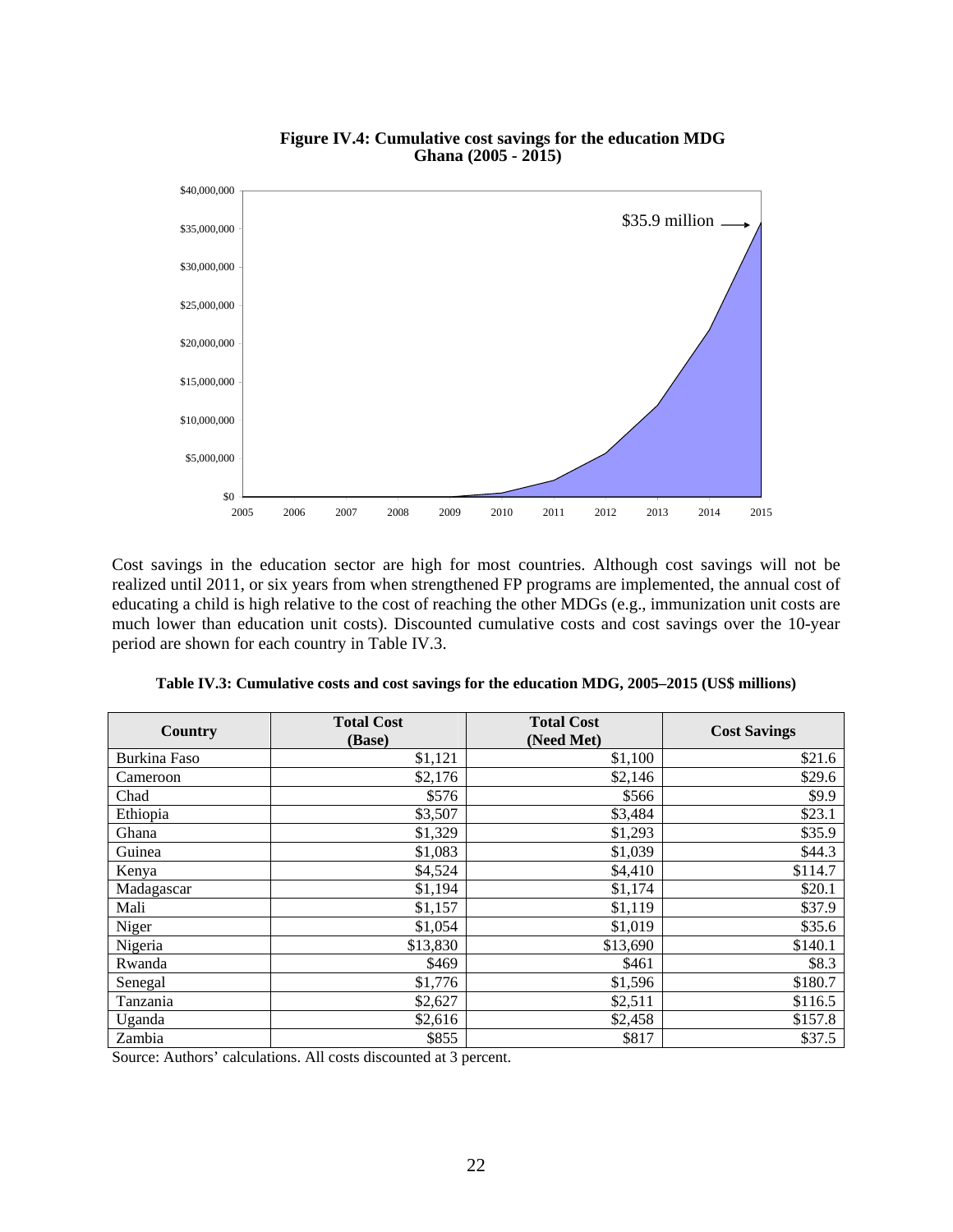



Cost savings in the education sector are high for most countries. Although cost savings will not be realized until 2011, or six years from when strengthened FP programs are implemented, the annual cost of educating a child is high relative to the cost of reaching the other MDGs (e.g., immunization unit costs are much lower than education unit costs). Discounted cumulative costs and cost savings over the 10-year period are shown for each country in Table IV.3.

| Country      | <b>Total Cost</b><br>(Base) | <b>Total Cost</b><br>(Need Met) | <b>Cost Savings</b> |
|--------------|-----------------------------|---------------------------------|---------------------|
| Burkina Faso | \$1,121                     | \$1,100                         | \$21.6              |
| Cameroon     | \$2,176                     | \$2,146                         | \$29.6              |
| Chad         | \$576                       | \$566                           | \$9.9               |
| Ethiopia     | \$3,507                     | \$3,484                         | \$23.1              |
| Ghana        | \$1,329                     | \$1,293                         | \$35.9              |
| Guinea       | \$1,083                     | \$1,039                         | \$44.3              |
| Kenya        | \$4,524                     | \$4,410                         | \$114.7             |
| Madagascar   | \$1,194                     | \$1,174                         | \$20.1              |
| Mali         | \$1,157                     | \$1,119                         | \$37.9              |
| Niger        | \$1,054                     | \$1,019                         | \$35.6              |
| Nigeria      | \$13,830                    | \$13,690                        | \$140.1             |
| Rwanda       | \$469                       | \$461                           | \$8.3               |
| Senegal      | \$1,776                     | \$1,596                         | \$180.7             |
| Tanzania     | \$2,627                     | \$2,511                         | \$116.5             |
| Uganda       | \$2,616                     | \$2,458                         | \$157.8             |
| Zambia       | \$855                       | \$817                           | \$37.5              |

|  |  | Table IV.3: Cumulative costs and cost savings for the education MDG, 2005–2015 (US\$ millions) |
|--|--|------------------------------------------------------------------------------------------------|
|--|--|------------------------------------------------------------------------------------------------|

Source: Authors' calculations. All costs discounted at 3 percent.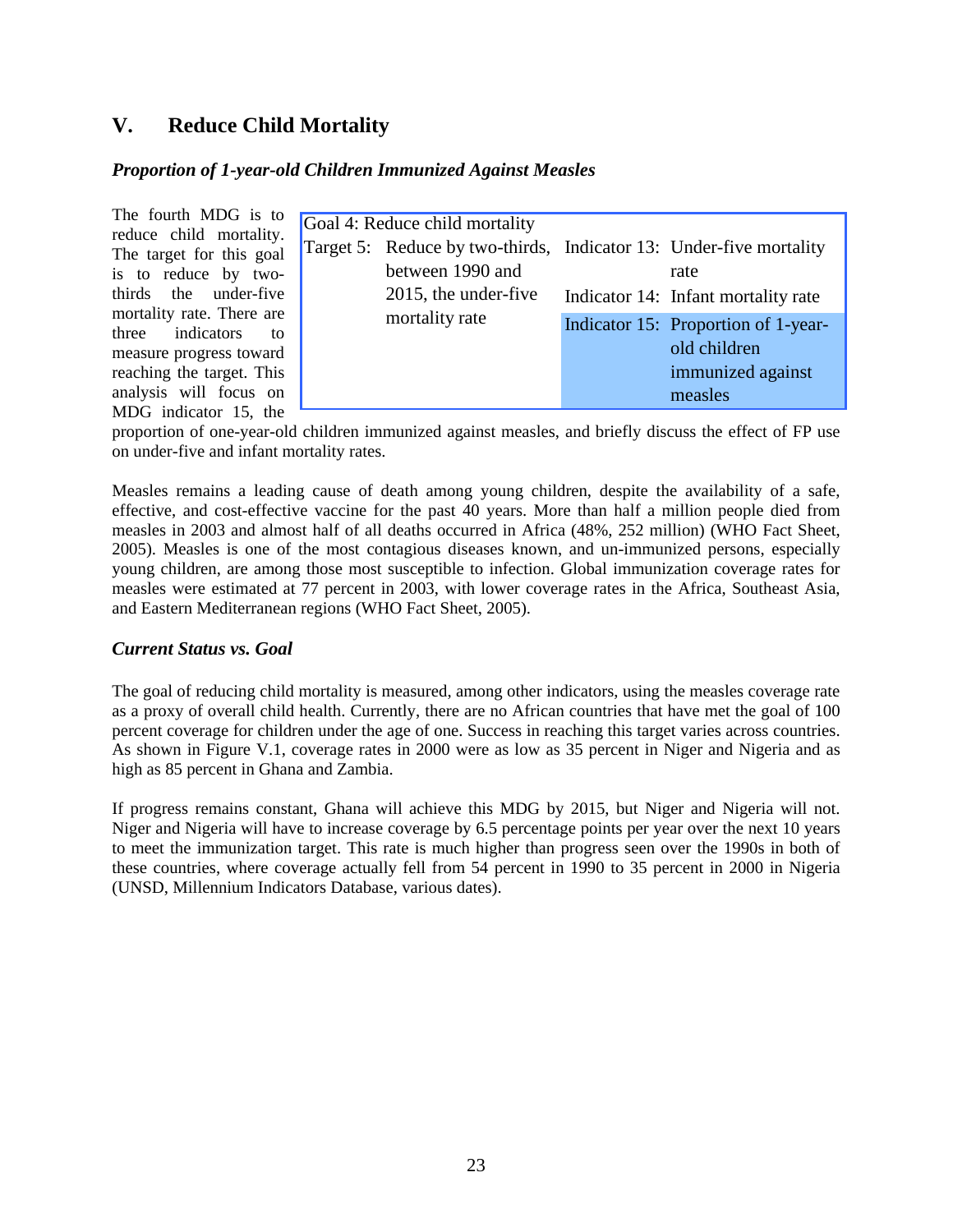## **V. Reduce Child Mortality**

#### *Proportion of 1-year-old Children Immunized Against Measles*

The fourth MDG is to reduce child mortality. The target for this goal is to reduce by twothirds the under-five mortality rate. There are three indicators to measure progress toward reaching the target. This analysis will focus on MDG indicator 15, the

| Goal 4: Reduce child mortality |                                                                                                                                  |  |                                                                                     |  |  |
|--------------------------------|----------------------------------------------------------------------------------------------------------------------------------|--|-------------------------------------------------------------------------------------|--|--|
|                                | Target 5: Reduce by two-thirds, Indicator 13: Under-five mortality<br>between 1990 and<br>2015, the under-five<br>mortality rate |  | rate<br>Indicator 14: Infant mortality rate                                         |  |  |
|                                |                                                                                                                                  |  | Indicator 15: Proportion of 1-year-<br>old children<br>immunized against<br>measles |  |  |

proportion of one-year-old children immunized against measles, and briefly discuss the effect of FP use on under-five and infant mortality rates.

Measles remains a leading cause of death among young children, despite the availability of a safe, effective, and cost-effective vaccine for the past 40 years. More than half a million people died from measles in 2003 and almost half of all deaths occurred in Africa (48%, 252 million) (WHO Fact Sheet, 2005). Measles is one of the most contagious diseases known, and un-immunized persons, especially young children, are among those most susceptible to infection. Global immunization coverage rates for measles were estimated at 77 percent in 2003, with lower coverage rates in the Africa, Southeast Asia, and Eastern Mediterranean regions (WHO Fact Sheet, 2005).

#### *Current Status vs. Goal*

The goal of reducing child mortality is measured, among other indicators, using the measles coverage rate as a proxy of overall child health. Currently, there are no African countries that have met the goal of 100 percent coverage for children under the age of one. Success in reaching this target varies across countries. As shown in Figure V.1, coverage rates in 2000 were as low as 35 percent in Niger and Nigeria and as high as 85 percent in Ghana and Zambia.

If progress remains constant, Ghana will achieve this MDG by 2015, but Niger and Nigeria will not. Niger and Nigeria will have to increase coverage by 6.5 percentage points per year over the next 10 years to meet the immunization target. This rate is much higher than progress seen over the 1990s in both of these countries, where coverage actually fell from 54 percent in 1990 to 35 percent in 2000 in Nigeria (UNSD, Millennium Indicators Database, various dates).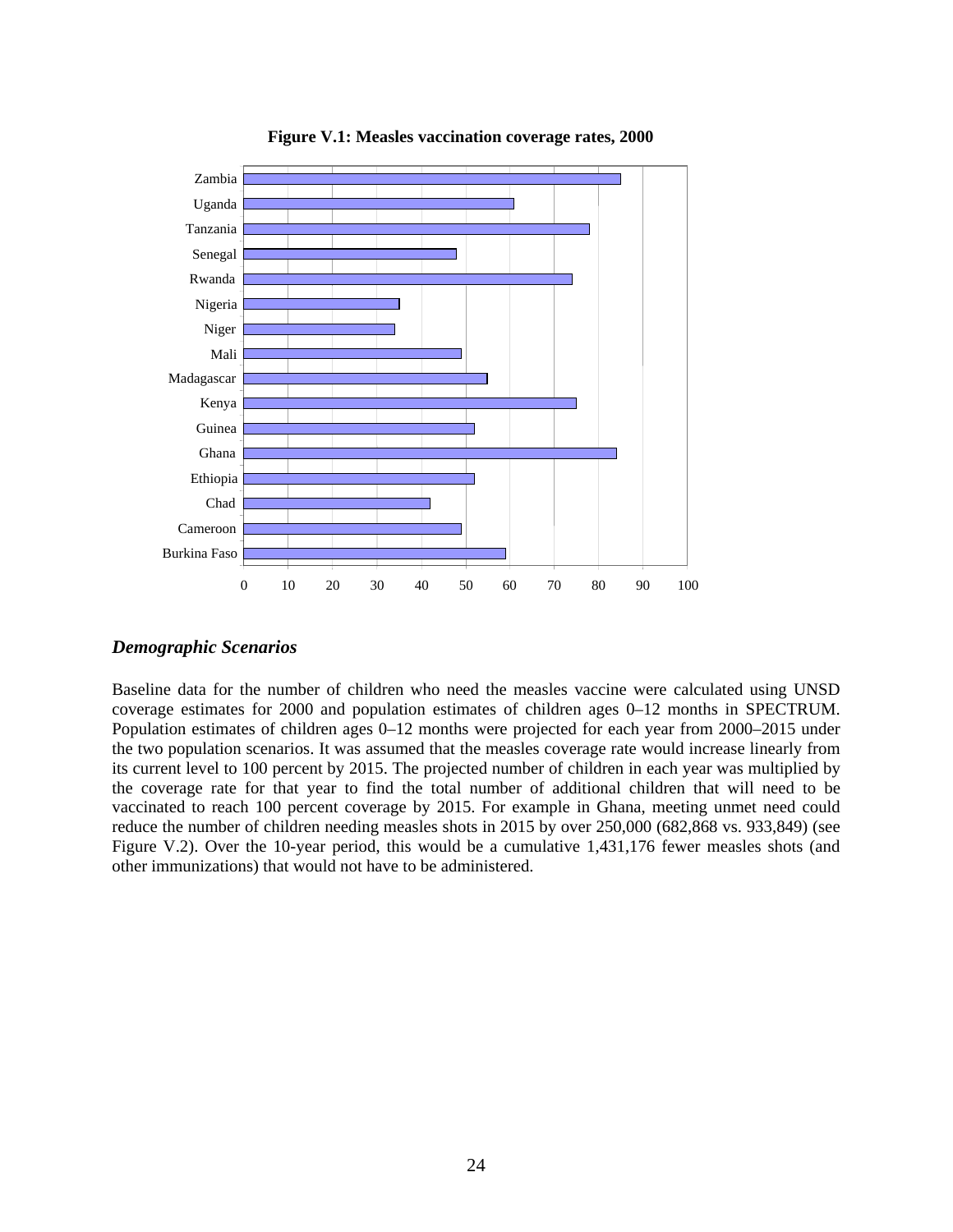

**Figure V.1: Measles vaccination coverage rates, 2000**

#### *Demographic Scenarios*

Baseline data for the number of children who need the measles vaccine were calculated using UNSD coverage estimates for 2000 and population estimates of children ages 0–12 months in SPECTRUM. Population estimates of children ages 0–12 months were projected for each year from 2000–2015 under the two population scenarios. It was assumed that the measles coverage rate would increase linearly from its current level to 100 percent by 2015. The projected number of children in each year was multiplied by the coverage rate for that year to find the total number of additional children that will need to be vaccinated to reach 100 percent coverage by 2015. For example in Ghana, meeting unmet need could reduce the number of children needing measles shots in 2015 by over 250,000 (682,868 vs. 933,849) (see Figure V.2). Over the 10-year period, this would be a cumulative 1,431,176 fewer measles shots (and other immunizations) that would not have to be administered.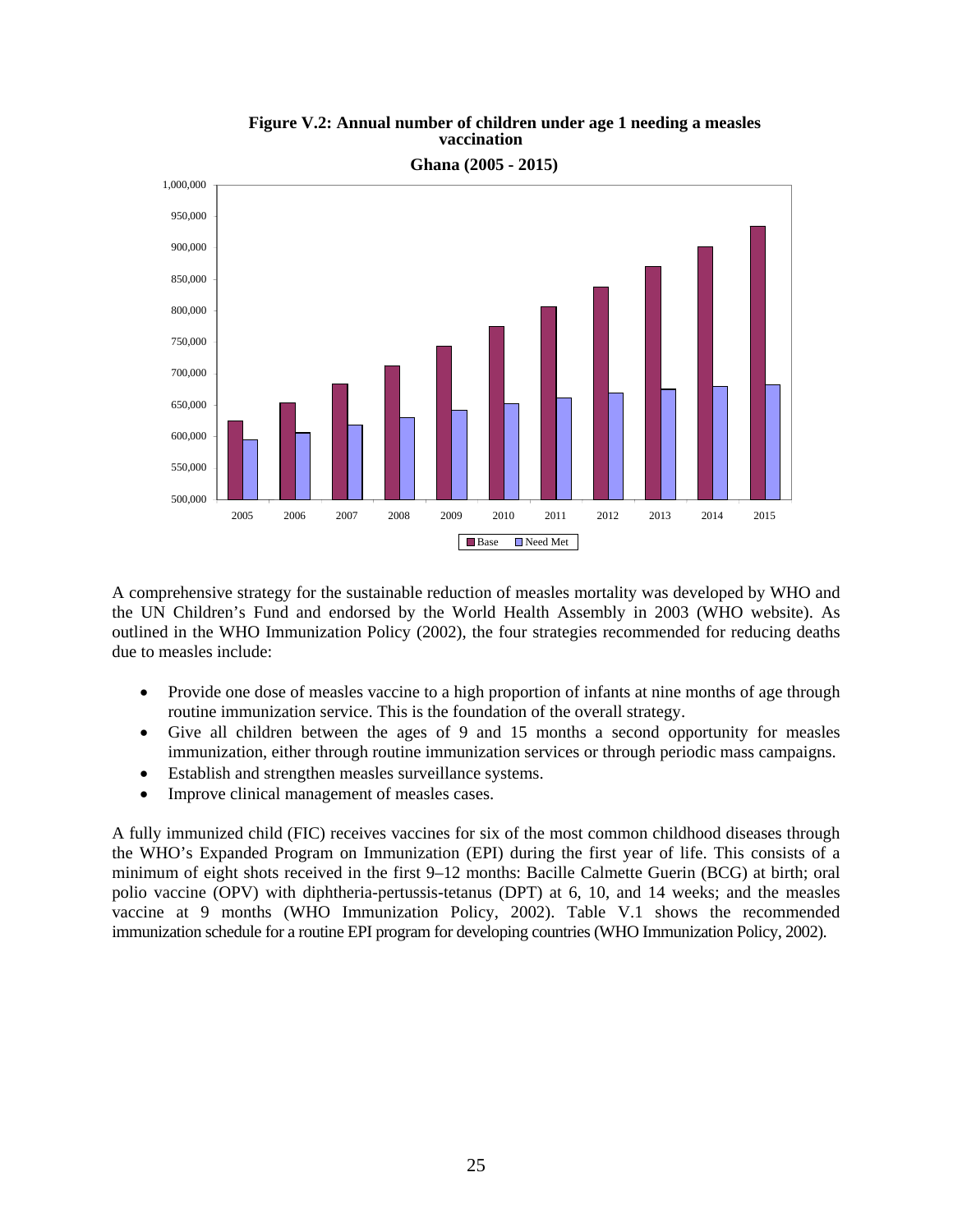

#### **Figure V.2: Annual number of children under age 1 needing a measles vaccination**

**Ghana (2005 - 2015)**

A comprehensive strategy for the sustainable reduction of measles mortality was developed by WHO and the UN Children's Fund and endorsed by the World Health Assembly in 2003 (WHO website). As outlined in the WHO Immunization Policy (2002), the four strategies recommended for reducing deaths due to measles include:

- Provide one dose of measles vaccine to a high proportion of infants at nine months of age through routine immunization service. This is the foundation of the overall strategy.
- Give all children between the ages of 9 and 15 months a second opportunity for measles immunization, either through routine immunization services or through periodic mass campaigns.
- Establish and strengthen measles surveillance systems.
- Improve clinical management of measles cases.

A fully immunized child (FIC) receives vaccines for six of the most common childhood diseases through the WHO's Expanded Program on Immunization (EPI) during the first year of life. This consists of a minimum of eight shots received in the first 9–12 months: Bacille Calmette Guerin (BCG) at birth; oral polio vaccine (OPV) with diphtheria-pertussis-tetanus (DPT) at 6, 10, and 14 weeks; and the measles vaccine at 9 months (WHO Immunization Policy, 2002). Table V.1 shows the recommended immunization schedule for a routine EPI program for developing countries (WHO Immunization Policy, 2002).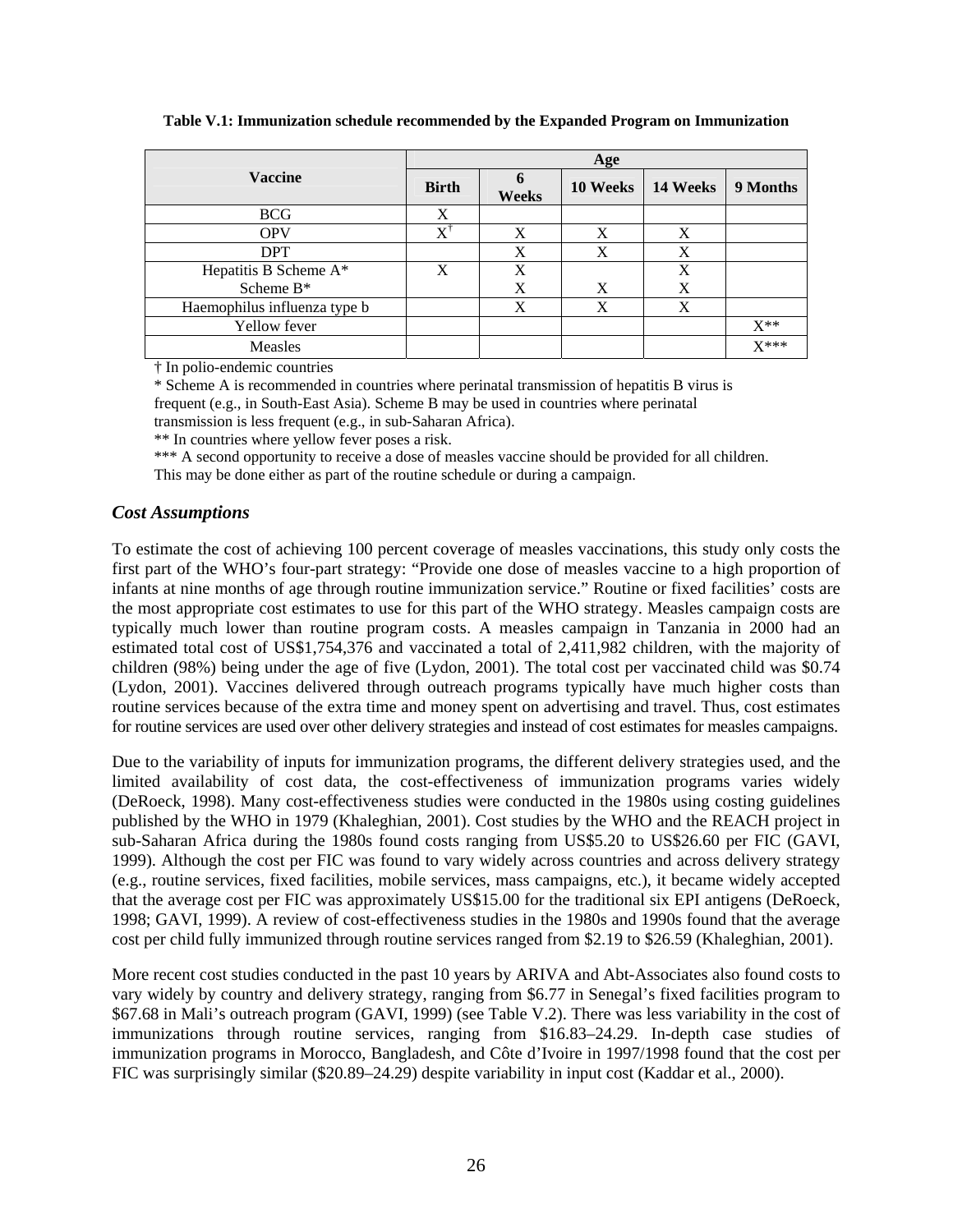|                              | Age                                   |       |          |          |          |  |
|------------------------------|---------------------------------------|-------|----------|----------|----------|--|
| <b>Vaccine</b>               | <b>Birth</b>                          | Weeks | 10 Weeks | 14 Weeks | 9 Months |  |
| <b>BCG</b>                   | X                                     |       |          |          |          |  |
| <b>OPV</b>                   | $\mathrm{X}^{\scriptscriptstyle\top}$ | X     | X        | X        |          |  |
| <b>DPT</b>                   |                                       | X     | X        | X        |          |  |
| Hepatitis B Scheme A*        | X                                     | X     |          | X        |          |  |
| Scheme B*                    |                                       | X     | X        | X        |          |  |
| Haemophilus influenza type b |                                       | X     | X        | X        |          |  |
| Yellow fever                 |                                       |       |          |          | $X^{**}$ |  |
| Measles                      |                                       |       |          |          | $X***$   |  |

**Table V.1: Immunization schedule recommended by the Expanded Program on Immunization** 

† In polio-endemic countries

\* Scheme A is recommended in countries where perinatal transmission of hepatitis B virus is frequent (e.g., in South-East Asia). Scheme B may be used in countries where perinatal transmission is less frequent (e.g., in sub-Saharan Africa).

\*\* In countries where yellow fever poses a risk.

\*\*\* A second opportunity to receive a dose of measles vaccine should be provided for all children.

This may be done either as part of the routine schedule or during a campaign.

#### *Cost Assumptions*

To estimate the cost of achieving 100 percent coverage of measles vaccinations, this study only costs the first part of the WHO's four-part strategy: "Provide one dose of measles vaccine to a high proportion of infants at nine months of age through routine immunization service." Routine or fixed facilities' costs are the most appropriate cost estimates to use for this part of the WHO strategy. Measles campaign costs are typically much lower than routine program costs. A measles campaign in Tanzania in 2000 had an estimated total cost of US\$1,754,376 and vaccinated a total of 2,411,982 children, with the majority of children (98%) being under the age of five (Lydon, 2001). The total cost per vaccinated child was \$0.74 (Lydon, 2001). Vaccines delivered through outreach programs typically have much higher costs than routine services because of the extra time and money spent on advertising and travel. Thus, cost estimates for routine services are used over other delivery strategies and instead of cost estimates for measles campaigns.

Due to the variability of inputs for immunization programs, the different delivery strategies used, and the limited availability of cost data, the cost-effectiveness of immunization programs varies widely (DeRoeck, 1998). Many cost-effectiveness studies were conducted in the 1980s using costing guidelines published by the WHO in 1979 (Khaleghian, 2001). Cost studies by the WHO and the REACH project in sub-Saharan Africa during the 1980s found costs ranging from US\$5.20 to US\$26.60 per FIC (GAVI, 1999). Although the cost per FIC was found to vary widely across countries and across delivery strategy (e.g., routine services, fixed facilities, mobile services, mass campaigns, etc.), it became widely accepted that the average cost per FIC was approximately US\$15.00 for the traditional six EPI antigens (DeRoeck, 1998; GAVI, 1999). A review of cost-effectiveness studies in the 1980s and 1990s found that the average cost per child fully immunized through routine services ranged from \$2.19 to \$26.59 (Khaleghian, 2001).

More recent cost studies conducted in the past 10 years by ARIVA and Abt-Associates also found costs to vary widely by country and delivery strategy, ranging from \$6.77 in Senegal's fixed facilities program to \$67.68 in Mali's outreach program (GAVI, 1999) (see Table V.2). There was less variability in the cost of immunizations through routine services, ranging from \$16.83–24.29. In-depth case studies of immunization programs in Morocco, Bangladesh, and Côte d'Ivoire in 1997/1998 found that the cost per FIC was surprisingly similar (\$20.89–24.29) despite variability in input cost (Kaddar et al., 2000).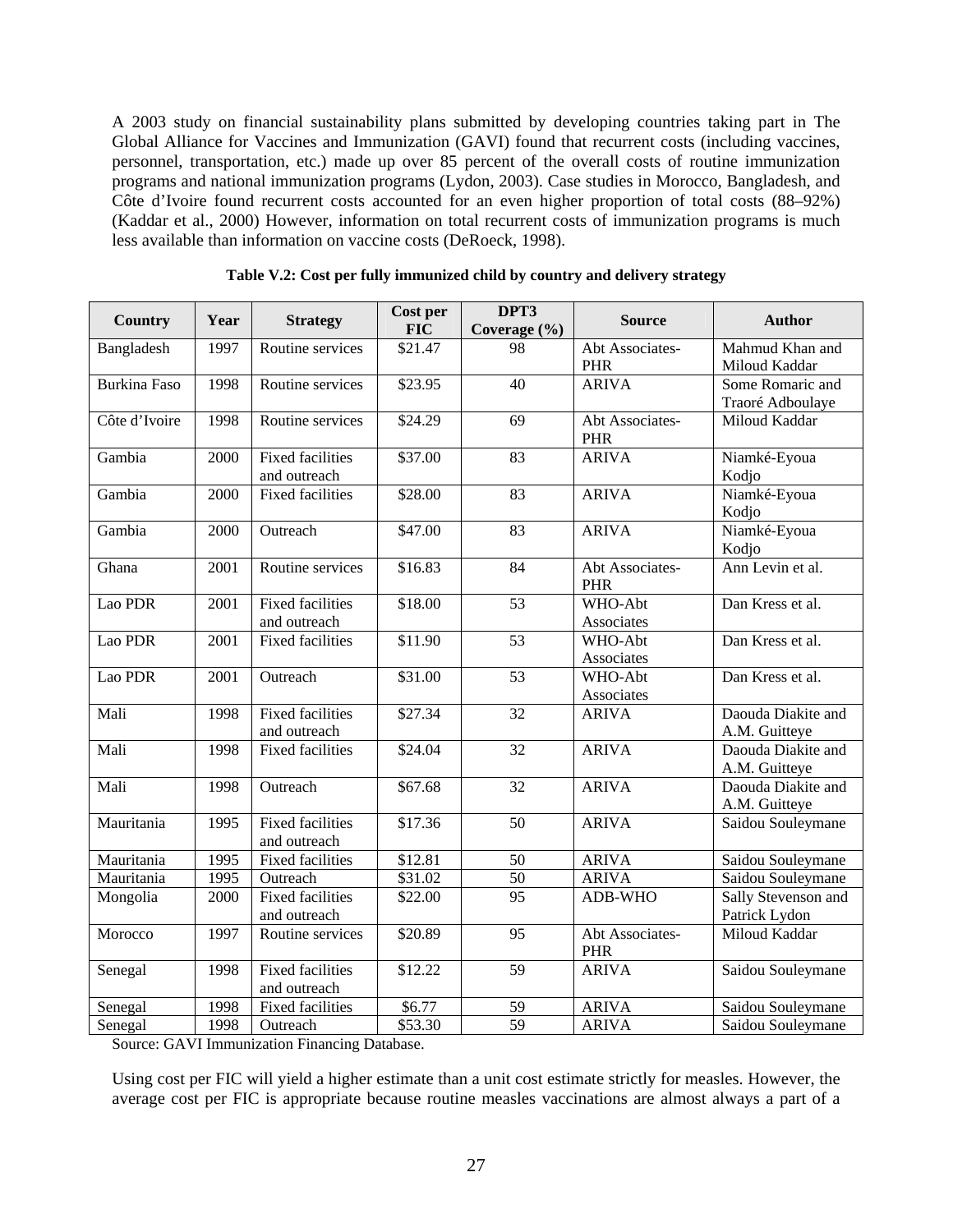A 2003 study on financial sustainability plans submitted by developing countries taking part in The Global Alliance for Vaccines and Immunization (GAVI) found that recurrent costs (including vaccines, personnel, transportation, etc.) made up over 85 percent of the overall costs of routine immunization programs and national immunization programs (Lydon, 2003). Case studies in Morocco, Bangladesh, and Côte d'Ivoire found recurrent costs accounted for an even higher proportion of total costs (88–92%) (Kaddar et al., 2000) However, information on total recurrent costs of immunization programs is much less available than information on vaccine costs (DeRoeck, 1998).

| <b>Country</b>      | Year | <b>Strategy</b>                         | Cost per<br><b>FIC</b>         | DPT3<br>Coverage (%) | <b>Source</b>                 | <b>Author</b>                        |
|---------------------|------|-----------------------------------------|--------------------------------|----------------------|-------------------------------|--------------------------------------|
| Bangladesh          | 1997 | Routine services                        | $\overline{$}2\overline{1}.47$ | 98                   | Abt Associates-<br>PHR        | Mahmud Khan and<br>Miloud Kaddar     |
| <b>Burkina Faso</b> | 1998 | Routine services                        | \$23.95                        | $\overline{40}$      | <b>ARIVA</b>                  | Some Romaric and<br>Traoré Adboulaye |
| Côte d'Ivoire       | 1998 | Routine services                        | \$24.29                        | 69                   | Abt Associates-<br>PHR        | Miloud Kaddar                        |
| Gambia              | 2000 | <b>Fixed facilities</b><br>and outreach | \$37.00                        | 83                   | <b>ARIVA</b>                  | Niamké-Eyoua<br>Kodjo                |
| Gambia              | 2000 | <b>Fixed facilities</b>                 | \$28.00                        | 83                   | <b>ARIVA</b>                  | Niamké-Eyoua<br>Kodjo                |
| Gambia              | 2000 | Outreach                                | \$47.00                        | 83                   | <b>ARIVA</b>                  | Niamké-Eyoua<br>Kodjo                |
| Ghana               | 2001 | Routine services                        | \$16.83                        | 84                   | Abt Associates-<br><b>PHR</b> | Ann Levin et al.                     |
| Lao PDR             | 2001 | <b>Fixed facilities</b><br>and outreach | \$18.00                        | 53                   | WHO-Abt<br>Associates         | Dan Kress et al.                     |
| Lao PDR             | 2001 | <b>Fixed facilities</b>                 | \$11.90                        | $\overline{53}$      | WHO-Abt<br>Associates         | Dan Kress et al.                     |
| Lao PDR             | 2001 | Outreach                                | \$31.00                        | $\overline{53}$      | WHO-Abt<br>Associates         | Dan Kress et al.                     |
| Mali                | 1998 | <b>Fixed facilities</b><br>and outreach | \$27.34                        | $\overline{32}$      | <b>ARIVA</b>                  | Daouda Diakite and<br>A.M. Guitteye  |
| Mali                | 1998 | <b>Fixed facilities</b>                 | \$24.04                        | 32                   | <b>ARIVA</b>                  | Daouda Diakite and<br>A.M. Guitteye  |
| Mali                | 1998 | Outreach                                | \$67.68                        | $\overline{32}$      | <b>ARIVA</b>                  | Daouda Diakite and<br>A.M. Guitteye  |
| Mauritania          | 1995 | <b>Fixed facilities</b><br>and outreach | \$17.36                        | 50                   | <b>ARIVA</b>                  | Saidou Souleymane                    |
| Mauritania          | 1995 | <b>Fixed facilities</b>                 | \$12.81                        | 50                   | <b>ARIVA</b>                  | Saidou Souleymane                    |
| Mauritania          | 1995 | Outreach                                | \$31.02                        | $\overline{50}$      | <b>ARIVA</b>                  | Saidou Souleymane                    |
| Mongolia            | 2000 | <b>Fixed facilities</b><br>and outreach | \$22.00                        | 95                   | ADB-WHO                       | Sally Stevenson and<br>Patrick Lydon |
| Morocco             | 1997 | Routine services                        | \$20.89                        | 95                   | Abt Associates-<br><b>PHR</b> | Miloud Kaddar                        |
| Senegal             | 1998 | <b>Fixed facilities</b><br>and outreach | \$12.22                        | 59                   | <b>ARIVA</b>                  | Saidou Souleymane                    |
| Senegal             | 1998 | <b>Fixed facilities</b>                 | \$6.77                         | 59                   | <b>ARIVA</b>                  | Saidou Souleymane                    |
| Senegal             | 1998 | Outreach                                | \$53.30                        | 59                   | <b>ARIVA</b>                  | Saidou Souleymane                    |

**Table V.2: Cost per fully immunized child by country and delivery strategy**

Source: GAVI Immunization Financing Database.

Using cost per FIC will yield a higher estimate than a unit cost estimate strictly for measles. However, the average cost per FIC is appropriate because routine measles vaccinations are almost always a part of a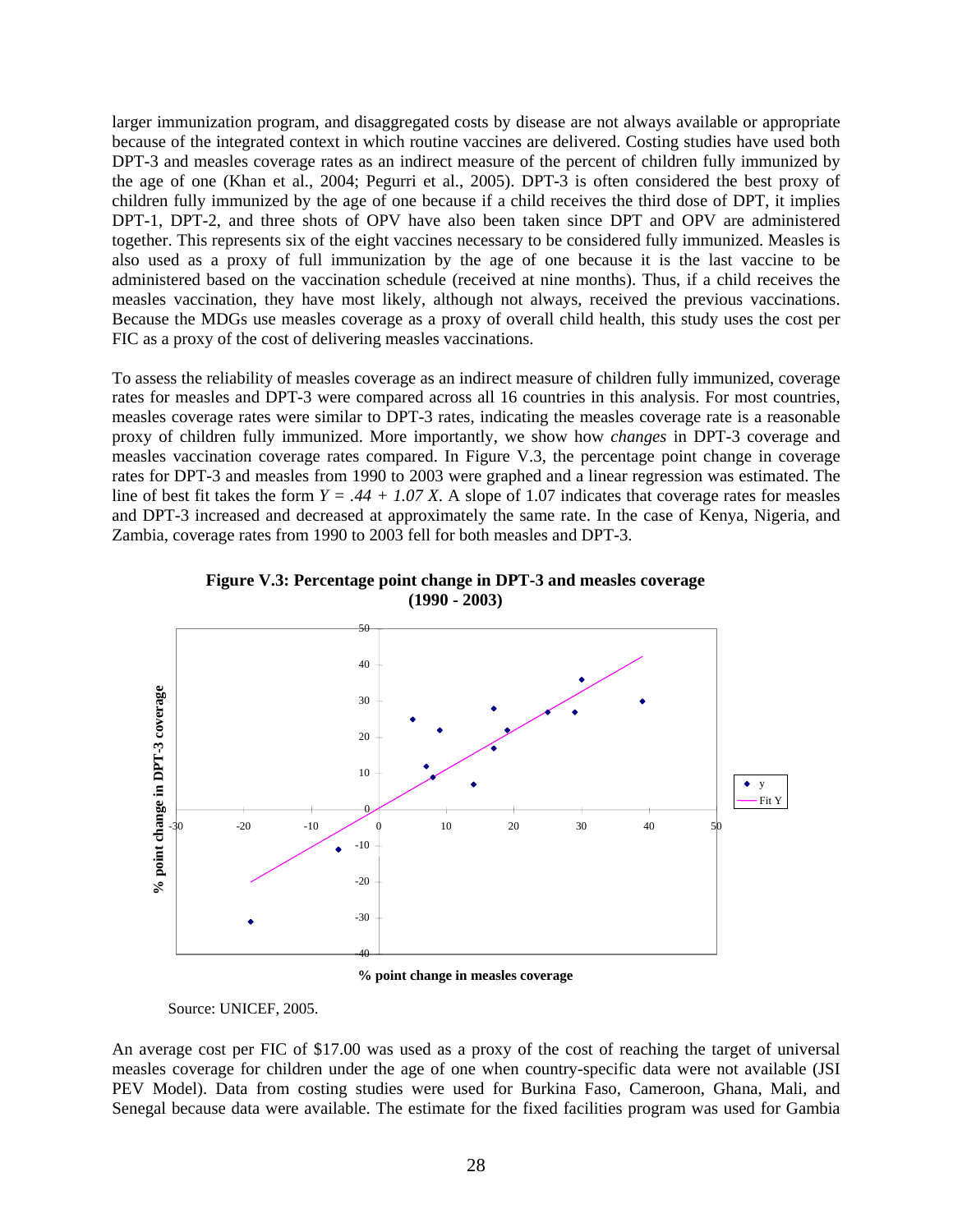larger immunization program, and disaggregated costs by disease are not always available or appropriate because of the integrated context in which routine vaccines are delivered. Costing studies have used both DPT-3 and measles coverage rates as an indirect measure of the percent of children fully immunized by the age of one (Khan et al., 2004; Pegurri et al., 2005). DPT-3 is often considered the best proxy of children fully immunized by the age of one because if a child receives the third dose of DPT, it implies DPT-1, DPT-2, and three shots of OPV have also been taken since DPT and OPV are administered together. This represents six of the eight vaccines necessary to be considered fully immunized. Measles is also used as a proxy of full immunization by the age of one because it is the last vaccine to be administered based on the vaccination schedule (received at nine months). Thus, if a child receives the measles vaccination, they have most likely, although not always, received the previous vaccinations. Because the MDGs use measles coverage as a proxy of overall child health, this study uses the cost per FIC as a proxy of the cost of delivering measles vaccinations.

To assess the reliability of measles coverage as an indirect measure of children fully immunized, coverage rates for measles and DPT-3 were compared across all 16 countries in this analysis. For most countries, measles coverage rates were similar to DPT-3 rates, indicating the measles coverage rate is a reasonable proxy of children fully immunized. More importantly, we show how *changes* in DPT-3 coverage and measles vaccination coverage rates compared. In Figure V.3, the percentage point change in coverage rates for DPT-3 and measles from 1990 to 2003 were graphed and a linear regression was estimated. The line of best fit takes the form  $Y = .44 + 1.07 X$ . A slope of 1.07 indicates that coverage rates for measles and DPT-3 increased and decreased at approximately the same rate. In the case of Kenya, Nigeria, and Zambia, coverage rates from 1990 to 2003 fell for both measles and DPT-3.



**Figure V.3: Percentage point change in DPT-3 and measles coverage (1990 - 2003)**

Source: UNICEF, 2005.

An average cost per FIC of \$17.00 was used as a proxy of the cost of reaching the target of universal measles coverage for children under the age of one when country-specific data were not available (JSI PEV Model). Data from costing studies were used for Burkina Faso, Cameroon, Ghana, Mali, and Senegal because data were available. The estimate for the fixed facilities program was used for Gambia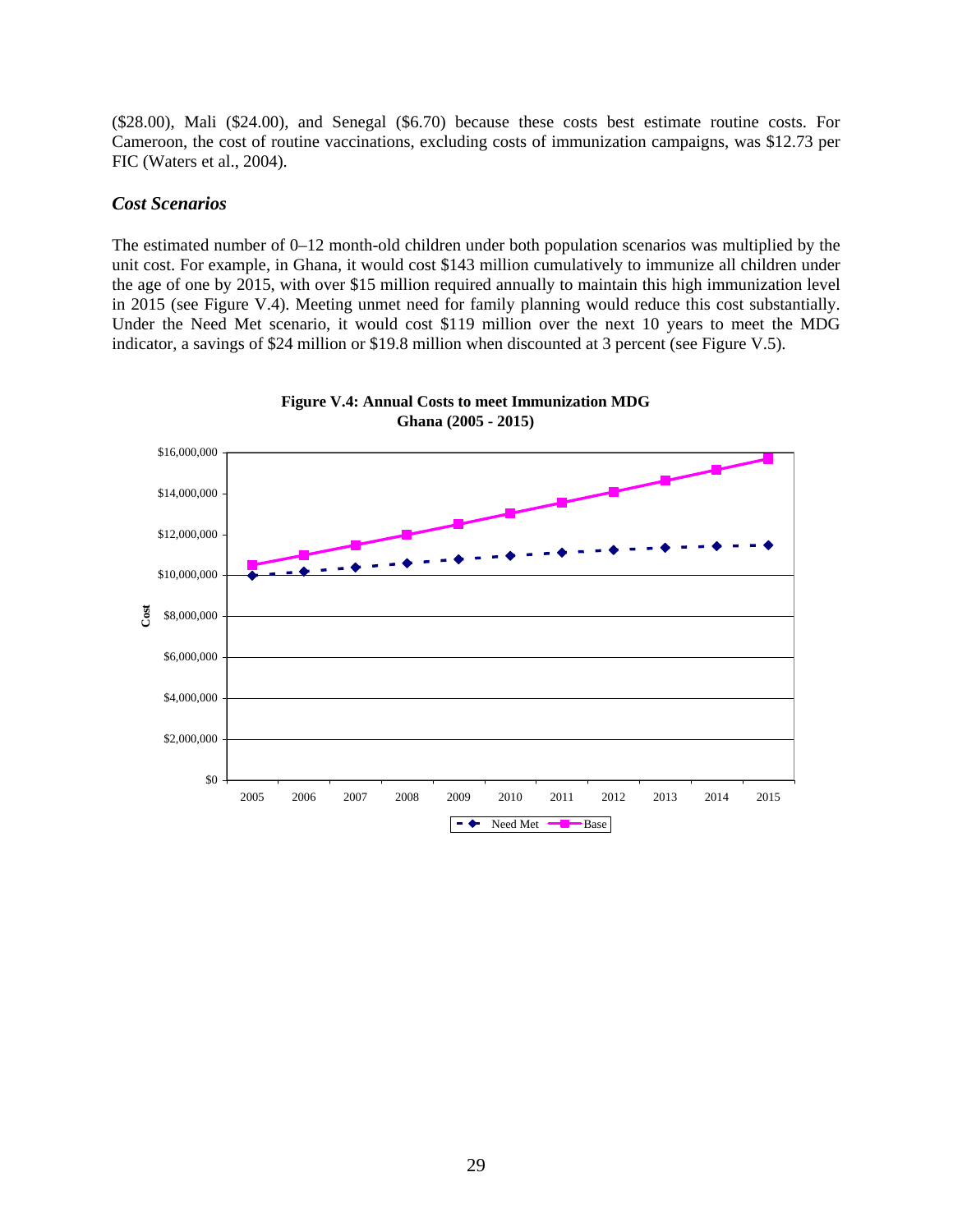(\$28.00), Mali (\$24.00), and Senegal (\$6.70) because these costs best estimate routine costs. For Cameroon, the cost of routine vaccinations, excluding costs of immunization campaigns, was \$12.73 per FIC (Waters et al., 2004).

#### *Cost Scenarios*

The estimated number of 0–12 month-old children under both population scenarios was multiplied by the unit cost. For example, in Ghana, it would cost \$143 million cumulatively to immunize all children under the age of one by 2015, with over \$15 million required annually to maintain this high immunization level in 2015 (see Figure V.4). Meeting unmet need for family planning would reduce this cost substantially. Under the Need Met scenario, it would cost \$119 million over the next 10 years to meet the MDG indicator, a savings of \$24 million or \$19.8 million when discounted at 3 percent (see Figure V.5).



**Figure V.4: Annual Costs to meet Immunization MDG Ghana (2005 - 2015)**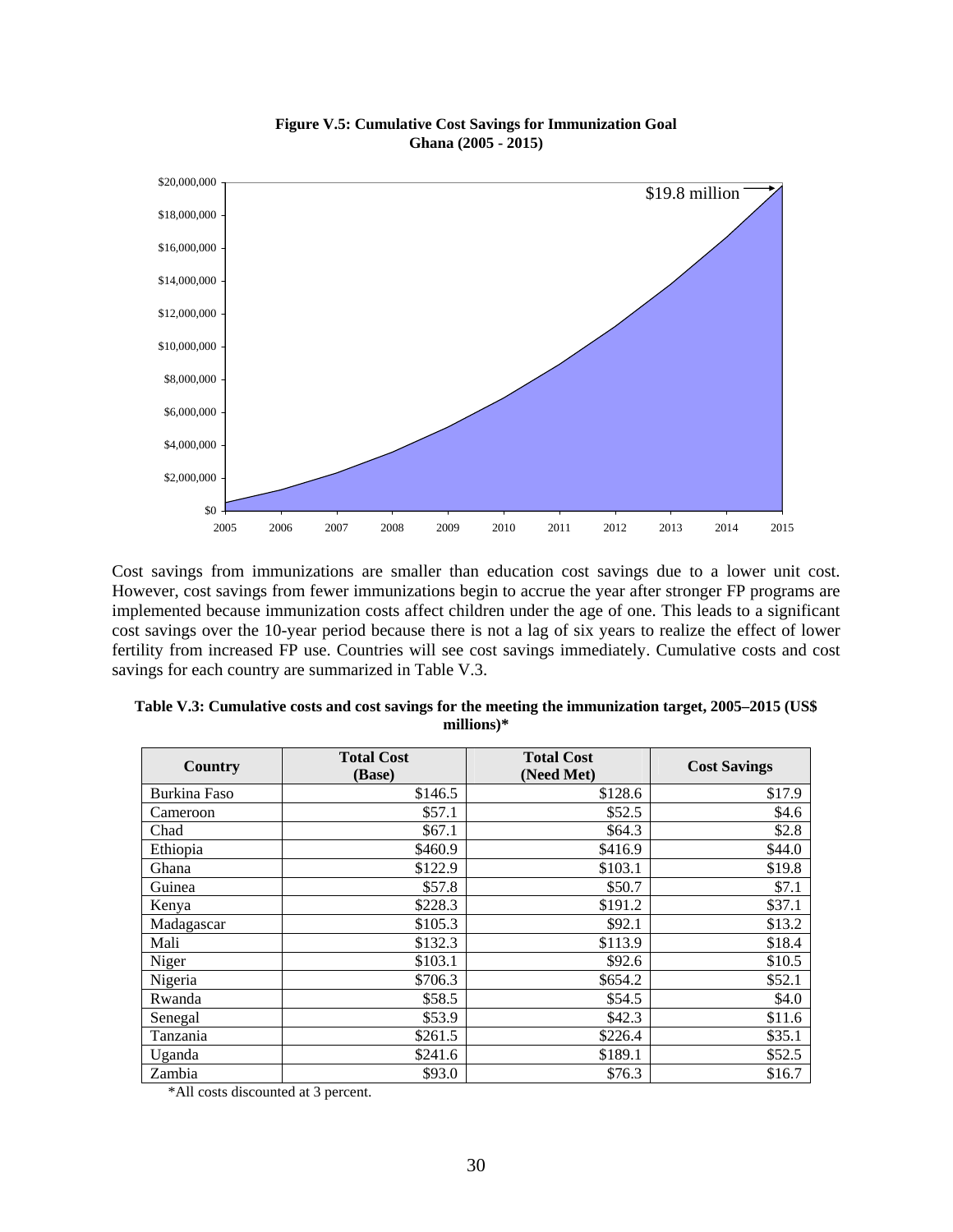

#### **Figure V.5: Cumulative Cost Savings for Immunization Goal Ghana (2005 - 2015)**

Cost savings from immunizations are smaller than education cost savings due to a lower unit cost. However, cost savings from fewer immunizations begin to accrue the year after stronger FP programs are implemented because immunization costs affect children under the age of one. This leads to a significant cost savings over the 10-year period because there is not a lag of six years to realize the effect of lower fertility from increased FP use. Countries will see cost savings immediately. Cumulative costs and cost savings for each country are summarized in Table V.3.

| <b>Country</b>      | <b>Total Cost</b><br>(Base) | <b>Total Cost</b><br>(Need Met) | <b>Cost Savings</b> |
|---------------------|-----------------------------|---------------------------------|---------------------|
| <b>Burkina Faso</b> | \$146.5                     | \$128.6                         | \$17.9              |
| Cameroon            | \$57.1                      | \$52.5                          | \$4.6               |
| Chad                | \$67.1                      | \$64.3                          | \$2.8               |
| Ethiopia            | \$460.9                     | \$416.9                         | \$44.0              |
| Ghana               | \$122.9                     | \$103.1                         | \$19.8              |
| Guinea              | \$57.8                      | \$50.7                          | \$7.1               |
| Kenya               | \$228.3                     | \$191.2                         | \$37.1              |
| Madagascar          | \$105.3                     | \$92.1                          | \$13.2              |
| Mali                | \$132.3                     | \$113.9                         | \$18.4              |
| Niger               | \$103.1                     | \$92.6                          | \$10.5              |
| Nigeria             | \$706.3                     | \$654.2                         | \$52.1              |
| Rwanda              | \$58.5                      | \$54.5                          | \$4.0               |
| Senegal             | \$53.9                      | \$42.3                          | \$11.6              |
| Tanzania            | \$261.5                     | \$226.4                         | \$35.1              |
| Uganda              | \$241.6                     | \$189.1                         | \$52.5              |
| Zambia              | \$93.0                      | \$76.3                          | \$16.7              |

**Table V.3: Cumulative costs and cost savings for the meeting the immunization target, 2005–2015 (US\$ millions)\*** 

\*All costs discounted at 3 percent.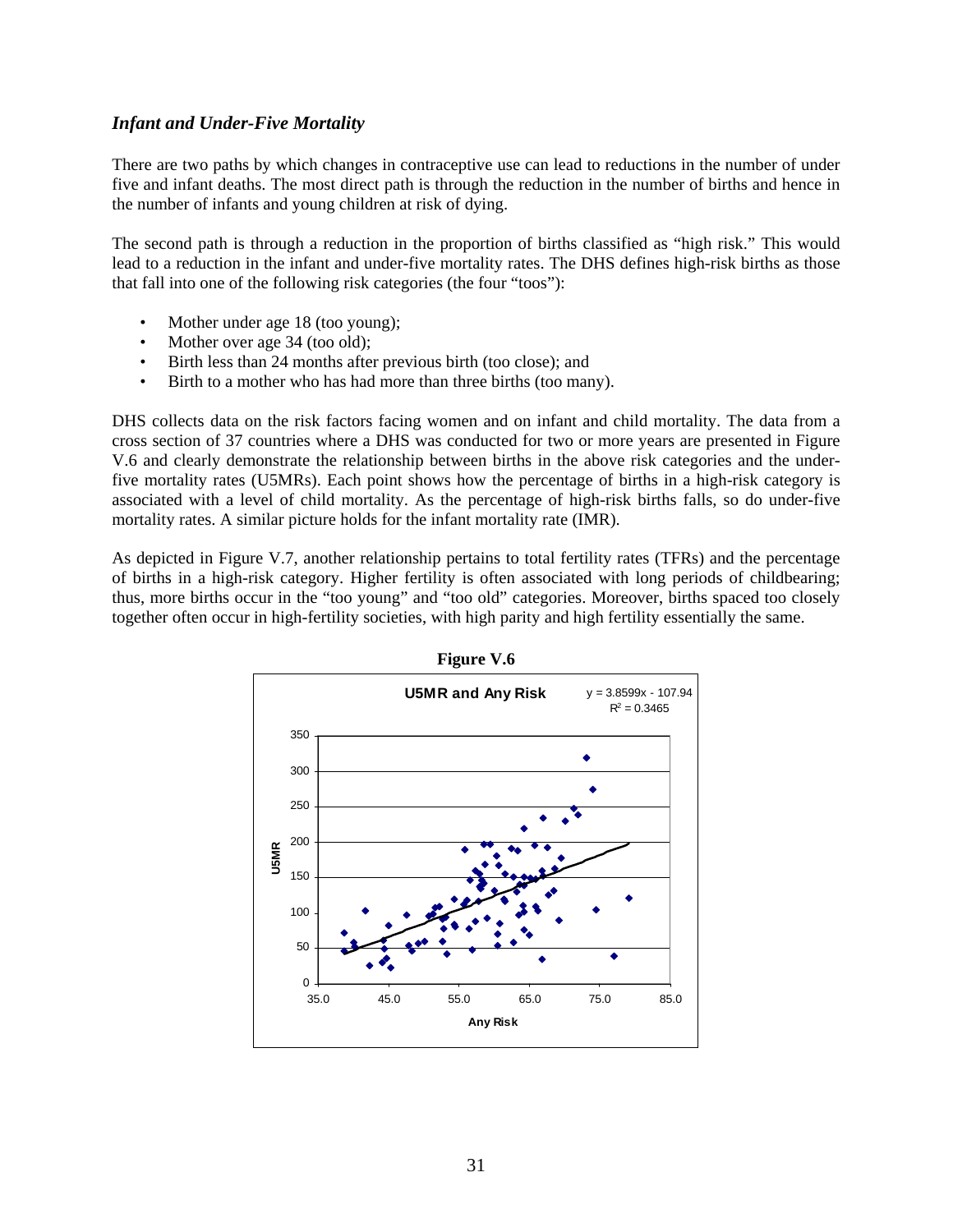### *Infant and Under-Five Mortality*

There are two paths by which changes in contraceptive use can lead to reductions in the number of under five and infant deaths. The most direct path is through the reduction in the number of births and hence in the number of infants and young children at risk of dying.

The second path is through a reduction in the proportion of births classified as "high risk." This would lead to a reduction in the infant and under-five mortality rates. The DHS defines high-risk births as those that fall into one of the following risk categories (the four "toos"):

- Mother under age 18 (too young);
- Mother over age 34 (too old);
- Birth less than 24 months after previous birth (too close); and
- Birth to a mother who has had more than three births (too many).

DHS collects data on the risk factors facing women and on infant and child mortality. The data from a cross section of 37 countries where a DHS was conducted for two or more years are presented in Figure V.6 and clearly demonstrate the relationship between births in the above risk categories and the underfive mortality rates (U5MRs). Each point shows how the percentage of births in a high-risk category is associated with a level of child mortality. As the percentage of high-risk births falls, so do under-five mortality rates. A similar picture holds for the infant mortality rate (IMR).

As depicted in Figure V.7, another relationship pertains to total fertility rates (TFRs) and the percentage of births in a high-risk category. Higher fertility is often associated with long periods of childbearing; thus, more births occur in the "too young" and "too old" categories. Moreover, births spaced too closely together often occur in high-fertility societies, with high parity and high fertility essentially the same.



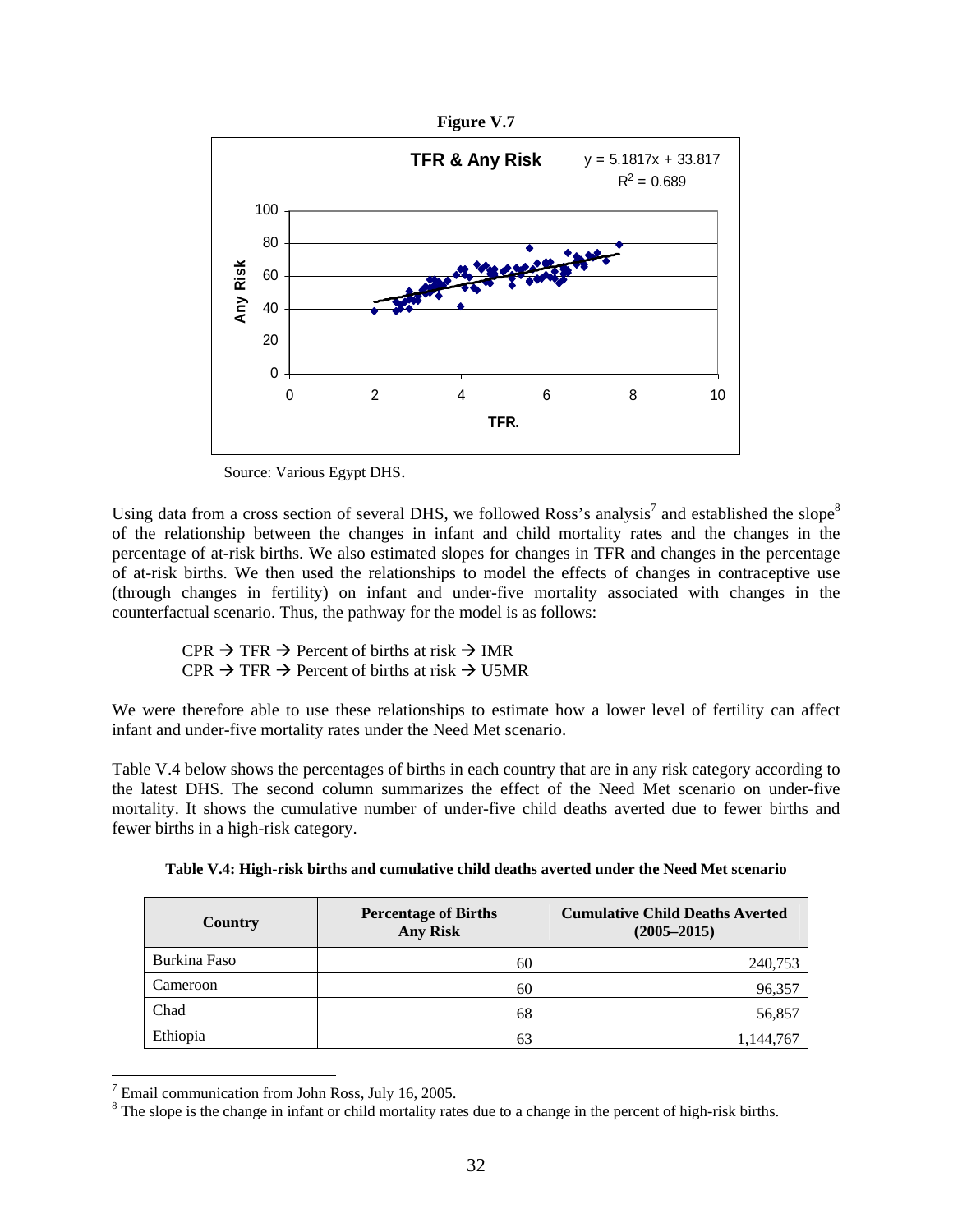

Source: Various Egypt DHS.

Using data from a cross section of several DHS, we followed Ross's analysis<sup>7</sup> and established the slope<sup>8</sup> of the relationship between the changes in infant and child mortality rates and the changes in the percentage of at-risk births. We also estimated slopes for changes in TFR and changes in the percentage of at-risk births. We then used the relationships to model the effects of changes in contraceptive use (through changes in fertility) on infant and under-five mortality associated with changes in the counterfactual scenario. Thus, the pathway for the model is as follows:

 $CPR \rightarrow TFR \rightarrow$  Percent of births at risk  $\rightarrow$  IMR  $CPR \rightarrow TFR \rightarrow Percent$  of births at risk  $\rightarrow$  U5MR

We were therefore able to use these relationships to estimate how a lower level of fertility can affect infant and under-five mortality rates under the Need Met scenario.

Table V.4 below shows the percentages of births in each country that are in any risk category according to the latest DHS. The second column summarizes the effect of the Need Met scenario on under-five mortality. It shows the cumulative number of under-five child deaths averted due to fewer births and fewer births in a high-risk category.

| Table V.4: High-risk births and cumulative child deaths averted under the Need Met scenario |
|---------------------------------------------------------------------------------------------|
|                                                                                             |

| Country      | <b>Percentage of Births</b><br><b>Any Risk</b> | <b>Cumulative Child Deaths Averted</b><br>$(2005 - 2015)$ |
|--------------|------------------------------------------------|-----------------------------------------------------------|
| Burkina Faso | 60                                             | 240,753                                                   |
| Cameroon     | 60                                             | 96,357                                                    |
| Chad         | 68                                             | 56,857                                                    |
| Ethiopia     | 63                                             | 1,144,767                                                 |

 $7$  Email communication from John Ross, July 16, 2005.

 $\overline{a}$ 

 $8$  The slope is the change in infant or child mortality rates due to a change in the percent of high-risk births.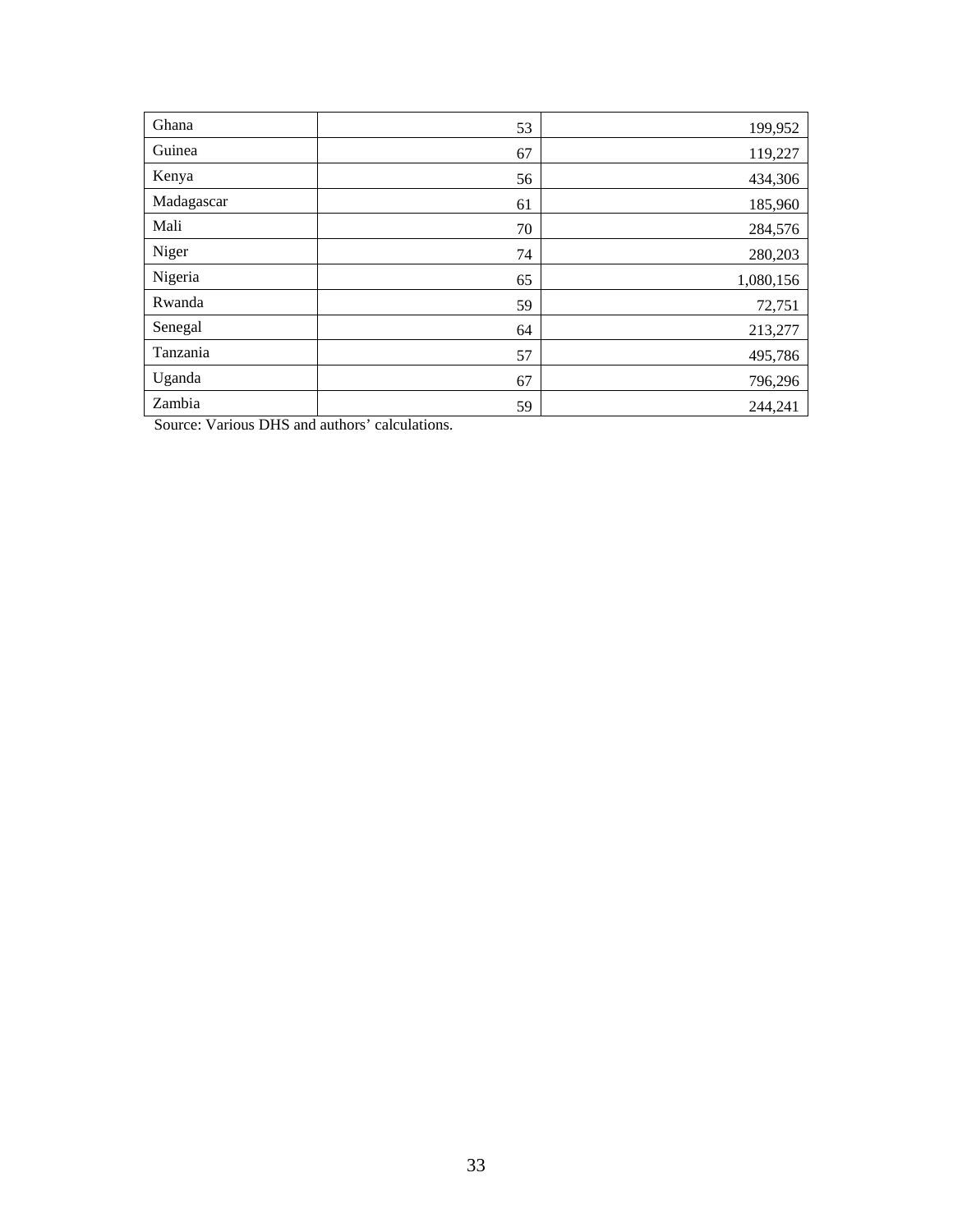| Ghana      | 53 | 199,952   |
|------------|----|-----------|
| Guinea     | 67 | 119,227   |
| Kenya      | 56 | 434,306   |
| Madagascar | 61 | 185,960   |
| Mali       | 70 | 284,576   |
| Niger      | 74 | 280,203   |
| Nigeria    | 65 | 1,080,156 |
| Rwanda     | 59 | 72,751    |
| Senegal    | 64 | 213,277   |
| Tanzania   | 57 | 495,786   |
| Uganda     | 67 | 796,296   |
| Zambia     | 59 | 244,241   |

Source: Various DHS and authors' calculations.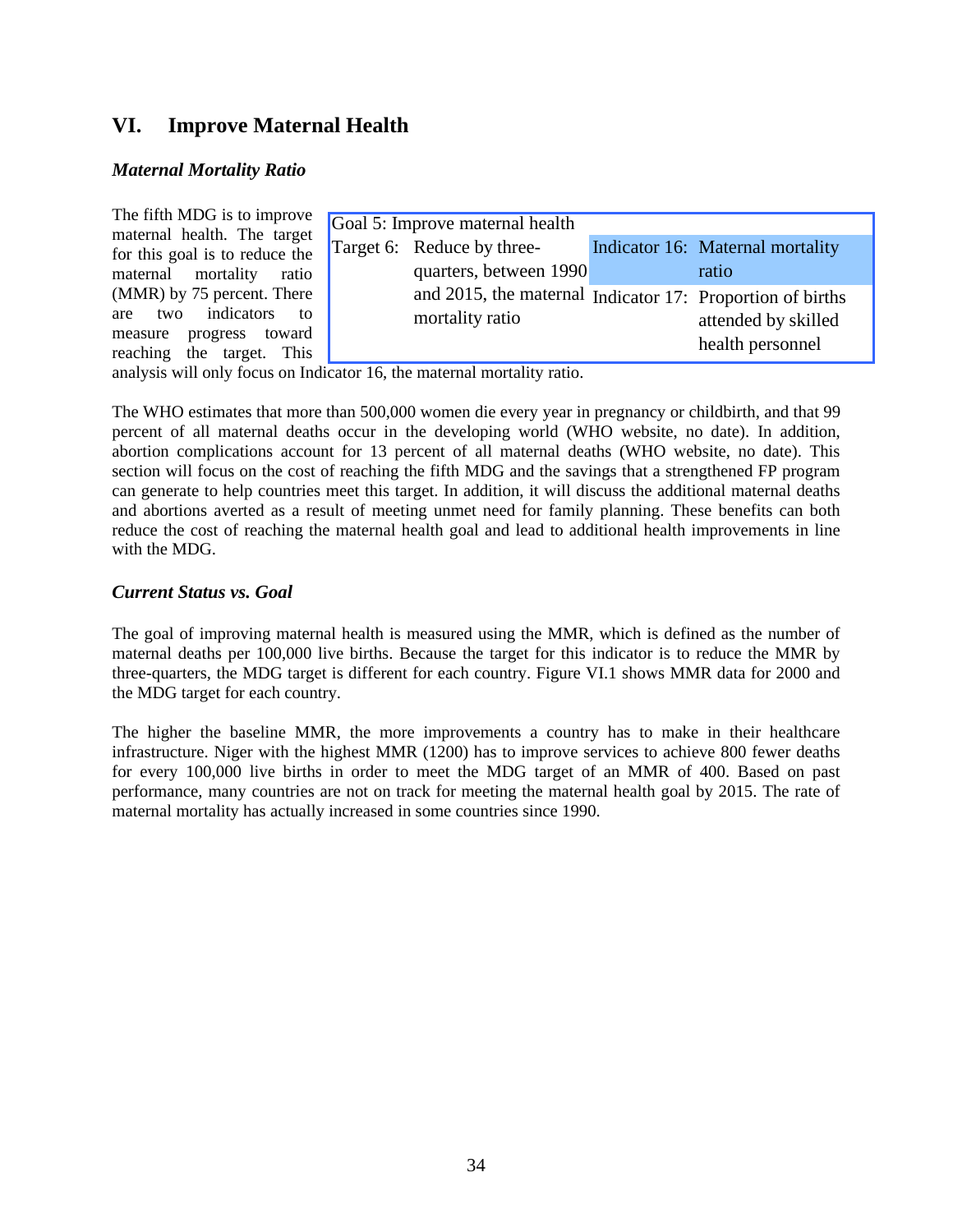# **VI. Improve Maternal Health**

#### *Maternal Mortality Ratio*

| The fifth MDG is to improve                                   | Goal 5: Improve maternal health                           |                                  |
|---------------------------------------------------------------|-----------------------------------------------------------|----------------------------------|
| maternal health. The target<br>for this goal is to reduce the | Target 6: Reduce by three-                                | Indicator 16: Maternal mortality |
| maternal mortality<br>ratio                                   | quarters, between 1990                                    | ratio                            |
| (MMR) by 75 percent. There                                    | and 2015, the maternal Indicator 17: Proportion of births |                                  |
| are two indicators<br>$\overline{t}$                          | mortality ratio                                           | attended by skilled              |
| measure progress toward<br>reaching the target. This          |                                                           | health personnel                 |

analysis will only focus on Indicator 16, the maternal mortality ratio.

The WHO estimates that more than 500,000 women die every year in pregnancy or childbirth, and that 99 percent of all maternal deaths occur in the developing world (WHO website, no date). In addition, abortion complications account for 13 percent of all maternal deaths (WHO website, no date). This section will focus on the cost of reaching the fifth MDG and the savings that a strengthened FP program can generate to help countries meet this target. In addition, it will discuss the additional maternal deaths and abortions averted as a result of meeting unmet need for family planning. These benefits can both reduce the cost of reaching the maternal health goal and lead to additional health improvements in line with the MDG.

### *Current Status vs. Goal*

The goal of improving maternal health is measured using the MMR, which is defined as the number of maternal deaths per 100,000 live births. Because the target for this indicator is to reduce the MMR by three-quarters, the MDG target is different for each country. Figure VI.1 shows MMR data for 2000 and the MDG target for each country.

The higher the baseline MMR, the more improvements a country has to make in their healthcare infrastructure. Niger with the highest MMR (1200) has to improve services to achieve 800 fewer deaths for every 100,000 live births in order to meet the MDG target of an MMR of 400. Based on past performance, many countries are not on track for meeting the maternal health goal by 2015. The rate of maternal mortality has actually increased in some countries since 1990.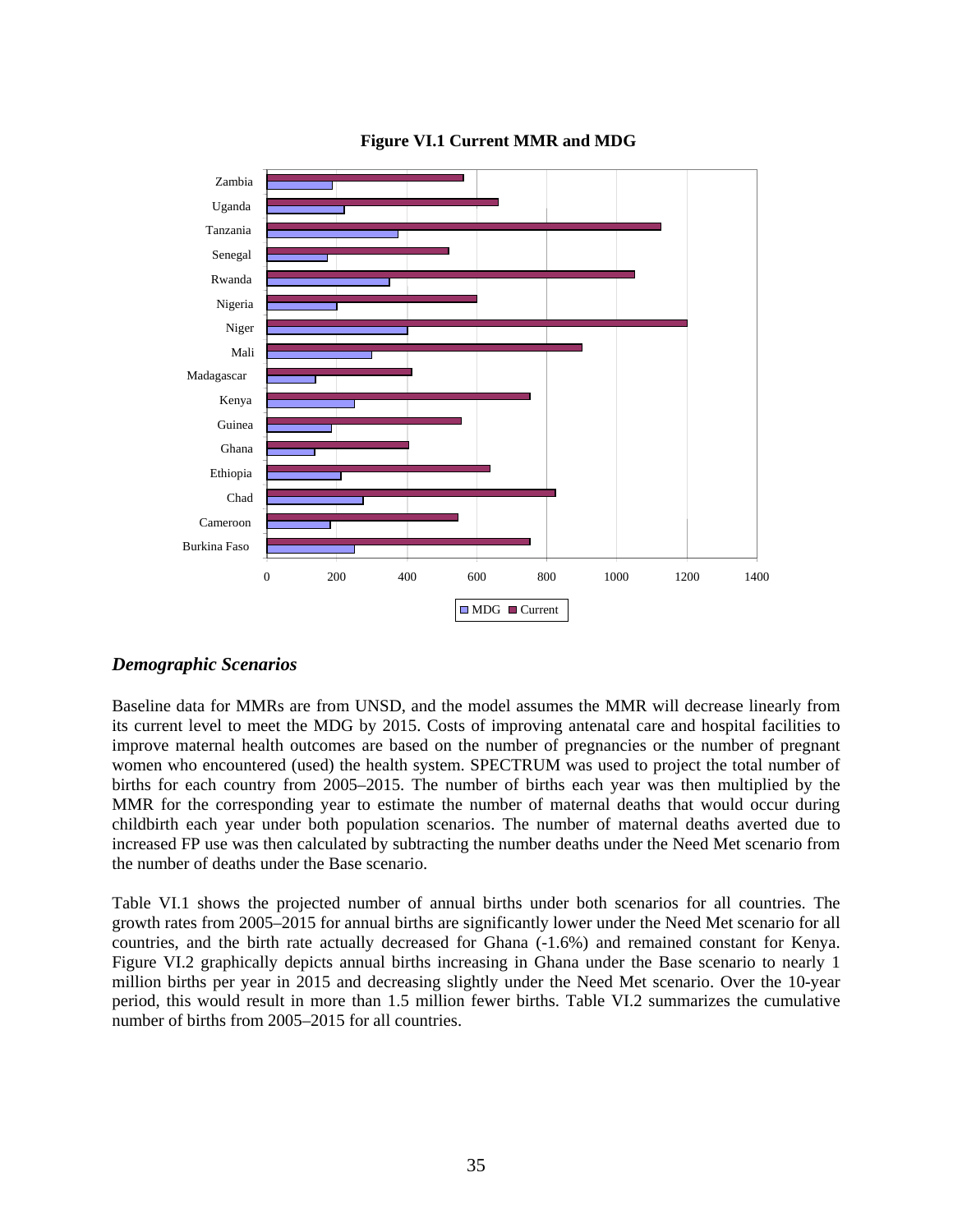

### **Figure VI.1 Current MMR and MDG**

## *Demographic Scenarios*

Baseline data for MMRs are from UNSD, and the model assumes the MMR will decrease linearly from its current level to meet the MDG by 2015. Costs of improving antenatal care and hospital facilities to improve maternal health outcomes are based on the number of pregnancies or the number of pregnant women who encountered (used) the health system. SPECTRUM was used to project the total number of births for each country from 2005–2015. The number of births each year was then multiplied by the MMR for the corresponding year to estimate the number of maternal deaths that would occur during childbirth each year under both population scenarios. The number of maternal deaths averted due to increased FP use was then calculated by subtracting the number deaths under the Need Met scenario from the number of deaths under the Base scenario.

Table VI.1 shows the projected number of annual births under both scenarios for all countries. The growth rates from 2005–2015 for annual births are significantly lower under the Need Met scenario for all countries, and the birth rate actually decreased for Ghana (-1.6%) and remained constant for Kenya. Figure VI.2 graphically depicts annual births increasing in Ghana under the Base scenario to nearly 1 million births per year in 2015 and decreasing slightly under the Need Met scenario. Over the 10-year period, this would result in more than 1.5 million fewer births. Table VI.2 summarizes the cumulative number of births from 2005–2015 for all countries.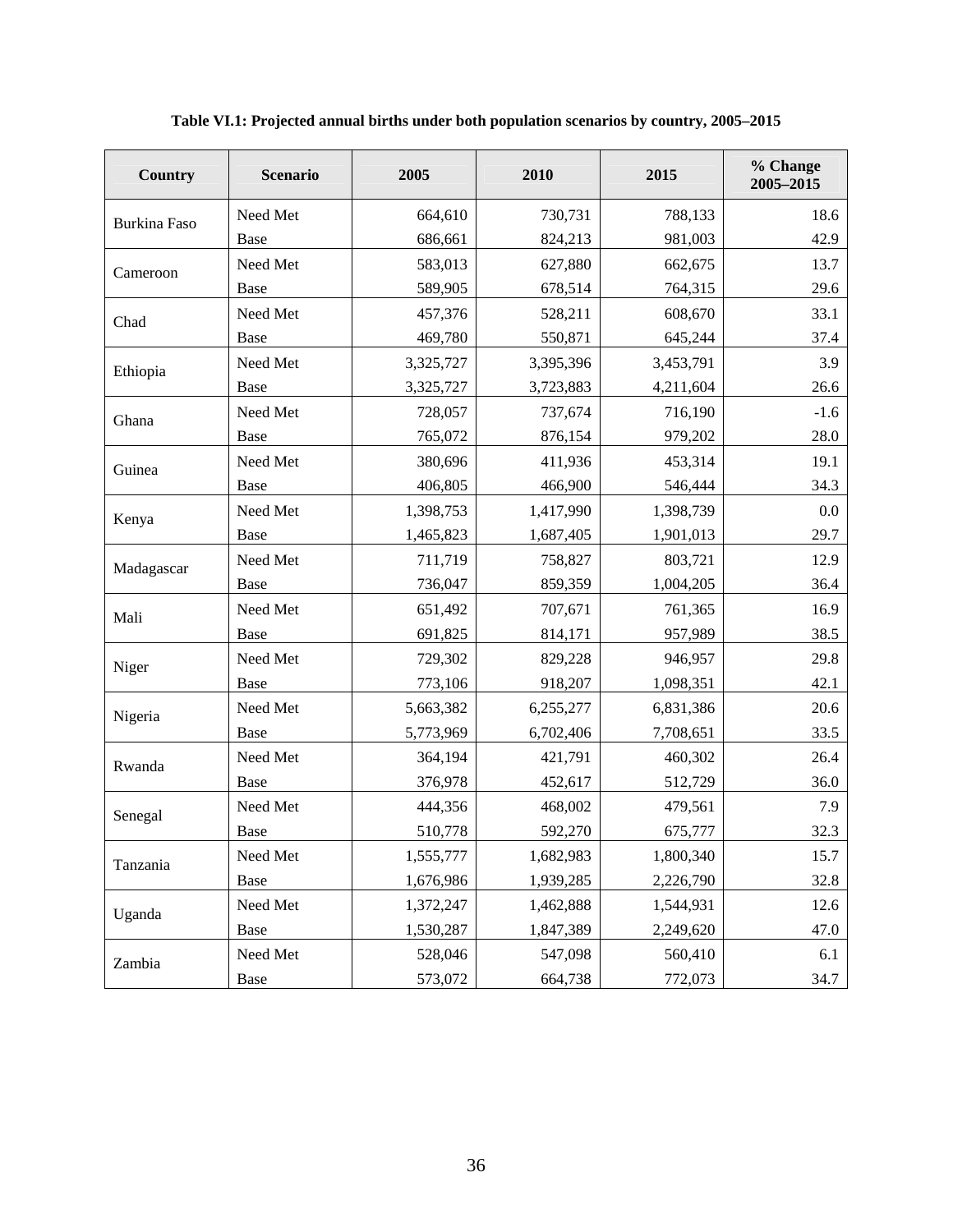| Country             | <b>Scenario</b> | 2005      | 2010      | 2015                                                                                                                                                                                                  | % Change<br>2005-2015 |
|---------------------|-----------------|-----------|-----------|-------------------------------------------------------------------------------------------------------------------------------------------------------------------------------------------------------|-----------------------|
| <b>Burkina Faso</b> | Need Met        | 664,610   | 730,731   | 788,133                                                                                                                                                                                               | 18.6                  |
|                     | Base            | 686,661   | 824,213   | 981,003                                                                                                                                                                                               | 42.9                  |
| Cameroon            | Need Met        | 583,013   | 627,880   | 662,675                                                                                                                                                                                               | 13.7                  |
|                     | Base            | 589,905   | 678,514   | 764,315                                                                                                                                                                                               | 29.6                  |
| Chad                | Need Met        | 457,376   | 528,211   | 608,670                                                                                                                                                                                               | 33.1                  |
|                     | Base            | 469,780   | 550,871   | 645,244                                                                                                                                                                                               | 37.4                  |
| Ethiopia            | Need Met        | 3,325,727 | 3,395,396 | 3,453,791                                                                                                                                                                                             | 3.9                   |
|                     | Base            | 3,325,727 | 3,723,883 | 4,211,604                                                                                                                                                                                             | 26.6                  |
| Ghana               | Need Met        | 728,057   | 737,674   | 716,190                                                                                                                                                                                               | $-1.6$                |
|                     | Base            | 765,072   | 876,154   | 979,202                                                                                                                                                                                               | 28.0                  |
| Guinea              | Need Met        | 380,696   | 411,936   | 453,314                                                                                                                                                                                               | 19.1                  |
|                     | Base            | 406,805   | 466,900   | 546,444                                                                                                                                                                                               | 34.3                  |
| Kenya               | Need Met        | 1,398,753 | 1,417,990 | 1,398,739                                                                                                                                                                                             | 0.0                   |
|                     | Base            | 1,465,823 | 1,687,405 | 1,901,013                                                                                                                                                                                             | 29.7                  |
| Madagascar          | Need Met        | 711,719   | 758,827   | 803,721                                                                                                                                                                                               | 12.9                  |
|                     | Base            | 736,047   | 859,359   | 1,004,205                                                                                                                                                                                             | 36.4                  |
| Mali                | Need Met        | 651,492   | 707,671   | 761,365                                                                                                                                                                                               | 16.9                  |
|                     | Base            | 691,825   | 814,171   | 957,989                                                                                                                                                                                               | 38.5                  |
| Niger               | Need Met        | 729,302   | 829,228   | 946,957                                                                                                                                                                                               | 29.8                  |
|                     | Base            | 773,106   | 918,207   | 1,098,351<br>6,831,386<br>7,708,651<br>460,302<br>421,791<br>452,617<br>512,729<br>468,002<br>479,561<br>592,270<br>675,777<br>1,800,340<br>2,226,790<br>1,544,931<br>2,249,620<br>547,098<br>560,410 | 42.1                  |
| Nigeria             | Need Met        | 5,663,382 | 6,255,277 |                                                                                                                                                                                                       | 20.6                  |
|                     | Base            | 5,773,969 | 6,702,406 |                                                                                                                                                                                                       | 33.5                  |
| Rwanda              | Need Met        | 364,194   |           |                                                                                                                                                                                                       | 26.4                  |
|                     | Base            | 376,978   |           |                                                                                                                                                                                                       | 36.0                  |
| Senegal             | Need Met        | 444,356   |           |                                                                                                                                                                                                       | 7.9                   |
|                     | Base            | 510,778   |           |                                                                                                                                                                                                       | 32.3                  |
| Tanzania            | Need Met        | 1,555,777 | 1,682,983 |                                                                                                                                                                                                       | 15.7                  |
|                     | Base            | 1,676,986 | 1,939,285 |                                                                                                                                                                                                       | 32.8                  |
| Uganda              | Need Met        | 1,372,247 | 1,462,888 |                                                                                                                                                                                                       | 12.6                  |
|                     | Base            | 1,530,287 | 1,847,389 |                                                                                                                                                                                                       | 47.0                  |
| Zambia              | Need Met        | 528,046   |           |                                                                                                                                                                                                       | 6.1                   |
|                     | Base            | 573,072   | 664,738   | 772,073                                                                                                                                                                                               | 34.7                  |

**Table VI.1: Projected annual births under both population scenarios by country, 2005–2015**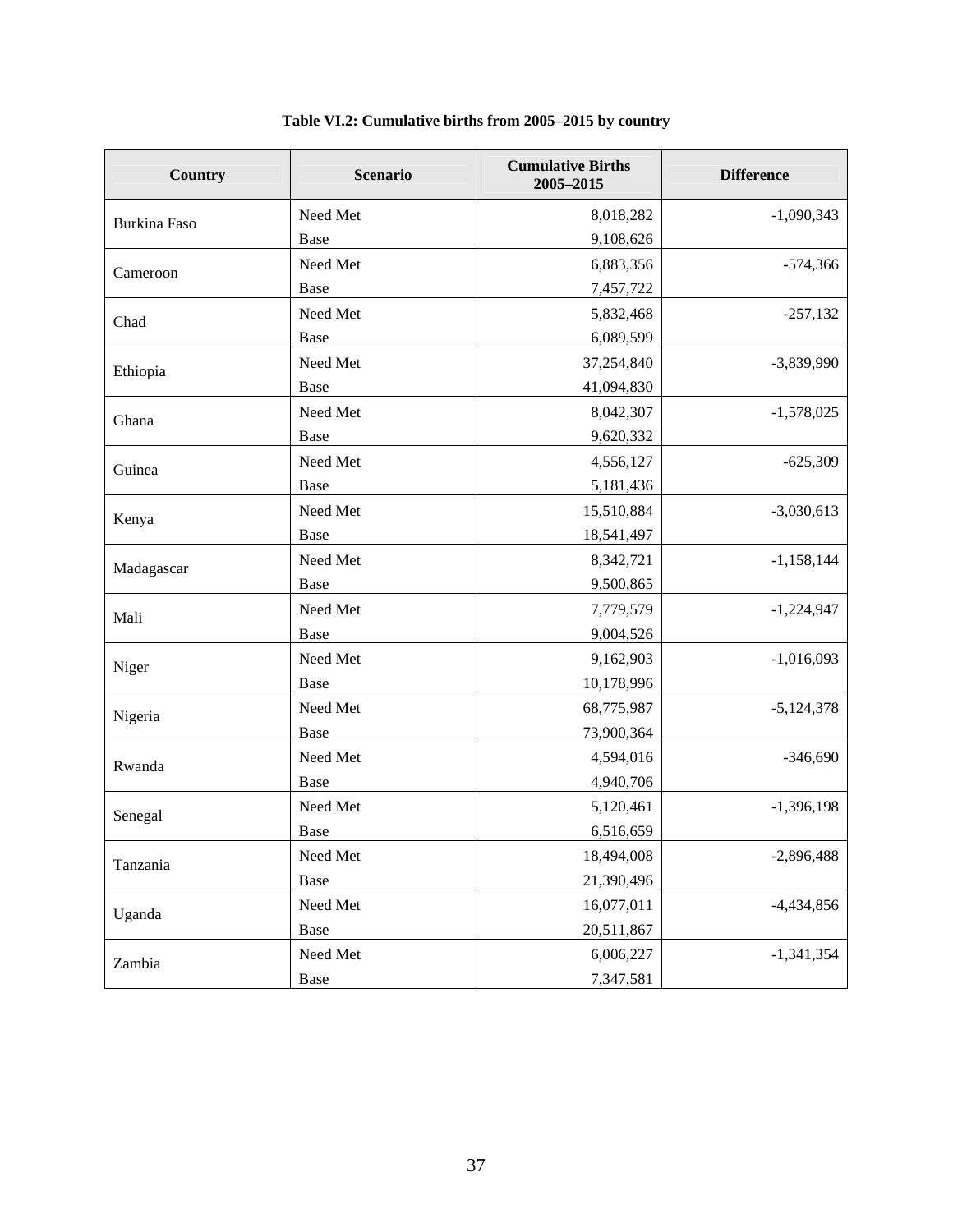| Country             | <b>Scenario</b> | <b>Cumulative Births</b><br>2005-2015 | <b>Difference</b> |
|---------------------|-----------------|---------------------------------------|-------------------|
| <b>Burkina Faso</b> | Need Met        | 8,018,282                             | $-1,090,343$      |
|                     | Base            | 9,108,626                             |                   |
| Cameroon            | Need Met        | 6,883,356                             | $-574,366$        |
|                     | Base            | 7,457,722                             |                   |
| Chad                | Need Met        | 5,832,468                             | $-257,132$        |
|                     | Base            | 6,089,599                             |                   |
| Ethiopia            | Need Met        | 37,254,840                            | $-3,839,990$      |
|                     | Base            | 41,094,830                            |                   |
| Ghana               | Need Met        | 8,042,307                             | $-1,578,025$      |
|                     | Base            | 9,620,332                             |                   |
| Guinea              | Need Met        | 4,556,127                             | $-625,309$        |
|                     | Base            | 5,181,436                             |                   |
| Kenya               | Need Met        | 15,510,884                            | $-3,030,613$      |
|                     | Base            | 18,541,497                            |                   |
| Madagascar          | Need Met        | 8,342,721                             | $-1,158,144$      |
|                     | Base            | 9,500,865                             |                   |
| Mali                | Need Met        | 7,779,579                             | $-1,224,947$      |
|                     | Base            | 9,004,526                             |                   |
| Niger               | Need Met        | 9,162,903                             | $-1,016,093$      |
|                     | Base            | 10,178,996                            |                   |
| Nigeria             | Need Met        | 68,775,987                            | $-5,124,378$      |
|                     | Base            | 73,900,364                            |                   |
| Rwanda              | Need Met        | 4,594,016                             | $-346,690$        |
|                     | Base            | 4,940,706                             |                   |
| Senegal             | Need Met        | 5,120,461                             | $-1,396,198$      |
|                     | Base            | 6,516,659                             |                   |
| Tanzania            | Need Met        | 18,494,008                            | $-2,896,488$      |
|                     | Base            | 21,390,496                            |                   |
| Uganda              | Need Met        | 16,077,011                            | $-4,434,856$      |
|                     | Base            | 20,511,867                            |                   |
| Zambia              | Need Met        | 6,006,227                             | $-1,341,354$      |
|                     | Base            | 7,347,581                             |                   |

| Table VI.2: Cumulative births from 2005–2015 by country |
|---------------------------------------------------------|
|---------------------------------------------------------|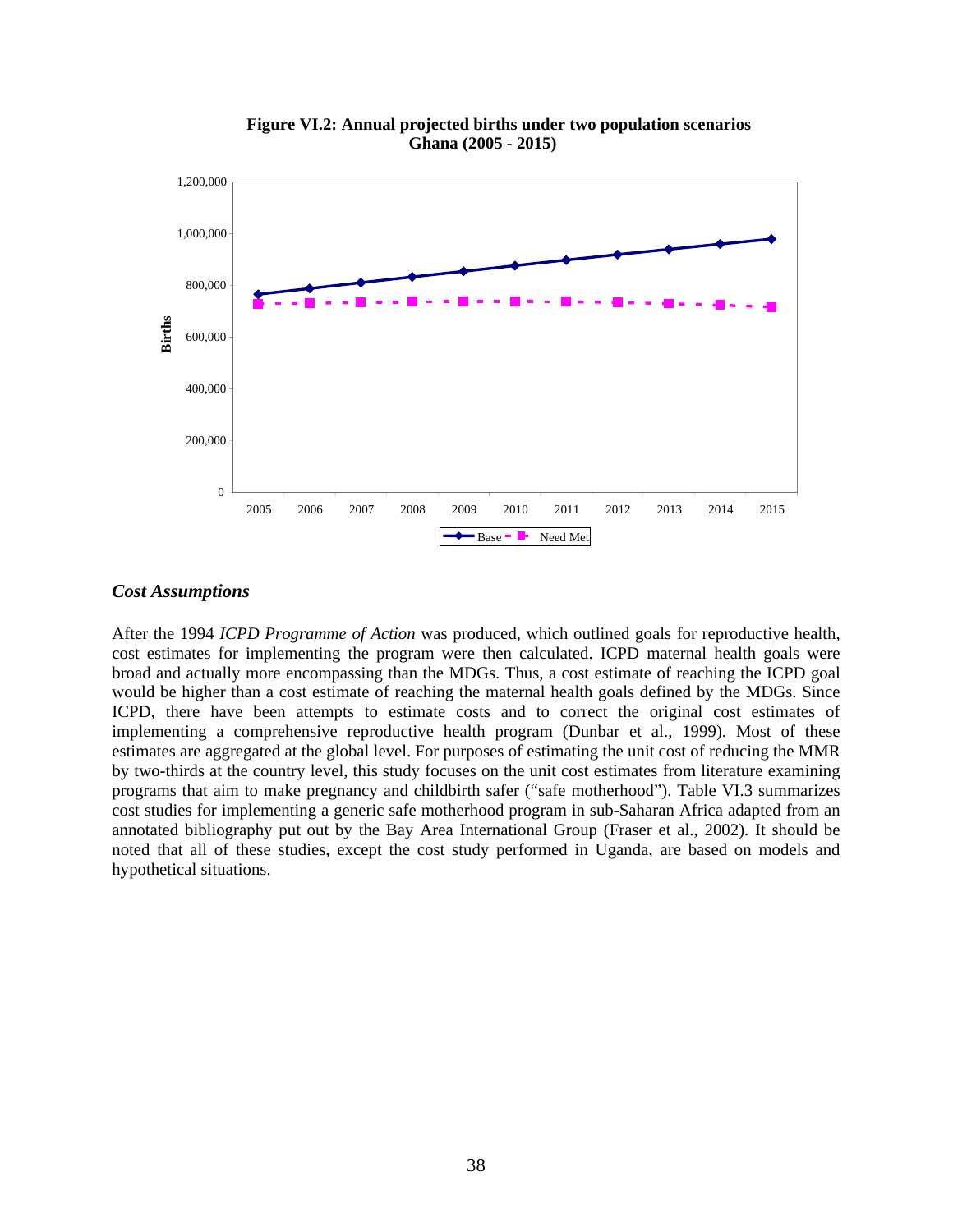

**Figure VI.2: Annual projected births under two population scenarios Ghana (2005 - 2015)**

### *Cost Assumptions*

After the 1994 *ICPD Programme of Action* was produced, which outlined goals for reproductive health, cost estimates for implementing the program were then calculated. ICPD maternal health goals were broad and actually more encompassing than the MDGs. Thus, a cost estimate of reaching the ICPD goal would be higher than a cost estimate of reaching the maternal health goals defined by the MDGs. Since ICPD, there have been attempts to estimate costs and to correct the original cost estimates of implementing a comprehensive reproductive health program (Dunbar et al., 1999). Most of these estimates are aggregated at the global level. For purposes of estimating the unit cost of reducing the MMR by two-thirds at the country level, this study focuses on the unit cost estimates from literature examining programs that aim to make pregnancy and childbirth safer ("safe motherhood"). Table VI.3 summarizes cost studies for implementing a generic safe motherhood program in sub-Saharan Africa adapted from an annotated bibliography put out by the Bay Area International Group (Fraser et al., 2002). It should be noted that all of these studies, except the cost study performed in Uganda, are based on models and hypothetical situations.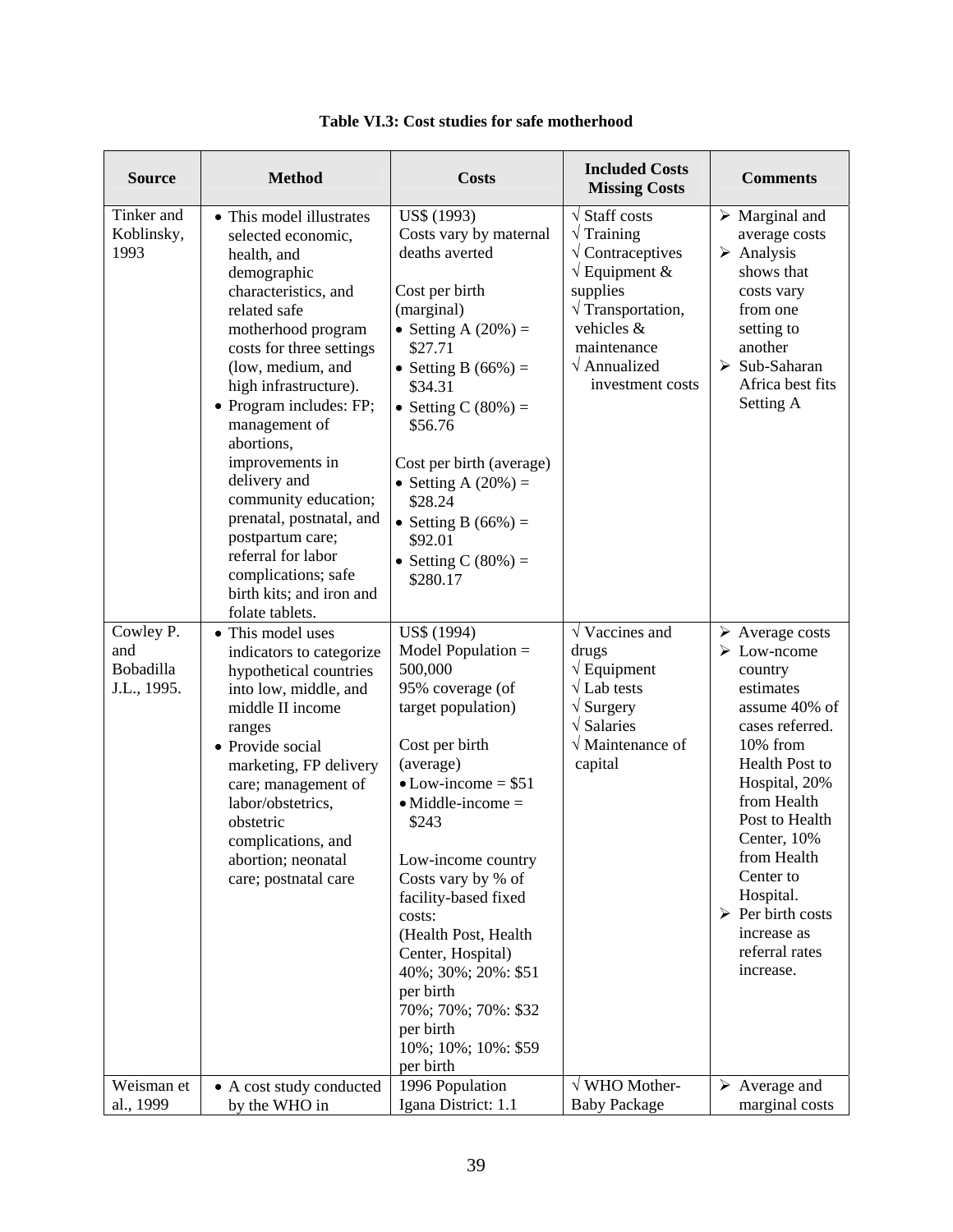| <b>Source</b>                                | <b>Method</b>                                                                                                                                                                                                                                                                                                                                                                                                                                                                         | <b>Costs</b>                                                                                                                                                                                                                                                                                                                                                                                                                          | <b>Included Costs</b><br><b>Missing Costs</b>                                                                                                                                                                                                     | <b>Comments</b>                                                                                                                                                                                                                                                                                                                                           |
|----------------------------------------------|---------------------------------------------------------------------------------------------------------------------------------------------------------------------------------------------------------------------------------------------------------------------------------------------------------------------------------------------------------------------------------------------------------------------------------------------------------------------------------------|---------------------------------------------------------------------------------------------------------------------------------------------------------------------------------------------------------------------------------------------------------------------------------------------------------------------------------------------------------------------------------------------------------------------------------------|---------------------------------------------------------------------------------------------------------------------------------------------------------------------------------------------------------------------------------------------------|-----------------------------------------------------------------------------------------------------------------------------------------------------------------------------------------------------------------------------------------------------------------------------------------------------------------------------------------------------------|
| Tinker and<br>Koblinsky,<br>1993             | • This model illustrates<br>selected economic,<br>health, and<br>demographic<br>characteristics, and<br>related safe<br>motherhood program<br>costs for three settings<br>(low, medium, and<br>high infrastructure).<br>• Program includes: FP;<br>management of<br>abortions,<br>improvements in<br>delivery and<br>community education;<br>prenatal, postnatal, and<br>postpartum care;<br>referral for labor<br>complications; safe<br>birth kits; and iron and<br>folate tablets. | US\$ (1993)<br>Costs vary by maternal<br>deaths averted<br>Cost per birth<br>(marginal)<br>• Setting A $(20%) =$<br>\$27.71<br>• Setting B $(66\%)$ =<br>\$34.31<br>• Setting C $(80\%)$ =<br>\$56.76<br>Cost per birth (average)<br>• Setting A $(20%) =$<br>\$28.24<br>• Setting B $(66\%)$ =<br>\$92.01<br>• Setting C $(80\%)$ =<br>\$280.17                                                                                      | $\sqrt{\frac{1}{1}}$ Staff costs<br>$\sqrt{T}$ Training<br>$\sqrt{\text{Contraceptives}}$<br>$\sqrt{}$ Equipment &<br>supplies<br>$\sqrt{\text{Transportation}}$ ,<br>vehicles &<br>maintenance<br>$\sqrt{\text{Annualized}}$<br>investment costs | $\triangleright$ Marginal and<br>average costs<br>$\triangleright$ Analysis<br>shows that<br>costs vary<br>from one<br>setting to<br>another<br>$\triangleright$ Sub-Saharan<br>Africa best fits<br>Setting A                                                                                                                                             |
| Cowley P.<br>and<br>Bobadilla<br>J.L., 1995. | • This model uses<br>indicators to categorize<br>hypothetical countries<br>into low, middle, and<br>middle II income<br>ranges<br>• Provide social<br>marketing, FP delivery<br>care; management of<br>labor/obstetrics,<br>obstetric<br>complications, and<br>abortion; neonatal<br>care; postnatal care                                                                                                                                                                             | US\$ (1994)<br>Model Population $=$<br>500,000<br>95% coverage (of<br>target population)<br>Cost per birth<br>(average)<br>$\bullet$ Low-income = \$51<br>$\bullet$ Middle-income $=$<br>\$243<br>Low-income country<br>Costs vary by % of<br>facility-based fixed<br>costs:<br>(Health Post, Health<br>Center, Hospital)<br>40%; 30%; 20%: \$51<br>per birth<br>70%; 70%; 70%: \$32<br>per birth<br>10%; 10%; 10%: \$59<br>per birth | $\sqrt{\text{Vaccines}}$ and<br>drugs<br>$\sqrt{$ Equipment<br>$\sqrt{\rm Lab}$ tests<br>$\sqrt{\mathrm{Surgery}}$<br>$\sqrt{\rm Salaries}$<br>$\sqrt{}$ Maintenance of<br>capital                                                                | $\triangleright$ Average costs<br>$\triangleright$ Low-ncome<br>country<br>estimates<br>assume 40% of<br>cases referred.<br>10% from<br><b>Health Post to</b><br>Hospital, 20%<br>from Health<br>Post to Health<br>Center, 10%<br>from Health<br>Center to<br>Hospital.<br>$\triangleright$ Per birth costs<br>increase as<br>referral rates<br>increase. |
| Weisman et<br>al., 1999                      | • A cost study conducted<br>by the WHO in                                                                                                                                                                                                                                                                                                                                                                                                                                             | 1996 Population<br>Igana District: 1.1                                                                                                                                                                                                                                                                                                                                                                                                | $\sqrt{\text{WHO}}$ Mother-<br><b>Baby Package</b>                                                                                                                                                                                                | $\triangleright$ Average and<br>marginal costs                                                                                                                                                                                                                                                                                                            |
|                                              |                                                                                                                                                                                                                                                                                                                                                                                                                                                                                       |                                                                                                                                                                                                                                                                                                                                                                                                                                       |                                                                                                                                                                                                                                                   |                                                                                                                                                                                                                                                                                                                                                           |

# **Table VI.3: Cost studies for safe motherhood**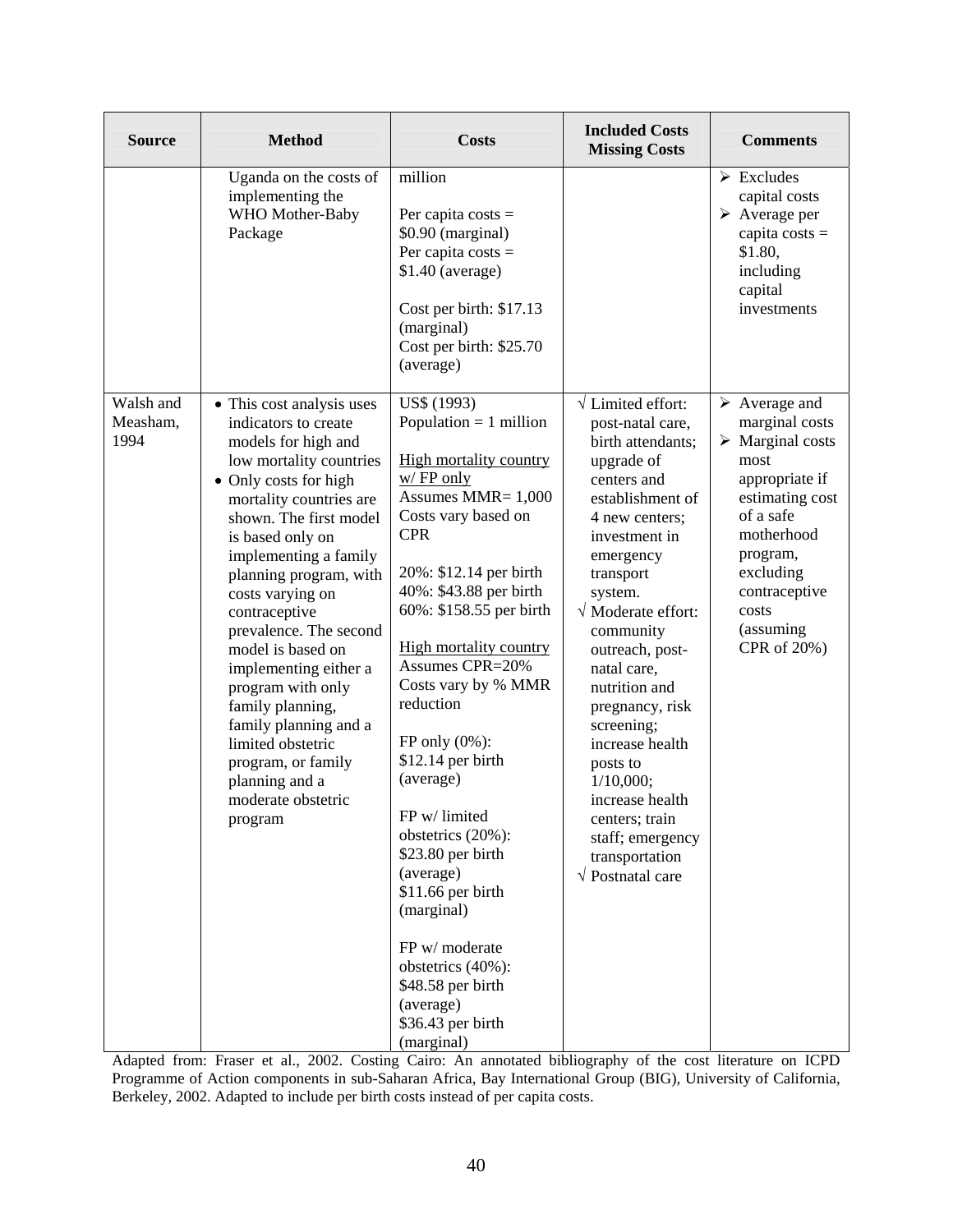| <b>Source</b>                 | <b>Method</b>                                                                                                                                                                                                                                                                                                                                                                                                                                                                                                                         | <b>Costs</b>                                                                                                                                                                                                                                                                                                                                                                                                                                                                                                                                                                                                   | <b>Included Costs</b><br><b>Missing Costs</b>                                                                                                                                                                                                                                                                                                                                                                                                                                                           | <b>Comments</b>                                                                                                                                                                                                                          |
|-------------------------------|---------------------------------------------------------------------------------------------------------------------------------------------------------------------------------------------------------------------------------------------------------------------------------------------------------------------------------------------------------------------------------------------------------------------------------------------------------------------------------------------------------------------------------------|----------------------------------------------------------------------------------------------------------------------------------------------------------------------------------------------------------------------------------------------------------------------------------------------------------------------------------------------------------------------------------------------------------------------------------------------------------------------------------------------------------------------------------------------------------------------------------------------------------------|---------------------------------------------------------------------------------------------------------------------------------------------------------------------------------------------------------------------------------------------------------------------------------------------------------------------------------------------------------------------------------------------------------------------------------------------------------------------------------------------------------|------------------------------------------------------------------------------------------------------------------------------------------------------------------------------------------------------------------------------------------|
|                               | Uganda on the costs of<br>implementing the<br>WHO Mother-Baby<br>Package                                                                                                                                                                                                                                                                                                                                                                                                                                                              | million<br>Per capita costs $=$<br>\$0.90 (marginal)<br>Per capita costs $=$<br>$$1.40$ (average)<br>Cost per birth: \$17.13<br>(marginal)<br>Cost per birth: \$25.70<br>(average)                                                                                                                                                                                                                                                                                                                                                                                                                             |                                                                                                                                                                                                                                                                                                                                                                                                                                                                                                         | $\triangleright$ Excludes<br>capital costs<br>$\triangleright$ Average per<br>capita $costs =$<br>\$1.80,<br>including<br>capital<br>investments                                                                                         |
| Walsh and<br>Measham,<br>1994 | • This cost analysis uses<br>indicators to create<br>models for high and<br>low mortality countries<br>• Only costs for high<br>mortality countries are<br>shown. The first model<br>is based only on<br>implementing a family<br>planning program, with<br>costs varying on<br>contraceptive<br>prevalence. The second<br>model is based on<br>implementing either a<br>program with only<br>family planning,<br>family planning and a<br>limited obstetric<br>program, or family<br>planning and a<br>moderate obstetric<br>program | US\$ (1993)<br>Population $= 1$ million<br><b>High mortality country</b><br>$w/$ FP only<br>Assumes MMR= 1,000<br>Costs vary based on<br><b>CPR</b><br>20%: \$12.14 per birth<br>40%: \$43.88 per birth<br>60%: \$158.55 per birth<br><b>High mortality country</b><br><b>Assumes CPR=20%</b><br>Costs vary by % MMR<br>reduction<br>FP only $(0\%)$ :<br>\$12.14 per birth<br>(average)<br>FP w/limited<br>obstetrics (20%):<br>\$23.80 per birth<br>(average)<br>\$11.66 per birth<br>(marginal)<br>FP w/ moderate<br>obstetrics (40%):<br>\$48.58 per birth<br>(average)<br>\$36.43 per birth<br>(marginal) | $\sqrt{\text{Limited effort}}$ :<br>post-natal care,<br>birth attendants;<br>upgrade of<br>centers and<br>establishment of<br>4 new centers;<br>investment in<br>emergency<br>transport<br>system.<br>$\sqrt{\text{Modern}}$ Moderate effort:<br>community<br>outreach, post-<br>natal care,<br>nutrition and<br>pregnancy, risk<br>screening;<br>increase health<br>posts to<br>1/10,000;<br>increase health<br>centers; train<br>staff; emergency<br>transportation<br>$\sqrt{\text{Postnatal care}}$ | $\triangleright$ Average and<br>marginal costs<br>$\triangleright$ Marginal costs<br>most<br>appropriate if<br>estimating cost<br>of a safe<br>motherhood<br>program,<br>excluding<br>contraceptive<br>costs<br>(assuming<br>CPR of 20%) |

Adapted from: Fraser et al., 2002. Costing Cairo: An annotated bibliography of the cost literature on ICPD Programme of Action components in sub-Saharan Africa, Bay International Group (BIG), University of California, Berkeley, 2002. Adapted to include per birth costs instead of per capita costs.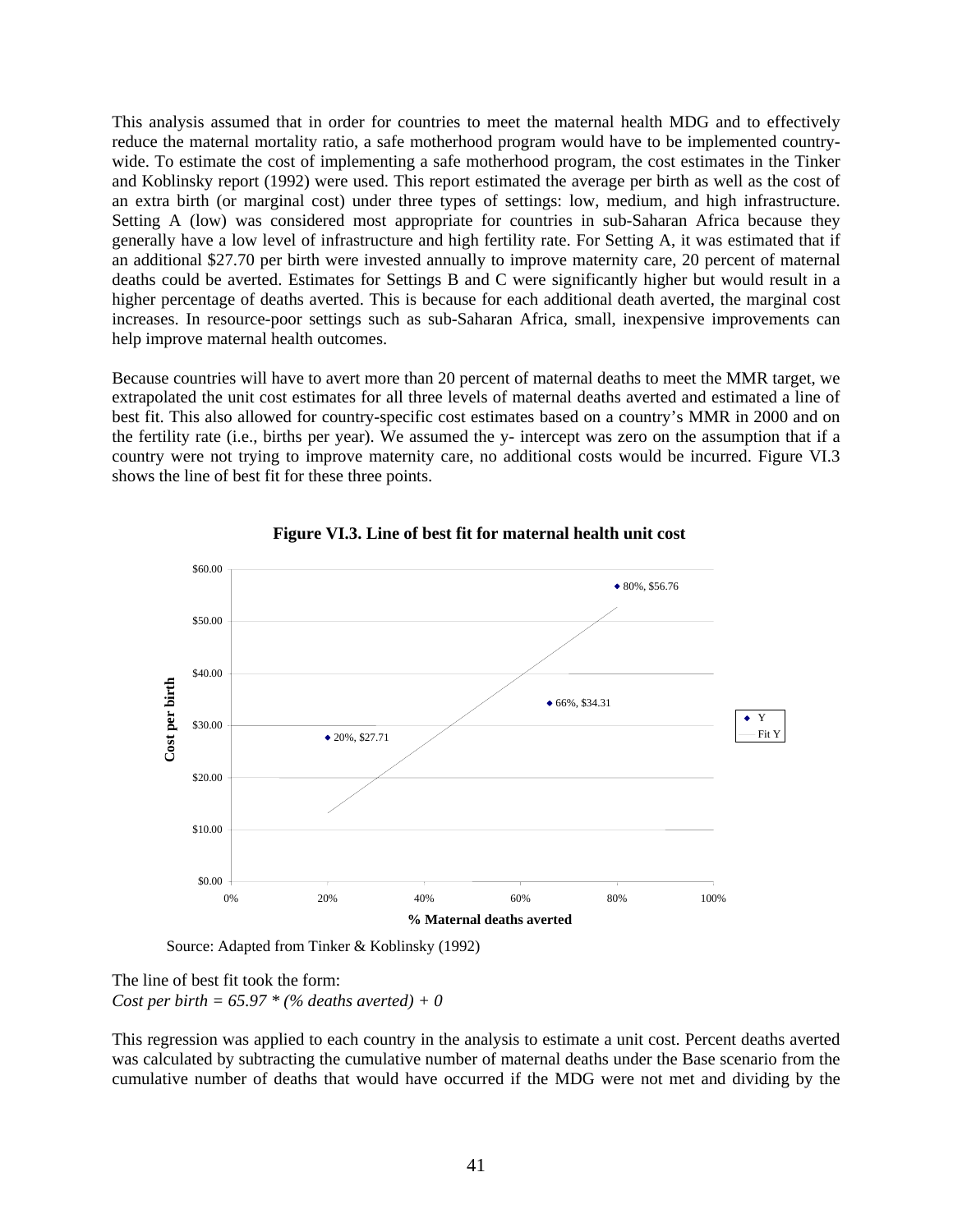This analysis assumed that in order for countries to meet the maternal health MDG and to effectively reduce the maternal mortality ratio, a safe motherhood program would have to be implemented countrywide. To estimate the cost of implementing a safe motherhood program, the cost estimates in the Tinker and Koblinsky report (1992) were used. This report estimated the average per birth as well as the cost of an extra birth (or marginal cost) under three types of settings: low, medium, and high infrastructure. Setting A (low) was considered most appropriate for countries in sub-Saharan Africa because they generally have a low level of infrastructure and high fertility rate. For Setting A, it was estimated that if an additional \$27.70 per birth were invested annually to improve maternity care, 20 percent of maternal deaths could be averted. Estimates for Settings B and C were significantly higher but would result in a higher percentage of deaths averted. This is because for each additional death averted, the marginal cost increases. In resource-poor settings such as sub-Saharan Africa, small, inexpensive improvements can help improve maternal health outcomes.

Because countries will have to avert more than 20 percent of maternal deaths to meet the MMR target, we extrapolated the unit cost estimates for all three levels of maternal deaths averted and estimated a line of best fit. This also allowed for country-specific cost estimates based on a country's MMR in 2000 and on the fertility rate (i.e., births per year). We assumed the y- intercept was zero on the assumption that if a country were not trying to improve maternity care, no additional costs would be incurred. Figure VI.3 shows the line of best fit for these three points.



**Figure VI.3. Line of best fit for maternal health unit cost**

Source: Adapted from Tinker & Koblinsky (1992)

The line of best fit took the form: *Cost per birth = 65.97 \* (% deaths averted) + 0* 

This regression was applied to each country in the analysis to estimate a unit cost. Percent deaths averted was calculated by subtracting the cumulative number of maternal deaths under the Base scenario from the cumulative number of deaths that would have occurred if the MDG were not met and dividing by the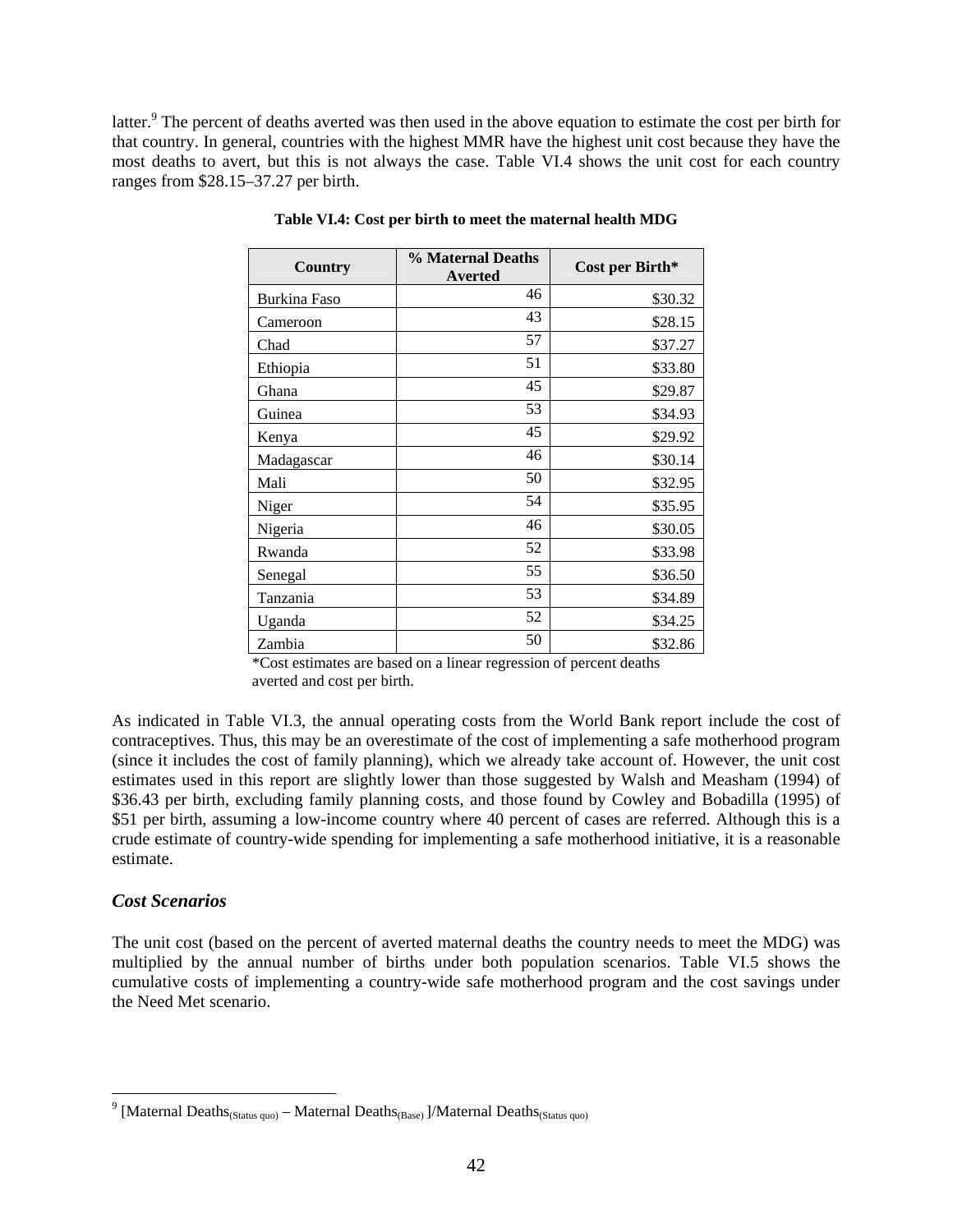latter.<sup>9</sup> The percent of deaths averted was then used in the above equation to estimate the cost per birth for that country. In general, countries with the highest MMR have the highest unit cost because they have the most deaths to avert, but this is not always the case. Table VI.4 shows the unit cost for each country ranges from \$28.15–37.27 per birth.

| Country             | % Maternal Deaths<br>Averted | Cost per Birth* |
|---------------------|------------------------------|-----------------|
| <b>Burkina Faso</b> | 46                           | \$30.32         |
| Cameroon            | 43                           | \$28.15         |
| Chad                | 57                           | \$37.27         |
| Ethiopia            | 51                           | \$33.80         |
| Ghana               | 45                           | \$29.87         |
| Guinea              | 53                           | \$34.93         |
| Kenya               | 45                           | \$29.92         |
| Madagascar          | 46                           | \$30.14         |
| Mali                | 50                           | \$32.95         |
| Niger               | 54                           | \$35.95         |
| Nigeria             | 46                           | \$30.05         |
| Rwanda              | 52                           | \$33.98         |
| Senegal             | 55                           | \$36.50         |
| Tanzania            | 53                           | \$34.89         |
| Uganda              | 52                           | \$34.25         |
| Zambia              | 50                           | \$32.86         |

**Table VI.4: Cost per birth to meet the maternal health MDG** 

\*Cost estimates are based on a linear regression of percent deaths averted and cost per birth.

As indicated in Table VI.3, the annual operating costs from the World Bank report include the cost of contraceptives. Thus, this may be an overestimate of the cost of implementing a safe motherhood program (since it includes the cost of family planning), which we already take account of. However, the unit cost estimates used in this report are slightly lower than those suggested by Walsh and Measham (1994) of \$36.43 per birth, excluding family planning costs, and those found by Cowley and Bobadilla (1995) of \$51 per birth, assuming a low-income country where 40 percent of cases are referred. Although this is a crude estimate of country-wide spending for implementing a safe motherhood initiative, it is a reasonable estimate.

## *Cost Scenarios*

 $\overline{a}$ 

The unit cost (based on the percent of averted maternal deaths the country needs to meet the MDG) was multiplied by the annual number of births under both population scenarios. Table VI.5 shows the cumulative costs of implementing a country-wide safe motherhood program and the cost savings under the Need Met scenario.

<sup>&</sup>lt;sup>9</sup> [Maternal Deaths<sub>(Status quo)</sub> – Maternal Deaths<sub>(Base)</sub> ]/Maternal Deaths<sub>(Status quo)</sub>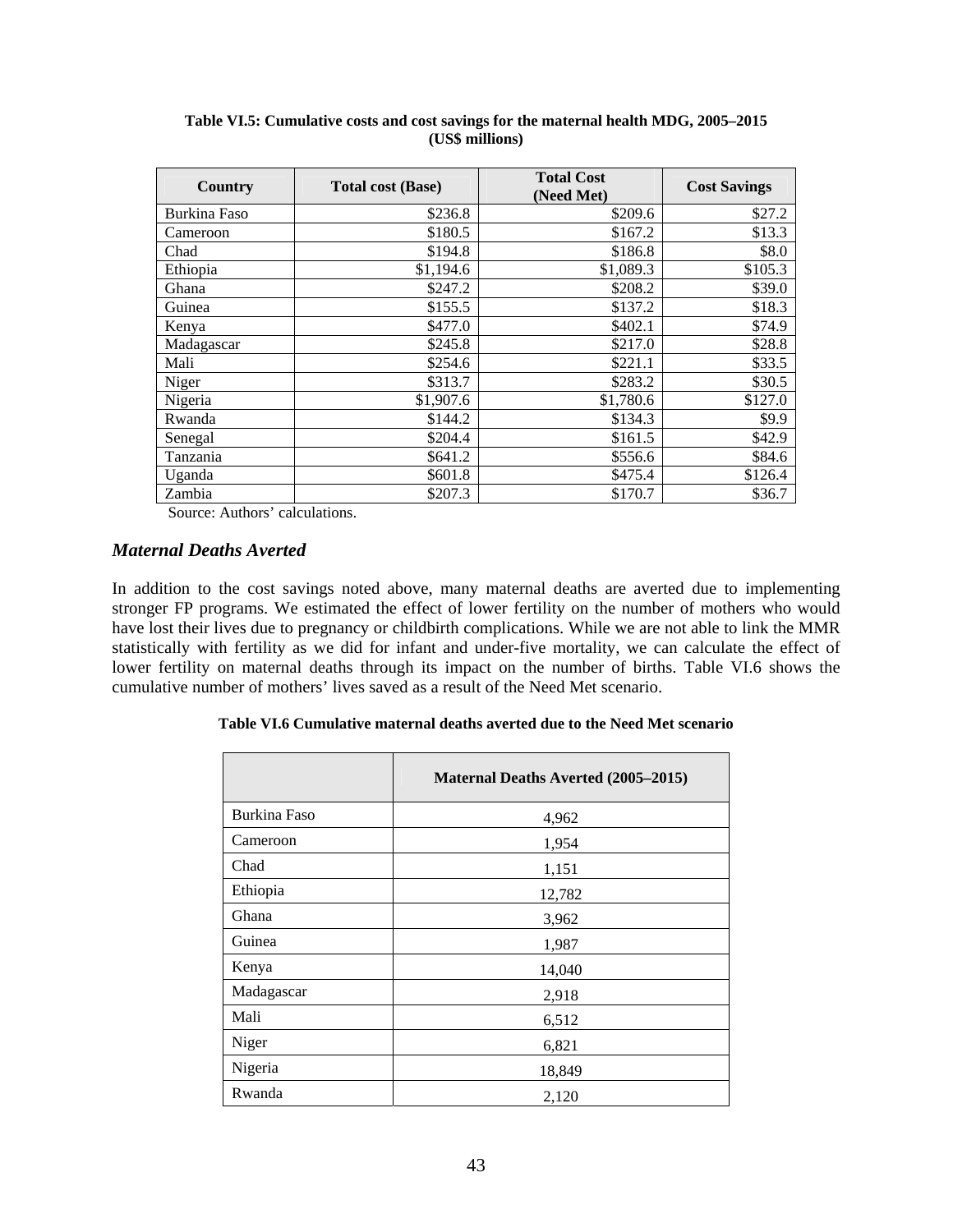| <b>Country</b> | <b>Total cost (Base)</b> | <b>Total Cost</b><br>(Need Met) | <b>Cost Savings</b> |
|----------------|--------------------------|---------------------------------|---------------------|
| Burkina Faso   | \$236.8                  | \$209.6                         | \$27.2              |
| Cameroon       | \$180.5                  | \$167.2                         | \$13.3              |
| Chad           | \$194.8                  | \$186.8                         | \$8.0               |
| Ethiopia       | \$1,194.6                | \$1,089.3                       | \$105.3             |
| Ghana          | \$247.2                  | \$208.2                         | \$39.0              |
| Guinea         | \$155.5                  | \$137.2                         | \$18.3              |
| Kenya          | \$477.0                  | \$402.1                         | \$74.9              |
| Madagascar     | \$245.8                  | \$217.0                         | \$28.8              |
| Mali           | \$254.6                  | \$221.1                         | \$33.5              |
| Niger          | \$313.7                  | \$283.2                         | \$30.5              |
| Nigeria        | \$1,907.6                | \$1,780.6                       | \$127.0             |
| Rwanda         | \$144.2                  | \$134.3                         | \$9.9               |
| Senegal        | \$204.4                  | \$161.5                         | \$42.9              |
| Tanzania       | \$641.2                  | \$556.6                         | \$84.6              |
| Uganda         | \$601.8                  | \$475.4                         | \$126.4             |
| Zambia         | \$207.3                  | \$170.7                         | \$36.7              |

**Table VI.5: Cumulative costs and cost savings for the maternal health MDG, 2005–2015 (US\$ millions)** 

Source: Authors' calculations.

#### *Maternal Deaths Averted*

In addition to the cost savings noted above, many maternal deaths are averted due to implementing stronger FP programs. We estimated the effect of lower fertility on the number of mothers who would have lost their lives due to pregnancy or childbirth complications. While we are not able to link the MMR statistically with fertility as we did for infant and under-five mortality, we can calculate the effect of lower fertility on maternal deaths through its impact on the number of births. Table VI.6 shows the cumulative number of mothers' lives saved as a result of the Need Met scenario.

#### **Table VI.6 Cumulative maternal deaths averted due to the Need Met scenario**

|              | <b>Maternal Deaths Averted (2005–2015)</b> |
|--------------|--------------------------------------------|
| Burkina Faso | 4,962                                      |
| Cameroon     | 1,954                                      |
| Chad         | 1,151                                      |
| Ethiopia     | 12,782                                     |
| Ghana        | 3,962                                      |
| Guinea       | 1,987                                      |
| Kenya        | 14,040                                     |
| Madagascar   | 2,918                                      |
| Mali         | 6,512                                      |
| Niger        | 6,821                                      |
| Nigeria      | 18,849                                     |
| Rwanda       | 2,120                                      |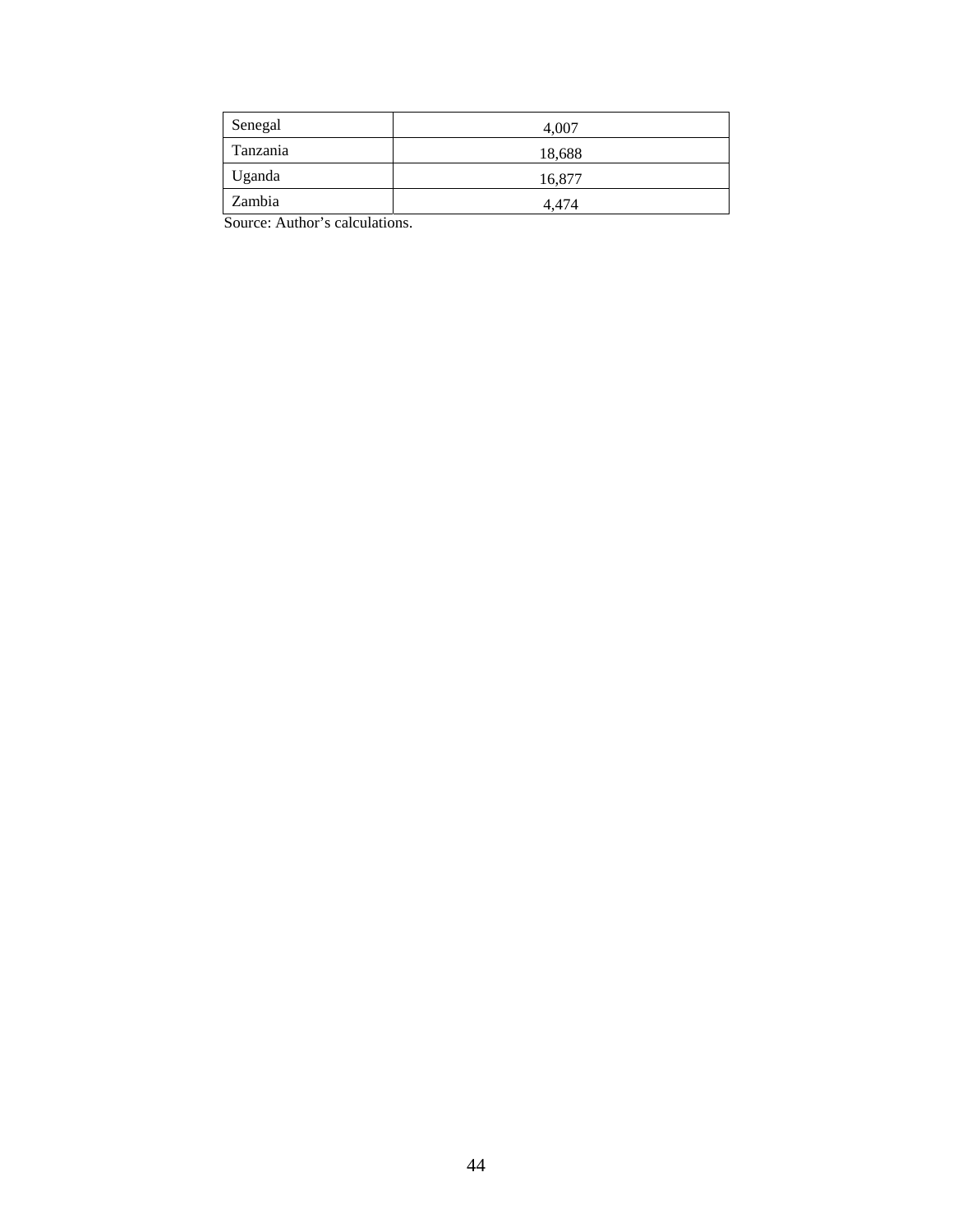| Senegal  | 4.007  |
|----------|--------|
| Tanzania | 18,688 |
| Uganda   | 16,877 |
| Zambia   | 4.474  |

Source: Author's calculations.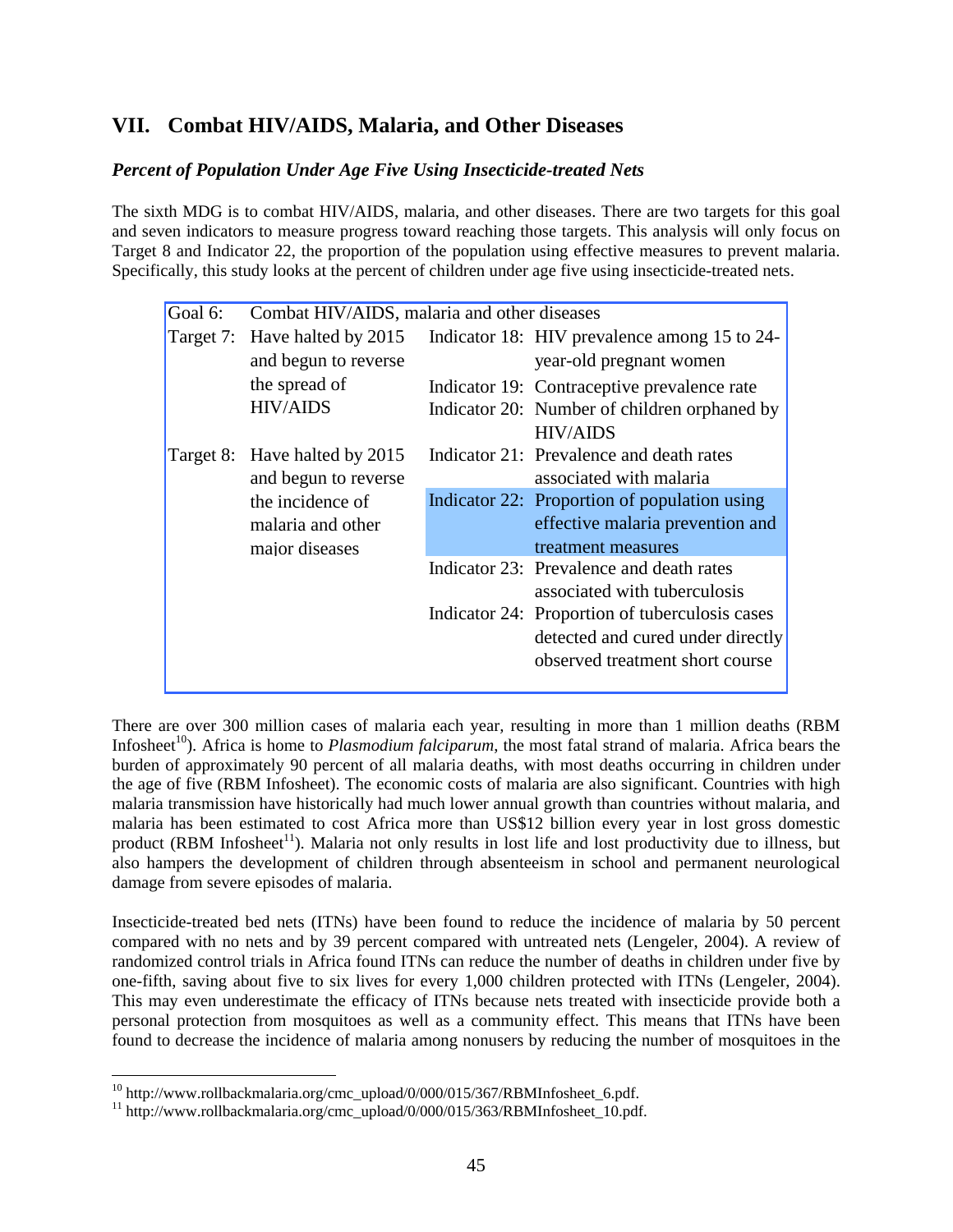# **VII. Combat HIV/AIDS, Malaria, and Other Diseases**

# *Percent of Population Under Age Five Using Insecticide-treated Nets*

The sixth MDG is to combat HIV/AIDS, malaria, and other diseases. There are two targets for this goal and seven indicators to measure progress toward reaching those targets. This analysis will only focus on Target 8 and Indicator 22, the proportion of the population using effective measures to prevent malaria. Specifically, this study looks at the percent of children under age five using insecticide-treated nets.

| Goal 6:   | Combat HIV/AIDS, malaria and other diseases |                                                |
|-----------|---------------------------------------------|------------------------------------------------|
| Target 7: | Have halted by 2015                         | Indicator 18: HIV prevalence among 15 to 24-   |
|           | and begun to reverse                        | year-old pregnant women                        |
|           | the spread of                               | Indicator 19: Contraceptive prevalence rate    |
|           | <b>HIV/AIDS</b>                             | Indicator 20: Number of children orphaned by   |
|           |                                             | <b>HIV/AIDS</b>                                |
|           | Target 8: Have halted by 2015               | Indicator 21: Prevalence and death rates       |
|           | and begun to reverse                        | associated with malaria                        |
|           | the incidence of                            | Indicator 22: Proportion of population using   |
|           | malaria and other                           | effective malaria prevention and               |
|           | major diseases                              | treatment measures                             |
|           |                                             | Indicator 23: Prevalence and death rates       |
|           |                                             | associated with tuberculosis                   |
|           |                                             | Indicator 24: Proportion of tuberculosis cases |
|           |                                             | detected and cured under directly              |
|           |                                             | observed treatment short course                |
|           |                                             |                                                |

There are over 300 million cases of malaria each year*,* resulting in more than 1 million deaths (RBM Infosheet<sup>10</sup>). Africa is home to *Plasmodium falciparum*, the most fatal strand of malaria. Africa bears the burden of approximately 90 percent of all malaria deaths, with most deaths occurring in children under the age of five (RBM Infosheet). The economic costs of malaria are also significant. Countries with high malaria transmission have historically had much lower annual growth than countries without malaria, and malaria has been estimated to cost Africa more than US\$12 billion every year in lost gross domestic product (RBM Infosheet $<sup>11</sup>$ ). Malaria not only results in lost life and lost productivity due to illness, but</sup> also hampers the development of children through absenteeism in school and permanent neurological damage from severe episodes of malaria.

Insecticide-treated bed nets (ITNs) have been found to reduce the incidence of malaria by 50 percent compared with no nets and by 39 percent compared with untreated nets (Lengeler, 2004). A review of randomized control trials in Africa found ITNs can reduce the number of deaths in children under five by one-fifth, saving about five to six lives for every 1,000 children protected with ITNs (Lengeler, 2004). This may even underestimate the efficacy of ITNs because nets treated with insecticide provide both a personal protection from mosquitoes as well as a community effect. This means that ITNs have been found to decrease the incidence of malaria among nonusers by reducing the number of mosquitoes in the

 $\overline{a}$ 

<sup>&</sup>lt;sup>10</sup> http://www.rollbackmalaria.org/cmc\_upload/0/000/015/367/RBMInfosheet\_6.pdf.<br><sup>11</sup> http://www.rollbackmalaria.org/cmc\_upload/0/000/015/363/RBMInfosheet\_10.pdf.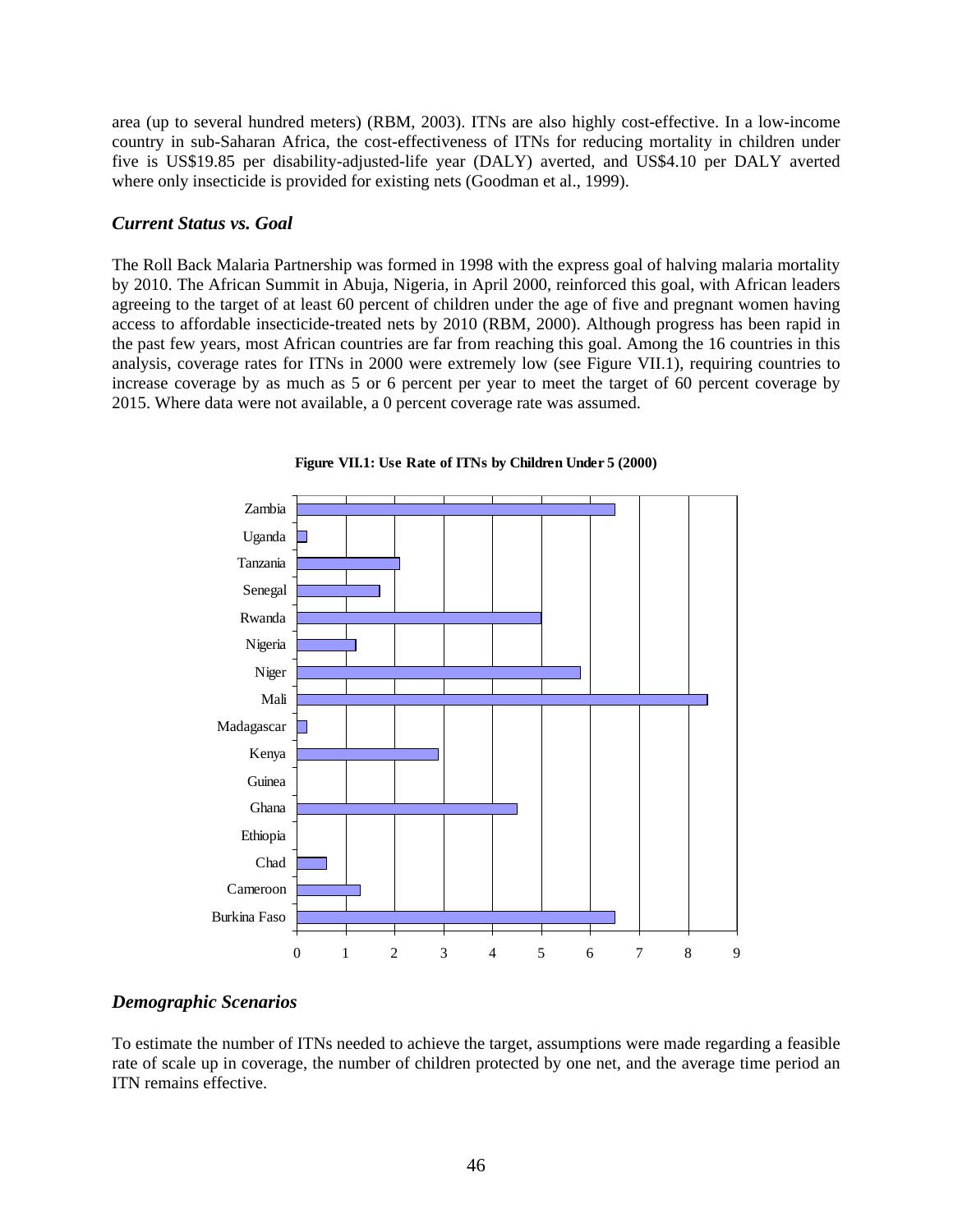area (up to several hundred meters) (RBM, 2003). ITNs are also highly cost-effective. In a low-income country in sub-Saharan Africa, the cost-effectiveness of ITNs for reducing mortality in children under five is US\$19.85 per disability-adjusted-life year (DALY) averted, and US\$4.10 per DALY averted where only insecticide is provided for existing nets (Goodman et al., 1999).

### *Current Status vs. Goal*

The Roll Back Malaria Partnership was formed in 1998 with the express goal of halving malaria mortality by 2010. The African Summit in Abuja, Nigeria, in April 2000, reinforced this goal, with African leaders agreeing to the target of at least 60 percent of children under the age of five and pregnant women having access to affordable insecticide-treated nets by 2010 (RBM, 2000). Although progress has been rapid in the past few years, most African countries are far from reaching this goal. Among the 16 countries in this analysis, coverage rates for ITNs in 2000 were extremely low (see Figure VII.1), requiring countries to increase coverage by as much as 5 or 6 percent per year to meet the target of 60 percent coverage by 2015. Where data were not available, a 0 percent coverage rate was assumed.



**Figure VII.1: Use Rate of ITNs by Children Under 5 (2000)**

## *Demographic Scenarios*

To estimate the number of ITNs needed to achieve the target, assumptions were made regarding a feasible rate of scale up in coverage, the number of children protected by one net, and the average time period an ITN remains effective.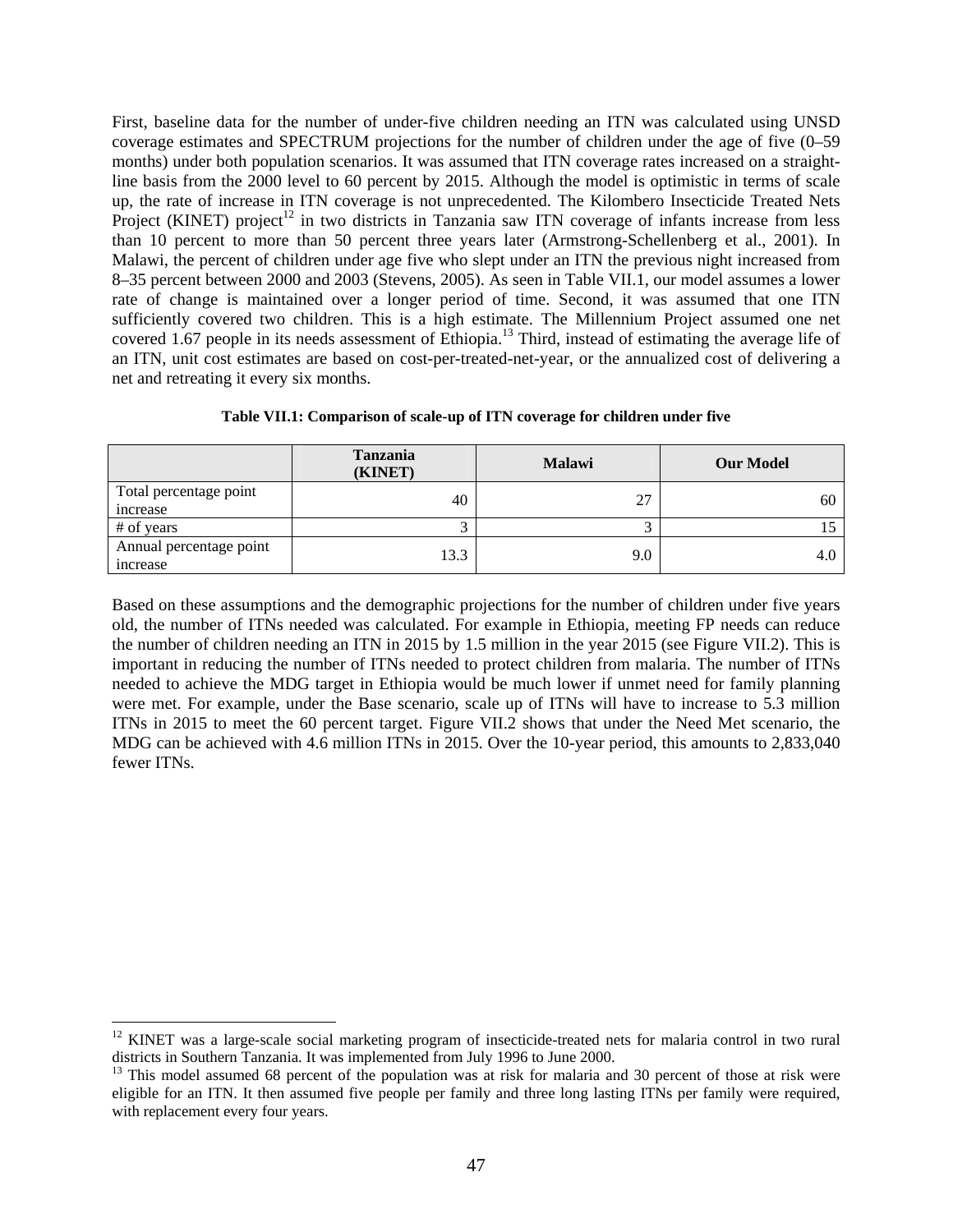First, baseline data for the number of under-five children needing an ITN was calculated using UNSD coverage estimates and SPECTRUM projections for the number of children under the age of five (0–59 months) under both population scenarios. It was assumed that ITN coverage rates increased on a straightline basis from the 2000 level to 60 percent by 2015. Although the model is optimistic in terms of scale up, the rate of increase in ITN coverage is not unprecedented. The Kilombero Insecticide Treated Nets Project (KINET) project<sup>12</sup> in two districts in Tanzania saw ITN coverage of infants increase from less than 10 percent to more than 50 percent three years later (Armstrong-Schellenberg et al., 2001). In Malawi, the percent of children under age five who slept under an ITN the previous night increased from 8–35 percent between 2000 and 2003 (Stevens, 2005). As seen in Table VII.1, our model assumes a lower rate of change is maintained over a longer period of time. Second, it was assumed that one ITN sufficiently covered two children. This is a high estimate. The Millennium Project assumed one net covered 1.67 people in its needs assessment of Ethiopia.<sup>13</sup> Third, instead of estimating the average life of an ITN, unit cost estimates are based on cost-per-treated-net-year, or the annualized cost of delivering a net and retreating it every six months.

|                                           | <b>Tanzania</b><br>(KINET) | <b>Malawi</b> | <b>Our Model</b> |
|-------------------------------------------|----------------------------|---------------|------------------|
| Total percentage point<br>increase        | 40                         | 27            | 60               |
| # of years                                |                            |               |                  |
| Annual percentage point<br><i>ncrease</i> | 13.3                       | 9.0           | 4.0              |

**Table VII.1: Comparison of scale-up of ITN coverage for children under five** 

Based on these assumptions and the demographic projections for the number of children under five years old, the number of ITNs needed was calculated. For example in Ethiopia, meeting FP needs can reduce the number of children needing an ITN in 2015 by 1.5 million in the year 2015 (see Figure VII.2). This is important in reducing the number of ITNs needed to protect children from malaria. The number of ITNs needed to achieve the MDG target in Ethiopia would be much lower if unmet need for family planning were met. For example, under the Base scenario, scale up of ITNs will have to increase to 5.3 million ITNs in 2015 to meet the 60 percent target. Figure VII.2 shows that under the Need Met scenario, the MDG can be achieved with 4.6 million ITNs in 2015. Over the 10-year period, this amounts to 2,833,040 fewer ITNs.

 $\overline{a}$ 

 $12$  KINET was a large-scale social marketing program of insecticide-treated nets for malaria control in two rural districts in Southern Tanzania. It was implemented from July 1996 to June 2000.

<sup>&</sup>lt;sup>13</sup> This model assumed 68 percent of the population was at risk for malaria and 30 percent of those at risk were eligible for an ITN. It then assumed five people per family and three long lasting ITNs per family were required, with replacement every four years.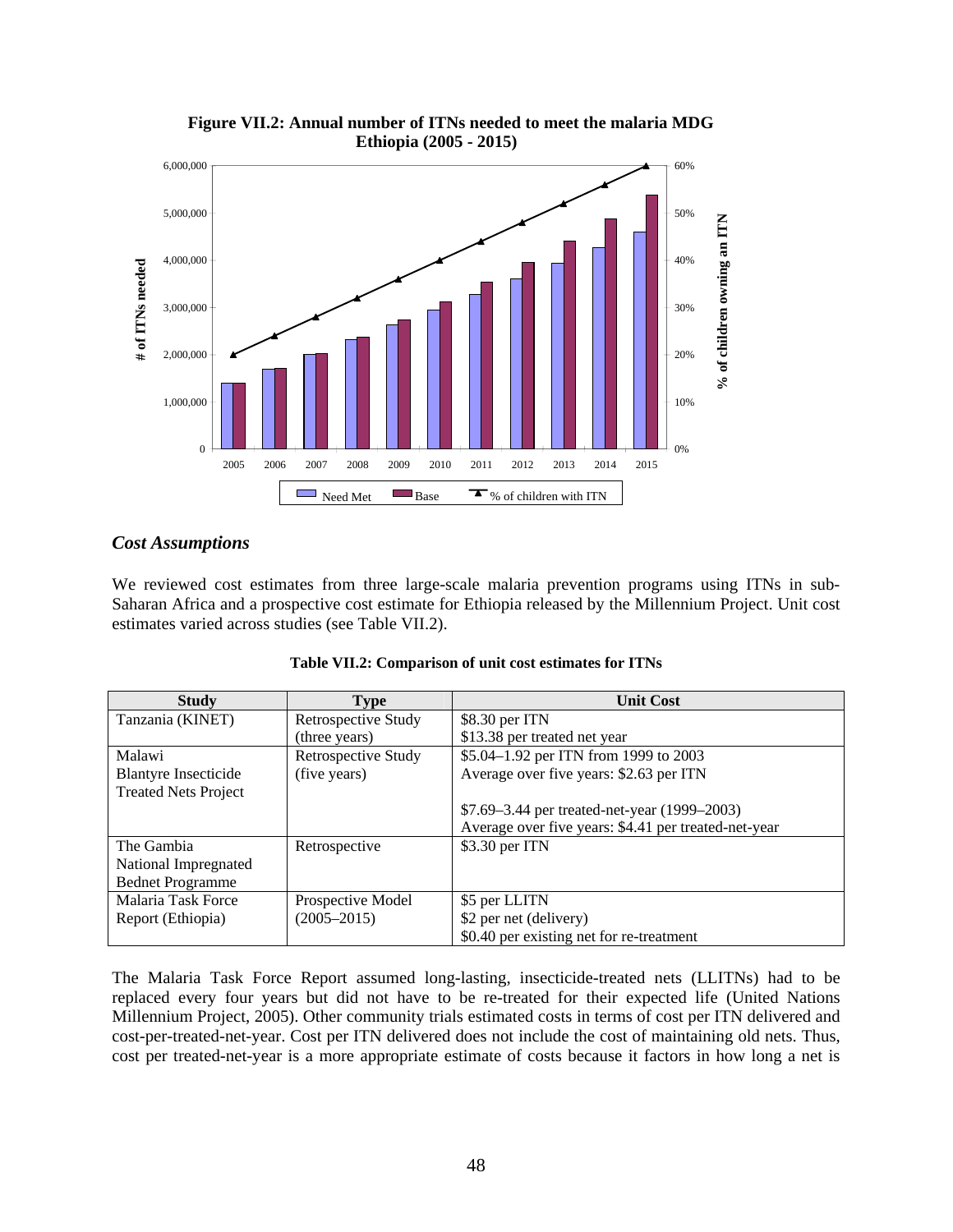

**Figure VII.2: Annual number of ITNs needed to meet the malaria MDG Ethiopia (2005 - 2015)**

## *Cost Assumptions*

We reviewed cost estimates from three large-scale malaria prevention programs using ITNs in sub-Saharan Africa and a prospective cost estimate for Ethiopia released by the Millennium Project. Unit cost estimates varied across studies (see Table VII.2).

| <b>Study</b>                | <b>Type</b>                | <b>Unit Cost</b>                                     |  |
|-----------------------------|----------------------------|------------------------------------------------------|--|
| Tanzania (KINET)            | Retrospective Study        | \$8.30 per ITN                                       |  |
|                             | (three years)              | \$13.38 per treated net year                         |  |
| Malawi                      | <b>Retrospective Study</b> | \$5.04-1.92 per ITN from 1999 to 2003                |  |
| <b>Blantyre Insecticide</b> | (five years)               | Average over five years: \$2.63 per ITN              |  |
| <b>Treated Nets Project</b> |                            |                                                      |  |
|                             |                            | \$7.69–3.44 per treated-net-year (1999–2003)         |  |
|                             |                            | Average over five years: \$4.41 per treated-net-year |  |
| The Gambia                  | Retrospective              | \$3.30 per ITN                                       |  |
| National Impregnated        |                            |                                                      |  |
| <b>Bednet Programme</b>     |                            |                                                      |  |
| Malaria Task Force          | Prospective Model          | \$5 per LLITN                                        |  |
| Report (Ethiopia)           | $(2005 - 2015)$            | \$2 per net (delivery)                               |  |
|                             |                            | \$0.40 per existing net for re-treatment             |  |

|  |  | Table VII.2: Comparison of unit cost estimates for ITNs |  |
|--|--|---------------------------------------------------------|--|
|  |  |                                                         |  |

The Malaria Task Force Report assumed long-lasting, insecticide-treated nets (LLITNs) had to be replaced every four years but did not have to be re-treated for their expected life (United Nations Millennium Project, 2005). Other community trials estimated costs in terms of cost per ITN delivered and cost-per-treated-net-year. Cost per ITN delivered does not include the cost of maintaining old nets. Thus, cost per treated-net-year is a more appropriate estimate of costs because it factors in how long a net is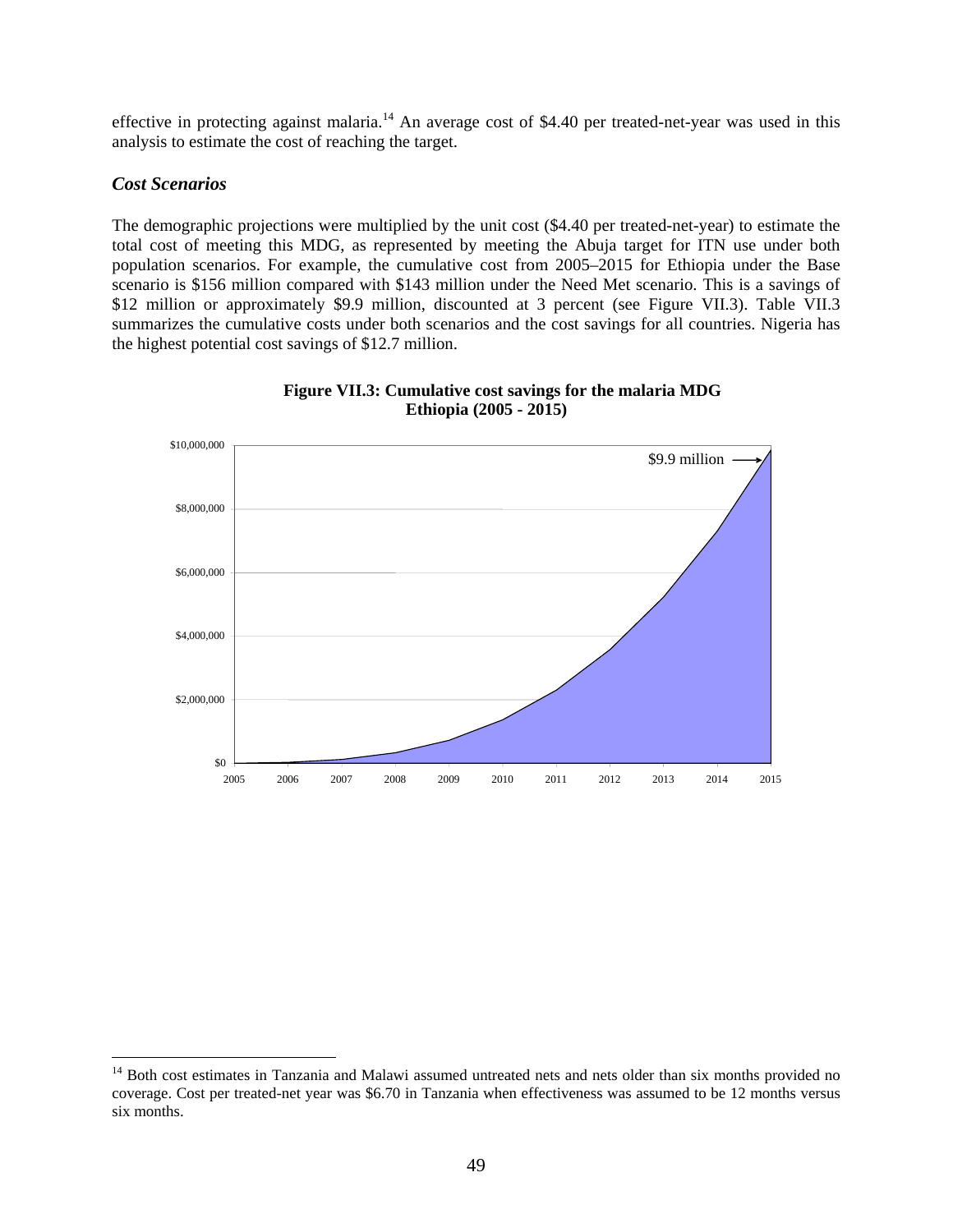effective in protecting against malaria.<sup>14</sup> An average cost of \$4.40 per treated-net-year was used in this analysis to estimate the cost of reaching the target.

### *Cost Scenarios*

 $\overline{a}$ 

The demographic projections were multiplied by the unit cost (\$4.40 per treated-net-year) to estimate the total cost of meeting this MDG, as represented by meeting the Abuja target for ITN use under both population scenarios. For example, the cumulative cost from 2005–2015 for Ethiopia under the Base scenario is \$156 million compared with \$143 million under the Need Met scenario. This is a savings of \$12 million or approximately \$9.9 million, discounted at 3 percent (see Figure VII.3). Table VII.3 summarizes the cumulative costs under both scenarios and the cost savings for all countries. Nigeria has the highest potential cost savings of \$12.7 million.



**Figure VII.3: Cumulative cost savings for the malaria MDG Ethiopia (2005 - 2015)**

<sup>&</sup>lt;sup>14</sup> Both cost estimates in Tanzania and Malawi assumed untreated nets and nets older than six months provided no coverage. Cost per treated-net year was \$6.70 in Tanzania when effectiveness was assumed to be 12 months versus six months.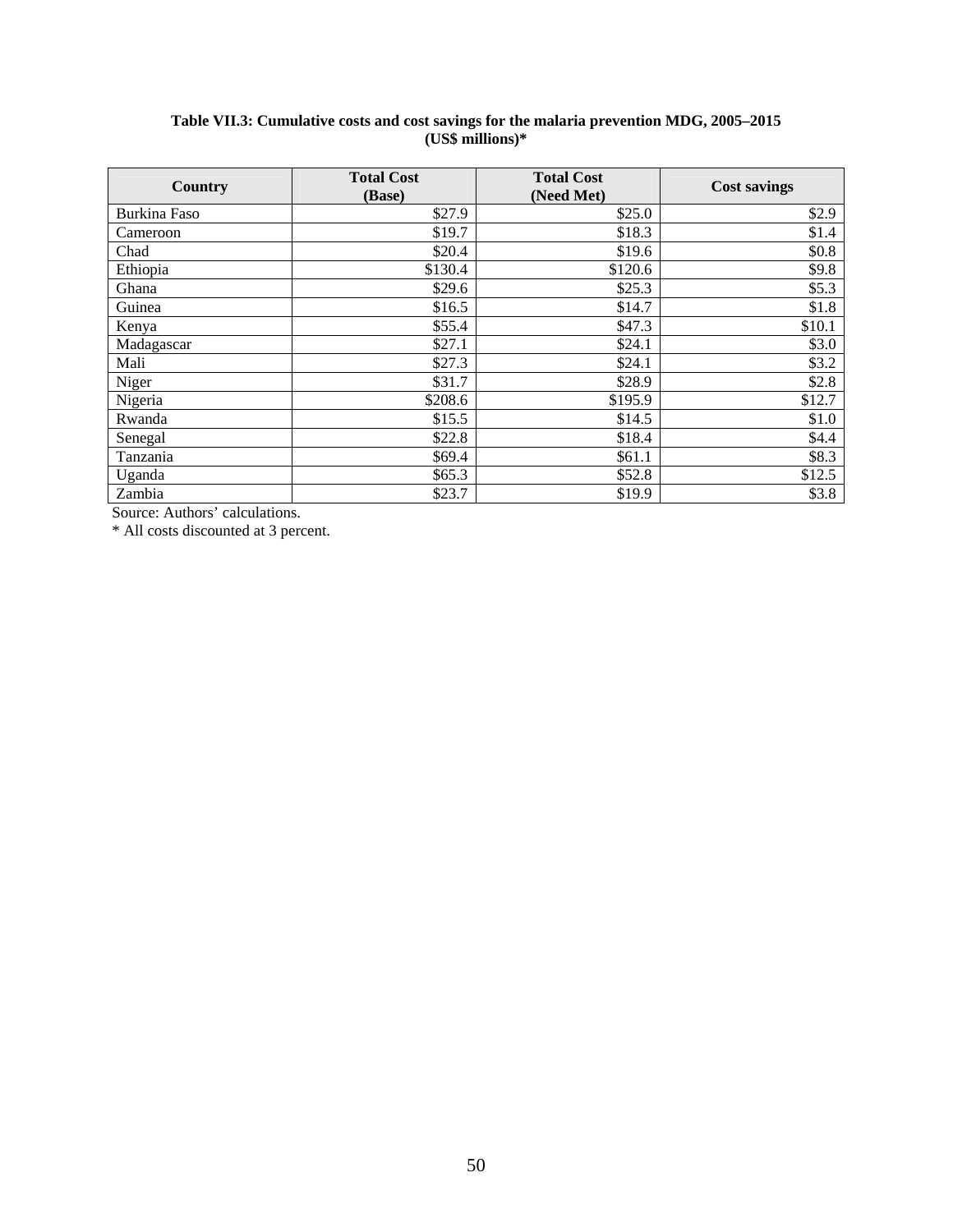#### **Table VII.3: Cumulative costs and cost savings for the malaria prevention MDG, 2005–2015 (US\$ millions)\***

| Country      | <b>Total Cost</b><br>(Base) | <b>Total Cost</b><br>(Need Met) | <b>Cost savings</b> |
|--------------|-----------------------------|---------------------------------|---------------------|
| Burkina Faso | \$27.9                      | \$25.0                          | \$2.9               |
| Cameroon     | \$19.7                      | \$18.3                          | \$1.4               |
| Chad         | \$20.4                      | \$19.6                          | \$0.8               |
| Ethiopia     | \$130.4                     | \$120.6                         | \$9.8               |
| Ghana        | \$29.6                      | \$25.3                          | \$5.3               |
| Guinea       | \$16.5                      | \$14.7                          | \$1.8               |
| Kenya        | \$55.4                      | \$47.3                          | \$10.1              |
| Madagascar   | \$27.1                      | \$24.1                          | \$3.0               |
| Mali         | \$27.3                      | \$24.1                          | \$3.2               |
| Niger        | \$31.7                      | \$28.9                          | \$2.8               |
| Nigeria      | \$208.6                     | \$195.9                         | \$12.7              |
| Rwanda       | \$15.5                      | \$14.5                          | \$1.0               |
| Senegal      | \$22.8                      | \$18.4                          | \$4.4               |
| Tanzania     | \$69.4                      | \$61.1                          | \$8.3               |
| Uganda       | \$65.3\$                    | \$52.8                          | \$12.5              |
| Zambia       | \$23.7                      | \$19.9                          | \$3.8               |

Source: Authors' calculations.

\* All costs discounted at 3 percent.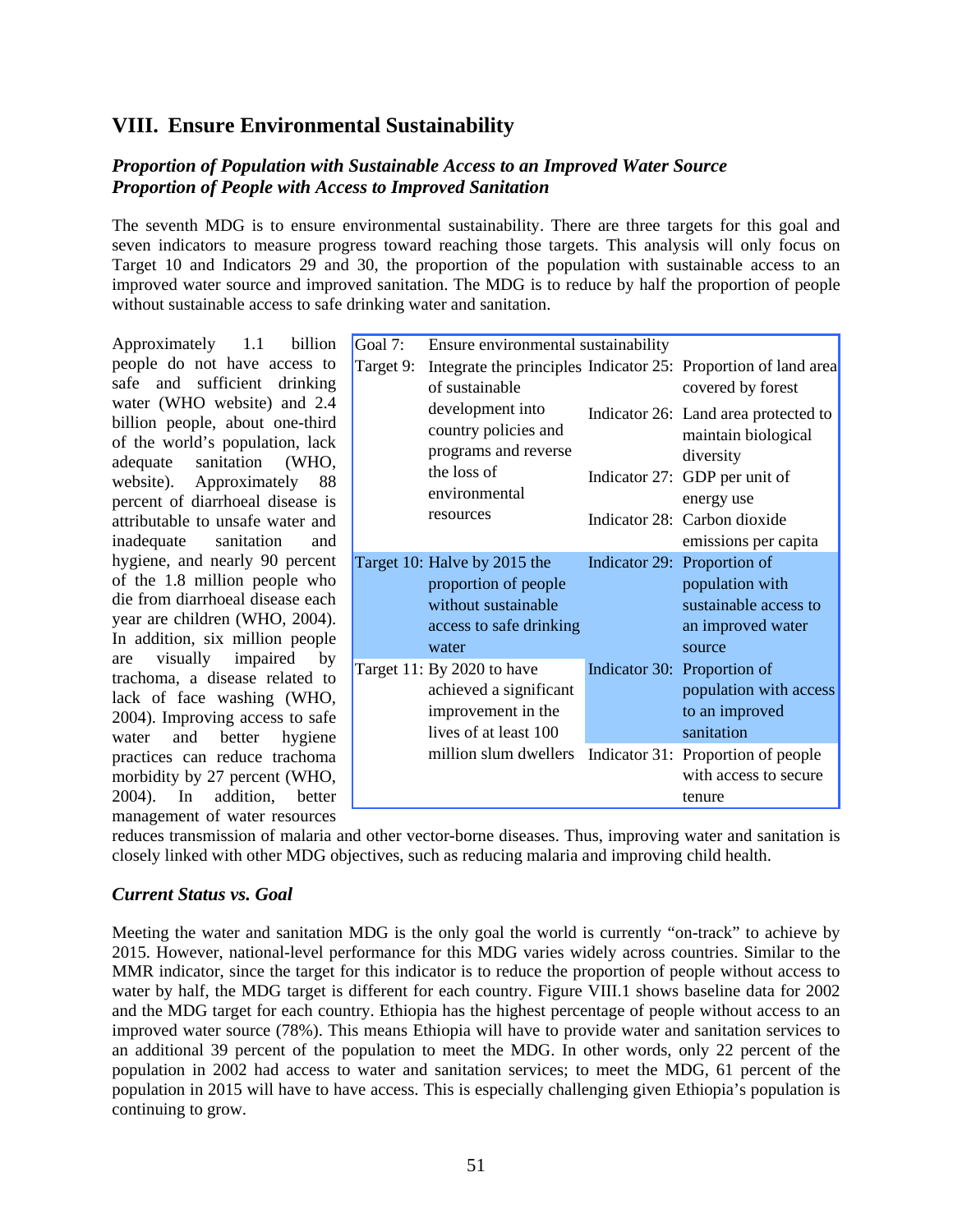# **VIII. Ensure Environmental Sustainability**

# *Proportion of Population with Sustainable Access to an Improved Water Source Proportion of People with Access to Improved Sanitation*

The seventh MDG is to ensure environmental sustainability. There are three targets for this goal and seven indicators to measure progress toward reaching those targets. This analysis will only focus on Target 10 and Indicators 29 and 30, the proportion of the population with sustainable access to an improved water source and improved sanitation. The MDG is to reduce by half the proportion of people without sustainable access to safe drinking water and sanitation.

Approximately 1.1 billion people do not have access to safe and sufficient drinking water (WHO website) and 2.4 billion people, about one-third of the world's population, lack adequate sanitation (WHO, website). Approximately 88 percent of diarrhoeal disease is attributable to unsafe water and inadequate sanitation and hygiene, and nearly 90 percent of the 1.8 million people who die from diarrhoeal disease each year are children (WHO, 2004). In addition, six million people are visually impaired by trachoma, a disease related to lack of face washing (WHO, 2004). Improving access to safe water and better hygiene practices can reduce trachoma morbidity by 27 percent (WHO, 2004). In addition, better management of water resources

| Goal 7:   | Ensure environmental sustainability                                                                             |                                                                                                           |
|-----------|-----------------------------------------------------------------------------------------------------------------|-----------------------------------------------------------------------------------------------------------|
| Target 9: | of sustainable                                                                                                  | Integrate the principles Indicator 25: Proportion of land area<br>covered by forest                       |
|           | development into<br>country policies and<br>programs and reverse<br>the loss of                                 | Indicator 26: Land area protected to<br>maintain biological<br>diversity<br>Indicator 27: GDP per unit of |
|           | environmental<br>resources                                                                                      | energy use<br>Indicator 28: Carbon dioxide<br>emissions per capita                                        |
|           | Target 10: Halve by 2015 the<br>proportion of people<br>without sustainable<br>access to safe drinking<br>water | Indicator 29: Proportion of<br>population with<br>sustainable access to<br>an improved water<br>source    |
|           | Target 11: By 2020 to have<br>achieved a significant<br>improvement in the<br>lives of at least 100             | Indicator 30: Proportion of<br>population with access<br>to an improved<br>sanitation                     |
|           | million slum dwellers                                                                                           | Indicator 31: Proportion of people<br>with access to secure<br>tenure                                     |

reduces transmission of malaria and other vector-borne diseases. Thus, improving water and sanitation is closely linked with other MDG objectives, such as reducing malaria and improving child health.

## *Current Status vs. Goal*

Meeting the water and sanitation MDG is the only goal the world is currently "on-track" to achieve by 2015. However, national-level performance for this MDG varies widely across countries. Similar to the MMR indicator, since the target for this indicator is to reduce the proportion of people without access to water by half, the MDG target is different for each country. Figure VIII.1 shows baseline data for 2002 and the MDG target for each country. Ethiopia has the highest percentage of people without access to an improved water source (78%). This means Ethiopia will have to provide water and sanitation services to an additional 39 percent of the population to meet the MDG. In other words, only 22 percent of the population in 2002 had access to water and sanitation services; to meet the MDG, 61 percent of the population in 2015 will have to have access. This is especially challenging given Ethiopia's population is continuing to grow.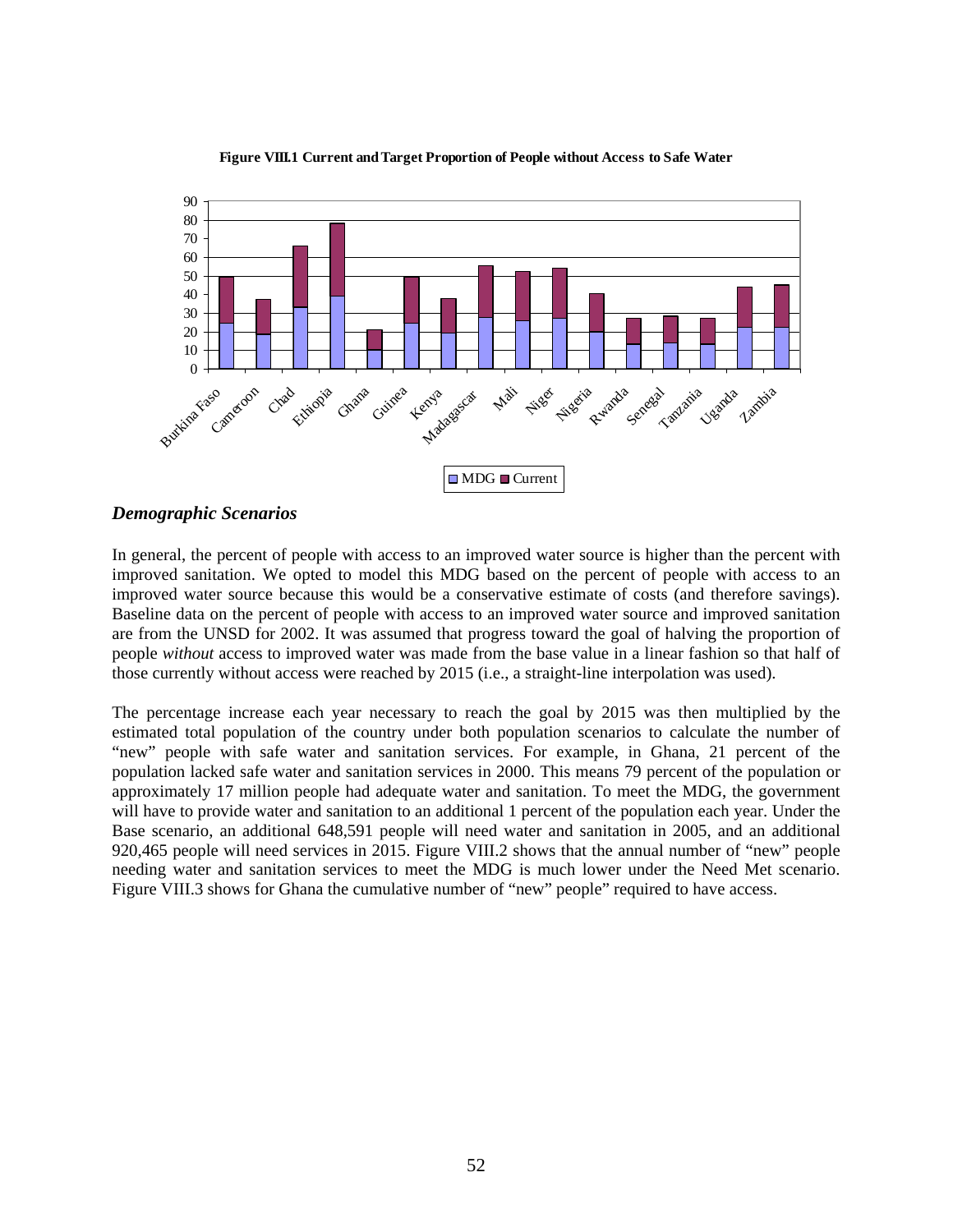

**Figure VIII.1 Current and Target Proportion of People without Access to Safe Water**

#### *Demographic Scenarios*

In general, the percent of people with access to an improved water source is higher than the percent with improved sanitation. We opted to model this MDG based on the percent of people with access to an improved water source because this would be a conservative estimate of costs (and therefore savings). Baseline data on the percent of people with access to an improved water source and improved sanitation are from the UNSD for 2002. It was assumed that progress toward the goal of halving the proportion of people *without* access to improved water was made from the base value in a linear fashion so that half of those currently without access were reached by 2015 (i.e., a straight-line interpolation was used).

The percentage increase each year necessary to reach the goal by 2015 was then multiplied by the estimated total population of the country under both population scenarios to calculate the number of "new" people with safe water and sanitation services. For example, in Ghana, 21 percent of the population lacked safe water and sanitation services in 2000. This means 79 percent of the population or approximately 17 million people had adequate water and sanitation. To meet the MDG, the government will have to provide water and sanitation to an additional 1 percent of the population each year. Under the Base scenario, an additional 648,591 people will need water and sanitation in 2005, and an additional 920,465 people will need services in 2015. Figure VIII.2 shows that the annual number of "new" people needing water and sanitation services to meet the MDG is much lower under the Need Met scenario. Figure VIII.3 shows for Ghana the cumulative number of "new" people" required to have access.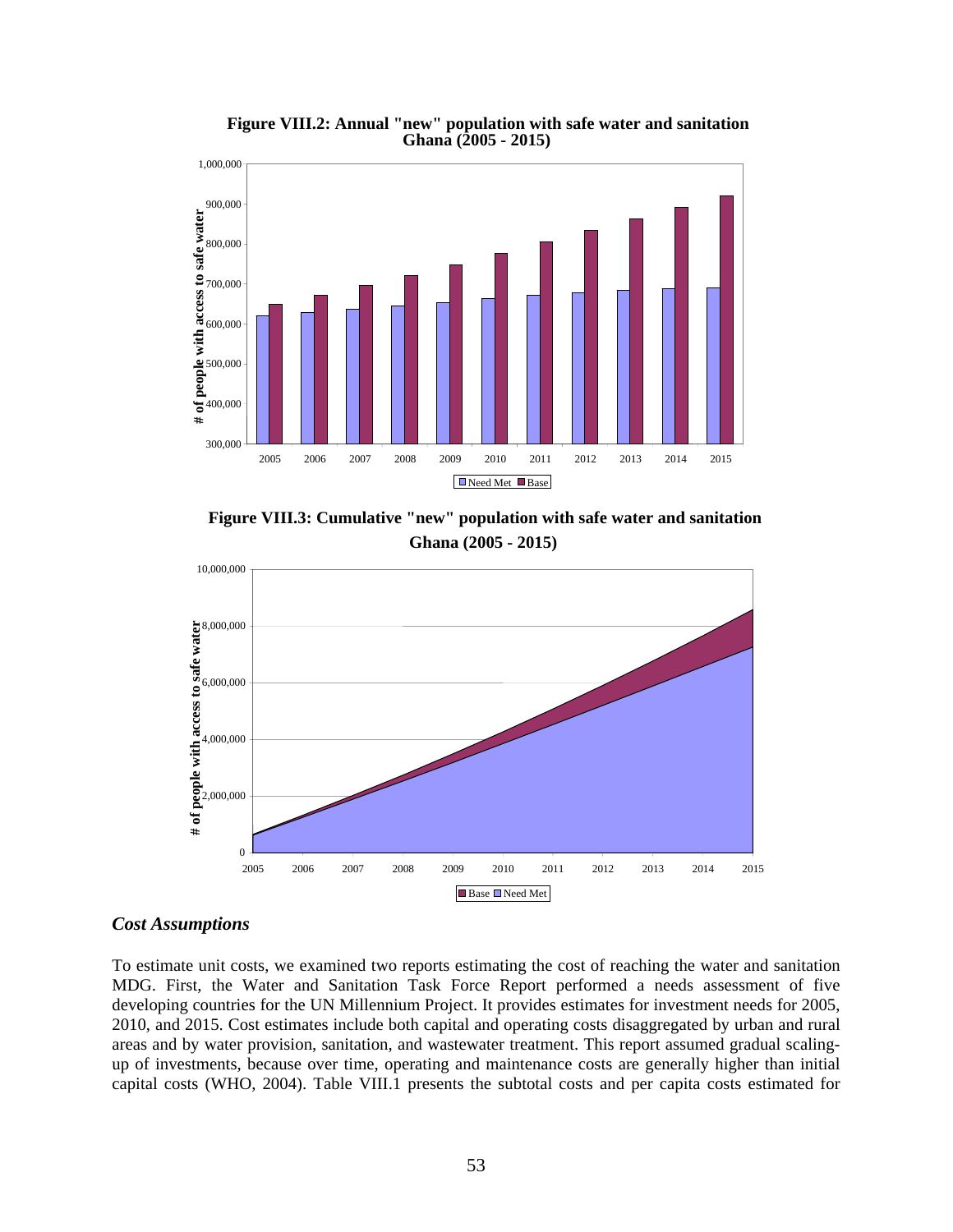

**Figure VIII.2: Annual "new" population with safe water and sanitation Ghana (2005 - 2015)**

**Figure VIII.3: Cumulative "new" population with safe water and sanitation Ghana (2005 - 2015)**



#### *Cost Assumptions*

To estimate unit costs, we examined two reports estimating the cost of reaching the water and sanitation MDG. First, the Water and Sanitation Task Force Report performed a needs assessment of five developing countries for the UN Millennium Project. It provides estimates for investment needs for 2005, 2010, and 2015. Cost estimates include both capital and operating costs disaggregated by urban and rural areas and by water provision, sanitation, and wastewater treatment. This report assumed gradual scalingup of investments, because over time, operating and maintenance costs are generally higher than initial capital costs (WHO, 2004). Table VIII.1 presents the subtotal costs and per capita costs estimated for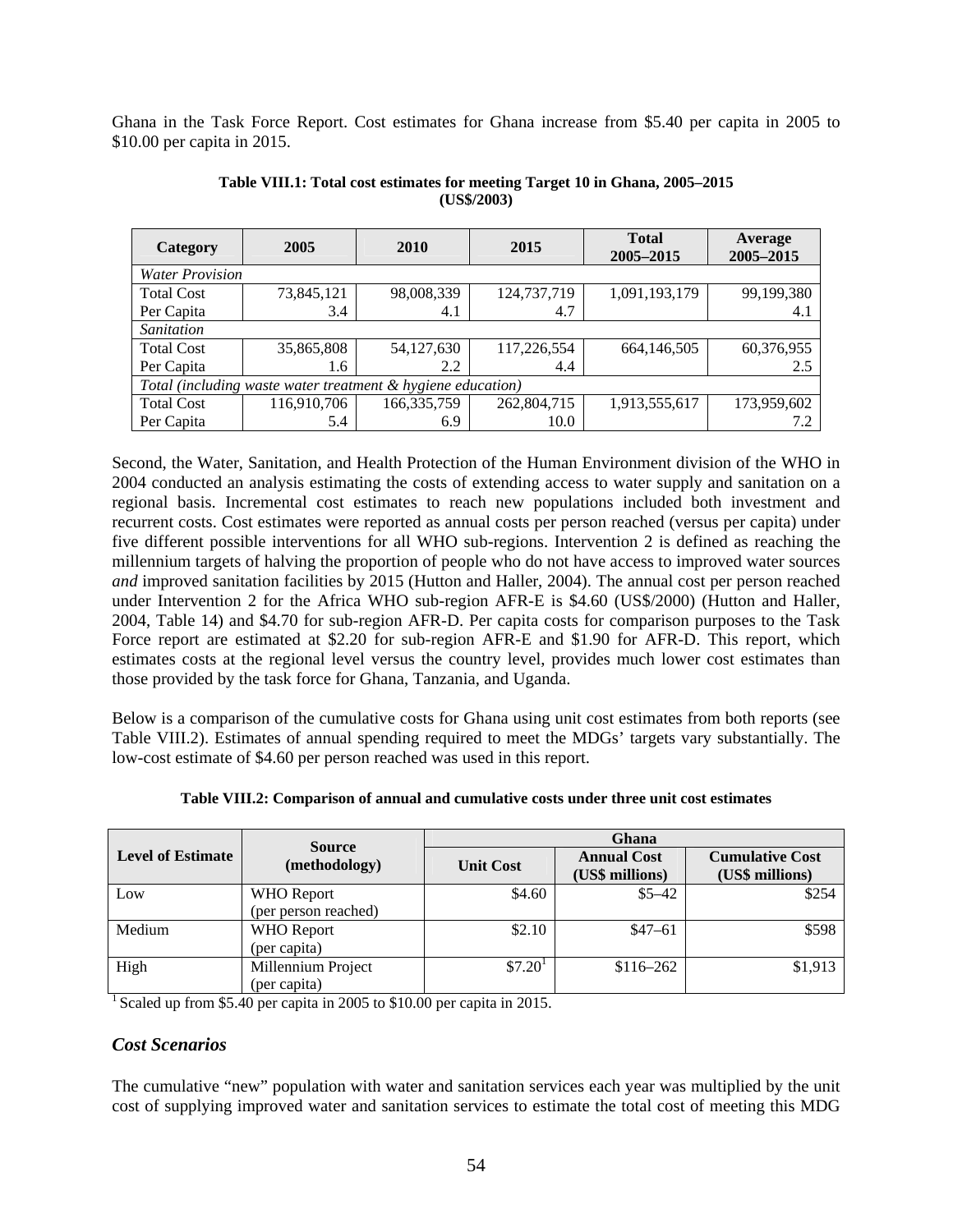Ghana in the Task Force Report. Cost estimates for Ghana increase from \$5.40 per capita in 2005 to \$10.00 per capita in 2015.

| Category                                                    | 2005        | 2010          | 2015        | <b>Total</b><br>2005-2015 | Average<br>2005-2015 |
|-------------------------------------------------------------|-------------|---------------|-------------|---------------------------|----------------------|
| <b>Water Provision</b>                                      |             |               |             |                           |                      |
| <b>Total Cost</b>                                           | 73,845,121  | 98,008,339    | 124,737,719 | 1,091,193,179             | 99,199,380           |
| Per Capita                                                  | 3.4         | 4.1           | 4.7         |                           | 4.1                  |
| Sanitation                                                  |             |               |             |                           |                      |
| <b>Total Cost</b>                                           | 35,865,808  | 54,127,630    | 117,226,554 | 664,146,505               | 60,376,955           |
| Per Capita                                                  | 1.6         | 2.2           | 4.4         |                           | 2.5                  |
| Total (including waste water treatment & hygiene education) |             |               |             |                           |                      |
| <b>Total Cost</b>                                           | 116,910,706 | 166, 335, 759 | 262,804,715 | 1,913,555,617             | 173,959,602          |
| Per Capita                                                  | 5.4         | 6.9           | 10.0        |                           | 7.2                  |

**Table VIII.1: Total cost estimates for meeting Target 10 in Ghana, 2005–2015 (US\$/2003)** 

Second, the Water, Sanitation, and Health Protection of the Human Environment division of the WHO in 2004 conducted an analysis estimating the costs of extending access to water supply and sanitation on a regional basis. Incremental cost estimates to reach new populations included both investment and recurrent costs. Cost estimates were reported as annual costs per person reached (versus per capita) under five different possible interventions for all WHO sub-regions. Intervention 2 is defined as reaching the millennium targets of halving the proportion of people who do not have access to improved water sources *and* improved sanitation facilities by 2015 (Hutton and Haller, 2004). The annual cost per person reached under Intervention 2 for the Africa WHO sub-region AFR-E is \$4.60 (US\$/2000) (Hutton and Haller, 2004, Table 14) and \$4.70 for sub-region AFR-D. Per capita costs for comparison purposes to the Task Force report are estimated at \$2.20 for sub-region AFR-E and \$1.90 for AFR-D. This report, which estimates costs at the regional level versus the country level, provides much lower cost estimates than those provided by the task force for Ghana, Tanzania, and Uganda.

Below is a comparison of the cumulative costs for Ghana using unit cost estimates from both reports (see Table VIII.2). Estimates of annual spending required to meet the MDGs' targets vary substantially. The low-cost estimate of \$4.60 per person reached was used in this report.

|                          | <b>Source</b>        | Ghana                |                                       |                                           |  |
|--------------------------|----------------------|----------------------|---------------------------------------|-------------------------------------------|--|
| <b>Level of Estimate</b> | (methodology)        | <b>Unit Cost</b>     | <b>Annual Cost</b><br>(US\$ millions) | <b>Cumulative Cost</b><br>(US\$ millions) |  |
| Low                      | <b>WHO</b> Report    | \$4.60               | $$5 - 42$                             | \$254                                     |  |
|                          | (per person reached) |                      |                                       |                                           |  |
| Medium                   | <b>WHO</b> Report    | \$2.10               | $$47-61$                              | \$598                                     |  |
|                          | (per capita)         |                      |                                       |                                           |  |
| High                     | Millennium Project   | $$7.20$ <sup>1</sup> | $$116 - 262$                          | \$1,913                                   |  |
|                          | (per capita)         |                      |                                       |                                           |  |

<sup>1</sup> Scaled up from \$5.40 per capita in 2005 to \$10.00 per capita in 2015.

## *Cost Scenarios*

The cumulative "new" population with water and sanitation services each year was multiplied by the unit cost of supplying improved water and sanitation services to estimate the total cost of meeting this MDG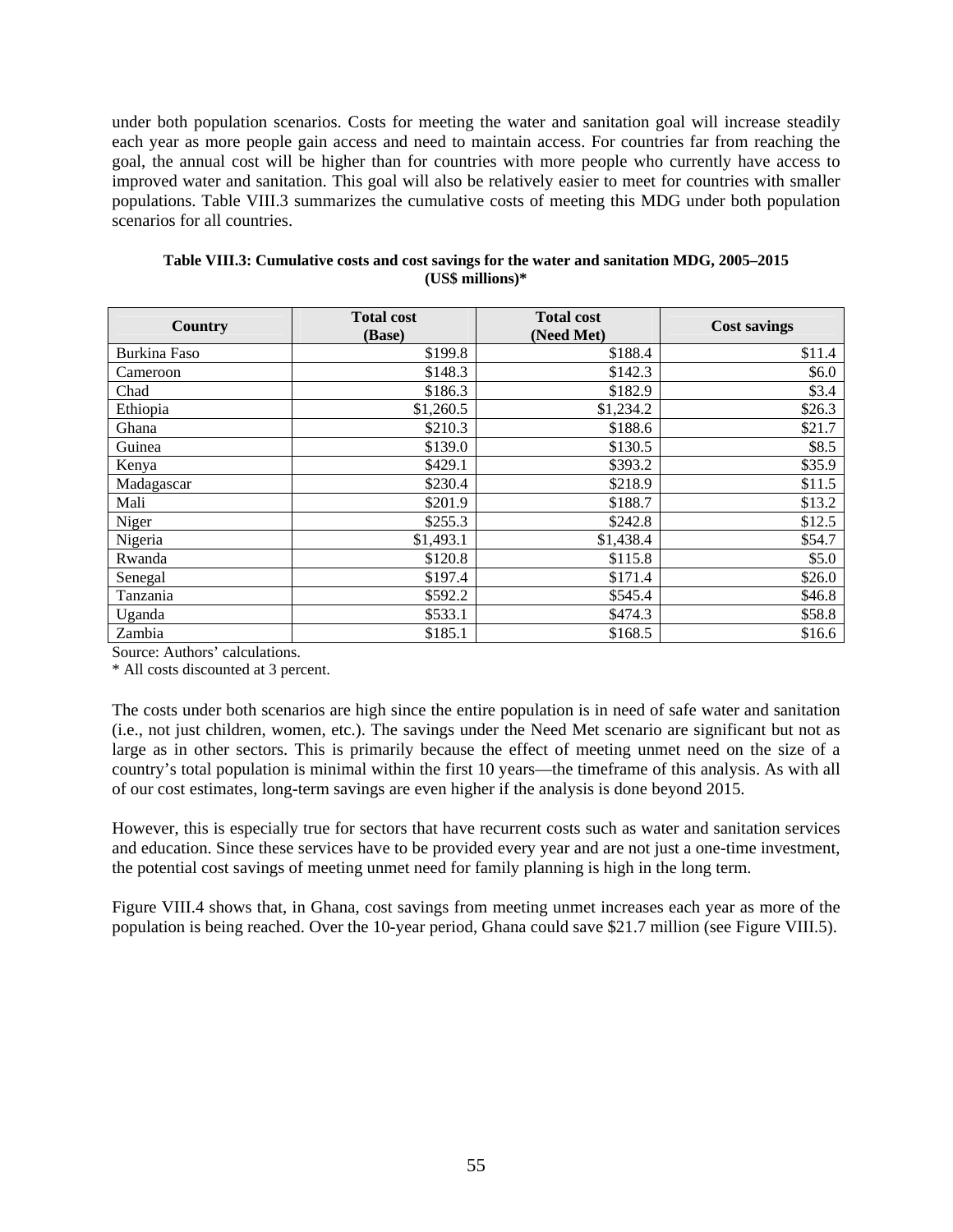under both population scenarios. Costs for meeting the water and sanitation goal will increase steadily each year as more people gain access and need to maintain access. For countries far from reaching the goal, the annual cost will be higher than for countries with more people who currently have access to improved water and sanitation. This goal will also be relatively easier to meet for countries with smaller populations. Table VIII.3 summarizes the cumulative costs of meeting this MDG under both population scenarios for all countries.

| Country      | <b>Total cost</b><br>(Base) | <b>Total cost</b><br>(Need Met) | <b>Cost savings</b> |
|--------------|-----------------------------|---------------------------------|---------------------|
| Burkina Faso | \$199.8                     | \$188.4                         | \$11.4              |
| Cameroon     | \$148.3                     | \$142.3                         | \$6.0               |
| Chad         | \$186.3                     | \$182.9                         | \$3.4               |
| Ethiopia     | \$1,260.5                   | \$1,234.2                       | \$26.3              |
| Ghana        | \$210.3                     | \$188.6                         | \$21.7              |
| Guinea       | \$139.0                     | \$130.5                         | \$8.5               |
| Kenya        | \$429.1                     | \$393.2                         | \$35.9              |
| Madagascar   | \$230.4                     | \$218.9                         | \$11.5              |
| Mali         | \$201.9                     | \$188.7                         | \$13.2              |
| Niger        | \$255.3                     | \$242.8                         | \$12.5              |
| Nigeria      | \$1,493.1                   | \$1,438.4                       | \$54.7              |
| Rwanda       | \$120.8                     | \$115.8                         | \$5.0               |
| Senegal      | \$197.4                     | \$171.4                         | \$26.0              |
| Tanzania     | \$592.2                     | \$545.4                         | \$46.8              |
| Uganda       | \$533.1                     | \$474.3                         | \$58.8              |
| Zambia       | \$185.1                     | \$168.5                         | \$16.6              |

| Table VIII.3: Cumulative costs and cost savings for the water and sanitation MDG, 2005–2015 |
|---------------------------------------------------------------------------------------------|
| $(US\$ millions)*                                                                           |

Source: Authors' calculations.

\* All costs discounted at 3 percent.

The costs under both scenarios are high since the entire population is in need of safe water and sanitation (i.e., not just children, women, etc.). The savings under the Need Met scenario are significant but not as large as in other sectors. This is primarily because the effect of meeting unmet need on the size of a country's total population is minimal within the first 10 years—the timeframe of this analysis. As with all of our cost estimates, long-term savings are even higher if the analysis is done beyond 2015.

However, this is especially true for sectors that have recurrent costs such as water and sanitation services and education. Since these services have to be provided every year and are not just a one-time investment, the potential cost savings of meeting unmet need for family planning is high in the long term.

Figure VIII.4 shows that, in Ghana, cost savings from meeting unmet increases each year as more of the population is being reached. Over the 10-year period, Ghana could save \$21.7 million (see Figure VIII.5).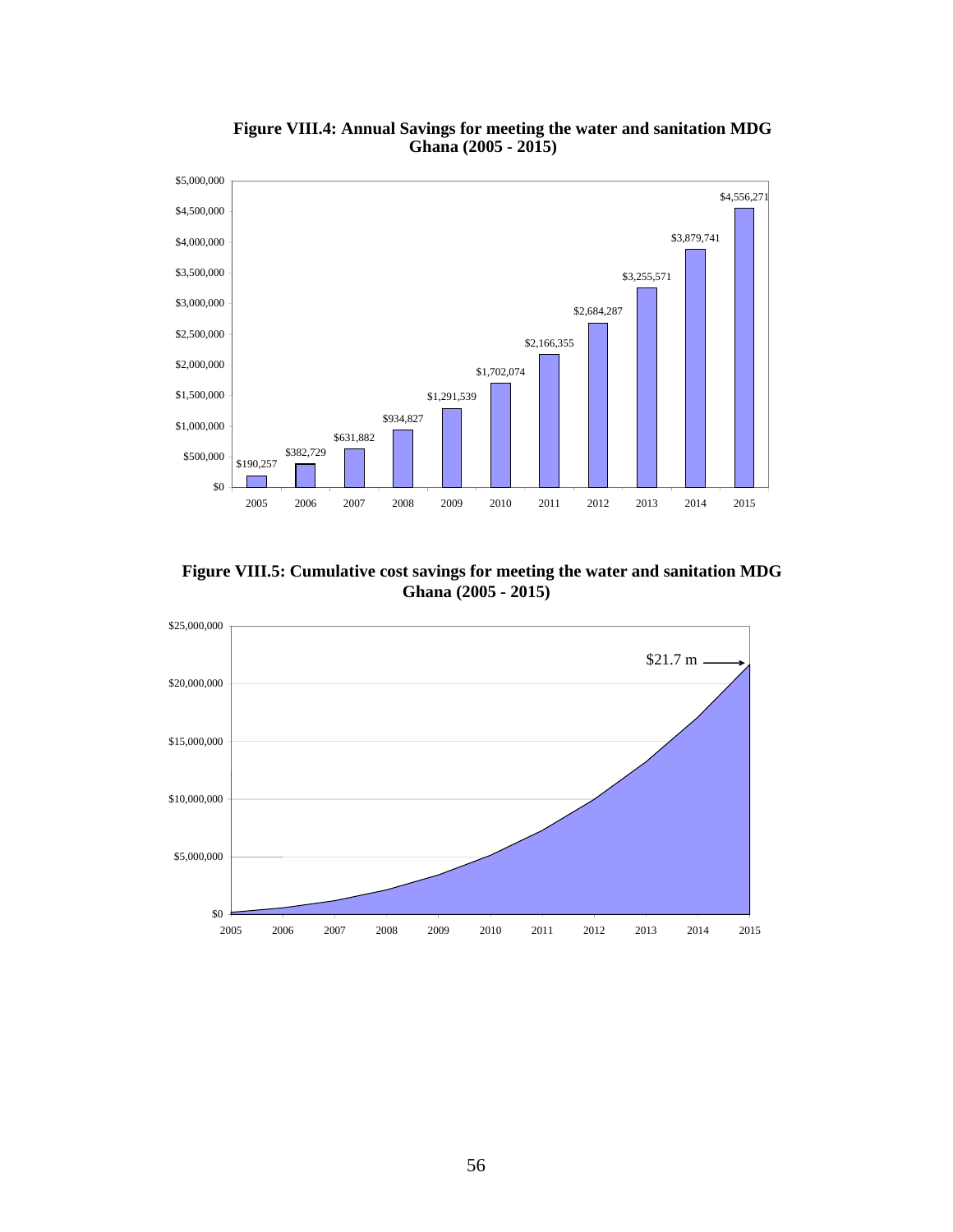

**Figure VIII.4: Annual Savings for meeting the water and sanitation MDG Ghana (2005 - 2015)**

**Ghana (2005 - 2015) Figure VIII.5: Cumulative cost savings for meeting the water and sanitation MDG**

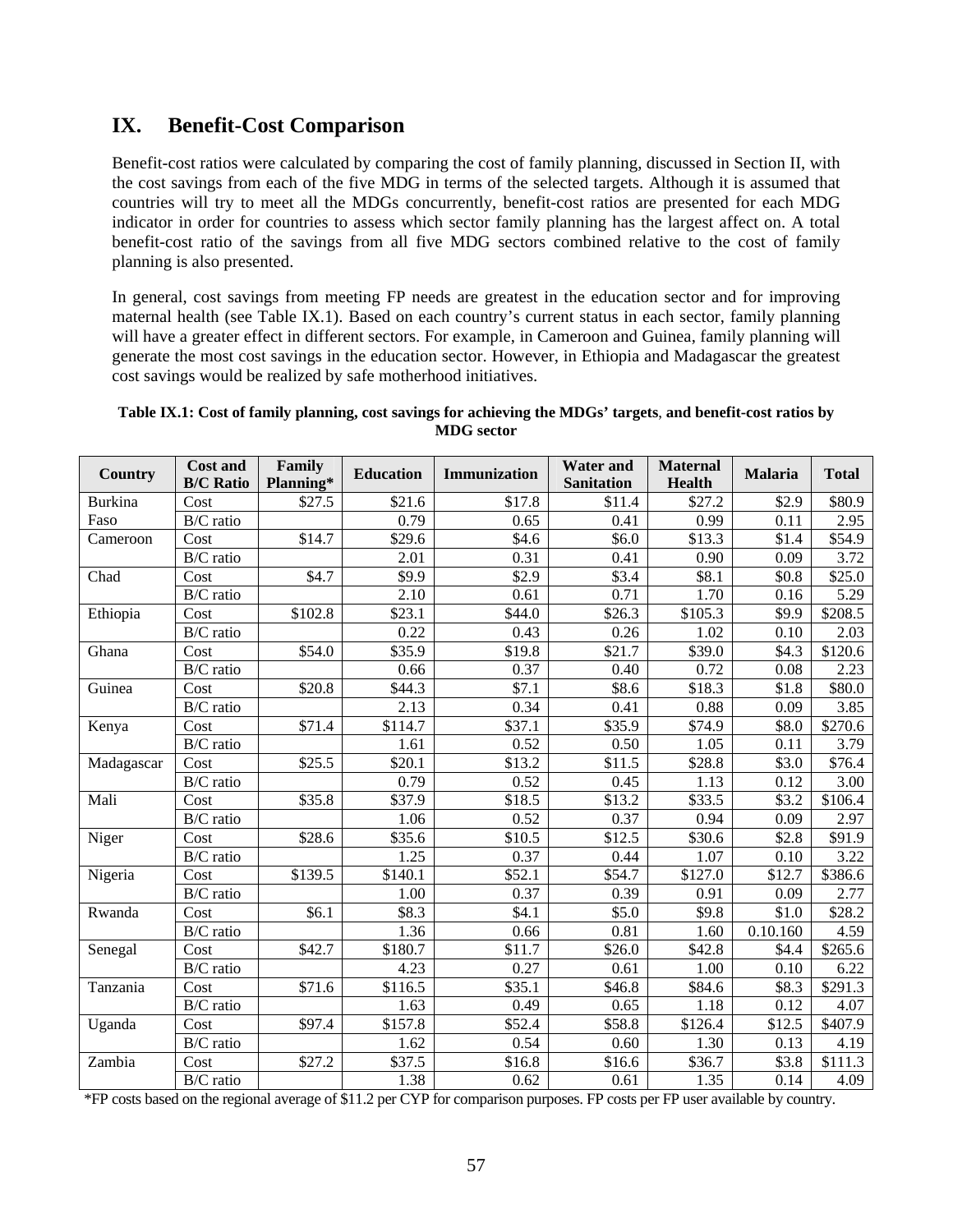# **IX. Benefit-Cost Comparison**

Benefit-cost ratios were calculated by comparing the cost of family planning, discussed in Section II, with the cost savings from each of the five MDG in terms of the selected targets. Although it is assumed that countries will try to meet all the MDGs concurrently, benefit-cost ratios are presented for each MDG indicator in order for countries to assess which sector family planning has the largest affect on. A total benefit-cost ratio of the savings from all five MDG sectors combined relative to the cost of family planning is also presented.

In general, cost savings from meeting FP needs are greatest in the education sector and for improving maternal health (see Table IX.1). Based on each country's current status in each sector, family planning will have a greater effect in different sectors. For example, in Cameroon and Guinea, family planning will generate the most cost savings in the education sector. However, in Ethiopia and Madagascar the greatest cost savings would be realized by safe motherhood initiatives.

| <b>Country</b> | <b>Cost and</b><br><b>B/C Ratio</b> | Family<br>Planning* | <b>Education</b>    | Immunization | <b>Water and</b><br><b>Sanitation</b> | <b>Maternal</b><br>Health | <b>Malaria</b> | <b>Total</b>        |
|----------------|-------------------------------------|---------------------|---------------------|--------------|---------------------------------------|---------------------------|----------------|---------------------|
| <b>Burkina</b> | Cost                                | \$27.5              | \$21.6              | \$17.8       | \$11.4                                | \$27.2                    | \$2.9          | \$80.9              |
| Faso           | $\overline{B/C}$ ratio              |                     | 0.79                | 0.65         | 0.41                                  | 0.99                      | 0.11           | 2.95                |
| Cameroon       | Cost                                | \$14.7              | \$29.6              | \$4.6        | \$6.0                                 | \$13.3                    | \$1.4          | \$54.9              |
|                | $\overline{B}/C$ ratio              |                     | 2.01                | 0.31         | 0.41                                  | 0.90                      | 0.09           | 3.72                |
| Chad           | Cost                                | \$4.7               | \$9.9               | \$2.9        | \$3.4                                 | \$8.1                     | \$0.8\$        | \$25.0              |
|                | B/C ratio                           |                     | 2.10                | 0.61         | 0.71                                  | 1.70                      | 0.16           | 5.29                |
| Ethiopia       | Cost                                | \$102.8             | \$23.1              | \$44.0       | $\overline{$}26.3$                    | \$105.3                   | \$9.9          | $\overline{$}208.5$ |
|                | B/C ratio                           |                     | 0.22                | 0.43         | 0.26                                  | 1.02                      | 0.10           | 2.03                |
| Ghana          | Cost                                | \$54.0              | \$35.9              | \$19.8       | \$21.7                                | \$39.0                    | \$4.3          | \$120.6             |
|                | $\overline{B/C}$ ratio              |                     | 0.66                | 0.37         | 0.40                                  | 0.72                      | 0.08           | 2.23                |
| Guinea         | Cost                                | \$20.8              | \$44.3              | \$7.1        | \$8.6                                 | \$18.3                    | \$1.8          | \$80.0              |
|                | B/C ratio                           |                     | 2.13                | 0.34         | 0.41                                  | 0.88                      | 0.09           | 3.85                |
| Kenya          | Cost                                | \$71.4              | $\overline{$}114.7$ | \$37.1       | \$35.9                                | \$74.9                    | \$8.0          | \$270.6             |
|                | B/C ratio                           |                     | 1.61                | 0.52         | 0.50                                  | 1.05                      | 0.11           | 3.79                |
| Madagascar     | Cost                                | \$25.5              | \$20.1              | \$13.2       | \$11.5                                | \$28.8                    | \$3.0          | \$76.4              |
|                | $\overline{B}/C$ ratio              |                     | 0.79                | 0.52         | 0.45                                  | 1.13                      | 0.12           | 3.00                |
| Mali           | Cost                                | \$35.8              | \$37.9              | \$18.5       | \$13.2                                | \$33.5                    | \$3.2          | \$106.4             |
|                | B/C ratio                           |                     | 1.06                | 0.52         | 0.37                                  | 0.94                      | 0.09           | 2.97                |
| Niger          | Cost                                | \$28.6              | \$35.6              | \$10.5       | \$12.5                                | \$30.6                    | \$2.8          | \$91.9              |
|                | B/C ratio                           |                     | 1.25                | 0.37         | 0.44                                  | 1.07                      | 0.10           | 3.22                |
| Nigeria        | Cost                                | \$139.5             | \$140.1             | \$52.1       | \$54.7                                | \$127.0                   | \$12.7         | \$386.6             |
|                | B/C ratio                           |                     | 1.00                | 0.37         | 0.39                                  | 0.91                      | 0.09           | 2.77                |
| Rwanda         | Cost                                | \$6.1               | \$8.3               | \$4.1        | \$5.0                                 | \$9.8                     | \$1.0          | \$28.2              |
|                | $\overline{B}/C$ ratio              |                     | 1.36                | 0.66         | 0.81                                  | 1.60                      | 0.10.160       | 4.59                |
| Senegal        | Cost                                | \$42.7              | \$180.7             | \$11.7       | \$26.0                                | \$42.8                    | \$4.4          | \$265.6             |
|                | B/C ratio                           |                     | 4.23                | 0.27         | 0.61                                  | 1.00                      | 0.10           | 6.22                |
| Tanzania       | Cost                                | \$71.6              | \$116.5             | \$35.1       | \$46.8                                | \$84.6                    | \$8.3          | \$291.3             |
|                | $\overline{B/C}$ ratio              |                     | 1.63                | 0.49         | 0.65                                  | 1.18                      | 0.12           | 4.07                |
| Uganda         | Cost                                | \$97.4              | \$157.8             | \$52.4       | \$58.8                                | \$126.4                   | \$12.5         | \$407.9             |
|                | B/C ratio                           |                     | 1.62                | 0.54         | 0.60                                  | 1.30                      | 0.13           | 4.19                |
| Zambia         | Cost                                | \$27.2              | \$37.5              | \$16.8       | \$16.6                                | \$36.7                    | \$3.8          | \$111.3             |
|                | $\overline{B/C}$ ratio              |                     | 1.38                | 0.62         | 0.61                                  | 1.35                      | 0.14           | 4.09                |

#### **Table IX.1: Cost of family planning, cost savings for achieving the MDGs' targets**, **and benefit-cost ratios by MDG sector**

\*FP costs based on the regional average of \$11.2 per CYP for comparison purposes. FP costs per FP user available by country.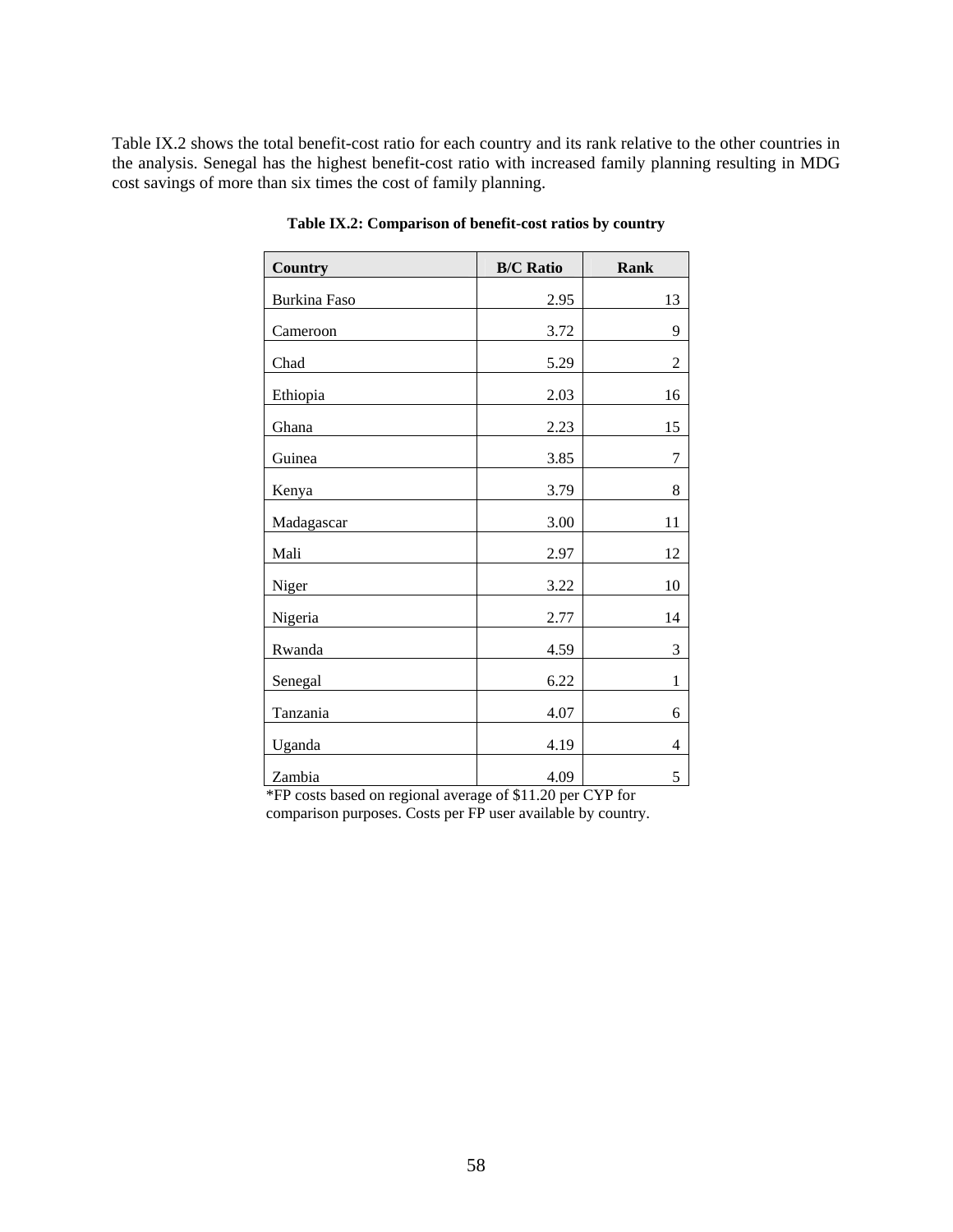Table IX.2 shows the total benefit-cost ratio for each country and its rank relative to the other countries in the analysis. Senegal has the highest benefit-cost ratio with increased family planning resulting in MDG cost savings of more than six times the cost of family planning.

| <b>Country</b>      | <b>B/C Ratio</b> | <b>Rank</b>    |
|---------------------|------------------|----------------|
| <b>Burkina Faso</b> | 2.95             | 13             |
| Cameroon            | 3.72             | 9              |
| Chad                | 5.29             | $\overline{2}$ |
| Ethiopia            | 2.03             | 16             |
| Ghana               | 2.23             | 15             |
| Guinea              | 3.85             | 7              |
| Kenya               | 3.79             | 8              |
| Madagascar          | 3.00             | 11             |
| Mali                | 2.97             | 12             |
| Niger               | 3.22             | 10             |
| Nigeria             | 2.77             | 14             |
| Rwanda              | 4.59             | 3              |
| Senegal             | 6.22             | 1              |
| Tanzania            | 4.07             | 6              |
| Uganda              | 4.19             | 4              |
| Zambia              | 4.09             | 5              |

**Table IX.2: Comparison of benefit-cost ratios by country** 

\*FP costs based on regional average of \$11.20 per CYP for comparison purposes. Costs per FP user available by country.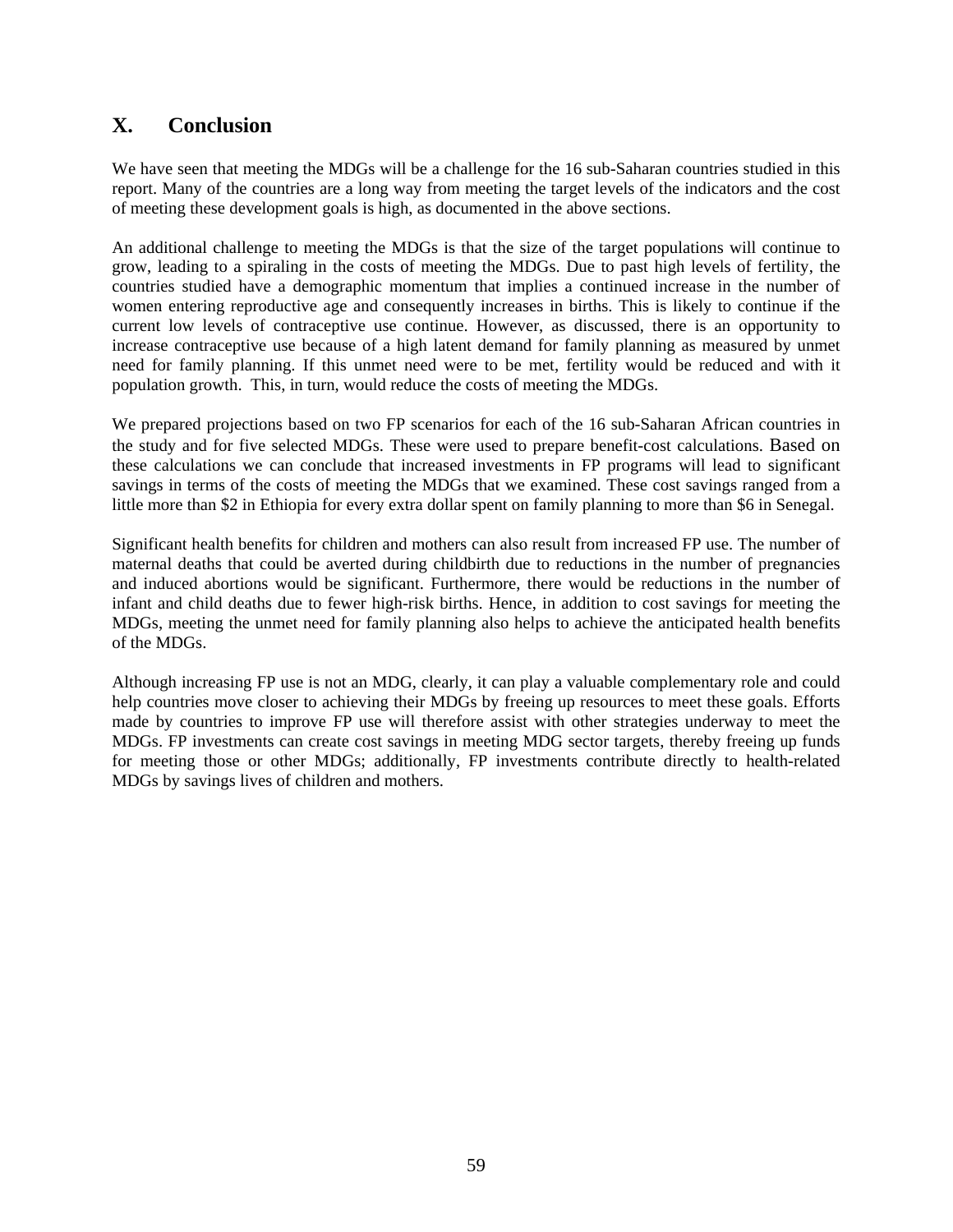# **X. Conclusion**

We have seen that meeting the MDGs will be a challenge for the 16 sub-Saharan countries studied in this report. Many of the countries are a long way from meeting the target levels of the indicators and the cost of meeting these development goals is high, as documented in the above sections.

An additional challenge to meeting the MDGs is that the size of the target populations will continue to grow, leading to a spiraling in the costs of meeting the MDGs. Due to past high levels of fertility, the countries studied have a demographic momentum that implies a continued increase in the number of women entering reproductive age and consequently increases in births. This is likely to continue if the current low levels of contraceptive use continue. However, as discussed, there is an opportunity to increase contraceptive use because of a high latent demand for family planning as measured by unmet need for family planning. If this unmet need were to be met, fertility would be reduced and with it population growth. This, in turn, would reduce the costs of meeting the MDGs.

We prepared projections based on two FP scenarios for each of the 16 sub-Saharan African countries in the study and for five selected MDGs. These were used to prepare benefit-cost calculations. Based on these calculations we can conclude that increased investments in FP programs will lead to significant savings in terms of the costs of meeting the MDGs that we examined. These cost savings ranged from a little more than \$2 in Ethiopia for every extra dollar spent on family planning to more than \$6 in Senegal.

Significant health benefits for children and mothers can also result from increased FP use. The number of maternal deaths that could be averted during childbirth due to reductions in the number of pregnancies and induced abortions would be significant. Furthermore, there would be reductions in the number of infant and child deaths due to fewer high-risk births. Hence, in addition to cost savings for meeting the MDGs, meeting the unmet need for family planning also helps to achieve the anticipated health benefits of the MDGs.

Although increasing FP use is not an MDG, clearly, it can play a valuable complementary role and could help countries move closer to achieving their MDGs by freeing up resources to meet these goals. Efforts made by countries to improve FP use will therefore assist with other strategies underway to meet the MDGs. FP investments can create cost savings in meeting MDG sector targets, thereby freeing up funds for meeting those or other MDGs; additionally, FP investments contribute directly to health-related MDGs by savings lives of children and mothers.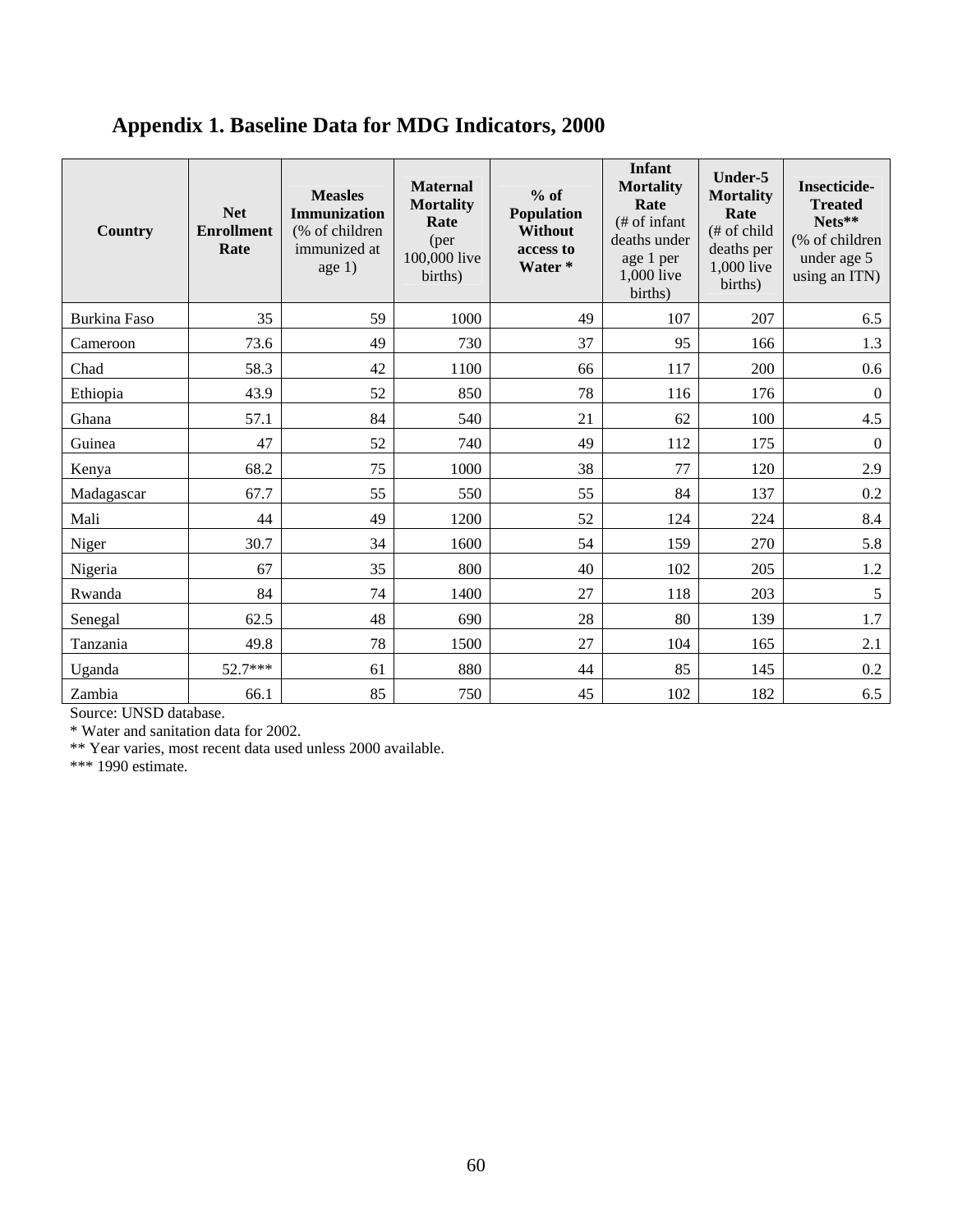# **Appendix 1. Baseline Data for MDG Indicators, 2000**

| Country             | <b>Net</b><br><b>Enrollment</b><br>Rate | <b>Measles</b><br><b>Immunization</b><br>(% of children<br>immunized at<br>age 1) | <b>Maternal</b><br><b>Mortality</b><br>Rate<br>(per<br>100,000 live<br>births) | $%$ of<br>Population<br><b>Without</b><br>access to<br>Water* | <b>Infant</b><br><b>Mortality</b><br>Rate<br>$#$ of infant<br>deaths under<br>age 1 per<br>1,000 live<br>births) | Under-5<br><b>Mortality</b><br>Rate<br>(# of child<br>deaths per<br>1,000 live<br>births) | <b>Insecticide-</b><br><b>Treated</b><br>Nets**<br>(% of children<br>under age 5<br>using an ITN) |
|---------------------|-----------------------------------------|-----------------------------------------------------------------------------------|--------------------------------------------------------------------------------|---------------------------------------------------------------|------------------------------------------------------------------------------------------------------------------|-------------------------------------------------------------------------------------------|---------------------------------------------------------------------------------------------------|
| <b>Burkina Faso</b> | 35                                      | 59                                                                                | 1000                                                                           | 49                                                            | 107                                                                                                              | 207                                                                                       | 6.5                                                                                               |
| Cameroon            | 73.6                                    | 49                                                                                | 730                                                                            | 37                                                            | 95                                                                                                               | 166                                                                                       | 1.3                                                                                               |
| Chad                | 58.3                                    | 42                                                                                | 1100                                                                           | 66                                                            | 117                                                                                                              | 200                                                                                       | 0.6                                                                                               |
| Ethiopia            | 43.9                                    | 52                                                                                | 850                                                                            | 78                                                            | 116                                                                                                              | 176                                                                                       | $\boldsymbol{0}$                                                                                  |
| Ghana               | 57.1                                    | 84                                                                                | 540                                                                            | 21                                                            | 62                                                                                                               | 100                                                                                       | 4.5                                                                                               |
| Guinea              | 47                                      | 52                                                                                | 740                                                                            | 49                                                            | 112                                                                                                              | 175                                                                                       | $\boldsymbol{0}$                                                                                  |
| Kenya               | 68.2                                    | 75                                                                                | 1000                                                                           | 38                                                            | 77                                                                                                               | 120                                                                                       | 2.9                                                                                               |
| Madagascar          | 67.7                                    | 55                                                                                | 550                                                                            | 55                                                            | 84                                                                                                               | 137                                                                                       | $0.2\,$                                                                                           |
| Mali                | 44                                      | 49                                                                                | 1200                                                                           | 52                                                            | 124                                                                                                              | 224                                                                                       | 8.4                                                                                               |
| Niger               | 30.7                                    | 34                                                                                | 1600                                                                           | 54                                                            | 159                                                                                                              | 270                                                                                       | 5.8                                                                                               |
| Nigeria             | 67                                      | 35                                                                                | 800                                                                            | 40                                                            | 102                                                                                                              | 205                                                                                       | 1.2                                                                                               |
| Rwanda              | 84                                      | 74                                                                                | 1400                                                                           | 27                                                            | 118                                                                                                              | 203                                                                                       | 5                                                                                                 |
| Senegal             | 62.5                                    | 48                                                                                | 690                                                                            | 28                                                            | 80                                                                                                               | 139                                                                                       | 1.7                                                                                               |
| Tanzania            | 49.8                                    | 78                                                                                | 1500                                                                           | 27                                                            | 104                                                                                                              | 165                                                                                       | 2.1                                                                                               |
| Uganda              | $52.7***$                               | 61                                                                                | 880                                                                            | 44                                                            | 85                                                                                                               | 145                                                                                       | $0.2\,$                                                                                           |
| Zambia              | 66.1                                    | 85                                                                                | 750                                                                            | 45                                                            | 102                                                                                                              | 182                                                                                       | 6.5                                                                                               |

Source: UNSD database.

\* Water and sanitation data for 2002.

\*\* Year varies, most recent data used unless 2000 available.

\*\*\* 1990 estimate.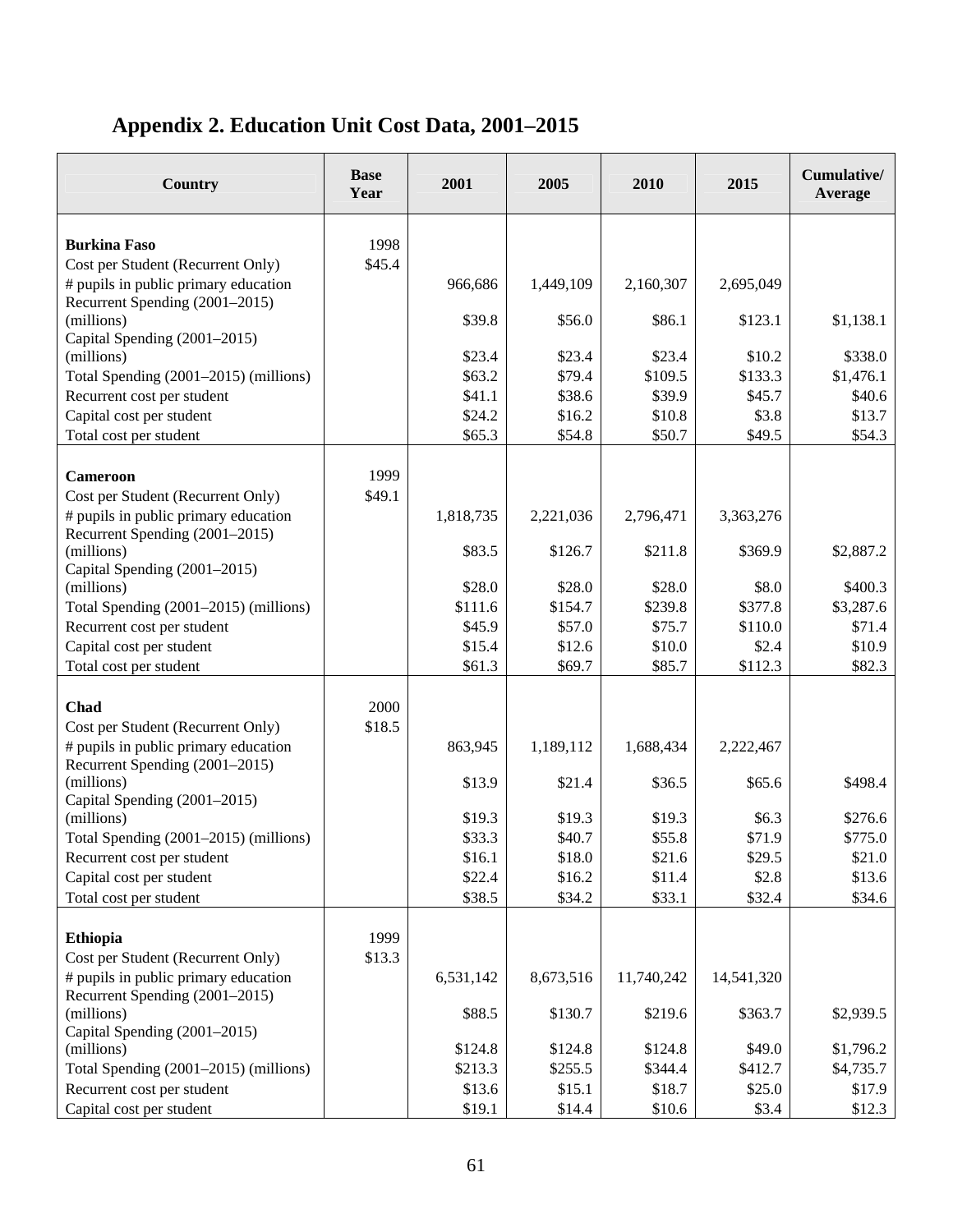# **Appendix 2. Education Unit Cost Data, 2001–2015**

| Country                                                                | <b>Base</b><br>Year | 2001             | 2005             | 2010             | 2015            | Cumulative/<br>Average |
|------------------------------------------------------------------------|---------------------|------------------|------------------|------------------|-----------------|------------------------|
|                                                                        |                     |                  |                  |                  |                 |                        |
| <b>Burkina Faso</b><br>Cost per Student (Recurrent Only)               | 1998<br>\$45.4      |                  |                  |                  |                 |                        |
| # pupils in public primary education                                   |                     | 966,686          | 1,449,109        | 2,160,307        | 2,695,049       |                        |
| Recurrent Spending (2001-2015)                                         |                     |                  |                  |                  |                 |                        |
| (millions)                                                             |                     | \$39.8           | \$56.0           | \$86.1           | \$123.1         | \$1,138.1              |
| Capital Spending (2001-2015)                                           |                     |                  |                  |                  |                 |                        |
| (millions)                                                             |                     | \$23.4           | \$23.4           | \$23.4           | \$10.2          | \$338.0                |
| Total Spending (2001–2015) (millions)                                  |                     | \$63.2           | \$79.4           | \$109.5          | \$133.3         | \$1,476.1              |
| Recurrent cost per student                                             |                     | \$41.1           | \$38.6           | \$39.9           | \$45.7          | \$40.6                 |
| Capital cost per student<br>Total cost per student                     |                     | \$24.2<br>\$65.3 | \$16.2<br>\$54.8 | \$10.8<br>\$50.7 | \$3.8<br>\$49.5 | \$13.7<br>\$54.3       |
|                                                                        |                     |                  |                  |                  |                 |                        |
| <b>Cameroon</b>                                                        | 1999                |                  |                  |                  |                 |                        |
| Cost per Student (Recurrent Only)                                      | \$49.1              |                  |                  |                  |                 |                        |
| # pupils in public primary education<br>Recurrent Spending (2001-2015) |                     | 1,818,735        | 2,221,036        | 2,796,471        | 3,363,276       |                        |
| (millions)                                                             |                     | \$83.5           | \$126.7          | \$211.8          | \$369.9         | \$2,887.2              |
| Capital Spending (2001-2015)<br>(millions)                             |                     | \$28.0           | \$28.0           | \$28.0           | \$8.0           | \$400.3                |
| Total Spending (2001–2015) (millions)                                  |                     | \$111.6          | \$154.7          | \$239.8          | \$377.8         | \$3,287.6              |
| Recurrent cost per student                                             |                     | \$45.9           | \$57.0           | \$75.7           | \$110.0         | \$71.4                 |
| Capital cost per student                                               |                     | \$15.4           | \$12.6           | \$10.0           | \$2.4           | \$10.9                 |
| Total cost per student                                                 |                     | \$61.3           | \$69.7           | \$85.7           | \$112.3         | \$82.3                 |
|                                                                        |                     |                  |                  |                  |                 |                        |
| Chad                                                                   | 2000                |                  |                  |                  |                 |                        |
| Cost per Student (Recurrent Only)                                      | \$18.5              |                  |                  |                  |                 |                        |
| # pupils in public primary education<br>Recurrent Spending (2001-2015) |                     | 863,945          | 1,189,112        | 1,688,434        | 2,222,467       |                        |
| (millions)                                                             |                     | \$13.9           | \$21.4           | \$36.5           | \$65.6          | \$498.4                |
| Capital Spending (2001-2015)                                           |                     |                  |                  |                  |                 |                        |
| (millions)                                                             |                     | \$19.3           | \$19.3           | \$19.3           | \$6.3           | \$276.6                |
| Total Spending (2001–2015) (millions)                                  |                     | \$33.3           | \$40.7           | \$55.8           | \$71.9          | \$775.0                |
| Recurrent cost per student                                             |                     | \$16.1           | \$18.0           | \$21.6           | \$29.5          | \$21.0                 |
| Capital cost per student<br>Total cost per student                     |                     | \$22.4<br>\$38.5 | \$16.2<br>\$34.2 | \$11.4<br>\$33.1 | \$2.8           | \$13.6<br>\$34.6       |
|                                                                        |                     |                  |                  |                  | \$32.4          |                        |
| <b>Ethiopia</b>                                                        | 1999                |                  |                  |                  |                 |                        |
| Cost per Student (Recurrent Only)                                      | \$13.3              |                  |                  |                  |                 |                        |
| # pupils in public primary education                                   |                     | 6,531,142        | 8,673,516        | 11,740,242       | 14,541,320      |                        |
| Recurrent Spending (2001–2015)                                         |                     |                  |                  |                  |                 |                        |
| (millions)                                                             |                     | \$88.5           | \$130.7          | \$219.6          | \$363.7         | \$2,939.5              |
| Capital Spending (2001-2015)                                           |                     |                  |                  |                  |                 |                        |
| (millions)                                                             |                     | \$124.8          | \$124.8          | \$124.8          | \$49.0          | \$1,796.2              |
| Total Spending (2001–2015) (millions)                                  |                     | \$213.3          | \$255.5          | \$344.4          | \$412.7         | \$4,735.7              |
| Recurrent cost per student                                             |                     | \$13.6           | \$15.1           | \$18.7           | \$25.0          | \$17.9                 |
| Capital cost per student                                               |                     | \$19.1           | \$14.4           | \$10.6           | \$3.4           | \$12.3                 |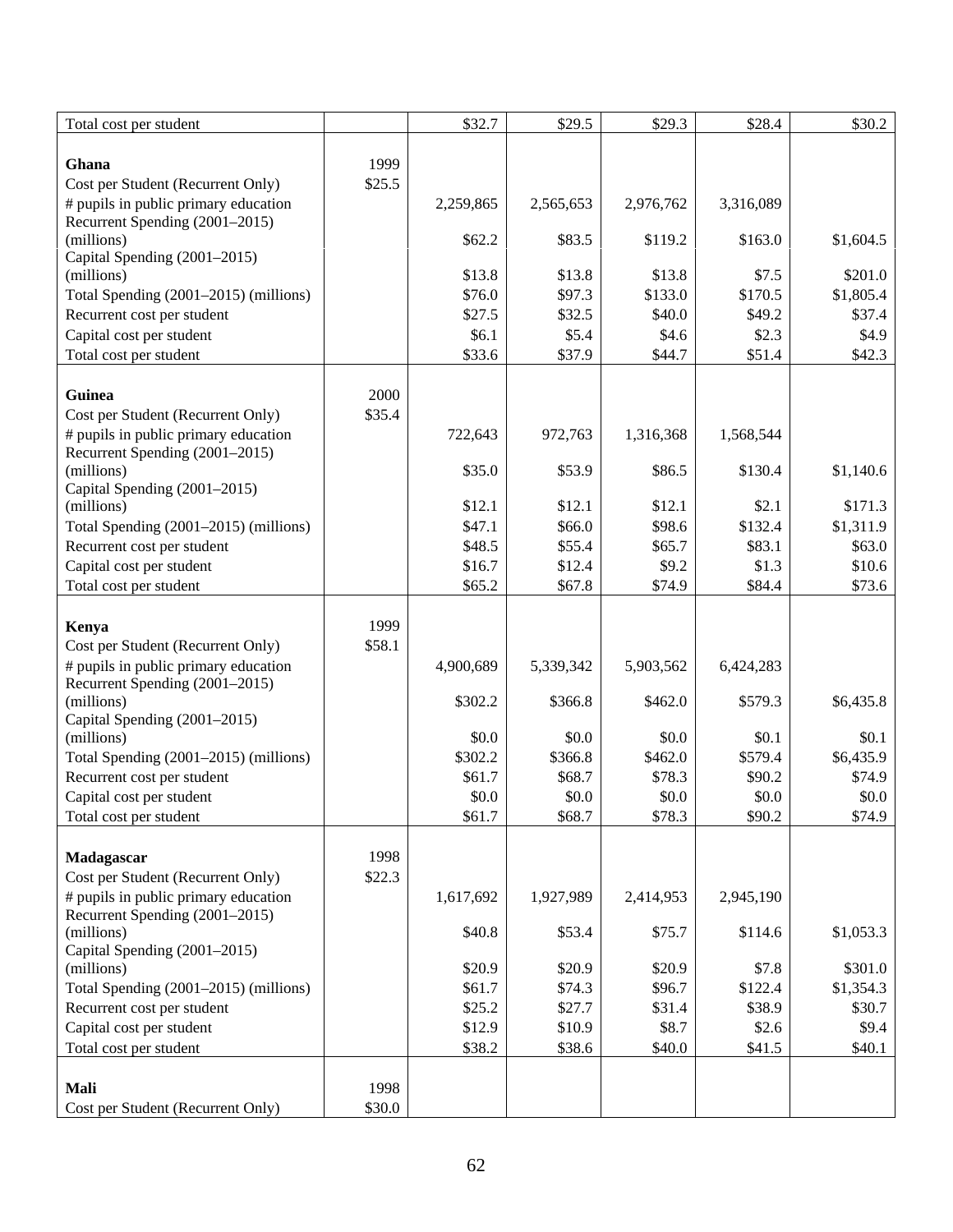| Total cost per student                     |        | \$32.7    | \$29.5    | \$29.3    | \$28.4    | \$30.2    |
|--------------------------------------------|--------|-----------|-----------|-----------|-----------|-----------|
|                                            |        |           |           |           |           |           |
| Ghana                                      | 1999   |           |           |           |           |           |
| Cost per Student (Recurrent Only)          | \$25.5 |           |           |           |           |           |
| # pupils in public primary education       |        | 2,259,865 | 2,565,653 | 2,976,762 | 3,316,089 |           |
| Recurrent Spending (2001-2015)             |        |           |           |           |           |           |
| (millions)                                 |        | \$62.2    | \$83.5    | \$119.2   | \$163.0   | \$1,604.5 |
| Capital Spending (2001-2015)<br>(millions) |        | \$13.8    | \$13.8    | \$13.8    | \$7.5     | \$201.0   |
| Total Spending (2001–2015) (millions)      |        | \$76.0    | \$97.3    | \$133.0   | \$170.5   | \$1,805.4 |
| Recurrent cost per student                 |        | \$27.5    | \$32.5    | \$40.0    | \$49.2    | \$37.4    |
| Capital cost per student                   |        | \$6.1     | \$5.4     | \$4.6     | \$2.3     | \$4.9     |
| Total cost per student                     |        | \$33.6    | \$37.9    | \$44.7    | \$51.4    | \$42.3    |
|                                            |        |           |           |           |           |           |
| Guinea                                     | 2000   |           |           |           |           |           |
| Cost per Student (Recurrent Only)          | \$35.4 |           |           |           |           |           |
| # pupils in public primary education       |        | 722,643   | 972,763   | 1,316,368 | 1,568,544 |           |
| Recurrent Spending (2001-2015)             |        |           |           |           |           |           |
| (millions)                                 |        | \$35.0    | \$53.9    | \$86.5    | \$130.4   | \$1,140.6 |
| Capital Spending (2001-2015)               |        |           |           |           |           |           |
| (millions)                                 |        | \$12.1    | \$12.1    | \$12.1    | \$2.1     | \$171.3   |
| Total Spending (2001-2015) (millions)      |        | \$47.1    | \$66.0    | \$98.6    | \$132.4   | \$1,311.9 |
| Recurrent cost per student                 |        | \$48.5    | \$55.4    | \$65.7    | \$83.1    | \$63.0    |
| Capital cost per student                   |        | \$16.7    | \$12.4    | \$9.2     | \$1.3     | \$10.6    |
| Total cost per student                     |        | \$65.2    | \$67.8    | \$74.9    | \$84.4    | \$73.6    |
|                                            |        |           |           |           |           |           |
| Kenya                                      | 1999   |           |           |           |           |           |
| Cost per Student (Recurrent Only)          | \$58.1 |           |           |           |           |           |
| # pupils in public primary education       |        | 4,900,689 | 5,339,342 | 5,903,562 | 6,424,283 |           |
| Recurrent Spending (2001-2015)             |        |           |           |           |           |           |
| (millions)                                 |        | \$302.2   | \$366.8   | \$462.0   | \$579.3   | \$6,435.8 |
| Capital Spending (2001-2015)<br>(millions) |        | \$0.0     | \$0.0     | \$0.0     | \$0.1     | \$0.1     |
| Total Spending (2001–2015) (millions)      |        | \$302.2   | \$366.8   | \$462.0   | \$579.4   | \$6,435.9 |
| Recurrent cost per student                 |        | \$61.7    | \$68.7    | \$78.3    | \$90.2    | \$74.9    |
| Capital cost per student                   |        | \$0.0     | \$0.0     | \$0.0     | \$0.0     | \$0.0     |
| Total cost per student                     |        | \$61.7    | \$68.7    | \$78.3    | \$90.2    | \$74.9    |
|                                            |        |           |           |           |           |           |
| Madagascar                                 | 1998   |           |           |           |           |           |
| Cost per Student (Recurrent Only)          | \$22.3 |           |           |           |           |           |
| # pupils in public primary education       |        | 1,617,692 | 1,927,989 | 2,414,953 | 2,945,190 |           |
| Recurrent Spending (2001–2015)             |        |           |           |           |           |           |
| (millions)                                 |        | \$40.8    | \$53.4    | \$75.7    | \$114.6   | \$1,053.3 |
| Capital Spending (2001-2015)               |        |           |           |           |           |           |
| (millions)                                 |        | \$20.9    | \$20.9    | \$20.9    | \$7.8     | \$301.0   |
| Total Spending (2001-2015) (millions)      |        | \$61.7    | \$74.3    | \$96.7    | \$122.4   | \$1,354.3 |
| Recurrent cost per student                 |        | \$25.2    | \$27.7    | \$31.4    | \$38.9    | \$30.7    |
| Capital cost per student                   |        | \$12.9    | \$10.9    | \$8.7     | \$2.6     | \$9.4     |
| Total cost per student                     |        | \$38.2    | \$38.6    | \$40.0    | \$41.5    | \$40.1    |
|                                            |        |           |           |           |           |           |
| Mali                                       | 1998   |           |           |           |           |           |
| Cost per Student (Recurrent Only)          | \$30.0 |           |           |           |           |           |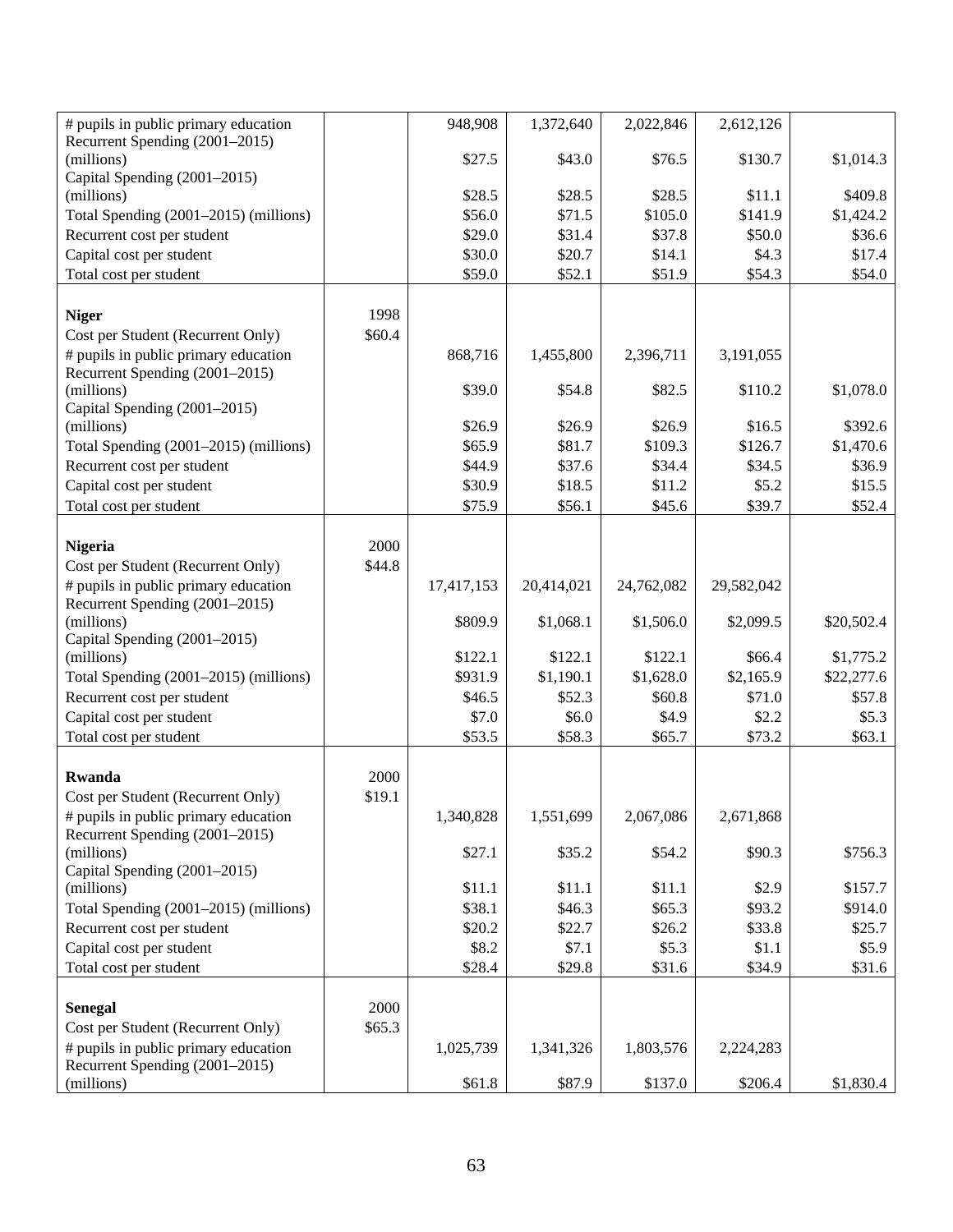| # pupils in public primary education                                   |        | 948,908          | 1,372,640        | 2,022,846         | 2,612,126         |                     |
|------------------------------------------------------------------------|--------|------------------|------------------|-------------------|-------------------|---------------------|
| Recurrent Spending (2001–2015)<br>(millions)                           |        | \$27.5           | \$43.0           | \$76.5            | \$130.7           | \$1,014.3           |
| Capital Spending (2001-2015)                                           |        |                  |                  |                   |                   |                     |
| (millions)                                                             |        | \$28.5           | \$28.5           | \$28.5            | \$11.1            | \$409.8             |
| Total Spending (2001-2015) (millions)                                  |        | \$56.0           | \$71.5           | \$105.0           | \$141.9           | \$1,424.2           |
| Recurrent cost per student                                             |        | \$29.0           | \$31.4           | \$37.8            | \$50.0            | \$36.6              |
| Capital cost per student                                               |        | \$30.0           | \$20.7           | \$14.1            | \$4.3             | \$17.4              |
| Total cost per student                                                 |        | \$59.0           | \$52.1           | \$51.9            | \$54.3            | \$54.0              |
| <b>Niger</b>                                                           | 1998   |                  |                  |                   |                   |                     |
| Cost per Student (Recurrent Only)                                      | \$60.4 |                  |                  |                   |                   |                     |
| # pupils in public primary education                                   |        | 868,716          | 1,455,800        | 2,396,711         | 3,191,055         |                     |
| Recurrent Spending (2001–2015)                                         |        |                  |                  |                   |                   |                     |
| (millions)                                                             |        | \$39.0           | \$54.8           | \$82.5            | \$110.2           | \$1,078.0           |
| Capital Spending (2001-2015)                                           |        |                  |                  |                   |                   |                     |
| (millions)                                                             |        | \$26.9           | \$26.9           | \$26.9            | \$16.5            | \$392.6             |
| Total Spending (2001–2015) (millions)<br>Recurrent cost per student    |        | \$65.9<br>\$44.9 | \$81.7<br>\$37.6 | \$109.3<br>\$34.4 | \$126.7<br>\$34.5 | \$1,470.6<br>\$36.9 |
| Capital cost per student                                               |        | \$30.9           | \$18.5           | \$11.2            | \$5.2             | \$15.5              |
| Total cost per student                                                 |        | \$75.9           | \$56.1           | \$45.6            | \$39.7            | \$52.4              |
|                                                                        |        |                  |                  |                   |                   |                     |
| <b>Nigeria</b>                                                         | 2000   |                  |                  |                   |                   |                     |
| Cost per Student (Recurrent Only)                                      | \$44.8 |                  |                  |                   |                   |                     |
| # pupils in public primary education                                   |        | 17,417,153       | 20,414,021       | 24,762,082        | 29,582,042        |                     |
| Recurrent Spending (2001-2015)                                         |        |                  |                  |                   |                   |                     |
| (millions)<br>Capital Spending (2001-2015)                             |        | \$809.9          | \$1,068.1        | \$1,506.0         | \$2,099.5         | \$20,502.4          |
| (millions)                                                             |        | \$122.1          | \$122.1          | \$122.1           | \$66.4            | \$1,775.2           |
| Total Spending (2001–2015) (millions)                                  |        | \$931.9          | \$1,190.1        | \$1,628.0         | \$2,165.9         | \$22,277.6          |
| Recurrent cost per student                                             |        | \$46.5           | \$52.3           | \$60.8            | \$71.0            | \$57.8              |
| Capital cost per student                                               |        | \$7.0            | \$6.0            | \$4.9             | \$2.2             | \$5.3\$             |
| Total cost per student                                                 |        | \$53.5           | \$58.3           | \$65.7            | \$73.2            | \$63.1              |
|                                                                        |        |                  |                  |                   |                   |                     |
| Rwanda                                                                 | 2000   |                  |                  |                   |                   |                     |
| Cost per Student (Recurrent Only)                                      | \$19.1 |                  |                  |                   |                   |                     |
| # pupils in public primary education<br>Recurrent Spending (2001–2015) |        | 1,340,828        | 1,551,699        | 2,067,086         | 2,671,868         |                     |
| (millions)                                                             |        | \$27.1           | \$35.2           | \$54.2            | \$90.3            | \$756.3             |
| Capital Spending (2001–2015)                                           |        |                  |                  |                   |                   |                     |
| (millions)                                                             |        | \$11.1           | \$11.1           | \$11.1            | \$2.9             | \$157.7             |
| Total Spending (2001–2015) (millions)                                  |        | \$38.1           | \$46.3           | \$65.3            | \$93.2            | \$914.0             |
| Recurrent cost per student                                             |        | \$20.2           | \$22.7           | \$26.2            | \$33.8            | \$25.7              |
| Capital cost per student                                               |        | \$8.2            | \$7.1            | \$5.3\$           | \$1.1             | \$5.9               |
| Total cost per student                                                 |        | \$28.4           | \$29.8           | \$31.6            | \$34.9            | \$31.6              |
| <b>Senegal</b>                                                         | 2000   |                  |                  |                   |                   |                     |
| Cost per Student (Recurrent Only)                                      | \$65.3 |                  |                  |                   |                   |                     |
| # pupils in public primary education                                   |        | 1,025,739        | 1,341,326        | 1,803,576         | 2,224,283         |                     |
| Recurrent Spending (2001–2015)                                         |        |                  |                  |                   |                   |                     |
| (millions)                                                             |        | \$61.8           | \$87.9           | \$137.0           | \$206.4           | \$1,830.4           |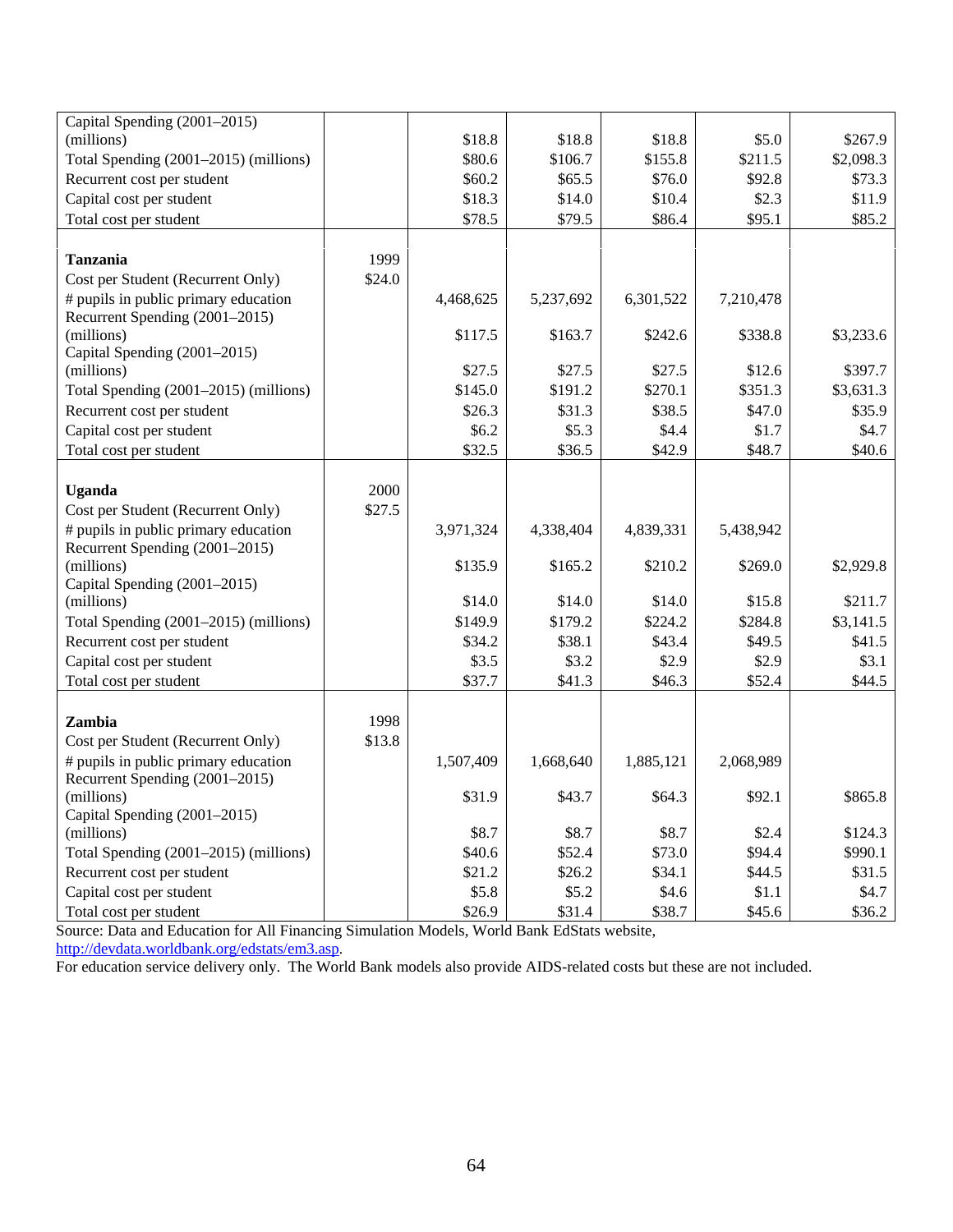| Capital Spending (2001-2015)                                           |        |           |           |           |           |           |
|------------------------------------------------------------------------|--------|-----------|-----------|-----------|-----------|-----------|
| (millions)                                                             |        | \$18.8    | \$18.8    | \$18.8    | \$5.0     | \$267.9   |
| Total Spending (2001–2015) (millions)                                  |        | \$80.6    | \$106.7   | \$155.8   | \$211.5   | \$2,098.3 |
| Recurrent cost per student                                             |        | \$60.2    | \$65.5    | \$76.0    | \$92.8    | \$73.3    |
| Capital cost per student                                               |        | \$18.3    | \$14.0    | \$10.4    | \$2.3     | \$11.9    |
| Total cost per student                                                 |        | \$78.5    | \$79.5    | \$86.4    | \$95.1    | \$85.2    |
|                                                                        |        |           |           |           |           |           |
| <b>Tanzania</b>                                                        | 1999   |           |           |           |           |           |
| Cost per Student (Recurrent Only)                                      | \$24.0 |           |           |           |           |           |
| # pupils in public primary education<br>Recurrent Spending (2001–2015) |        | 4,468,625 | 5,237,692 | 6,301,522 | 7,210,478 |           |
| (millions)                                                             |        | \$117.5   | \$163.7   | \$242.6   | \$338.8   | \$3,233.6 |
| Capital Spending (2001–2015)                                           |        |           |           |           |           |           |
| (millions)                                                             |        | \$27.5    | \$27.5    | \$27.5    | \$12.6    | \$397.7   |
| Total Spending (2001-2015) (millions)                                  |        | \$145.0   | \$191.2   | \$270.1   | \$351.3   | \$3,631.3 |
| Recurrent cost per student                                             |        | \$26.3    | \$31.3    | \$38.5    | \$47.0    | \$35.9    |
| Capital cost per student                                               |        | \$6.2\$   | \$5.3     | \$4.4     | \$1.7     | \$4.7     |
| Total cost per student                                                 |        | \$32.5    | \$36.5    | \$42.9    | \$48.7    | \$40.6    |
|                                                                        |        |           |           |           |           |           |
| <b>Uganda</b>                                                          | 2000   |           |           |           |           |           |
| Cost per Student (Recurrent Only)                                      | \$27.5 |           |           |           |           |           |
| # pupils in public primary education<br>Recurrent Spending (2001–2015) |        | 3,971,324 | 4,338,404 | 4,839,331 | 5,438,942 |           |
| (millions)                                                             |        | \$135.9   | \$165.2   | \$210.2   | \$269.0   | \$2,929.8 |
| Capital Spending (2001–2015)                                           |        |           |           |           |           |           |
| (millions)                                                             |        | \$14.0    | \$14.0    | \$14.0    | \$15.8    | \$211.7   |
| Total Spending (2001-2015) (millions)                                  |        | \$149.9   | \$179.2   | \$224.2   | \$284.8   | \$3,141.5 |
| Recurrent cost per student                                             |        | \$34.2    | \$38.1    | \$43.4    | \$49.5    | \$41.5    |
| Capital cost per student                                               |        | \$3.5     | \$3.2     | \$2.9     | \$2.9     | \$3.1     |
| Total cost per student                                                 |        | \$37.7    | \$41.3    | \$46.3    | \$52.4    | \$44.5    |
|                                                                        |        |           |           |           |           |           |
| Zambia                                                                 | 1998   |           |           |           |           |           |
| Cost per Student (Recurrent Only)                                      | \$13.8 |           |           |           |           |           |
| # pupils in public primary education                                   |        | 1,507,409 | 1,668,640 | 1,885,121 | 2,068,989 |           |
| Recurrent Spending (2001-2015)                                         |        |           |           |           |           |           |
| (millions)                                                             |        | \$31.9    | \$43.7    | \$64.3    | \$92.1    | \$865.8   |
| Capital Spending (2001-2015)                                           |        |           |           |           |           |           |
| (millions)                                                             |        | \$8.7     | \$8.7     | \$8.7     | \$2.4     | \$124.3   |
| Total Spending (2001-2015) (millions)                                  |        | \$40.6    | \$52.4    | \$73.0    | \$94.4    | \$990.1   |
| Recurrent cost per student                                             |        | \$21.2    | \$26.2    | \$34.1    | \$44.5    | \$31.5    |
| Capital cost per student                                               |        | \$5.8     | \$5.2     | \$4.6     | \$1.1     | \$4.7     |
| Total cost per student                                                 |        | \$26.9    | \$31.4    | \$38.7    | \$45.6    | \$36.2    |

Source: Data and Education for All Financing Simulation Models, World Bank EdStats website,

http://devdata.worldbank.org/edstats/em3.asp.

For education service delivery only. The World Bank models also provide AIDS-related costs but these are not included.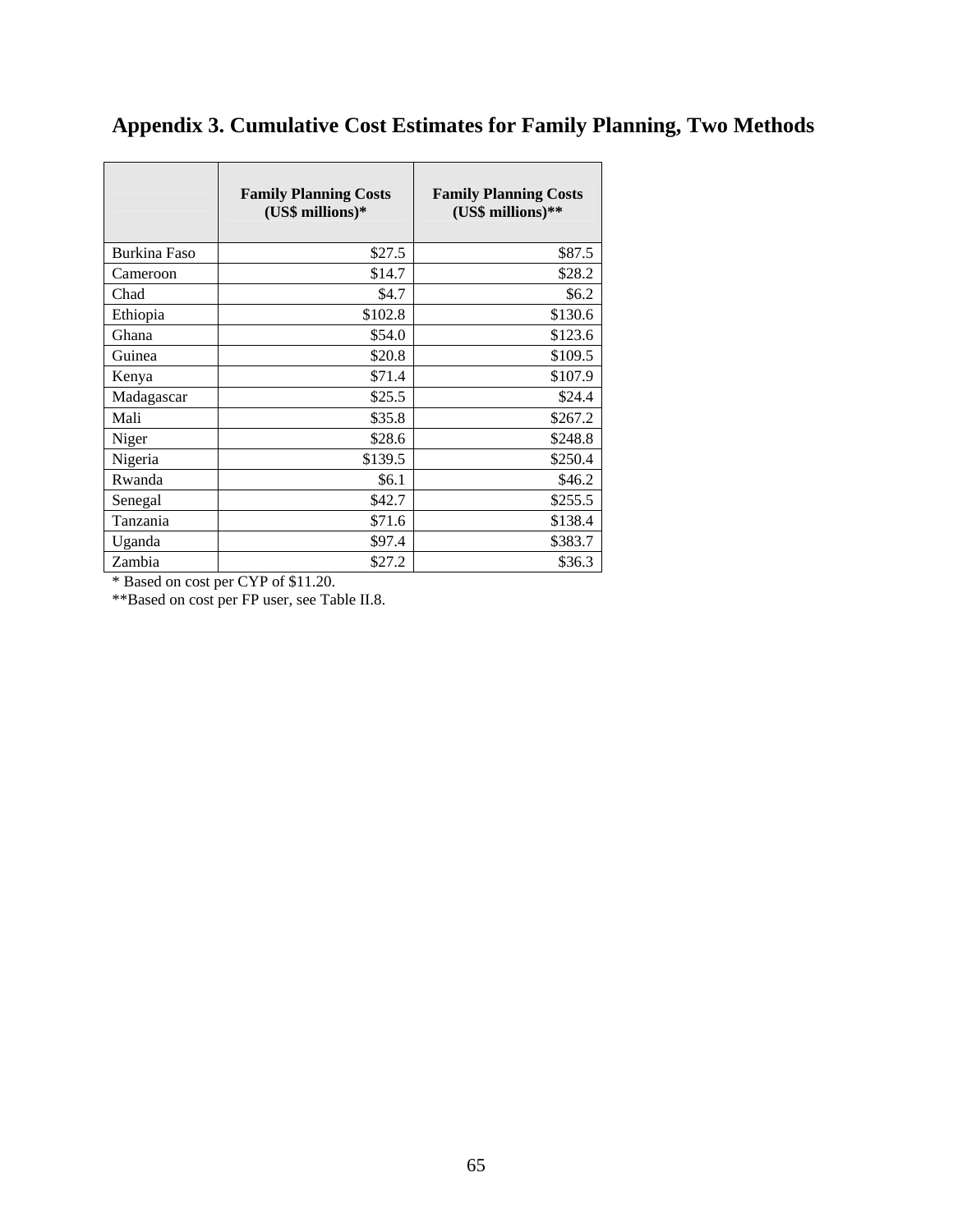|              | <b>Family Planning Costs</b><br>(US\$ millions)* | <b>Family Planning Costs</b><br>(US\$ millions)** |
|--------------|--------------------------------------------------|---------------------------------------------------|
| Burkina Faso | \$27.5                                           | \$87.5                                            |
| Cameroon     | \$14.7                                           | \$28.2                                            |
| Chad         | \$4.7                                            | \$6.2                                             |
| Ethiopia     | \$102.8                                          | \$130.6                                           |
| Ghana        | \$54.0                                           | \$123.6                                           |
| Guinea       | \$20.8                                           | \$109.5                                           |
| Kenya        | \$71.4                                           | \$107.9                                           |
| Madagascar   | \$25.5                                           | \$24.4                                            |
| Mali         | \$35.8                                           | \$267.2                                           |
| Niger        | \$28.6                                           | \$248.8                                           |
| Nigeria      | \$139.5                                          | \$250.4                                           |
| Rwanda       | \$6.1                                            | \$46.2                                            |
| Senegal      | \$42.7                                           | \$255.5                                           |
| Tanzania     | \$71.6                                           | \$138.4                                           |
| Uganda       | \$97.4                                           | \$383.7                                           |
| Zambia       | \$27.2                                           | \$36.3                                            |

# **Appendix 3. Cumulative Cost Estimates for Family Planning, Two Methods**

\* Based on cost per CYP of \$11.20.

\*\*Based on cost per FP user, see Table II.8.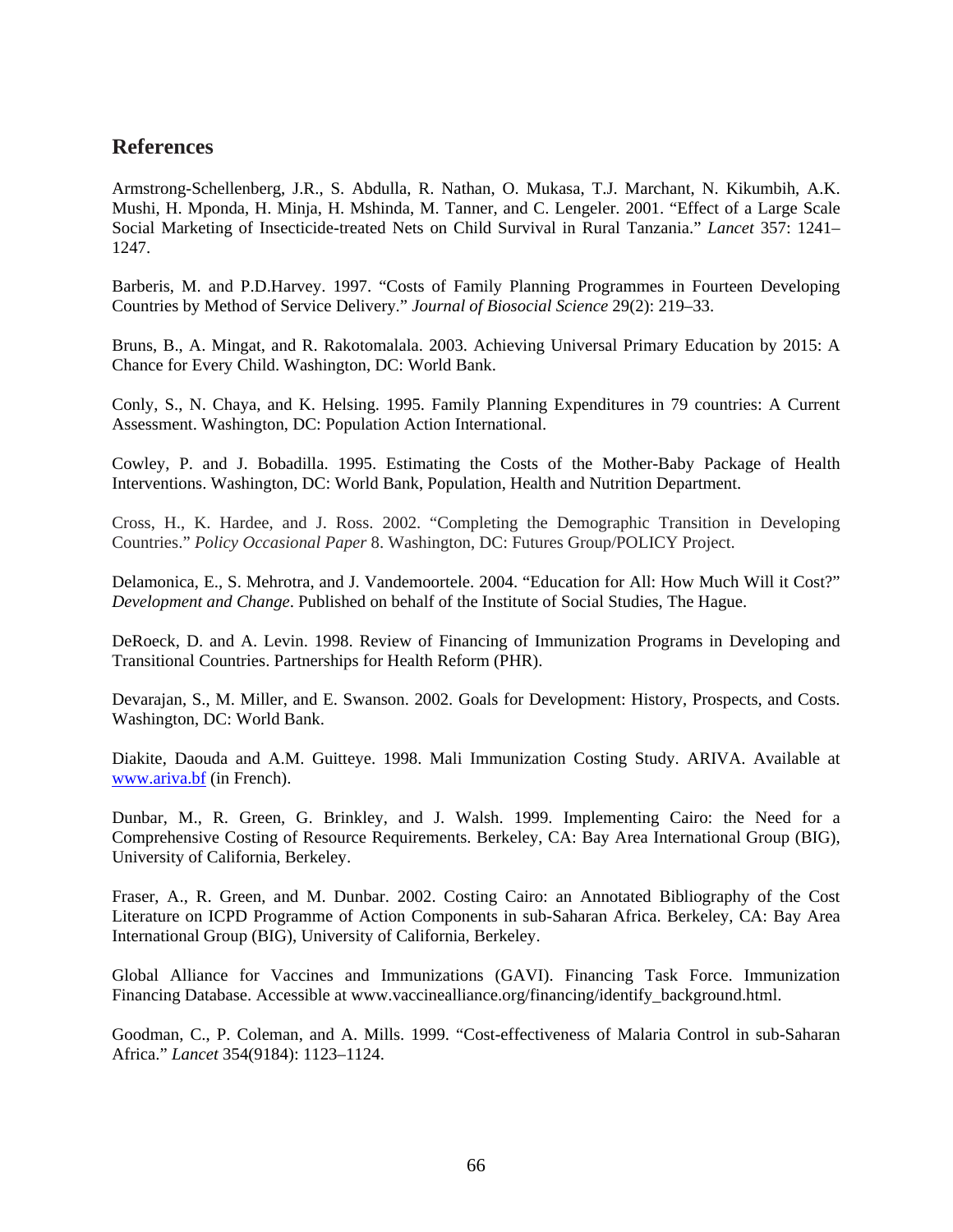## **References**

Armstrong-Schellenberg, J.R., S. Abdulla, R. Nathan, O. Mukasa, T.J. Marchant, N. Kikumbih, A.K. Mushi, H. Mponda, H. Minja, H. Mshinda, M. Tanner, and C. Lengeler. 2001. "Effect of a Large Scale Social Marketing of Insecticide-treated Nets on Child Survival in Rural Tanzania." *Lancet* 357: 1241– 1247.

Barberis, M. and P.D.Harvey. 1997. "Costs of Family Planning Programmes in Fourteen Developing Countries by Method of Service Delivery." *Journal of Biosocial Science* 29(2): 219–33.

Bruns, B., A. Mingat, and R. Rakotomalala. 2003. Achieving Universal Primary Education by 2015: A Chance for Every Child. Washington, DC: World Bank.

Conly, S., N. Chaya, and K. Helsing. 1995. Family Planning Expenditures in 79 countries: A Current Assessment. Washington, DC: Population Action International.

Cowley, P. and J. Bobadilla. 1995. Estimating the Costs of the Mother-Baby Package of Health Interventions. Washington, DC: World Bank, Population, Health and Nutrition Department.

Cross, H., K. Hardee, and J. Ross. 2002. "Completing the Demographic Transition in Developing Countries." *Policy Occasional Paper* 8. Washington, DC: Futures Group/POLICY Project.

Delamonica, E., S. Mehrotra, and J. Vandemoortele. 2004. "Education for All: How Much Will it Cost?" *Development and Change*. Published on behalf of the Institute of Social Studies, The Hague.

DeRoeck, D. and A. Levin. 1998. Review of Financing of Immunization Programs in Developing and Transitional Countries. Partnerships for Health Reform (PHR).

Devarajan, S., M. Miller, and E. Swanson. 2002. Goals for Development: History, Prospects, and Costs. Washington, DC: World Bank.

Diakite, Daouda and A.M. Guitteye. 1998. Mali Immunization Costing Study. ARIVA. Available at www.ariva.bf (in French).

Dunbar, M., R. Green, G. Brinkley, and J. Walsh. 1999. Implementing Cairo: the Need for a Comprehensive Costing of Resource Requirements. Berkeley, CA: Bay Area International Group (BIG), University of California, Berkeley.

Fraser, A., R. Green, and M. Dunbar. 2002. Costing Cairo: an Annotated Bibliography of the Cost Literature on ICPD Programme of Action Components in sub-Saharan Africa. Berkeley, CA: Bay Area International Group (BIG), University of California, Berkeley.

Global Alliance for Vaccines and Immunizations (GAVI). Financing Task Force. Immunization Financing Database. Accessible at www.vaccinealliance.org/financing/identify\_background.html.

Goodman, C., P. Coleman, and A. Mills. 1999. "Cost-effectiveness of Malaria Control in sub-Saharan Africa." *Lancet* 354(9184): 1123–1124.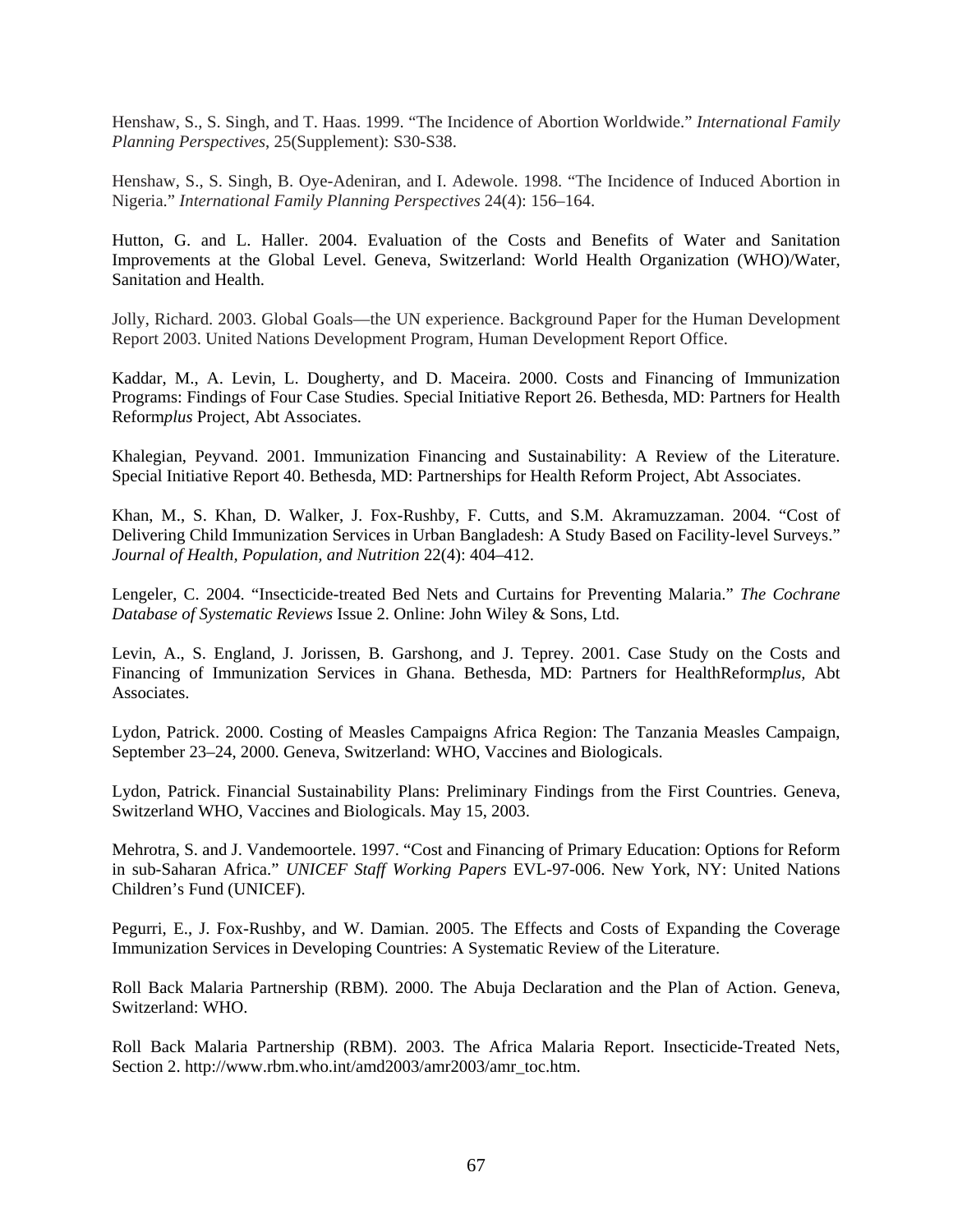Henshaw, S., S. Singh, and T. Haas. 1999. "The Incidence of Abortion Worldwide." *International Family Planning Perspectives*, 25(Supplement): S30-S38.

Henshaw, S., S. Singh, B. Oye-Adeniran, and I. Adewole. 1998. "The Incidence of Induced Abortion in Nigeria." *International Family Planning Perspectives* 24(4): 156–164.

Hutton, G. and L. Haller. 2004. Evaluation of the Costs and Benefits of Water and Sanitation Improvements at the Global Level. Geneva, Switzerland: World Health Organization (WHO)/Water, Sanitation and Health.

Jolly, Richard. 2003. Global Goals—the UN experience. Background Paper for the Human Development Report 2003. United Nations Development Program, Human Development Report Office.

Kaddar, M., A. Levin, L. Dougherty, and D. Maceira. 2000. Costs and Financing of Immunization Programs: Findings of Four Case Studies. Special Initiative Report 26. Bethesda, MD: Partners for Health Reform*plus* Project, Abt Associates.

Khalegian, Peyvand. 2001. Immunization Financing and Sustainability: A Review of the Literature. Special Initiative Report 40. Bethesda, MD: Partnerships for Health Reform Project, Abt Associates.

Khan, M., S. Khan, D. Walker, J. Fox-Rushby, F. Cutts, and S.M. Akramuzzaman. 2004. "Cost of Delivering Child Immunization Services in Urban Bangladesh: A Study Based on Facility-level Surveys." *Journal of Health, Population, and Nutrition* 22(4): 404–412.

Lengeler, C. 2004. "Insecticide-treated Bed Nets and Curtains for Preventing Malaria." *The Cochrane Database of Systematic Reviews* Issue 2. Online: John Wiley & Sons, Ltd.

Levin, A., S. England, J. Jorissen, B. Garshong, and J. Teprey. 2001. Case Study on the Costs and Financing of Immunization Services in Ghana. Bethesda, MD: Partners for HealthReform*plus,* Abt Associates.

Lydon, Patrick. 2000. Costing of Measles Campaigns Africa Region: The Tanzania Measles Campaign, September 23–24, 2000. Geneva, Switzerland: WHO, Vaccines and Biologicals.

Lydon, Patrick. Financial Sustainability Plans: Preliminary Findings from the First Countries. Geneva, Switzerland WHO, Vaccines and Biologicals. May 15, 2003.

Mehrotra, S. and J. Vandemoortele. 1997. "Cost and Financing of Primary Education: Options for Reform in sub-Saharan Africa." *UNICEF Staff Working Papers* EVL-97-006. New York, NY: United Nations Children's Fund (UNICEF).

Pegurri, E., J. Fox-Rushby, and W. Damian. 2005. The Effects and Costs of Expanding the Coverage Immunization Services in Developing Countries: A Systematic Review of the Literature.

Roll Back Malaria Partnership (RBM). 2000. The Abuja Declaration and the Plan of Action. Geneva, Switzerland: WHO.

Roll Back Malaria Partnership (RBM). 2003. The Africa Malaria Report. Insecticide-Treated Nets, Section 2. http://www.rbm.who.int/amd2003/amr2003/amr\_toc.htm.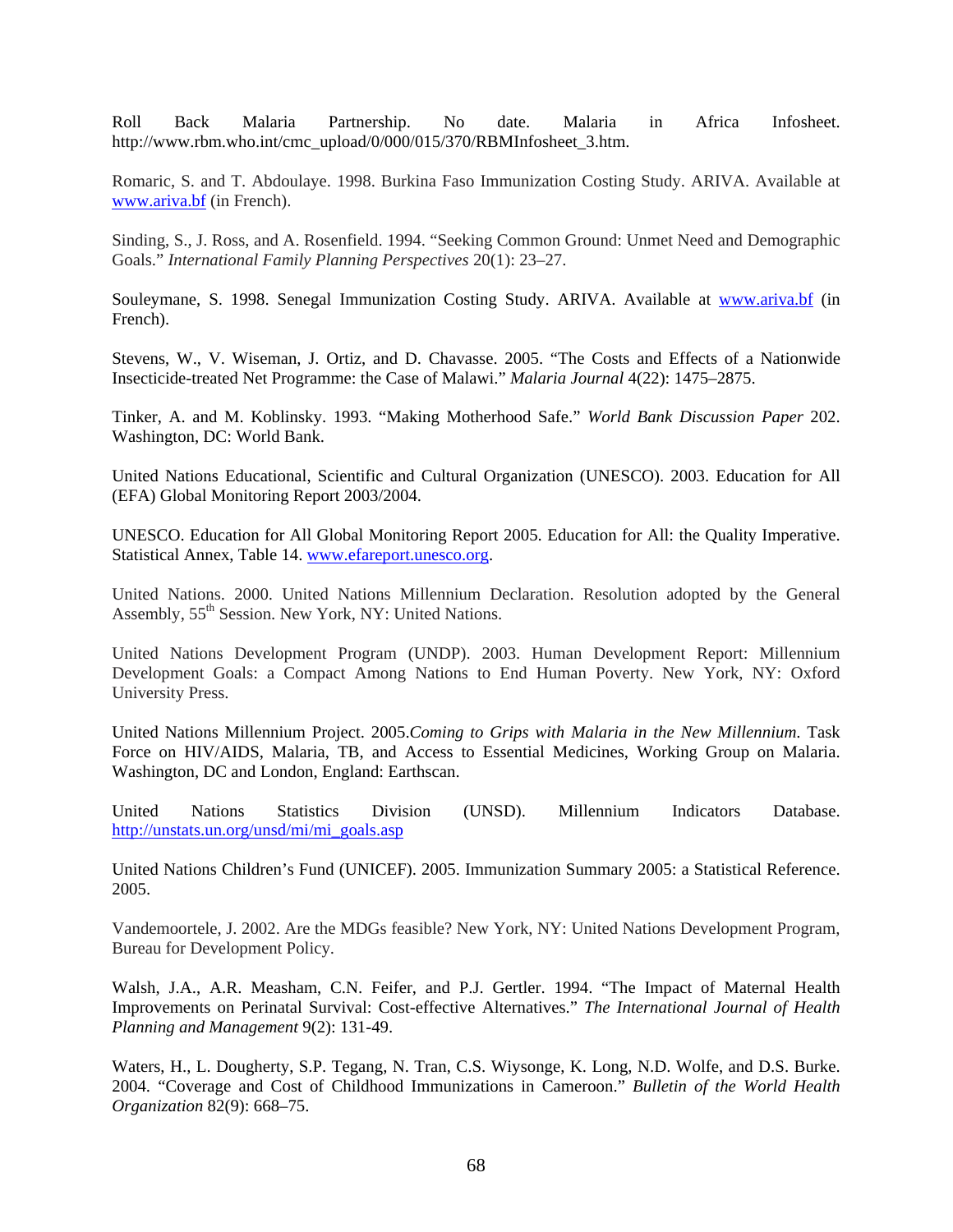Roll Back Malaria Partnership. No date. Malaria in Africa Infosheet. http://www.rbm.who.int/cmc\_upload/0/000/015/370/RBMInfosheet\_3.htm.

Romaric, S. and T. Abdoulaye. 1998. Burkina Faso Immunization Costing Study. ARIVA. Available at www.ariva.bf (in French).

Sinding, S., J. Ross, and A. Rosenfield. 1994. "Seeking Common Ground: Unmet Need and Demographic Goals." *International Family Planning Perspectives* 20(1): 23–27.

Souleymane, S. 1998. Senegal Immunization Costing Study. ARIVA. Available at www.ariva.bf (in French).

Stevens, W., V. Wiseman, J. Ortiz, and D. Chavasse. 2005. "The Costs and Effects of a Nationwide Insecticide-treated Net Programme: the Case of Malawi." *Malaria Journal* 4(22): 1475–2875.

Tinker, A. and M. Koblinsky. 1993. "Making Motherhood Safe." *World Bank Discussion Paper* 202. Washington, DC: World Bank.

United Nations Educational, Scientific and Cultural Organization (UNESCO). 2003. Education for All (EFA) Global Monitoring Report 2003/2004.

UNESCO. Education for All Global Monitoring Report 2005. Education for All: the Quality Imperative. Statistical Annex, Table 14. www.efareport.unesco.org.

United Nations. 2000. United Nations Millennium Declaration. Resolution adopted by the General Assembly,  $55<sup>th</sup>$  Session. New York, NY: United Nations.

United Nations Development Program (UNDP). 2003. Human Development Report: Millennium Development Goals: a Compact Among Nations to End Human Poverty. New York, NY: Oxford University Press.

United Nations Millennium Project. 2005.*Coming to Grips with Malaria in the New Millennium*. Task Force on HIV/AIDS, Malaria, TB, and Access to Essential Medicines, Working Group on Malaria. Washington, DC and London, England: Earthscan.

United Nations Statistics Division (UNSD). Millennium Indicators Database. http://unstats.un.org/unsd/mi/mi\_goals.asp

United Nations Children's Fund (UNICEF). 2005. Immunization Summary 2005: a Statistical Reference. 2005.

Vandemoortele, J. 2002. Are the MDGs feasible? New York, NY: United Nations Development Program, Bureau for Development Policy.

Walsh, J.A., A.R. Measham, C.N. Feifer, and P.J. Gertler. 1994. "The Impact of Maternal Health Improvements on Perinatal Survival: Cost-effective Alternatives." *The International Journal of Health Planning and Management* 9(2): 131-49.

Waters, H., L. Dougherty, S.P. Tegang, N. Tran, C.S. Wiysonge, K. Long, N.D. Wolfe, and D.S. Burke. 2004. "Coverage and Cost of Childhood Immunizations in Cameroon." *Bulletin of the World Health Organization* 82(9): 668–75.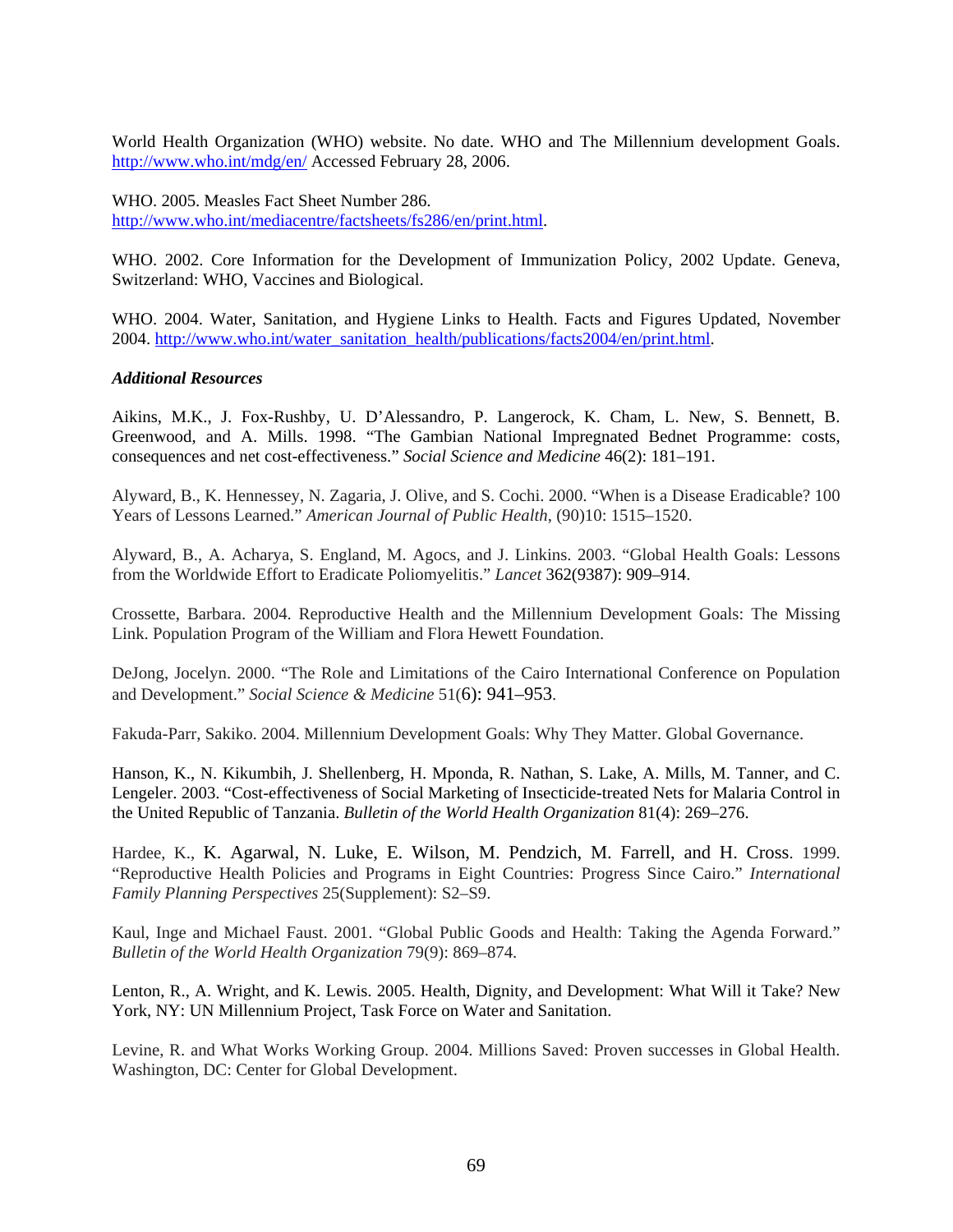World Health Organization (WHO) website. No date. WHO and The Millennium development Goals. http://www.who.int/mdg/en/ Accessed February 28, 2006.

WHO. 2005. Measles Fact Sheet Number 286. http://www.who.int/mediacentre/factsheets/fs286/en/print.html.

WHO. 2002. Core Information for the Development of Immunization Policy, 2002 Update. Geneva, Switzerland: WHO, Vaccines and Biological.

WHO. 2004. Water, Sanitation, and Hygiene Links to Health. Facts and Figures Updated, November 2004. http://www.who.int/water\_sanitation\_health/publications/facts2004/en/print.html.

## *Additional Resources*

Aikins, M.K., J. Fox-Rushby, U. D'Alessandro, P. Langerock, K. Cham, L. New, S. Bennett, B. Greenwood, and A. Mills. 1998. "The Gambian National Impregnated Bednet Programme: costs, consequences and net cost-effectiveness." *Social Science and Medicine* 46(2): 181–191.

Alyward, B., K. Hennessey, N. Zagaria, J. Olive, and S. Cochi. 2000. "When is a Disease Eradicable? 100 Years of Lessons Learned." *American Journal of Public Health*, (90)10: 1515–1520.

Alyward, B., A. Acharya, S. England, M. Agocs, and J. Linkins. 2003. "Global Health Goals: Lessons from the Worldwide Effort to Eradicate Poliomyelitis." *Lancet* 362(9387): 909–914.

Crossette, Barbara. 2004. Reproductive Health and the Millennium Development Goals: The Missing Link. Population Program of the William and Flora Hewett Foundation.

DeJong, Jocelyn. 2000. "The Role and Limitations of the Cairo International Conference on Population and Development." *Social Science & Medicine* 51(6): 941–953.

Fakuda-Parr, Sakiko. 2004. Millennium Development Goals: Why They Matter. Global Governance.

Hanson, K., N. Kikumbih, J. Shellenberg, H. Mponda, R. Nathan, S. Lake, A. Mills, M. Tanner, and C. Lengeler. 2003. "Cost-effectiveness of Social Marketing of Insecticide-treated Nets for Malaria Control in the United Republic of Tanzania. *Bulletin of the World Health Organization* 81(4): 269–276.

Hardee, K., K. Agarwal, N. Luke, E. Wilson, M. Pendzich, M. Farrell, and H. Cross. 1999. "Reproductive Health Policies and Programs in Eight Countries: Progress Since Cairo." *International Family Planning Perspectives* 25(Supplement): S2–S9.

Kaul, Inge and Michael Faust. 2001. "Global Public Goods and Health: Taking the Agenda Forward." *Bulletin of the World Health Organization* 79(9): 869–874.

Lenton, R., A. Wright, and K. Lewis. 2005. Health, Dignity, and Development: What Will it Take? New York, NY: UN Millennium Project, Task Force on Water and Sanitation.

Levine, R. and What Works Working Group. 2004. Millions Saved: Proven successes in Global Health. Washington, DC: Center for Global Development.